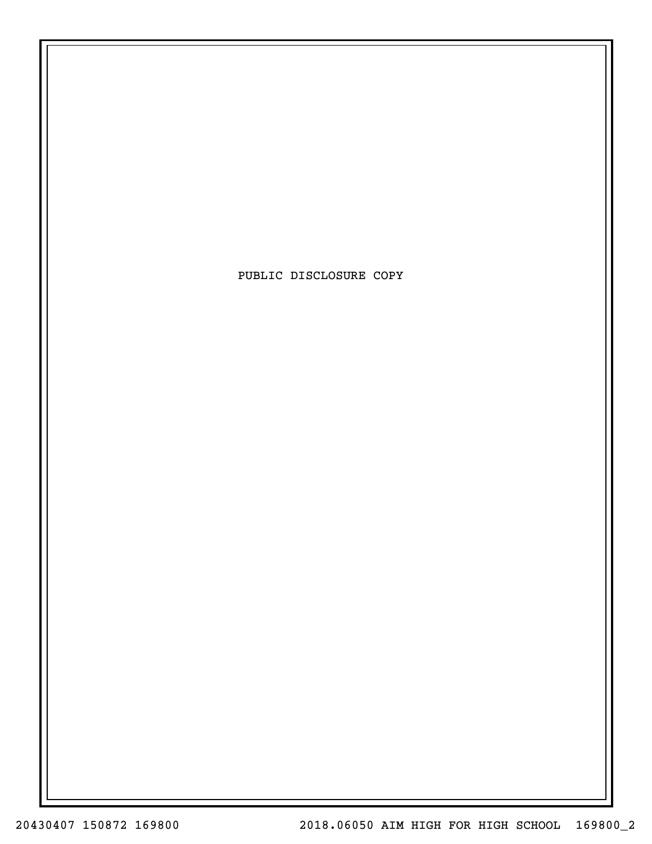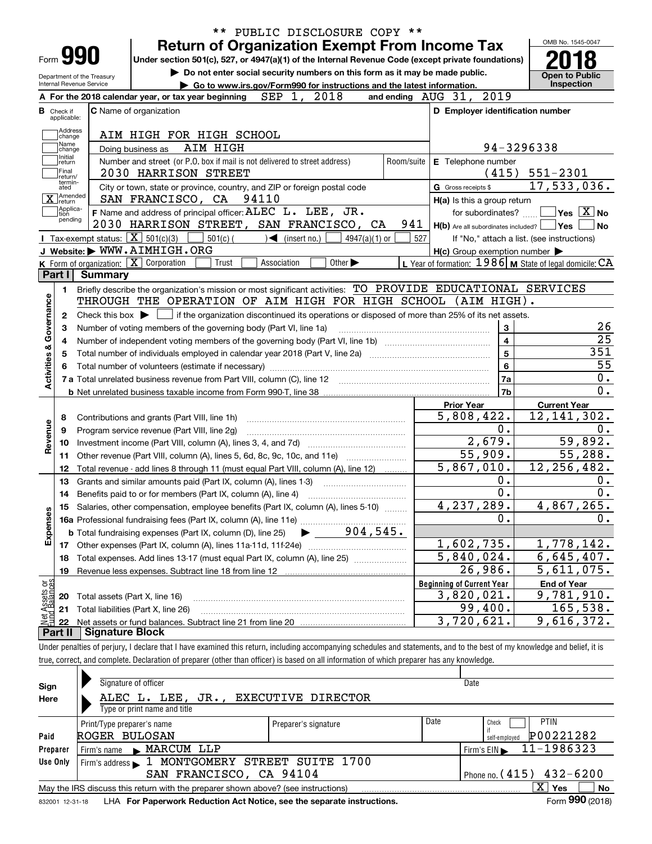| Form <b>990</b>                      | <b>Return of Organization Exempt From Income Tax</b><br>Under section 501(c), 527, or 4947(a)(1) of the Internal Revenue Code (except private foundations)                   |                 |     |                                                                    |                                                                                                                            |
|--------------------------------------|------------------------------------------------------------------------------------------------------------------------------------------------------------------------------|-----------------|-----|--------------------------------------------------------------------|----------------------------------------------------------------------------------------------------------------------------|
| Department of the Treasury           | Do not enter social security numbers on this form as it may be made public.                                                                                                  |                 |     |                                                                    | <b>Open to Public</b>                                                                                                      |
| Internal Revenue Service             | Go to www.irs.gov/Form990 for instructions and the latest information.<br>2018<br>SEP 1,<br>A For the 2018 calendar year, or tax year beginning                              |                 |     | 2019<br>and ending $\overline{A} \overline{U} G$ $\overline{3}1$ , | <b>Inspection</b>                                                                                                          |
|                                      | <b>C</b> Name of organization                                                                                                                                                |                 |     | D Employer identification number                                   |                                                                                                                            |
| <b>B</b> Check if<br>applicable:     |                                                                                                                                                                              |                 |     |                                                                    |                                                                                                                            |
| Address<br>change<br> Name           | AIM HIGH FOR HIGH SCHOOL                                                                                                                                                     |                 |     |                                                                    |                                                                                                                            |
| change<br>ı Initial                  | AIM HIGH<br>Doing business as                                                                                                                                                |                 |     | 94-3296338                                                         |                                                                                                                            |
| ∣return<br> Final<br>Ireturn/        | Number and street (or P.O. box if mail is not delivered to street address)<br>2030 HARRISON STREET                                                                           | Room/suite      |     | E Telephone number<br>(415)                                        | $551 - 2301$                                                                                                               |
| termin-<br>ated                      | City or town, state or province, country, and ZIP or foreign postal code                                                                                                     |                 |     | G Gross receipts \$                                                | 17,533,036.                                                                                                                |
| X <sup>Amended</sup>                 | 94110<br>SAN FRANCISCO, CA                                                                                                                                                   |                 |     | H(a) Is this a group return                                        |                                                                                                                            |
| Applica-<br>tion<br>pending          | F Name and address of principal officer: ALEC L. LEE, JR.                                                                                                                    |                 |     | for subordinates?                                                  | $\sqrt{}$ Yes $\sqrt{}$ X $\sqrt{}$ No                                                                                     |
|                                      | 2030 HARRISON STREET, SAN FRANCISCO, CA                                                                                                                                      |                 | 941 | $H(b)$ Are all subordinates included? $\Box$ Yes                   | No                                                                                                                         |
|                                      | Tax-exempt status: $X \mid 501(c)(3)$<br>$501(c)$ (<br>$\mathcal{A}$ (insert no.)                                                                                            | $4947(a)(1)$ or | 527 |                                                                    | If "No," attach a list. (see instructions)                                                                                 |
|                                      | J Website: WWW.AIMHIGH.ORG                                                                                                                                                   |                 |     | H(c) Group exemption number                                        |                                                                                                                            |
| Part I                               | K Form of organization: X Corporation<br>Other $\blacktriangleright$<br>Association<br>Trust<br><b>Summary</b>                                                               |                 |     | L Year of formation: $1986$ M State of legal domicile: CA          |                                                                                                                            |
|                                      |                                                                                                                                                                              |                 |     |                                                                    |                                                                                                                            |
| 1.                                   | Briefly describe the organization's mission or most significant activities: TO PROVIDE EDUCATIONAL SERVICES<br>THROUGH THE OPERATION OF AIM HIGH FOR HIGH SCHOOL (AIM HIGH). |                 |     |                                                                    |                                                                                                                            |
|                                      |                                                                                                                                                                              |                 |     |                                                                    |                                                                                                                            |
|                                      |                                                                                                                                                                              |                 |     |                                                                    |                                                                                                                            |
| $\mathbf{2}$                         | Check this box $\blacktriangleright \Box$ if the organization discontinued its operations or disposed of more than 25% of its net assets.                                    |                 |     |                                                                    |                                                                                                                            |
| 3                                    | Number of voting members of the governing body (Part VI, line 1a)                                                                                                            |                 |     | 3                                                                  |                                                                                                                            |
| 4                                    |                                                                                                                                                                              |                 |     | $\overline{\mathbf{4}}$                                            |                                                                                                                            |
| 5                                    |                                                                                                                                                                              |                 |     | 5                                                                  | 351                                                                                                                        |
| 6                                    |                                                                                                                                                                              |                 |     | 6                                                                  |                                                                                                                            |
|                                      |                                                                                                                                                                              |                 |     | 7a                                                                 |                                                                                                                            |
| Activities & Governance              |                                                                                                                                                                              |                 |     | 7b                                                                 |                                                                                                                            |
|                                      |                                                                                                                                                                              |                 |     | <b>Prior Year</b>                                                  | <b>Current Year</b>                                                                                                        |
| 8                                    | Contributions and grants (Part VIII, line 1h)                                                                                                                                |                 |     | 5,808,422.                                                         |                                                                                                                            |
| 9                                    | Program service revenue (Part VIII, line 2g)                                                                                                                                 |                 |     | 0.                                                                 |                                                                                                                            |
| 10                                   |                                                                                                                                                                              |                 |     | 2,679.                                                             |                                                                                                                            |
| Revenue<br>11                        | Other revenue (Part VIII, column (A), lines 5, 6d, 8c, 9c, 10c, and 11e)                                                                                                     |                 |     | $\overline{55,909}$ .                                              |                                                                                                                            |
| 12                                   | Total revenue - add lines 8 through 11 (must equal Part VIII, column (A), line 12)                                                                                           |                 |     | 5,867,010.                                                         |                                                                                                                            |
| 13                                   | Grants and similar amounts paid (Part IX, column (A), lines 1-3)                                                                                                             |                 |     | 0.                                                                 |                                                                                                                            |
| 14                                   | Benefits paid to or for members (Part IX, column (A), line 4)                                                                                                                |                 |     | 0.                                                                 |                                                                                                                            |
| 15                                   | Salaries, other compensation, employee benefits (Part IX, column (A), lines 5-10)                                                                                            |                 |     | 4,237,289.                                                         |                                                                                                                            |
|                                      |                                                                                                                                                                              |                 |     | 0.                                                                 |                                                                                                                            |
|                                      | $904,545$ .<br><b>b</b> Total fundraising expenses (Part IX, column (D), line 25)                                                                                            |                 |     |                                                                    |                                                                                                                            |
| Expenses<br>17                       |                                                                                                                                                                              |                 |     | 1,602,735.                                                         |                                                                                                                            |
| 18                                   | Total expenses. Add lines 13-17 (must equal Part IX, column (A), line 25)                                                                                                    |                 |     | 5,840,024.                                                         |                                                                                                                            |
| 19                                   |                                                                                                                                                                              |                 |     | 26,986.                                                            |                                                                                                                            |
|                                      |                                                                                                                                                                              |                 |     | <b>Beginning of Current Year</b>                                   | <b>End of Year</b>                                                                                                         |
| 20                                   | Total assets (Part X, line 16)                                                                                                                                               |                 |     |                                                                    | 12, 141, 302.<br>59,892.<br>55,288.<br>12, 256, 482.<br>4,867,265.<br>1,778,142.<br>6,645,407.<br>5,611,075.<br>9,781,910. |
| Net Assets or<br>Fund Balances<br>21 | Total liabilities (Part X, line 26)                                                                                                                                          |                 |     | 3,820,021.<br>99,400.                                              | 165, 538.                                                                                                                  |

|              | true, correct, and complete. Declaration of preparer (other than officer) is based on all information of which preparer has any knowledge. |                      |      |                                                    |  |  |  |  |
|--------------|--------------------------------------------------------------------------------------------------------------------------------------------|----------------------|------|----------------------------------------------------|--|--|--|--|
| Sign<br>Here | Signature of officer<br><b>EXECUTIVE DIRECTOR</b><br>ALEC L. LEE, JR.,<br>Type or print name and title                                     | Date                 |      |                                                    |  |  |  |  |
| Paid         | Print/Type preparer's name<br>ROGER BULOSAN                                                                                                | Preparer's signature | Date | <b>PTIN</b><br>Check<br>P00221282<br>self-employed |  |  |  |  |
| Preparer     | Firm's name MARCUM LLP                                                                                                                     |                      |      | 11-1986323<br>Firm's $EIN$                         |  |  |  |  |
| Use Only     | Firm's address 1 MONTGOMERY STREET SUITE 1700<br>Phone no. $(415)$ $432 - 6200$<br>SAN FRANCISCO, CA 94104                                 |                      |      |                                                    |  |  |  |  |
|              | May the IRS discuss this return with the preparer shown above? (see instructions)                                                          |                      |      | $\mathbf{x}$<br>Yes<br>No                          |  |  |  |  |
|              | t de la componenta de la propieda de la componenta de la componenta de la componenta de la componenta de la co                             |                      |      | $F = 000 \text{ (0010)}$                           |  |  |  |  |

832001 12-31-18 LHA **For Paperwork Reduction Act Notice, see the separate instructions.** Form **990** (2018)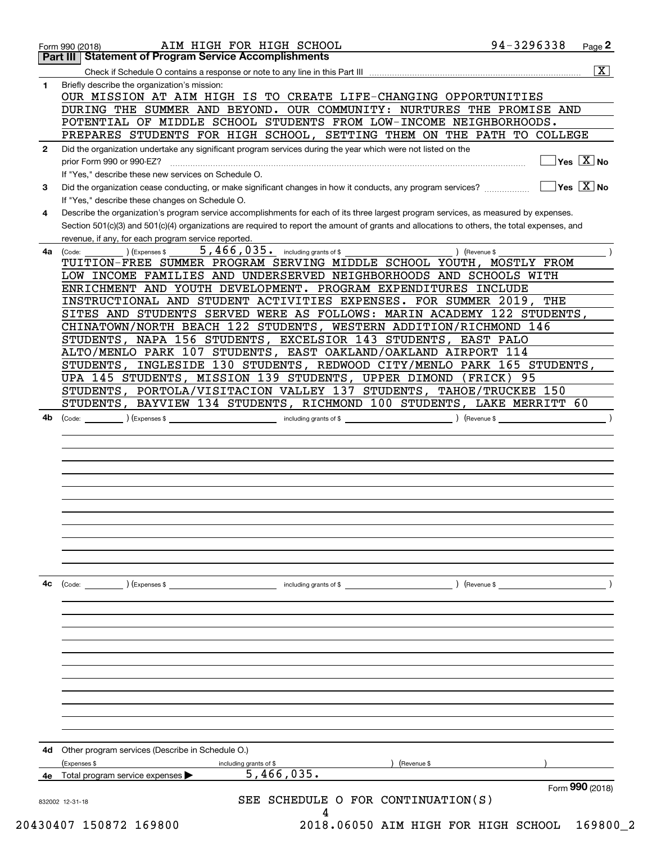|              | <b>Part III Statement of Program Service Accomplishments</b>                                                                                                                    |                         |
|--------------|---------------------------------------------------------------------------------------------------------------------------------------------------------------------------------|-------------------------|
|              |                                                                                                                                                                                 | $\overline{\mathbf{x}}$ |
| $\mathbf 1$  | Briefly describe the organization's mission:                                                                                                                                    |                         |
|              | OUR MISSION AT AIM HIGH IS TO CREATE LIFE-CHANGING OPPORTUNITIES                                                                                                                |                         |
|              | DURING THE SUMMER AND BEYOND. OUR COMMUNITY: NURTURES THE PROMISE AND                                                                                                           |                         |
|              | POTENTIAL OF MIDDLE SCHOOL STUDENTS FROM LOW-INCOME NEIGHBORHOODS.                                                                                                              |                         |
|              | PREPARES STUDENTS FOR HIGH SCHOOL, SETTING THEM ON THE PATH TO COLLEGE                                                                                                          |                         |
| $\mathbf{2}$ | Did the organization undertake any significant program services during the year which were not listed on the                                                                    |                         |
|              | $\sqrt{}$ Yes $\sqrt{X}$ No<br>prior Form 990 or 990-EZ?                                                                                                                        |                         |
|              | If "Yes," describe these new services on Schedule O.                                                                                                                            |                         |
| 3            | $\overline{\mathsf{Yes} \mathrel{\hspace{0.5pt}\mathsf{X}}}$ No<br>Did the organization cease conducting, or make significant changes in how it conducts, any program services? |                         |
|              | If "Yes," describe these changes on Schedule O.                                                                                                                                 |                         |
| 4            | Describe the organization's program service accomplishments for each of its three largest program services, as measured by expenses.                                            |                         |
|              | Section 501(c)(3) and 501(c)(4) organizations are required to report the amount of grants and allocations to others, the total expenses, and                                    |                         |
|              | revenue, if any, for each program service reported.                                                                                                                             |                         |
| 4a           | $5,466,035$ $\cdot$ including grants of \$<br>) (Revenue \$<br>(Expenses \$<br>(Code:                                                                                           |                         |
|              | TUITION-FREE SUMMER PROGRAM SERVING MIDDLE SCHOOL YOUTH, MOSTLY FROM                                                                                                            |                         |
|              | LOW INCOME FAMILIES AND UNDERSERVED NEIGHBORHOODS AND SCHOOLS WITH                                                                                                              |                         |
|              | ENRICHMENT AND YOUTH DEVELOPMENT. PROGRAM EXPENDITURES INCLUDE                                                                                                                  |                         |
|              | INSTRUCTIONAL AND STUDENT ACTIVITIES EXPENSES. FOR SUMMER 2019, THE                                                                                                             |                         |
|              | SITES AND STUDENTS SERVED WERE AS FOLLOWS: MARIN ACADEMY 122 STUDENTS,                                                                                                          |                         |
|              | CHINATOWN/NORTH BEACH 122 STUDENTS, WESTERN ADDITION/RICHMOND 146                                                                                                               |                         |
|              | STUDENTS, NAPA 156 STUDENTS, EXCELSIOR 143 STUDENTS, EAST PALO                                                                                                                  |                         |
|              | ALTO/MENLO PARK 107 STUDENTS, EAST OAKLAND/OAKLAND AIRPORT 114                                                                                                                  |                         |
|              | STUDENTS, INGLESIDE 130 STUDENTS, REDWOOD CITY/MENLO PARK 165 STUDENTS,                                                                                                         |                         |
|              | UPA 145 STUDENTS, MISSION 139 STUDENTS, UPPER DIMOND<br>(FRICK) 95                                                                                                              |                         |
|              | STUDENTS, PORTOLA/VISITACION VALLEY 137 STUDENTS, TAHOE/TRUCKEE<br>150                                                                                                          |                         |
|              | BAYVIEW 134 STUDENTS, RICHMOND 100 STUDENTS, LAKE MERRITT 60<br>STUDENTS,                                                                                                       |                         |
|              |                                                                                                                                                                                 |                         |
|              |                                                                                                                                                                                 |                         |
|              |                                                                                                                                                                                 |                         |
|              |                                                                                                                                                                                 |                         |
|              |                                                                                                                                                                                 |                         |
|              |                                                                                                                                                                                 |                         |
|              |                                                                                                                                                                                 |                         |
|              |                                                                                                                                                                                 |                         |
|              |                                                                                                                                                                                 |                         |
|              |                                                                                                                                                                                 |                         |
| 4с           | including grants of \$<br>(Code:<br>$\left($ Expenses \$<br>) (Revenue \$                                                                                                       |                         |
|              |                                                                                                                                                                                 |                         |
|              |                                                                                                                                                                                 |                         |
|              |                                                                                                                                                                                 |                         |
|              |                                                                                                                                                                                 |                         |
|              |                                                                                                                                                                                 |                         |
|              |                                                                                                                                                                                 |                         |
|              |                                                                                                                                                                                 |                         |
|              |                                                                                                                                                                                 |                         |
|              |                                                                                                                                                                                 |                         |
|              |                                                                                                                                                                                 |                         |
|              |                                                                                                                                                                                 |                         |
| 4d           | Other program services (Describe in Schedule O.)                                                                                                                                |                         |
|              | (Revenue \$<br>(Expenses \$<br>including grants of \$                                                                                                                           |                         |
|              | 5,466,035.<br>Total program service expenses                                                                                                                                    |                         |
|              | Form 990 (2018)<br>SEE SCHEDULE O FOR CONTINUATION(S)                                                                                                                           |                         |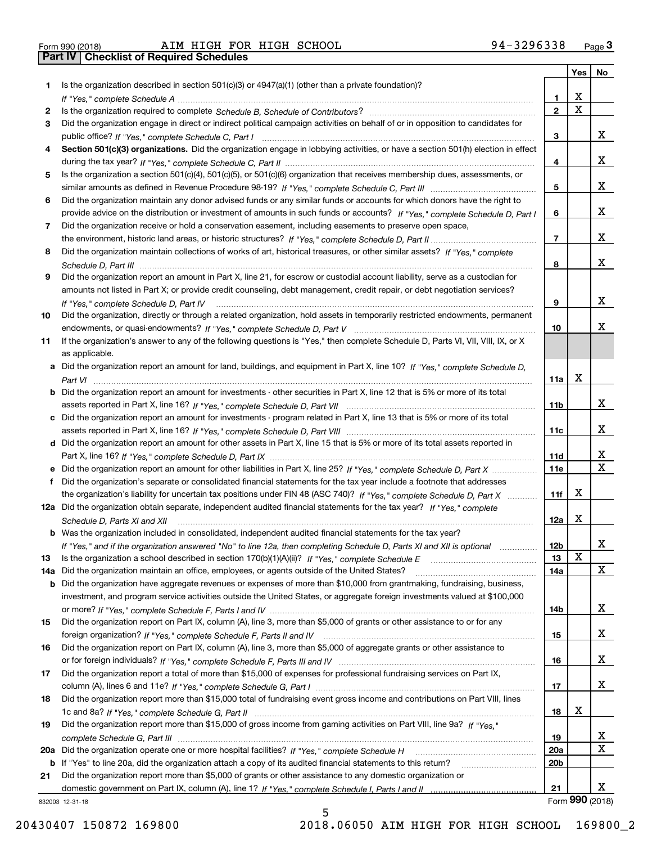| Form 990 (2018) |  |  |
|-----------------|--|--|
|                 |  |  |

**Part IV | Checklist of Required Schedules** 

|     |                                                                                                                                                    |                 |                         | Yes   No                |
|-----|----------------------------------------------------------------------------------------------------------------------------------------------------|-----------------|-------------------------|-------------------------|
| 1   | Is the organization described in section $501(c)(3)$ or $4947(a)(1)$ (other than a private foundation)?                                            |                 |                         |                         |
|     |                                                                                                                                                    | 1               | х                       |                         |
| 2   |                                                                                                                                                    | $\mathbf{2}$    | $\overline{\mathbf{x}}$ |                         |
| 3   | Did the organization engage in direct or indirect political campaign activities on behalf of or in opposition to candidates for                    |                 |                         |                         |
|     |                                                                                                                                                    | 3               |                         | x                       |
| 4   | Section 501(c)(3) organizations. Did the organization engage in lobbying activities, or have a section 501(h) election in effect                   |                 |                         |                         |
|     |                                                                                                                                                    | 4               |                         | x                       |
| 5   | Is the organization a section 501(c)(4), 501(c)(5), or 501(c)(6) organization that receives membership dues, assessments, or                       |                 |                         |                         |
|     |                                                                                                                                                    | 5               |                         | x                       |
| 6   | Did the organization maintain any donor advised funds or any similar funds or accounts for which donors have the right to                          |                 |                         |                         |
|     | provide advice on the distribution or investment of amounts in such funds or accounts? If "Yes," complete Schedule D, Part I                       | 6               |                         | x                       |
| 7   | Did the organization receive or hold a conservation easement, including easements to preserve open space,                                          |                 |                         |                         |
|     |                                                                                                                                                    | $\overline{7}$  |                         | x                       |
| 8   | Did the organization maintain collections of works of art, historical treasures, or other similar assets? If "Yes," complete                       |                 |                         |                         |
|     |                                                                                                                                                    | 8               |                         | x                       |
| 9   | Did the organization report an amount in Part X, line 21, for escrow or custodial account liability, serve as a custodian for                      |                 |                         |                         |
|     | amounts not listed in Part X; or provide credit counseling, debt management, credit repair, or debt negotiation services?                          |                 |                         | x                       |
|     | If "Yes," complete Schedule D, Part IV                                                                                                             | 9               |                         |                         |
| 10  | Did the organization, directly or through a related organization, hold assets in temporarily restricted endowments, permanent                      | 10              |                         | х                       |
|     |                                                                                                                                                    |                 |                         |                         |
| 11  | If the organization's answer to any of the following questions is "Yes," then complete Schedule D, Parts VI, VII, VIII, IX, or X<br>as applicable. |                 |                         |                         |
|     | Did the organization report an amount for land, buildings, and equipment in Part X, line 10? If "Yes," complete Schedule D,                        |                 |                         |                         |
|     |                                                                                                                                                    | 11a             | х                       |                         |
| b   | Did the organization report an amount for investments - other securities in Part X, line 12 that is 5% or more of its total                        |                 |                         |                         |
|     |                                                                                                                                                    | 11b             |                         | x                       |
|     | c Did the organization report an amount for investments - program related in Part X, line 13 that is 5% or more of its total                       |                 |                         |                         |
|     |                                                                                                                                                    | 11c             |                         | x                       |
|     | d Did the organization report an amount for other assets in Part X, line 15 that is 5% or more of its total assets reported in                     |                 |                         |                         |
|     |                                                                                                                                                    | 11d             |                         | X                       |
|     |                                                                                                                                                    | <b>11e</b>      |                         | $\overline{\mathtt{x}}$ |
| f   | Did the organization's separate or consolidated financial statements for the tax year include a footnote that addresses                            |                 |                         |                         |
|     | the organization's liability for uncertain tax positions under FIN 48 (ASC 740)? If "Yes," complete Schedule D, Part X                             | 11f             | х                       |                         |
|     | 12a Did the organization obtain separate, independent audited financial statements for the tax year? If "Yes," complete                            |                 |                         |                         |
|     | Schedule D, Parts XI and XII                                                                                                                       | 12a             | x                       |                         |
|     | <b>b</b> Was the organization included in consolidated, independent audited financial statements for the tax year?                                 |                 |                         |                         |
|     | If "Yes," and if the organization answered "No" to line 12a, then completing Schedule D, Parts XI and XII is optional                              | 12 <sub>b</sub> |                         | 43.                     |
| 13  | Is the organization a school described in section $170(b)(1)(A)(ii)?$ If "Yes," complete Schedule E                                                | 13              | X                       |                         |
| 14a | Did the organization maintain an office, employees, or agents outside of the United States?                                                        | 14a             |                         | X                       |
| b   | Did the organization have aggregate revenues or expenses of more than \$10,000 from grantmaking, fundraising, business,                            |                 |                         |                         |
|     | investment, and program service activities outside the United States, or aggregate foreign investments valued at \$100,000                         |                 |                         |                         |
|     |                                                                                                                                                    | 14b             |                         | X                       |
| 15  | Did the organization report on Part IX, column (A), line 3, more than \$5,000 of grants or other assistance to or for any                          |                 |                         |                         |
|     |                                                                                                                                                    | 15              |                         | x                       |
| 16  | Did the organization report on Part IX, column (A), line 3, more than \$5,000 of aggregate grants or other assistance to                           |                 |                         |                         |
|     |                                                                                                                                                    | 16              |                         | X                       |
| 17  | Did the organization report a total of more than \$15,000 of expenses for professional fundraising services on Part IX,                            |                 |                         |                         |
|     |                                                                                                                                                    | 17              |                         | X                       |
| 18  | Did the organization report more than \$15,000 total of fundraising event gross income and contributions on Part VIII, lines                       |                 |                         |                         |
|     |                                                                                                                                                    | 18              | X                       |                         |
| 19  | Did the organization report more than \$15,000 of gross income from gaming activities on Part VIII, line 9a? If "Yes."                             |                 |                         |                         |
|     |                                                                                                                                                    | 19              |                         | X                       |
| 20a | Did the organization operate one or more hospital facilities? If "Yes," complete Schedule H                                                        | 20a             |                         | $\overline{\mathbf{x}}$ |
| b   | If "Yes" to line 20a, did the organization attach a copy of its audited financial statements to this return?                                       | 20b             |                         |                         |
| 21  | Did the organization report more than \$5,000 of grants or other assistance to any domestic organization or                                        |                 |                         |                         |
|     |                                                                                                                                                    | 21              |                         | x                       |
|     | 832003 12-31-18                                                                                                                                    |                 |                         | Form 990 (2018)         |

832003 12-31-18

5 5 20430407 150872 169800 2018.06050 AIM HIGH FOR HIGH SCHOOL 169800\_2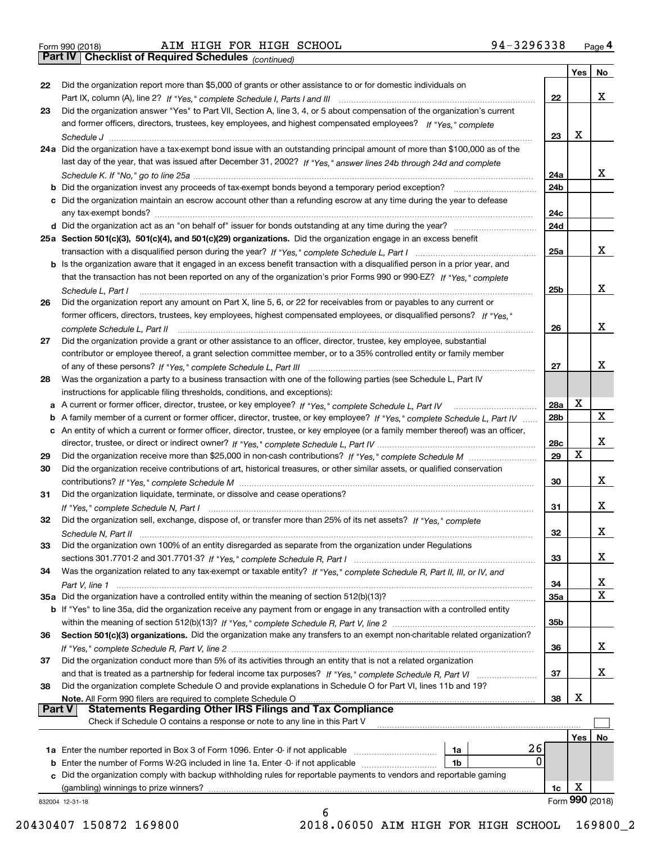| Form 990 (2018) |  |  |
|-----------------|--|--|

**Part IV** Checklist of Required Schedules (continued)

*(continued)*

|               |                                                                                                                                                |            | Yes | No              |
|---------------|------------------------------------------------------------------------------------------------------------------------------------------------|------------|-----|-----------------|
| 22            | Did the organization report more than \$5,000 of grants or other assistance to or for domestic individuals on                                  |            |     |                 |
|               |                                                                                                                                                | 22         |     | x               |
| 23            | Did the organization answer "Yes" to Part VII, Section A, line 3, 4, or 5 about compensation of the organization's current                     |            |     |                 |
|               | and former officers, directors, trustees, key employees, and highest compensated employees? If "Yes," complete                                 |            |     |                 |
|               |                                                                                                                                                | 23         | x   |                 |
|               | 24a Did the organization have a tax-exempt bond issue with an outstanding principal amount of more than \$100,000 as of the                    |            |     |                 |
|               | last day of the year, that was issued after December 31, 2002? If "Yes," answer lines 24b through 24d and complete                             |            |     |                 |
|               |                                                                                                                                                | 24a        |     | x               |
|               | <b>b</b> Did the organization invest any proceeds of tax-exempt bonds beyond a temporary period exception?                                     | 24b        |     |                 |
|               | c Did the organization maintain an escrow account other than a refunding escrow at any time during the year to defease                         |            |     |                 |
|               |                                                                                                                                                | 24c        |     |                 |
|               |                                                                                                                                                | 24d        |     |                 |
|               | 25a Section 501(c)(3), 501(c)(4), and 501(c)(29) organizations. Did the organization engage in an excess benefit                               |            |     |                 |
|               |                                                                                                                                                | 25a        |     | X.              |
|               | b Is the organization aware that it engaged in an excess benefit transaction with a disqualified person in a prior year, and                   |            |     |                 |
|               | that the transaction has not been reported on any of the organization's prior Forms 990 or 990-EZ? If "Yes," complete                          |            |     |                 |
|               | Schedule L, Part I                                                                                                                             | 25b        |     | x               |
| 26            | Did the organization report any amount on Part X, line 5, 6, or 22 for receivables from or payables to any current or                          |            |     |                 |
|               | former officers, directors, trustees, key employees, highest compensated employees, or disqualified persons? If "Yes."                         |            |     |                 |
|               | complete Schedule L, Part II material complete Schedule L, Part II material complete Schedule L, Part II material complete Schedule L, Part II | 26         |     | x               |
| 27            | Did the organization provide a grant or other assistance to an officer, director, trustee, key employee, substantial                           |            |     |                 |
|               | contributor or employee thereof, a grant selection committee member, or to a 35% controlled entity or family member                            |            |     |                 |
|               |                                                                                                                                                | 27         |     | x               |
| 28            | Was the organization a party to a business transaction with one of the following parties (see Schedule L, Part IV                              |            |     |                 |
|               | instructions for applicable filing thresholds, conditions, and exceptions):                                                                    |            |     |                 |
|               |                                                                                                                                                | <b>28a</b> | X   |                 |
|               | b A family member of a current or former officer, director, trustee, or key employee? If "Yes," complete Schedule L, Part IV                   | 28b        |     | X               |
|               | c An entity of which a current or former officer, director, trustee, or key employee (or a family member thereof) was an officer,              |            |     |                 |
|               |                                                                                                                                                | 28c        |     | x               |
| 29            |                                                                                                                                                | 29         | х   |                 |
| 30            | Did the organization receive contributions of art, historical treasures, or other similar assets, or qualified conservation                    |            |     |                 |
|               |                                                                                                                                                | 30         |     | х               |
| 31            | Did the organization liquidate, terminate, or dissolve and cease operations?                                                                   |            |     |                 |
|               |                                                                                                                                                | 31         |     | х               |
| 32            | Did the organization sell, exchange, dispose of, or transfer more than 25% of its net assets? If "Yes," complete                               |            |     |                 |
|               |                                                                                                                                                | 32         |     | х               |
| 33            | Did the organization own 100% of an entity disregarded as separate from the organization under Regulations                                     |            |     |                 |
|               |                                                                                                                                                | 33         |     | х               |
| 34            | Was the organization related to any tax-exempt or taxable entity? If "Yes," complete Schedule R, Part II, III, or IV, and                      |            |     |                 |
|               |                                                                                                                                                | 34         |     | х               |
|               | 35a Did the organization have a controlled entity within the meaning of section 512(b)(13)?                                                    | 35a        |     | X               |
|               | <b>b</b> If "Yes" to line 35a, did the organization receive any payment from or engage in any transaction with a controlled entity             |            |     |                 |
|               |                                                                                                                                                | 35b        |     |                 |
| 36            | Section 501(c)(3) organizations. Did the organization make any transfers to an exempt non-charitable related organization?                     |            |     |                 |
|               |                                                                                                                                                | 36         |     | x               |
| 37            | Did the organization conduct more than 5% of its activities through an entity that is not a related organization                               |            |     |                 |
|               |                                                                                                                                                | 37         |     | х               |
| 38            | Did the organization complete Schedule O and provide explanations in Schedule O for Part VI, lines 11b and 19?                                 |            |     |                 |
|               | Note. All Form 990 filers are required to complete Schedule O                                                                                  | 38         | X   |                 |
| <b>Part V</b> | <b>Statements Regarding Other IRS Filings and Tax Compliance</b>                                                                               |            |     |                 |
|               | Check if Schedule O contains a response or note to any line in this Part V                                                                     |            |     |                 |
|               |                                                                                                                                                |            | Yes | No              |
|               | 26<br>1a                                                                                                                                       |            |     |                 |
|               | 0<br><b>b</b> Enter the number of Forms W-2G included in line 1a. Enter -0- if not applicable <i>mummummmmm</i><br>1b                          |            |     |                 |
|               | c Did the organization comply with backup withholding rules for reportable payments to vendors and reportable gaming                           |            |     |                 |
|               | (gambling) winnings to prize winners?                                                                                                          | 1c         | X   |                 |
|               | 832004 12-31-18                                                                                                                                |            |     | Form 990 (2018) |
|               | 6                                                                                                                                              |            |     |                 |

20430407 150872 169800 2018.06050 AIM HIGH FOR HIGH SCHOOL 169800\_2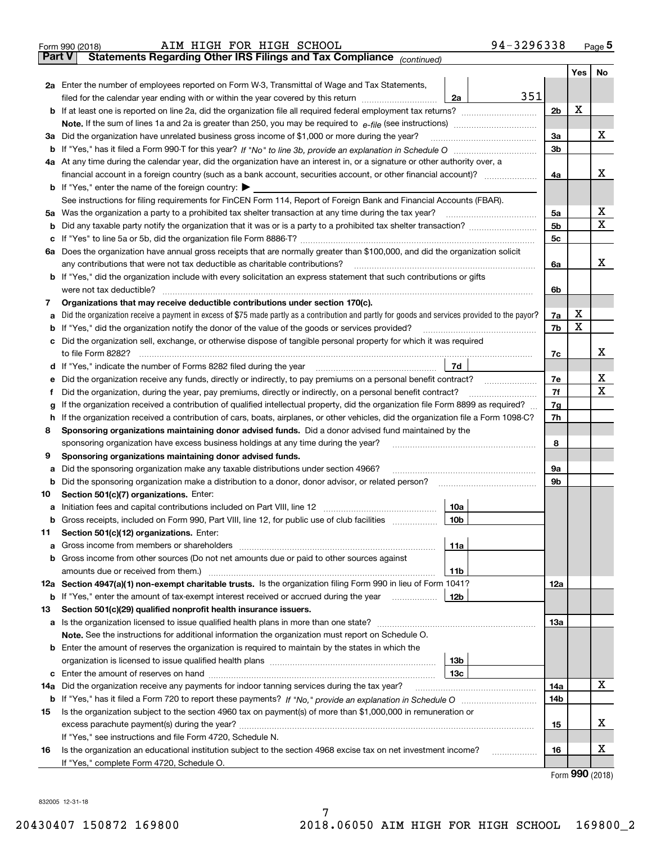|               | 94-3296338<br>AIM HIGH FOR HIGH SCHOOL<br>Form 990 (2018)                                                                                                                                  |                |                    | $_{\text{Page}}$ 5 |
|---------------|--------------------------------------------------------------------------------------------------------------------------------------------------------------------------------------------|----------------|--------------------|--------------------|
| <b>Part V</b> | Statements Regarding Other IRS Filings and Tax Compliance (continued)                                                                                                                      |                |                    |                    |
|               |                                                                                                                                                                                            |                | Yes                | No                 |
|               | 2a Enter the number of employees reported on Form W-3, Transmittal of Wage and Tax Statements,                                                                                             |                |                    |                    |
|               | 351<br>filed for the calendar year ending with or within the year covered by this return [11] [11] filed for the calendar year ending with or within the year covered by this return<br>2a |                |                    |                    |
|               |                                                                                                                                                                                            | 2 <sub>b</sub> | X                  |                    |
|               |                                                                                                                                                                                            |                |                    |                    |
|               | 3a Did the organization have unrelated business gross income of \$1,000 or more during the year?                                                                                           | За             |                    | х                  |
|               |                                                                                                                                                                                            | 3 <sub>b</sub> |                    |                    |
|               | 4a At any time during the calendar year, did the organization have an interest in, or a signature or other authority over, a                                                               |                |                    |                    |
|               | financial account in a foreign country (such as a bank account, securities account, or other financial account)?                                                                           | 4a             |                    | х                  |
|               | <b>b</b> If "Yes," enter the name of the foreign country: $\blacktriangleright$                                                                                                            |                |                    |                    |
|               | See instructions for filing requirements for FinCEN Form 114, Report of Foreign Bank and Financial Accounts (FBAR).                                                                        |                |                    |                    |
|               |                                                                                                                                                                                            | 5a             |                    | X                  |
| b             |                                                                                                                                                                                            | 5 <sub>b</sub> |                    | х                  |
| с             |                                                                                                                                                                                            | 5c             |                    |                    |
| ба            | Does the organization have annual gross receipts that are normally greater than \$100,000, and did the organization solicit                                                                |                |                    |                    |
|               | any contributions that were not tax deductible as charitable contributions?                                                                                                                | 6a             |                    | х                  |
|               | <b>b</b> If "Yes," did the organization include with every solicitation an express statement that such contributions or gifts                                                              |                |                    |                    |
|               |                                                                                                                                                                                            | 6b             |                    |                    |
| 7             | Organizations that may receive deductible contributions under section 170(c).                                                                                                              |                |                    |                    |
| а             | Did the organization receive a payment in excess of \$75 made partly as a contribution and partly for goods and services provided to the payor?                                            | 7a             | х                  |                    |
| b             | If "Yes," did the organization notify the donor of the value of the goods or services provided?                                                                                            | 7b             | X                  |                    |
|               | c Did the organization sell, exchange, or otherwise dispose of tangible personal property for which it was required                                                                        |                |                    |                    |
|               |                                                                                                                                                                                            | 7c             |                    | х                  |
|               | 7d<br>d If "Yes," indicate the number of Forms 8282 filed during the year manufactured in the second of the New York                                                                       |                |                    |                    |
| е             |                                                                                                                                                                                            | 7e             |                    | х                  |
|               | Did the organization, during the year, pay premiums, directly or indirectly, on a personal benefit contract?                                                                               | 7f             |                    | Χ                  |
| g             | If the organization received a contribution of qualified intellectual property, did the organization file Form 8899 as required?                                                           | 7g             |                    |                    |
| h             | If the organization received a contribution of cars, boats, airplanes, or other vehicles, did the organization file a Form 1098-C?                                                         | 7h             |                    |                    |
| 8             | Sponsoring organizations maintaining donor advised funds. Did a donor advised fund maintained by the                                                                                       |                |                    |                    |
|               | sponsoring organization have excess business holdings at any time during the year?                                                                                                         | 8              |                    |                    |
| 9             | Sponsoring organizations maintaining donor advised funds.                                                                                                                                  |                |                    |                    |
| а             | Did the sponsoring organization make any taxable distributions under section 4966?                                                                                                         | 9a             |                    |                    |
| b             | Did the sponsoring organization make a distribution to a donor, donor advisor, or related person?                                                                                          | 9b             |                    |                    |
| 10            | Section 501(c)(7) organizations. Enter:                                                                                                                                                    |                |                    |                    |
| а             | 10a                                                                                                                                                                                        |                |                    |                    |
| b             | Gross receipts, included on Form 990, Part VIII, line 12, for public use of club facilities<br>10 <sub>b</sub>                                                                             |                |                    |                    |
| 11            | Section 501(c)(12) organizations. Enter:                                                                                                                                                   |                |                    |                    |
| а             | 11a<br>Gross income from members or shareholders                                                                                                                                           |                |                    |                    |
|               | b Gross income from other sources (Do not net amounts due or paid to other sources against                                                                                                 |                |                    |                    |
|               | amounts due or received from them.)<br>11b                                                                                                                                                 |                |                    |                    |
|               | 12a Section 4947(a)(1) non-exempt charitable trusts. Is the organization filing Form 990 in lieu of Form 1041?                                                                             | 12a            |                    |                    |
|               | 12b<br><b>b</b> If "Yes," enter the amount of tax-exempt interest received or accrued during the year <i>manument</i>                                                                      |                |                    |                    |
| 13            | Section 501(c)(29) qualified nonprofit health insurance issuers.                                                                                                                           |                |                    |                    |
|               | a Is the organization licensed to issue qualified health plans in more than one state?                                                                                                     | 13a            |                    |                    |
|               | Note. See the instructions for additional information the organization must report on Schedule O.                                                                                          |                |                    |                    |
|               | <b>b</b> Enter the amount of reserves the organization is required to maintain by the states in which the                                                                                  |                |                    |                    |
|               | 13 <sub>b</sub>                                                                                                                                                                            |                |                    |                    |
|               | 13c                                                                                                                                                                                        |                |                    |                    |
| 14a           | Did the organization receive any payments for indoor tanning services during the tax year?                                                                                                 | 14a            |                    | X                  |
|               |                                                                                                                                                                                            | 14b            |                    |                    |
| 15            | Is the organization subject to the section 4960 tax on payment(s) of more than \$1,000,000 in remuneration or                                                                              |                |                    |                    |
|               |                                                                                                                                                                                            | 15             |                    | х                  |
|               | If "Yes," see instructions and file Form 4720, Schedule N.                                                                                                                                 |                |                    |                    |
| 16            | Is the organization an educational institution subject to the section 4968 excise tax on net investment income?                                                                            | 16             |                    | х                  |
|               | If "Yes," complete Form 4720, Schedule O.                                                                                                                                                  |                |                    |                    |
|               |                                                                                                                                                                                            |                | nnn <sub>rea</sub> |                    |

7

Form (2018) **990** Form 990 (2018)

832005 12-31-18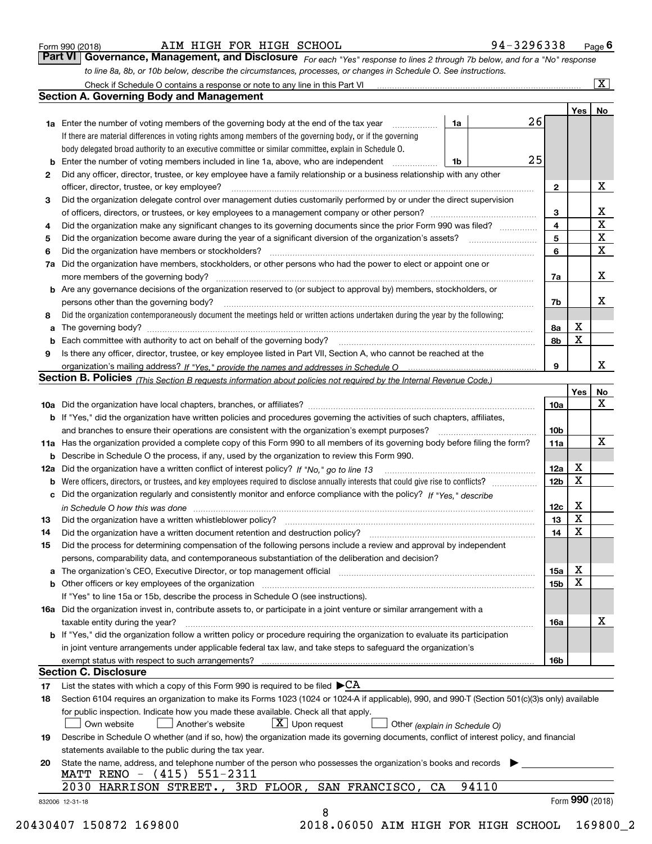|  | Form 990 (2018) |  |
|--|-----------------|--|
|  |                 |  |

#### AIM HIGH FOR HIGH SCHOOL 9

|  | 94-3296338 |  | Page I |
|--|------------|--|--------|
|  |            |  |        |

*For each "Yes" response to lines 2 through 7b below, and for a "No" response* to line 8a, 8b, or 10b below, describe the circumstances, processes, or changes in Schedule O. See instructions. Form 990 (2018) **Page 6** AIM HIGH FOR HIGH SCHOOL **1990** (2018) **Page 6**<br>**Part VI Governance, Management, and Disclosure** For each "Yes" response to lines 2 through 7b below, and for a "No" response **Part VI** Governance, Management, and Disclosure  $F_{or}$  each "Yes" response to lines 2 through 7b below, and for a "No" response to line 8a, 8b, or 10b below, describe the circumstances, processes, or changes in Schedule

| <b>1a</b> Enter the number of voting members of the governing body at the end of the tax year<br>1a<br>If there are material differences in voting rights among members of the governing body, or if the governing<br>body delegated broad authority to an executive committee or similar committee, explain in Schedule O.<br>Enter the number of voting members included in line 1a, above, who are independent<br>1b<br>b<br>Did any officer, director, trustee, or key employee have a family relationship or a business relationship with any other<br>2<br>officer, director, trustee, or key employee?<br>Did the organization delegate control over management duties customarily performed by or under the direct supervision<br>3<br>Did the organization make any significant changes to its governing documents since the prior Form 990 was filed?<br>4<br>5<br>Did the organization have members or stockholders?<br>6<br>Did the organization have members, stockholders, or other persons who had the power to elect or appoint one or<br>7a<br><b>b</b> Are any governance decisions of the organization reserved to (or subject to approval by) members, stockholders, or<br>persons other than the governing body?<br>Did the organization contemporaneously document the meetings held or written actions undertaken during the year by the following:<br>8<br>a<br>Is there any officer, director, trustee, or key employee listed in Part VII, Section A, who cannot be reached at the<br>9<br>Section B. Policies <sub>(This</sub> Section B requests information about policies not required by the Internal Revenue Code.)<br><b>b</b> If "Yes," did the organization have written policies and procedures governing the activities of such chapters, affiliates,<br>11a Has the organization provided a complete copy of this Form 990 to all members of its governing body before filing the form?<br><b>b</b> Describe in Schedule O the process, if any, used by the organization to review this Form 990.<br>c Did the organization regularly and consistently monitor and enforce compliance with the policy? If "Yes," describe<br>in Schedule O how this was done measured and the control of the control of the state of the control of the control of the control of the control of the control of the control of the control of the control of the control of<br>13<br>14<br>Did the process for determining compensation of the following persons include a review and approval by independent<br>15<br>persons, comparability data, and contemporaneous substantiation of the deliberation and decision?<br>a The organization's CEO, Executive Director, or top management official manufactured content of the organization's CEO, Executive Director, or top management official<br>If "Yes" to line 15a or 15b, describe the process in Schedule O (see instructions).<br>16a Did the organization invest in, contribute assets to, or participate in a joint venture or similar arrangement with a<br>taxable entity during the year?<br>b If "Yes," did the organization follow a written policy or procedure requiring the organization to evaluate its participation<br>in joint venture arrangements under applicable federal tax law, and take steps to safeguard the organization's<br>exempt status with respect to such arrangements?<br><b>Section C. Disclosure</b><br>List the states with which a copy of this Form 990 is required to be filed $\blacktriangleright$ CA<br>17<br>Section 6104 requires an organization to make its Forms 1023 (1024 or 1024 A if applicable), 990, and 990 T (Section 501(c)(3)s only) available<br>18<br>for public inspection. Indicate how you made these available. Check all that apply.<br>$X$ Upon request<br>Another's website<br>Own website<br>Other (explain in Schedule O)<br>Describe in Schedule O whether (and if so, how) the organization made its governing documents, conflict of interest policy, and financial<br>19<br>statements available to the public during the tax year.<br>State the name, address, and telephone number of the person who possesses the organization's books and records<br>20 | 26 |                 | Yes <sub>1</sub> | No                      |
|----------------------------------------------------------------------------------------------------------------------------------------------------------------------------------------------------------------------------------------------------------------------------------------------------------------------------------------------------------------------------------------------------------------------------------------------------------------------------------------------------------------------------------------------------------------------------------------------------------------------------------------------------------------------------------------------------------------------------------------------------------------------------------------------------------------------------------------------------------------------------------------------------------------------------------------------------------------------------------------------------------------------------------------------------------------------------------------------------------------------------------------------------------------------------------------------------------------------------------------------------------------------------------------------------------------------------------------------------------------------------------------------------------------------------------------------------------------------------------------------------------------------------------------------------------------------------------------------------------------------------------------------------------------------------------------------------------------------------------------------------------------------------------------------------------------------------------------------------------------------------------------------------------------------------------------------------------------------------------------------------------------------------------------------------------------------------------------------------------------------------------------------------------------------------------------------------------------------------------------------------------------------------------------------------------------------------------------------------------------------------------------------------------------------------------------------------------------------------------------------------------------------------------------------------------------------------------------------------------------------------------------------------------------------------------------------------------------------------------------------------------------------------------------------------------------------------------------------------------------------------------------------------------------------------------------------------------------------------------------------------------------------------------------------------------------------------------------------------------------------------------------------------------------------------------------------------------------------------------------------------------------------------------------------------------------------------------------------------------------------------------------------------------------------------------------------------------------------------------------------------------------------------------------------------------------------------------------------------------------------------------------------------------------------------------------------------------------------------------------------------------------------------------------------------------------------------------------------------------------------------------------------------------------------------------------------------------------------------------------------------------------------------------------------------------------------------------------------------------------------------------------------------------------------------------------------------------------------|----|-----------------|------------------|-------------------------|
|                                                                                                                                                                                                                                                                                                                                                                                                                                                                                                                                                                                                                                                                                                                                                                                                                                                                                                                                                                                                                                                                                                                                                                                                                                                                                                                                                                                                                                                                                                                                                                                                                                                                                                                                                                                                                                                                                                                                                                                                                                                                                                                                                                                                                                                                                                                                                                                                                                                                                                                                                                                                                                                                                                                                                                                                                                                                                                                                                                                                                                                                                                                                                                                                                                                                                                                                                                                                                                                                                                                                                                                                                                                                                                                                                                                                                                                                                                                                                                                                                                                                                                                                                                                                                      |    |                 |                  |                         |
|                                                                                                                                                                                                                                                                                                                                                                                                                                                                                                                                                                                                                                                                                                                                                                                                                                                                                                                                                                                                                                                                                                                                                                                                                                                                                                                                                                                                                                                                                                                                                                                                                                                                                                                                                                                                                                                                                                                                                                                                                                                                                                                                                                                                                                                                                                                                                                                                                                                                                                                                                                                                                                                                                                                                                                                                                                                                                                                                                                                                                                                                                                                                                                                                                                                                                                                                                                                                                                                                                                                                                                                                                                                                                                                                                                                                                                                                                                                                                                                                                                                                                                                                                                                                                      |    |                 |                  |                         |
|                                                                                                                                                                                                                                                                                                                                                                                                                                                                                                                                                                                                                                                                                                                                                                                                                                                                                                                                                                                                                                                                                                                                                                                                                                                                                                                                                                                                                                                                                                                                                                                                                                                                                                                                                                                                                                                                                                                                                                                                                                                                                                                                                                                                                                                                                                                                                                                                                                                                                                                                                                                                                                                                                                                                                                                                                                                                                                                                                                                                                                                                                                                                                                                                                                                                                                                                                                                                                                                                                                                                                                                                                                                                                                                                                                                                                                                                                                                                                                                                                                                                                                                                                                                                                      | 25 |                 |                  |                         |
|                                                                                                                                                                                                                                                                                                                                                                                                                                                                                                                                                                                                                                                                                                                                                                                                                                                                                                                                                                                                                                                                                                                                                                                                                                                                                                                                                                                                                                                                                                                                                                                                                                                                                                                                                                                                                                                                                                                                                                                                                                                                                                                                                                                                                                                                                                                                                                                                                                                                                                                                                                                                                                                                                                                                                                                                                                                                                                                                                                                                                                                                                                                                                                                                                                                                                                                                                                                                                                                                                                                                                                                                                                                                                                                                                                                                                                                                                                                                                                                                                                                                                                                                                                                                                      |    |                 |                  |                         |
|                                                                                                                                                                                                                                                                                                                                                                                                                                                                                                                                                                                                                                                                                                                                                                                                                                                                                                                                                                                                                                                                                                                                                                                                                                                                                                                                                                                                                                                                                                                                                                                                                                                                                                                                                                                                                                                                                                                                                                                                                                                                                                                                                                                                                                                                                                                                                                                                                                                                                                                                                                                                                                                                                                                                                                                                                                                                                                                                                                                                                                                                                                                                                                                                                                                                                                                                                                                                                                                                                                                                                                                                                                                                                                                                                                                                                                                                                                                                                                                                                                                                                                                                                                                                                      |    |                 |                  | X                       |
|                                                                                                                                                                                                                                                                                                                                                                                                                                                                                                                                                                                                                                                                                                                                                                                                                                                                                                                                                                                                                                                                                                                                                                                                                                                                                                                                                                                                                                                                                                                                                                                                                                                                                                                                                                                                                                                                                                                                                                                                                                                                                                                                                                                                                                                                                                                                                                                                                                                                                                                                                                                                                                                                                                                                                                                                                                                                                                                                                                                                                                                                                                                                                                                                                                                                                                                                                                                                                                                                                                                                                                                                                                                                                                                                                                                                                                                                                                                                                                                                                                                                                                                                                                                                                      |    | $\mathbf{2}$    |                  |                         |
|                                                                                                                                                                                                                                                                                                                                                                                                                                                                                                                                                                                                                                                                                                                                                                                                                                                                                                                                                                                                                                                                                                                                                                                                                                                                                                                                                                                                                                                                                                                                                                                                                                                                                                                                                                                                                                                                                                                                                                                                                                                                                                                                                                                                                                                                                                                                                                                                                                                                                                                                                                                                                                                                                                                                                                                                                                                                                                                                                                                                                                                                                                                                                                                                                                                                                                                                                                                                                                                                                                                                                                                                                                                                                                                                                                                                                                                                                                                                                                                                                                                                                                                                                                                                                      |    |                 |                  | $\mathbf{X}$            |
|                                                                                                                                                                                                                                                                                                                                                                                                                                                                                                                                                                                                                                                                                                                                                                                                                                                                                                                                                                                                                                                                                                                                                                                                                                                                                                                                                                                                                                                                                                                                                                                                                                                                                                                                                                                                                                                                                                                                                                                                                                                                                                                                                                                                                                                                                                                                                                                                                                                                                                                                                                                                                                                                                                                                                                                                                                                                                                                                                                                                                                                                                                                                                                                                                                                                                                                                                                                                                                                                                                                                                                                                                                                                                                                                                                                                                                                                                                                                                                                                                                                                                                                                                                                                                      |    | 3               |                  | $\overline{\textbf{x}}$ |
|                                                                                                                                                                                                                                                                                                                                                                                                                                                                                                                                                                                                                                                                                                                                                                                                                                                                                                                                                                                                                                                                                                                                                                                                                                                                                                                                                                                                                                                                                                                                                                                                                                                                                                                                                                                                                                                                                                                                                                                                                                                                                                                                                                                                                                                                                                                                                                                                                                                                                                                                                                                                                                                                                                                                                                                                                                                                                                                                                                                                                                                                                                                                                                                                                                                                                                                                                                                                                                                                                                                                                                                                                                                                                                                                                                                                                                                                                                                                                                                                                                                                                                                                                                                                                      |    | 4               |                  | $\overline{\mathbf{x}}$ |
|                                                                                                                                                                                                                                                                                                                                                                                                                                                                                                                                                                                                                                                                                                                                                                                                                                                                                                                                                                                                                                                                                                                                                                                                                                                                                                                                                                                                                                                                                                                                                                                                                                                                                                                                                                                                                                                                                                                                                                                                                                                                                                                                                                                                                                                                                                                                                                                                                                                                                                                                                                                                                                                                                                                                                                                                                                                                                                                                                                                                                                                                                                                                                                                                                                                                                                                                                                                                                                                                                                                                                                                                                                                                                                                                                                                                                                                                                                                                                                                                                                                                                                                                                                                                                      |    | 5               |                  | $\overline{\mathbf{x}}$ |
|                                                                                                                                                                                                                                                                                                                                                                                                                                                                                                                                                                                                                                                                                                                                                                                                                                                                                                                                                                                                                                                                                                                                                                                                                                                                                                                                                                                                                                                                                                                                                                                                                                                                                                                                                                                                                                                                                                                                                                                                                                                                                                                                                                                                                                                                                                                                                                                                                                                                                                                                                                                                                                                                                                                                                                                                                                                                                                                                                                                                                                                                                                                                                                                                                                                                                                                                                                                                                                                                                                                                                                                                                                                                                                                                                                                                                                                                                                                                                                                                                                                                                                                                                                                                                      |    | 6               |                  |                         |
|                                                                                                                                                                                                                                                                                                                                                                                                                                                                                                                                                                                                                                                                                                                                                                                                                                                                                                                                                                                                                                                                                                                                                                                                                                                                                                                                                                                                                                                                                                                                                                                                                                                                                                                                                                                                                                                                                                                                                                                                                                                                                                                                                                                                                                                                                                                                                                                                                                                                                                                                                                                                                                                                                                                                                                                                                                                                                                                                                                                                                                                                                                                                                                                                                                                                                                                                                                                                                                                                                                                                                                                                                                                                                                                                                                                                                                                                                                                                                                                                                                                                                                                                                                                                                      |    |                 |                  | X                       |
|                                                                                                                                                                                                                                                                                                                                                                                                                                                                                                                                                                                                                                                                                                                                                                                                                                                                                                                                                                                                                                                                                                                                                                                                                                                                                                                                                                                                                                                                                                                                                                                                                                                                                                                                                                                                                                                                                                                                                                                                                                                                                                                                                                                                                                                                                                                                                                                                                                                                                                                                                                                                                                                                                                                                                                                                                                                                                                                                                                                                                                                                                                                                                                                                                                                                                                                                                                                                                                                                                                                                                                                                                                                                                                                                                                                                                                                                                                                                                                                                                                                                                                                                                                                                                      |    | 7a              |                  |                         |
|                                                                                                                                                                                                                                                                                                                                                                                                                                                                                                                                                                                                                                                                                                                                                                                                                                                                                                                                                                                                                                                                                                                                                                                                                                                                                                                                                                                                                                                                                                                                                                                                                                                                                                                                                                                                                                                                                                                                                                                                                                                                                                                                                                                                                                                                                                                                                                                                                                                                                                                                                                                                                                                                                                                                                                                                                                                                                                                                                                                                                                                                                                                                                                                                                                                                                                                                                                                                                                                                                                                                                                                                                                                                                                                                                                                                                                                                                                                                                                                                                                                                                                                                                                                                                      |    |                 |                  |                         |
|                                                                                                                                                                                                                                                                                                                                                                                                                                                                                                                                                                                                                                                                                                                                                                                                                                                                                                                                                                                                                                                                                                                                                                                                                                                                                                                                                                                                                                                                                                                                                                                                                                                                                                                                                                                                                                                                                                                                                                                                                                                                                                                                                                                                                                                                                                                                                                                                                                                                                                                                                                                                                                                                                                                                                                                                                                                                                                                                                                                                                                                                                                                                                                                                                                                                                                                                                                                                                                                                                                                                                                                                                                                                                                                                                                                                                                                                                                                                                                                                                                                                                                                                                                                                                      |    | 7b              |                  | X                       |
|                                                                                                                                                                                                                                                                                                                                                                                                                                                                                                                                                                                                                                                                                                                                                                                                                                                                                                                                                                                                                                                                                                                                                                                                                                                                                                                                                                                                                                                                                                                                                                                                                                                                                                                                                                                                                                                                                                                                                                                                                                                                                                                                                                                                                                                                                                                                                                                                                                                                                                                                                                                                                                                                                                                                                                                                                                                                                                                                                                                                                                                                                                                                                                                                                                                                                                                                                                                                                                                                                                                                                                                                                                                                                                                                                                                                                                                                                                                                                                                                                                                                                                                                                                                                                      |    |                 |                  |                         |
|                                                                                                                                                                                                                                                                                                                                                                                                                                                                                                                                                                                                                                                                                                                                                                                                                                                                                                                                                                                                                                                                                                                                                                                                                                                                                                                                                                                                                                                                                                                                                                                                                                                                                                                                                                                                                                                                                                                                                                                                                                                                                                                                                                                                                                                                                                                                                                                                                                                                                                                                                                                                                                                                                                                                                                                                                                                                                                                                                                                                                                                                                                                                                                                                                                                                                                                                                                                                                                                                                                                                                                                                                                                                                                                                                                                                                                                                                                                                                                                                                                                                                                                                                                                                                      |    | 8а              | X                |                         |
|                                                                                                                                                                                                                                                                                                                                                                                                                                                                                                                                                                                                                                                                                                                                                                                                                                                                                                                                                                                                                                                                                                                                                                                                                                                                                                                                                                                                                                                                                                                                                                                                                                                                                                                                                                                                                                                                                                                                                                                                                                                                                                                                                                                                                                                                                                                                                                                                                                                                                                                                                                                                                                                                                                                                                                                                                                                                                                                                                                                                                                                                                                                                                                                                                                                                                                                                                                                                                                                                                                                                                                                                                                                                                                                                                                                                                                                                                                                                                                                                                                                                                                                                                                                                                      |    | 8b              | X                |                         |
|                                                                                                                                                                                                                                                                                                                                                                                                                                                                                                                                                                                                                                                                                                                                                                                                                                                                                                                                                                                                                                                                                                                                                                                                                                                                                                                                                                                                                                                                                                                                                                                                                                                                                                                                                                                                                                                                                                                                                                                                                                                                                                                                                                                                                                                                                                                                                                                                                                                                                                                                                                                                                                                                                                                                                                                                                                                                                                                                                                                                                                                                                                                                                                                                                                                                                                                                                                                                                                                                                                                                                                                                                                                                                                                                                                                                                                                                                                                                                                                                                                                                                                                                                                                                                      |    |                 |                  |                         |
|                                                                                                                                                                                                                                                                                                                                                                                                                                                                                                                                                                                                                                                                                                                                                                                                                                                                                                                                                                                                                                                                                                                                                                                                                                                                                                                                                                                                                                                                                                                                                                                                                                                                                                                                                                                                                                                                                                                                                                                                                                                                                                                                                                                                                                                                                                                                                                                                                                                                                                                                                                                                                                                                                                                                                                                                                                                                                                                                                                                                                                                                                                                                                                                                                                                                                                                                                                                                                                                                                                                                                                                                                                                                                                                                                                                                                                                                                                                                                                                                                                                                                                                                                                                                                      |    | 9               |                  | X                       |
|                                                                                                                                                                                                                                                                                                                                                                                                                                                                                                                                                                                                                                                                                                                                                                                                                                                                                                                                                                                                                                                                                                                                                                                                                                                                                                                                                                                                                                                                                                                                                                                                                                                                                                                                                                                                                                                                                                                                                                                                                                                                                                                                                                                                                                                                                                                                                                                                                                                                                                                                                                                                                                                                                                                                                                                                                                                                                                                                                                                                                                                                                                                                                                                                                                                                                                                                                                                                                                                                                                                                                                                                                                                                                                                                                                                                                                                                                                                                                                                                                                                                                                                                                                                                                      |    |                 |                  |                         |
|                                                                                                                                                                                                                                                                                                                                                                                                                                                                                                                                                                                                                                                                                                                                                                                                                                                                                                                                                                                                                                                                                                                                                                                                                                                                                                                                                                                                                                                                                                                                                                                                                                                                                                                                                                                                                                                                                                                                                                                                                                                                                                                                                                                                                                                                                                                                                                                                                                                                                                                                                                                                                                                                                                                                                                                                                                                                                                                                                                                                                                                                                                                                                                                                                                                                                                                                                                                                                                                                                                                                                                                                                                                                                                                                                                                                                                                                                                                                                                                                                                                                                                                                                                                                                      |    |                 | Yes              | No                      |
|                                                                                                                                                                                                                                                                                                                                                                                                                                                                                                                                                                                                                                                                                                                                                                                                                                                                                                                                                                                                                                                                                                                                                                                                                                                                                                                                                                                                                                                                                                                                                                                                                                                                                                                                                                                                                                                                                                                                                                                                                                                                                                                                                                                                                                                                                                                                                                                                                                                                                                                                                                                                                                                                                                                                                                                                                                                                                                                                                                                                                                                                                                                                                                                                                                                                                                                                                                                                                                                                                                                                                                                                                                                                                                                                                                                                                                                                                                                                                                                                                                                                                                                                                                                                                      |    | 10a             |                  | X                       |
|                                                                                                                                                                                                                                                                                                                                                                                                                                                                                                                                                                                                                                                                                                                                                                                                                                                                                                                                                                                                                                                                                                                                                                                                                                                                                                                                                                                                                                                                                                                                                                                                                                                                                                                                                                                                                                                                                                                                                                                                                                                                                                                                                                                                                                                                                                                                                                                                                                                                                                                                                                                                                                                                                                                                                                                                                                                                                                                                                                                                                                                                                                                                                                                                                                                                                                                                                                                                                                                                                                                                                                                                                                                                                                                                                                                                                                                                                                                                                                                                                                                                                                                                                                                                                      |    |                 |                  |                         |
|                                                                                                                                                                                                                                                                                                                                                                                                                                                                                                                                                                                                                                                                                                                                                                                                                                                                                                                                                                                                                                                                                                                                                                                                                                                                                                                                                                                                                                                                                                                                                                                                                                                                                                                                                                                                                                                                                                                                                                                                                                                                                                                                                                                                                                                                                                                                                                                                                                                                                                                                                                                                                                                                                                                                                                                                                                                                                                                                                                                                                                                                                                                                                                                                                                                                                                                                                                                                                                                                                                                                                                                                                                                                                                                                                                                                                                                                                                                                                                                                                                                                                                                                                                                                                      |    | 10 <sub>b</sub> |                  |                         |
|                                                                                                                                                                                                                                                                                                                                                                                                                                                                                                                                                                                                                                                                                                                                                                                                                                                                                                                                                                                                                                                                                                                                                                                                                                                                                                                                                                                                                                                                                                                                                                                                                                                                                                                                                                                                                                                                                                                                                                                                                                                                                                                                                                                                                                                                                                                                                                                                                                                                                                                                                                                                                                                                                                                                                                                                                                                                                                                                                                                                                                                                                                                                                                                                                                                                                                                                                                                                                                                                                                                                                                                                                                                                                                                                                                                                                                                                                                                                                                                                                                                                                                                                                                                                                      |    | 11a             |                  | $\mathbf X$             |
|                                                                                                                                                                                                                                                                                                                                                                                                                                                                                                                                                                                                                                                                                                                                                                                                                                                                                                                                                                                                                                                                                                                                                                                                                                                                                                                                                                                                                                                                                                                                                                                                                                                                                                                                                                                                                                                                                                                                                                                                                                                                                                                                                                                                                                                                                                                                                                                                                                                                                                                                                                                                                                                                                                                                                                                                                                                                                                                                                                                                                                                                                                                                                                                                                                                                                                                                                                                                                                                                                                                                                                                                                                                                                                                                                                                                                                                                                                                                                                                                                                                                                                                                                                                                                      |    |                 |                  |                         |
|                                                                                                                                                                                                                                                                                                                                                                                                                                                                                                                                                                                                                                                                                                                                                                                                                                                                                                                                                                                                                                                                                                                                                                                                                                                                                                                                                                                                                                                                                                                                                                                                                                                                                                                                                                                                                                                                                                                                                                                                                                                                                                                                                                                                                                                                                                                                                                                                                                                                                                                                                                                                                                                                                                                                                                                                                                                                                                                                                                                                                                                                                                                                                                                                                                                                                                                                                                                                                                                                                                                                                                                                                                                                                                                                                                                                                                                                                                                                                                                                                                                                                                                                                                                                                      |    | 12a             | X                |                         |
|                                                                                                                                                                                                                                                                                                                                                                                                                                                                                                                                                                                                                                                                                                                                                                                                                                                                                                                                                                                                                                                                                                                                                                                                                                                                                                                                                                                                                                                                                                                                                                                                                                                                                                                                                                                                                                                                                                                                                                                                                                                                                                                                                                                                                                                                                                                                                                                                                                                                                                                                                                                                                                                                                                                                                                                                                                                                                                                                                                                                                                                                                                                                                                                                                                                                                                                                                                                                                                                                                                                                                                                                                                                                                                                                                                                                                                                                                                                                                                                                                                                                                                                                                                                                                      |    | 12 <sub>b</sub> | X                |                         |
|                                                                                                                                                                                                                                                                                                                                                                                                                                                                                                                                                                                                                                                                                                                                                                                                                                                                                                                                                                                                                                                                                                                                                                                                                                                                                                                                                                                                                                                                                                                                                                                                                                                                                                                                                                                                                                                                                                                                                                                                                                                                                                                                                                                                                                                                                                                                                                                                                                                                                                                                                                                                                                                                                                                                                                                                                                                                                                                                                                                                                                                                                                                                                                                                                                                                                                                                                                                                                                                                                                                                                                                                                                                                                                                                                                                                                                                                                                                                                                                                                                                                                                                                                                                                                      |    |                 |                  |                         |
|                                                                                                                                                                                                                                                                                                                                                                                                                                                                                                                                                                                                                                                                                                                                                                                                                                                                                                                                                                                                                                                                                                                                                                                                                                                                                                                                                                                                                                                                                                                                                                                                                                                                                                                                                                                                                                                                                                                                                                                                                                                                                                                                                                                                                                                                                                                                                                                                                                                                                                                                                                                                                                                                                                                                                                                                                                                                                                                                                                                                                                                                                                                                                                                                                                                                                                                                                                                                                                                                                                                                                                                                                                                                                                                                                                                                                                                                                                                                                                                                                                                                                                                                                                                                                      |    | 12c             | X                |                         |
|                                                                                                                                                                                                                                                                                                                                                                                                                                                                                                                                                                                                                                                                                                                                                                                                                                                                                                                                                                                                                                                                                                                                                                                                                                                                                                                                                                                                                                                                                                                                                                                                                                                                                                                                                                                                                                                                                                                                                                                                                                                                                                                                                                                                                                                                                                                                                                                                                                                                                                                                                                                                                                                                                                                                                                                                                                                                                                                                                                                                                                                                                                                                                                                                                                                                                                                                                                                                                                                                                                                                                                                                                                                                                                                                                                                                                                                                                                                                                                                                                                                                                                                                                                                                                      |    | 13              | $\mathbf x$      |                         |
|                                                                                                                                                                                                                                                                                                                                                                                                                                                                                                                                                                                                                                                                                                                                                                                                                                                                                                                                                                                                                                                                                                                                                                                                                                                                                                                                                                                                                                                                                                                                                                                                                                                                                                                                                                                                                                                                                                                                                                                                                                                                                                                                                                                                                                                                                                                                                                                                                                                                                                                                                                                                                                                                                                                                                                                                                                                                                                                                                                                                                                                                                                                                                                                                                                                                                                                                                                                                                                                                                                                                                                                                                                                                                                                                                                                                                                                                                                                                                                                                                                                                                                                                                                                                                      |    | 14              | X                |                         |
|                                                                                                                                                                                                                                                                                                                                                                                                                                                                                                                                                                                                                                                                                                                                                                                                                                                                                                                                                                                                                                                                                                                                                                                                                                                                                                                                                                                                                                                                                                                                                                                                                                                                                                                                                                                                                                                                                                                                                                                                                                                                                                                                                                                                                                                                                                                                                                                                                                                                                                                                                                                                                                                                                                                                                                                                                                                                                                                                                                                                                                                                                                                                                                                                                                                                                                                                                                                                                                                                                                                                                                                                                                                                                                                                                                                                                                                                                                                                                                                                                                                                                                                                                                                                                      |    |                 |                  |                         |
|                                                                                                                                                                                                                                                                                                                                                                                                                                                                                                                                                                                                                                                                                                                                                                                                                                                                                                                                                                                                                                                                                                                                                                                                                                                                                                                                                                                                                                                                                                                                                                                                                                                                                                                                                                                                                                                                                                                                                                                                                                                                                                                                                                                                                                                                                                                                                                                                                                                                                                                                                                                                                                                                                                                                                                                                                                                                                                                                                                                                                                                                                                                                                                                                                                                                                                                                                                                                                                                                                                                                                                                                                                                                                                                                                                                                                                                                                                                                                                                                                                                                                                                                                                                                                      |    |                 |                  |                         |
|                                                                                                                                                                                                                                                                                                                                                                                                                                                                                                                                                                                                                                                                                                                                                                                                                                                                                                                                                                                                                                                                                                                                                                                                                                                                                                                                                                                                                                                                                                                                                                                                                                                                                                                                                                                                                                                                                                                                                                                                                                                                                                                                                                                                                                                                                                                                                                                                                                                                                                                                                                                                                                                                                                                                                                                                                                                                                                                                                                                                                                                                                                                                                                                                                                                                                                                                                                                                                                                                                                                                                                                                                                                                                                                                                                                                                                                                                                                                                                                                                                                                                                                                                                                                                      |    | 15a             | х                |                         |
|                                                                                                                                                                                                                                                                                                                                                                                                                                                                                                                                                                                                                                                                                                                                                                                                                                                                                                                                                                                                                                                                                                                                                                                                                                                                                                                                                                                                                                                                                                                                                                                                                                                                                                                                                                                                                                                                                                                                                                                                                                                                                                                                                                                                                                                                                                                                                                                                                                                                                                                                                                                                                                                                                                                                                                                                                                                                                                                                                                                                                                                                                                                                                                                                                                                                                                                                                                                                                                                                                                                                                                                                                                                                                                                                                                                                                                                                                                                                                                                                                                                                                                                                                                                                                      |    | 15 <sub>b</sub> | X                |                         |
|                                                                                                                                                                                                                                                                                                                                                                                                                                                                                                                                                                                                                                                                                                                                                                                                                                                                                                                                                                                                                                                                                                                                                                                                                                                                                                                                                                                                                                                                                                                                                                                                                                                                                                                                                                                                                                                                                                                                                                                                                                                                                                                                                                                                                                                                                                                                                                                                                                                                                                                                                                                                                                                                                                                                                                                                                                                                                                                                                                                                                                                                                                                                                                                                                                                                                                                                                                                                                                                                                                                                                                                                                                                                                                                                                                                                                                                                                                                                                                                                                                                                                                                                                                                                                      |    |                 |                  |                         |
|                                                                                                                                                                                                                                                                                                                                                                                                                                                                                                                                                                                                                                                                                                                                                                                                                                                                                                                                                                                                                                                                                                                                                                                                                                                                                                                                                                                                                                                                                                                                                                                                                                                                                                                                                                                                                                                                                                                                                                                                                                                                                                                                                                                                                                                                                                                                                                                                                                                                                                                                                                                                                                                                                                                                                                                                                                                                                                                                                                                                                                                                                                                                                                                                                                                                                                                                                                                                                                                                                                                                                                                                                                                                                                                                                                                                                                                                                                                                                                                                                                                                                                                                                                                                                      |    |                 |                  |                         |
|                                                                                                                                                                                                                                                                                                                                                                                                                                                                                                                                                                                                                                                                                                                                                                                                                                                                                                                                                                                                                                                                                                                                                                                                                                                                                                                                                                                                                                                                                                                                                                                                                                                                                                                                                                                                                                                                                                                                                                                                                                                                                                                                                                                                                                                                                                                                                                                                                                                                                                                                                                                                                                                                                                                                                                                                                                                                                                                                                                                                                                                                                                                                                                                                                                                                                                                                                                                                                                                                                                                                                                                                                                                                                                                                                                                                                                                                                                                                                                                                                                                                                                                                                                                                                      |    | 16a             |                  | X                       |
|                                                                                                                                                                                                                                                                                                                                                                                                                                                                                                                                                                                                                                                                                                                                                                                                                                                                                                                                                                                                                                                                                                                                                                                                                                                                                                                                                                                                                                                                                                                                                                                                                                                                                                                                                                                                                                                                                                                                                                                                                                                                                                                                                                                                                                                                                                                                                                                                                                                                                                                                                                                                                                                                                                                                                                                                                                                                                                                                                                                                                                                                                                                                                                                                                                                                                                                                                                                                                                                                                                                                                                                                                                                                                                                                                                                                                                                                                                                                                                                                                                                                                                                                                                                                                      |    |                 |                  |                         |
|                                                                                                                                                                                                                                                                                                                                                                                                                                                                                                                                                                                                                                                                                                                                                                                                                                                                                                                                                                                                                                                                                                                                                                                                                                                                                                                                                                                                                                                                                                                                                                                                                                                                                                                                                                                                                                                                                                                                                                                                                                                                                                                                                                                                                                                                                                                                                                                                                                                                                                                                                                                                                                                                                                                                                                                                                                                                                                                                                                                                                                                                                                                                                                                                                                                                                                                                                                                                                                                                                                                                                                                                                                                                                                                                                                                                                                                                                                                                                                                                                                                                                                                                                                                                                      |    |                 |                  |                         |
|                                                                                                                                                                                                                                                                                                                                                                                                                                                                                                                                                                                                                                                                                                                                                                                                                                                                                                                                                                                                                                                                                                                                                                                                                                                                                                                                                                                                                                                                                                                                                                                                                                                                                                                                                                                                                                                                                                                                                                                                                                                                                                                                                                                                                                                                                                                                                                                                                                                                                                                                                                                                                                                                                                                                                                                                                                                                                                                                                                                                                                                                                                                                                                                                                                                                                                                                                                                                                                                                                                                                                                                                                                                                                                                                                                                                                                                                                                                                                                                                                                                                                                                                                                                                                      |    | 16b             |                  |                         |
|                                                                                                                                                                                                                                                                                                                                                                                                                                                                                                                                                                                                                                                                                                                                                                                                                                                                                                                                                                                                                                                                                                                                                                                                                                                                                                                                                                                                                                                                                                                                                                                                                                                                                                                                                                                                                                                                                                                                                                                                                                                                                                                                                                                                                                                                                                                                                                                                                                                                                                                                                                                                                                                                                                                                                                                                                                                                                                                                                                                                                                                                                                                                                                                                                                                                                                                                                                                                                                                                                                                                                                                                                                                                                                                                                                                                                                                                                                                                                                                                                                                                                                                                                                                                                      |    |                 |                  |                         |
|                                                                                                                                                                                                                                                                                                                                                                                                                                                                                                                                                                                                                                                                                                                                                                                                                                                                                                                                                                                                                                                                                                                                                                                                                                                                                                                                                                                                                                                                                                                                                                                                                                                                                                                                                                                                                                                                                                                                                                                                                                                                                                                                                                                                                                                                                                                                                                                                                                                                                                                                                                                                                                                                                                                                                                                                                                                                                                                                                                                                                                                                                                                                                                                                                                                                                                                                                                                                                                                                                                                                                                                                                                                                                                                                                                                                                                                                                                                                                                                                                                                                                                                                                                                                                      |    |                 |                  |                         |
|                                                                                                                                                                                                                                                                                                                                                                                                                                                                                                                                                                                                                                                                                                                                                                                                                                                                                                                                                                                                                                                                                                                                                                                                                                                                                                                                                                                                                                                                                                                                                                                                                                                                                                                                                                                                                                                                                                                                                                                                                                                                                                                                                                                                                                                                                                                                                                                                                                                                                                                                                                                                                                                                                                                                                                                                                                                                                                                                                                                                                                                                                                                                                                                                                                                                                                                                                                                                                                                                                                                                                                                                                                                                                                                                                                                                                                                                                                                                                                                                                                                                                                                                                                                                                      |    |                 |                  |                         |
|                                                                                                                                                                                                                                                                                                                                                                                                                                                                                                                                                                                                                                                                                                                                                                                                                                                                                                                                                                                                                                                                                                                                                                                                                                                                                                                                                                                                                                                                                                                                                                                                                                                                                                                                                                                                                                                                                                                                                                                                                                                                                                                                                                                                                                                                                                                                                                                                                                                                                                                                                                                                                                                                                                                                                                                                                                                                                                                                                                                                                                                                                                                                                                                                                                                                                                                                                                                                                                                                                                                                                                                                                                                                                                                                                                                                                                                                                                                                                                                                                                                                                                                                                                                                                      |    |                 |                  |                         |
|                                                                                                                                                                                                                                                                                                                                                                                                                                                                                                                                                                                                                                                                                                                                                                                                                                                                                                                                                                                                                                                                                                                                                                                                                                                                                                                                                                                                                                                                                                                                                                                                                                                                                                                                                                                                                                                                                                                                                                                                                                                                                                                                                                                                                                                                                                                                                                                                                                                                                                                                                                                                                                                                                                                                                                                                                                                                                                                                                                                                                                                                                                                                                                                                                                                                                                                                                                                                                                                                                                                                                                                                                                                                                                                                                                                                                                                                                                                                                                                                                                                                                                                                                                                                                      |    |                 |                  |                         |
|                                                                                                                                                                                                                                                                                                                                                                                                                                                                                                                                                                                                                                                                                                                                                                                                                                                                                                                                                                                                                                                                                                                                                                                                                                                                                                                                                                                                                                                                                                                                                                                                                                                                                                                                                                                                                                                                                                                                                                                                                                                                                                                                                                                                                                                                                                                                                                                                                                                                                                                                                                                                                                                                                                                                                                                                                                                                                                                                                                                                                                                                                                                                                                                                                                                                                                                                                                                                                                                                                                                                                                                                                                                                                                                                                                                                                                                                                                                                                                                                                                                                                                                                                                                                                      |    |                 |                  |                         |
|                                                                                                                                                                                                                                                                                                                                                                                                                                                                                                                                                                                                                                                                                                                                                                                                                                                                                                                                                                                                                                                                                                                                                                                                                                                                                                                                                                                                                                                                                                                                                                                                                                                                                                                                                                                                                                                                                                                                                                                                                                                                                                                                                                                                                                                                                                                                                                                                                                                                                                                                                                                                                                                                                                                                                                                                                                                                                                                                                                                                                                                                                                                                                                                                                                                                                                                                                                                                                                                                                                                                                                                                                                                                                                                                                                                                                                                                                                                                                                                                                                                                                                                                                                                                                      |    |                 |                  |                         |
|                                                                                                                                                                                                                                                                                                                                                                                                                                                                                                                                                                                                                                                                                                                                                                                                                                                                                                                                                                                                                                                                                                                                                                                                                                                                                                                                                                                                                                                                                                                                                                                                                                                                                                                                                                                                                                                                                                                                                                                                                                                                                                                                                                                                                                                                                                                                                                                                                                                                                                                                                                                                                                                                                                                                                                                                                                                                                                                                                                                                                                                                                                                                                                                                                                                                                                                                                                                                                                                                                                                                                                                                                                                                                                                                                                                                                                                                                                                                                                                                                                                                                                                                                                                                                      |    |                 |                  |                         |
| MATT RENO - (415) 551-2311                                                                                                                                                                                                                                                                                                                                                                                                                                                                                                                                                                                                                                                                                                                                                                                                                                                                                                                                                                                                                                                                                                                                                                                                                                                                                                                                                                                                                                                                                                                                                                                                                                                                                                                                                                                                                                                                                                                                                                                                                                                                                                                                                                                                                                                                                                                                                                                                                                                                                                                                                                                                                                                                                                                                                                                                                                                                                                                                                                                                                                                                                                                                                                                                                                                                                                                                                                                                                                                                                                                                                                                                                                                                                                                                                                                                                                                                                                                                                                                                                                                                                                                                                                                           |    |                 |                  |                         |
| 2030 HARRISON STREET., 3RD FLOOR, SAN FRANCISCO,<br>94110<br>CA                                                                                                                                                                                                                                                                                                                                                                                                                                                                                                                                                                                                                                                                                                                                                                                                                                                                                                                                                                                                                                                                                                                                                                                                                                                                                                                                                                                                                                                                                                                                                                                                                                                                                                                                                                                                                                                                                                                                                                                                                                                                                                                                                                                                                                                                                                                                                                                                                                                                                                                                                                                                                                                                                                                                                                                                                                                                                                                                                                                                                                                                                                                                                                                                                                                                                                                                                                                                                                                                                                                                                                                                                                                                                                                                                                                                                                                                                                                                                                                                                                                                                                                                                      |    |                 |                  |                         |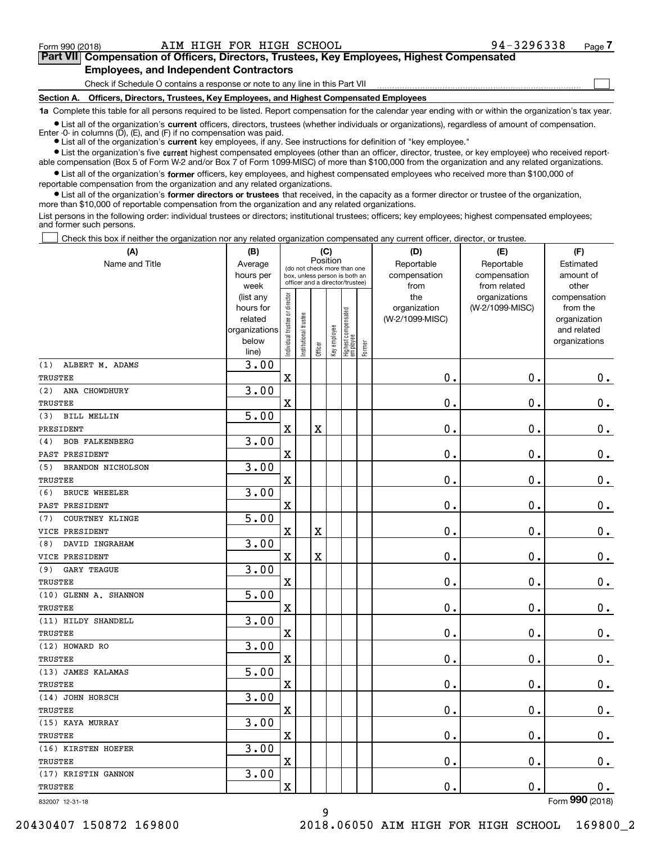**(A)**

 $\mathcal{L}^{\text{max}}$ 

# **7Part VII Compensation of Officers, Directors, Trustees, Key Employees, Highest Compensated** Part VII Compensation of Officers, Directors, Trustees, Key Employees, Highest Compensated **Employees, and Independent Contractors** Employees, and Independent Contractors

Check if Schedule O contains a response or note to any line in this Part VII **contain the container and the conta** 

**Section A. Officers, Directors, Trustees, Key Employees, and Highest Compensated Employees** Section A. Officers, Directors, Trustees, Key Employees, and Highest Compensated Employees

**1a**  Complete this table for all persons required to be listed. Report compensation for the calendar year ending with or within the organization's tax year.

**1a** Complete this table for all persons required to be listed. Report compensation for the calendar year ending with or within the organization's tax year.<br>● List all of the organization's current officers, directors, tr Enter -0- in columns  $(D)$ ,  $(E)$ , and  $(F)$  if no compensation was paid.

● List all of the organization's **current** key employees, if any. See instructions for definition of "key employee."

■ List all of the organization's Current bintens, directors, trustees (whether individuals of organizations), regardless or amount of compensation.<br>
■ List all of the organization's **current** key employees, if any. See in

 $\bullet$  List all of the organization's **former** officers, key employees, and highest compensated employees who received more than \$100,000 of able compensation (Box 5 of Form W-2 and/or Box 7 of Form 1099-MISC) of more than \$100,000 from the organization and any related organizations.<br>● List all of the organization's former officers, key employees, and highest reportable compensation from the organization and any related organizations.

reportable compensation from the organization and any related organizations.<br>• List all of the organization's former directors or trustees that received, in the capacity as a former director or trustee of the organization, more than \$10,000 of reportable compensation from the organization and any related organizations.

List persons in the following order: individual trustees or directors; institutional trustees; officers; key employees; highest compensated employees; and former such persons. and former such persons.

Check this box if neither the organization nor any related organization compensated any current officer, director, or trustee.  $\mathcal{L}^{\text{max}}$ 

| (A)                             | (B)               |                                         |                                                                  | (C)         |              |                                   |        | (D)             | (E)                           | (F)                   |
|---------------------------------|-------------------|-----------------------------------------|------------------------------------------------------------------|-------------|--------------|-----------------------------------|--------|-----------------|-------------------------------|-----------------------|
| Name and Title                  | Average           | Position<br>(do not check more than one |                                                                  |             |              |                                   |        | Reportable      | Reportable                    | Estimated             |
|                                 | hours per         |                                         | box, unless person is both an<br>officer and a director/trustee) |             |              |                                   |        | compensation    | compensation                  | amount of             |
|                                 | week<br>(list any |                                         |                                                                  |             |              |                                   |        | from<br>the     | from related<br>organizations | other<br>compensation |
|                                 | hours for         |                                         |                                                                  |             |              |                                   |        | organization    | (W-2/1099-MISC)               | from the              |
|                                 | related           |                                         |                                                                  |             |              |                                   |        | (W-2/1099-MISC) |                               | organization          |
|                                 | organizations     |                                         |                                                                  |             |              |                                   |        |                 |                               | and related           |
|                                 | below             | Individual trustee or director          | nstitutional trustee                                             | Officer     | Key employee | Highest compensated<br>  employee | Former |                 |                               | organizations         |
|                                 | line)             |                                         |                                                                  |             |              |                                   |        |                 |                               |                       |
| ALBERT M. ADAMS<br>(1)          | 3.00              |                                         |                                                                  |             |              |                                   |        |                 |                               |                       |
| TRUSTEE                         |                   | $\mathbf X$                             |                                                                  |             |              |                                   |        | 0.              | $\mathbf 0$ .                 | $0_{.}$               |
| ANA CHOWDHURY<br>(2)            | 3.00              |                                         |                                                                  |             |              |                                   |        |                 |                               |                       |
| <b>TRUSTEE</b>                  |                   | $\overline{\mathbf{X}}$                 |                                                                  |             |              |                                   |        | 0.              | $\mathbf 0$ .                 | $0_{.}$               |
| (3)<br><b>BILL MELLIN</b>       | 5.00              |                                         |                                                                  |             |              |                                   |        |                 |                               |                       |
| PRESIDENT                       |                   | $\overline{\mathbf{X}}$                 |                                                                  | $\rm X$     |              |                                   |        | $\mathbf 0$ .   | $\mathbf 0$ .                 | $\mathbf 0$ .         |
| <b>BOB FALKENBERG</b><br>(4)    | 3.00              |                                         |                                                                  |             |              |                                   |        |                 |                               |                       |
| PAST PRESIDENT                  |                   | $\overline{\text{X}}$                   |                                                                  |             |              |                                   |        | $\mathbf 0$ .   | $\mathbf 0$ .                 | $\mathbf 0$ .         |
| (5)<br><b>BRANDON NICHOLSON</b> | 3.00              |                                         |                                                                  |             |              |                                   |        |                 |                               |                       |
| TRUSTEE                         |                   | $\overline{\text{X}}$                   |                                                                  |             |              |                                   |        | $\mathbf{0}$ .  | $\mathbf 0$ .                 | 0.                    |
| <b>BRUCE WHEELER</b><br>(6)     | 3.00              |                                         |                                                                  |             |              |                                   |        |                 |                               |                       |
| PAST PRESIDENT                  |                   | $\overline{\mathbf{X}}$                 |                                                                  |             |              |                                   |        | 0.              | $\mathbf 0$ .                 | $\mathbf 0$ .         |
| COURTNEY KLINGE<br>(7)          | 5.00              |                                         |                                                                  |             |              |                                   |        |                 |                               |                       |
| VICE PRESIDENT                  |                   | $\mathbf X$                             |                                                                  | $\mathbf X$ |              |                                   |        | $\mathbf 0$ .   | $\mathbf 0$ .                 | $\mathbf 0$ .         |
| DAVID INGRAHAM<br>(8)           | 3.00              |                                         |                                                                  |             |              |                                   |        |                 |                               |                       |
| VICE PRESIDENT                  |                   | $\overline{\mathbf{X}}$                 |                                                                  | $\mathbf X$ |              |                                   |        | $\mathbf 0$ .   | $\mathbf 0$ .                 | $\mathbf 0$ .         |
| (9)<br>GARY TEAGUE              | 3.00              |                                         |                                                                  |             |              |                                   |        |                 |                               |                       |
| <b>TRUSTEE</b>                  |                   | $\overline{\textbf{X}}$                 |                                                                  |             |              |                                   |        | $\mathbf 0$ .   | $\mathbf 0$ .                 | $0_{.}$               |
| (10) GLENN A. SHANNON           | 5.00              |                                         |                                                                  |             |              |                                   |        |                 |                               |                       |
| <b>TRUSTEE</b>                  |                   | $\overline{\mathbf{X}}$                 |                                                                  |             |              |                                   |        | 0.              | $\mathbf 0$ .                 | $\mathbf 0$ .         |
| (11) HILDY SHANDELL             | 3.00              |                                         |                                                                  |             |              |                                   |        |                 |                               |                       |
| <b>TRUSTEE</b>                  |                   | $\overline{\textbf{X}}$                 |                                                                  |             |              |                                   |        | $\mathbf 0$ .   | $\mathbf 0$ .                 | $0_{.}$               |
| (12) HOWARD RO                  | 3.00              |                                         |                                                                  |             |              |                                   |        |                 |                               |                       |
| <b>TRUSTEE</b>                  |                   | $\overline{\mathbf{X}}$                 |                                                                  |             |              |                                   |        | 0.              | 0.                            | $\mathbf 0$ .         |
| (13) JAMES KALAMAS              | 5.00              |                                         |                                                                  |             |              |                                   |        |                 |                               |                       |
| <b>TRUSTEE</b>                  |                   | $\overline{\mathbf{X}}$                 |                                                                  |             |              |                                   |        | 0.              | $\mathbf 0$ .                 | $\mathbf 0$ .         |
| (14) JOHN HORSCH                | 3.00              |                                         |                                                                  |             |              |                                   |        |                 |                               |                       |
| <b>TRUSTEE</b>                  |                   | $\overline{\mathbf{X}}$                 |                                                                  |             |              |                                   |        | 0.              | $\mathbf 0$ .                 | $\mathbf 0$ .         |
| (15) KAYA MURRAY                | 3.00              |                                         |                                                                  |             |              |                                   |        |                 |                               |                       |
| TRUSTEE                         |                   | $\overline{\mathbf{X}}$                 |                                                                  |             |              |                                   |        | 0.              | 0.                            | $\mathbf 0$ .         |
| (16) KIRSTEN HOEFER             | 3.00              |                                         |                                                                  |             |              |                                   |        |                 |                               |                       |
| TRUSTEE                         |                   | $\rm X$                                 |                                                                  |             |              |                                   |        | $\mathbf 0$ .   | $\mathbf 0$ .                 | 0.                    |
| (17) KRISTIN GANNON             | 3.00              |                                         |                                                                  |             |              |                                   |        |                 |                               |                       |
| TRUSTEE                         |                   | $\overline{\mathbf{X}}$                 |                                                                  |             |              |                                   |        | 0.              | $\mathbf 0$ .                 | 0.                    |
| 832007 12-31-18                 |                   |                                         |                                                                  |             |              |                                   |        |                 |                               | Form 990 (2018)       |

9 9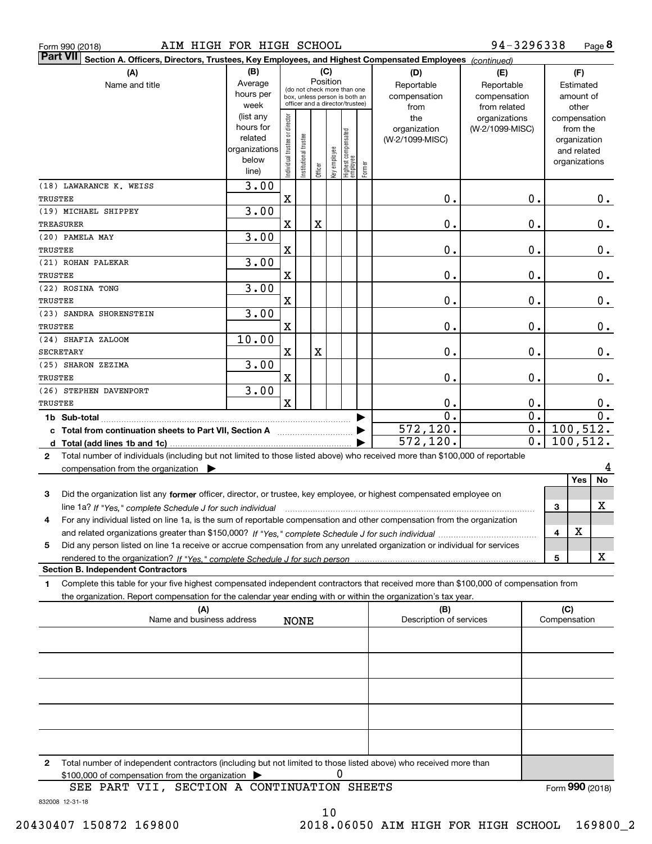| Form 990 (2018) |  |  |
|-----------------|--|--|
|                 |  |  |

| <b>Part VII</b><br>Section A. Officers, Directors, Trustees, Key Employees, and Highest Compensated Employees (continued)                    |                   |                                         |                       |         |              |                                                                  |        |                         |                               |                       |
|----------------------------------------------------------------------------------------------------------------------------------------------|-------------------|-----------------------------------------|-----------------------|---------|--------------|------------------------------------------------------------------|--------|-------------------------|-------------------------------|-----------------------|
| (B)<br>(A)                                                                                                                                   |                   |                                         | (C)                   |         |              |                                                                  |        | (D)                     | (E)                           | (F)                   |
| Name and title                                                                                                                               | Average           | Position<br>(do not check more than one |                       |         |              |                                                                  |        | Reportable              | Reportable                    | Estimated             |
|                                                                                                                                              | hours per         |                                         |                       |         |              | box, unless person is both an<br>officer and a director/trustee) |        | compensation            | compensation                  | amount of             |
|                                                                                                                                              | week<br>(list any |                                         |                       |         |              |                                                                  |        | from<br>the             | from related<br>organizations | other<br>compensation |
|                                                                                                                                              | hours for         | Individual trustee or director          |                       |         |              |                                                                  |        | organization            | (W-2/1099-MISC)               | from the              |
|                                                                                                                                              | related           |                                         |                       |         |              | Highest compensated<br>  employee                                |        | (W-2/1099-MISC)         |                               | organization          |
|                                                                                                                                              | organizations     |                                         |                       |         |              |                                                                  |        |                         |                               | and related           |
|                                                                                                                                              | below             |                                         | Institutional trustee | Officer | key employee |                                                                  | Former |                         |                               | organizations         |
|                                                                                                                                              | line)             |                                         |                       |         |              |                                                                  |        |                         |                               |                       |
| (18) LAWARANCE K. WEISS                                                                                                                      | 3.00              |                                         |                       |         |              |                                                                  |        |                         |                               |                       |
| TRUSTEE<br>(19) MICHAEL SHIPPEY                                                                                                              | 3.00              | $\mathbf X$                             |                       |         |              |                                                                  |        | 0.                      | 0.                            | $0_{.}$               |
| TREASURER                                                                                                                                    |                   | $\mathbf X$                             |                       | Χ       |              |                                                                  |        | 0.                      | $0$ .                         | 0.                    |
| (20) PAMELA MAY                                                                                                                              | 3.00              |                                         |                       |         |              |                                                                  |        |                         |                               |                       |
| TRUSTEE                                                                                                                                      |                   | $\mathbf X$                             |                       |         |              |                                                                  |        | 0.                      | $0$ .                         | 0.                    |
| (21) ROHAN PALEKAR                                                                                                                           | 3.00              |                                         |                       |         |              |                                                                  |        |                         |                               |                       |
| TRUSTEE                                                                                                                                      |                   | $\mathbf X$                             |                       |         |              |                                                                  |        | 0.                      | $0$ .                         | 0.                    |
| (22) ROSINA TONG                                                                                                                             | 3.00              |                                         |                       |         |              |                                                                  |        |                         |                               |                       |
| TRUSTEE                                                                                                                                      |                   | X                                       |                       |         |              |                                                                  |        | 0.                      | $0$ .                         | $\mathbf 0$ .         |
| (23) SANDRA SHORENSTEIN                                                                                                                      | 3.00              |                                         |                       |         |              |                                                                  |        |                         |                               |                       |
| <b>TRUSTEE</b>                                                                                                                               |                   | X                                       |                       |         |              |                                                                  |        | 0.                      | $\mathbf 0$ .                 | 0.                    |
| (24) SHAFIA ZALOOM                                                                                                                           | 10.00             |                                         |                       |         |              |                                                                  |        |                         |                               |                       |
| SECRETARY                                                                                                                                    |                   | X                                       |                       | X       |              |                                                                  |        | 0.                      | $\mathbf 0$ .                 | 0.                    |
| (25) SHARON ZEZIMA                                                                                                                           | 3.00              |                                         |                       |         |              |                                                                  |        |                         |                               |                       |
| TRUSTEE                                                                                                                                      |                   | X                                       |                       |         |              |                                                                  |        | 0.                      | $\mathbf 0$ .                 | 0.                    |
| (26) STEPHEN DAVENPORT                                                                                                                       | 3.00              |                                         |                       |         |              |                                                                  |        |                         |                               |                       |
| TRUSTEE                                                                                                                                      |                   | $\mathbf x$                             |                       |         |              |                                                                  |        | 0.                      | 0.                            | 0.                    |
|                                                                                                                                              |                   |                                         |                       |         |              |                                                                  |        | 0.                      | $\overline{0}$ .              | 0.                    |
| c Total from continuation sheets to Part VII, Section A                                                                                      |                   |                                         |                       |         |              |                                                                  |        | 572, 120.               | 0.                            | 100,512.              |
|                                                                                                                                              |                   |                                         |                       |         |              |                                                                  |        | 572,120.                | 0.                            | 100, 512.             |
| Total number of individuals (including but not limited to those listed above) who received more than \$100,000 of reportable<br>$\mathbf{2}$ |                   |                                         |                       |         |              |                                                                  |        |                         |                               |                       |
| compensation from the organization $\blacktriangleright$                                                                                     |                   |                                         |                       |         |              |                                                                  |        |                         |                               | No<br>Yes             |
| Did the organization list any former officer, director, or trustee, key employee, or highest compensated employee on<br>3                    |                   |                                         |                       |         |              |                                                                  |        |                         |                               |                       |
| line 1a? If "Yes," complete Schedule J for such individual                                                                                   |                   |                                         |                       |         |              |                                                                  |        |                         |                               | X<br>3                |
| For any individual listed on line 1a, is the sum of reportable compensation and other compensation from the organization<br>4                |                   |                                         |                       |         |              |                                                                  |        |                         |                               |                       |
|                                                                                                                                              |                   |                                         |                       |         |              |                                                                  |        |                         |                               | Y<br>4                |
| Did any person listed on line 1a receive or accrue compensation from any unrelated organization or individual for services<br>5              |                   |                                         |                       |         |              |                                                                  |        |                         |                               |                       |
|                                                                                                                                              |                   |                                         |                       |         |              |                                                                  |        |                         |                               | X<br>5                |
| <b>Section B. Independent Contractors</b>                                                                                                    |                   |                                         |                       |         |              |                                                                  |        |                         |                               |                       |
| Complete this table for your five highest compensated independent contractors that received more than \$100,000 of compensation from<br>1    |                   |                                         |                       |         |              |                                                                  |        |                         |                               |                       |
| the organization. Report compensation for the calendar year ending with or within the organization's tax year.                               |                   |                                         |                       |         |              |                                                                  |        |                         |                               |                       |
| (A)                                                                                                                                          |                   |                                         |                       |         |              |                                                                  |        | (B)                     |                               | (C)                   |
| Name and business address                                                                                                                    |                   |                                         | <b>NONE</b>           |         |              |                                                                  |        | Description of services |                               | Compensation          |
|                                                                                                                                              |                   |                                         |                       |         |              |                                                                  |        |                         |                               |                       |
|                                                                                                                                              |                   |                                         |                       |         |              |                                                                  |        |                         |                               |                       |
|                                                                                                                                              |                   |                                         |                       |         |              |                                                                  |        |                         |                               |                       |
|                                                                                                                                              |                   |                                         |                       |         |              |                                                                  |        |                         |                               |                       |
|                                                                                                                                              |                   |                                         |                       |         |              |                                                                  |        |                         |                               |                       |
|                                                                                                                                              |                   |                                         |                       |         |              |                                                                  |        |                         |                               |                       |
|                                                                                                                                              |                   |                                         |                       |         |              |                                                                  |        |                         |                               |                       |
|                                                                                                                                              |                   |                                         |                       |         |              |                                                                  |        |                         |                               |                       |
|                                                                                                                                              |                   |                                         |                       |         |              |                                                                  |        |                         |                               |                       |
| Total number of independent contractors (including but not limited to those listed above) who received more than<br>2                        |                   |                                         |                       |         |              |                                                                  |        |                         |                               |                       |

 $$100,000$  of compensation from the organization  $\triangleright$ 

Form (2018) **990**

10 0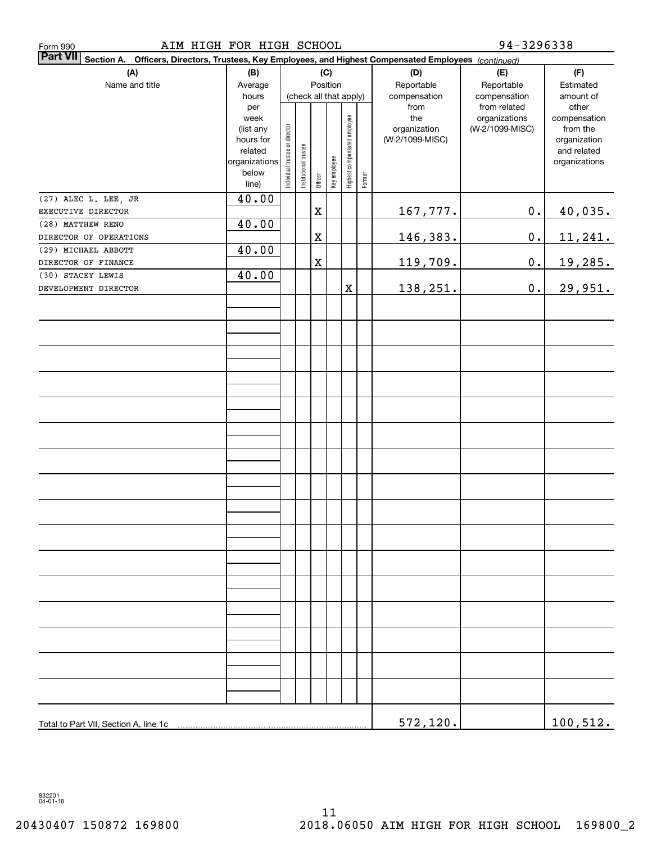| AIM HIGH FOR HIGH SCHOOL<br>Form 990                                                                                         |                   | $94 - 3296338$                 |                       |             |              |                              |        |                     |                                  |                          |
|------------------------------------------------------------------------------------------------------------------------------|-------------------|--------------------------------|-----------------------|-------------|--------------|------------------------------|--------|---------------------|----------------------------------|--------------------------|
| <b>Part VII</b><br>Section A.<br>Officers, Directors, Trustees, Key Employees, and Highest Compensated Employees (continued) |                   |                                |                       |             |              |                              |        |                     |                                  |                          |
| (A)                                                                                                                          | (B)               |                                |                       |             | (C)          |                              |        | (D)                 | (E)                              | (F)                      |
| Name and title                                                                                                               | Average           |                                |                       | Position    |              |                              |        | Reportable          | Reportable                       | Estimated                |
|                                                                                                                              | hours             |                                |                       |             |              | (check all that apply)       |        | compensation        | compensation                     | amount of                |
|                                                                                                                              | per               |                                |                       |             |              |                              |        | from                | from related                     | other                    |
|                                                                                                                              | week<br>(list any |                                |                       |             |              |                              |        | the<br>organization | organizations<br>(W-2/1099-MISC) | compensation<br>from the |
|                                                                                                                              | hours for         |                                |                       |             |              |                              |        | (W-2/1099-MISC)     |                                  | organization             |
|                                                                                                                              | related           | Individual trustee or director | Institutional trustee |             |              | Highest compensated employee |        |                     |                                  | and related              |
|                                                                                                                              | organizations     |                                |                       |             | Key employee |                              |        |                     |                                  | organizations            |
|                                                                                                                              | below<br>line)    |                                |                       | Officer     |              |                              | Former |                     |                                  |                          |
|                                                                                                                              |                   |                                |                       |             |              |                              |        |                     |                                  |                          |
| (27) ALEC L. LEE, JR                                                                                                         | 40.00             |                                |                       |             |              |                              |        |                     |                                  |                          |
| EXECUTIVE DIRECTOR                                                                                                           |                   |                                |                       | $\mathbf X$ |              |                              |        | 167,777.            | $\mathbf 0$ .                    | 40,035.                  |
| (28) MATTHEW RENO                                                                                                            | 40.00             |                                |                       |             |              |                              |        |                     |                                  |                          |
| DIRECTOR OF OPERATIONS                                                                                                       |                   |                                |                       | $\mathbf X$ |              |                              |        | 146,383.            | $\mathbf 0$ .                    | 11,241.                  |
| (29) MICHAEL ABBOTT                                                                                                          | 40.00             |                                |                       |             |              |                              |        |                     |                                  |                          |
| DIRECTOR OF FINANCE                                                                                                          |                   |                                |                       | $\mathbf X$ |              |                              |        | 119,709.            | $\mathbf 0$ .                    | 19,285.                  |
| (30) STACEY LEWIS                                                                                                            | 40.00             |                                |                       |             |              |                              |        |                     |                                  |                          |
| DEVELOPMENT DIRECTOR                                                                                                         |                   |                                |                       |             |              | $\mathbf X$                  |        | 138,251.            | $\mathbf 0$ .                    | 29,951.                  |
|                                                                                                                              |                   |                                |                       |             |              |                              |        |                     |                                  |                          |
|                                                                                                                              |                   |                                |                       |             |              |                              |        |                     |                                  |                          |
|                                                                                                                              |                   |                                |                       |             |              |                              |        |                     |                                  |                          |
|                                                                                                                              |                   |                                |                       |             |              |                              |        |                     |                                  |                          |
|                                                                                                                              |                   |                                |                       |             |              |                              |        |                     |                                  |                          |
|                                                                                                                              |                   |                                |                       |             |              |                              |        |                     |                                  |                          |
|                                                                                                                              |                   |                                |                       |             |              |                              |        |                     |                                  |                          |
|                                                                                                                              |                   |                                |                       |             |              |                              |        |                     |                                  |                          |
|                                                                                                                              |                   |                                |                       |             |              |                              |        |                     |                                  |                          |
|                                                                                                                              |                   |                                |                       |             |              |                              |        |                     |                                  |                          |
|                                                                                                                              |                   |                                |                       |             |              |                              |        |                     |                                  |                          |
|                                                                                                                              |                   |                                |                       |             |              |                              |        |                     |                                  |                          |
|                                                                                                                              |                   |                                |                       |             |              |                              |        |                     |                                  |                          |
|                                                                                                                              |                   |                                |                       |             |              |                              |        |                     |                                  |                          |
|                                                                                                                              |                   |                                |                       |             |              |                              |        |                     |                                  |                          |
|                                                                                                                              |                   |                                |                       |             |              |                              |        |                     |                                  |                          |
|                                                                                                                              |                   |                                |                       |             |              |                              |        |                     |                                  |                          |
|                                                                                                                              |                   |                                |                       |             |              |                              |        |                     |                                  |                          |
|                                                                                                                              |                   |                                |                       |             |              |                              |        |                     |                                  |                          |
|                                                                                                                              |                   |                                |                       |             |              |                              |        |                     |                                  |                          |
|                                                                                                                              |                   |                                |                       |             |              |                              |        |                     |                                  |                          |
|                                                                                                                              |                   |                                |                       |             |              |                              |        |                     |                                  |                          |
|                                                                                                                              |                   |                                |                       |             |              |                              |        |                     |                                  |                          |
|                                                                                                                              |                   |                                |                       |             |              |                              |        |                     |                                  |                          |
|                                                                                                                              |                   |                                |                       |             |              |                              |        |                     |                                  |                          |
|                                                                                                                              |                   |                                |                       |             |              |                              |        |                     |                                  |                          |
|                                                                                                                              |                   |                                |                       |             |              |                              |        |                     |                                  |                          |
|                                                                                                                              |                   |                                |                       |             |              |                              |        |                     |                                  |                          |
|                                                                                                                              |                   |                                |                       |             |              |                              |        |                     |                                  |                          |
|                                                                                                                              |                   |                                |                       |             |              |                              |        |                     |                                  |                          |
|                                                                                                                              |                   |                                |                       |             |              |                              |        |                     |                                  |                          |
|                                                                                                                              |                   |                                |                       |             |              |                              |        | 572, 120.           |                                  | 100, 512.                |
|                                                                                                                              |                   |                                |                       |             |              |                              |        |                     |                                  |                          |

832201<br>04-01-18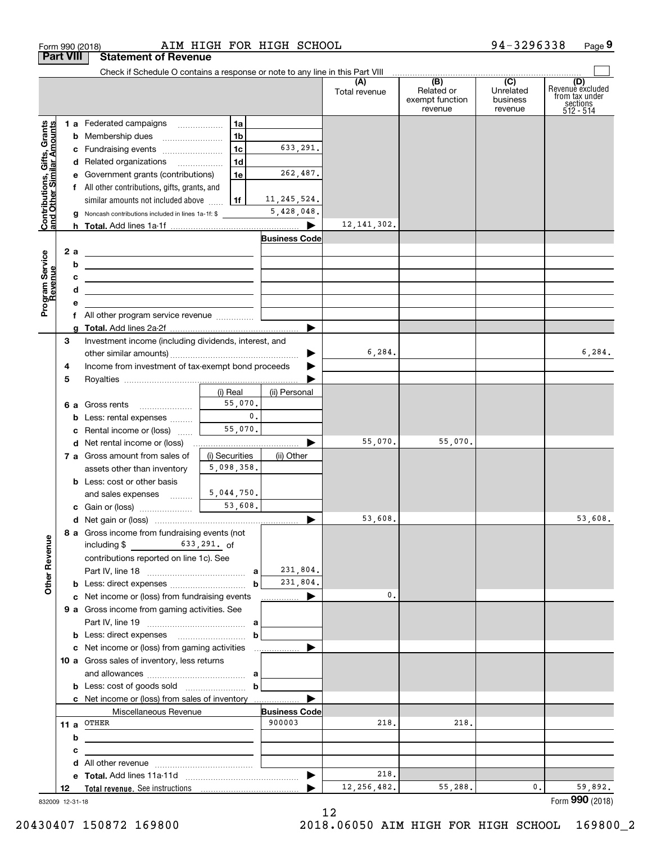|                                                           | <b>Part VIII</b> | <b>Statement of Revenue</b>                                                                                          |                |                                |               |                                          |                                  |                                                             |
|-----------------------------------------------------------|------------------|----------------------------------------------------------------------------------------------------------------------|----------------|--------------------------------|---------------|------------------------------------------|----------------------------------|-------------------------------------------------------------|
|                                                           |                  | Check if Schedule O contains a response or note to any line in this Part VIII                                        |                |                                | (A)           | $\overline{(B)}$                         | (C)                              | (D)                                                         |
|                                                           |                  |                                                                                                                      |                |                                | Total revenue | Related or<br>exempt function<br>revenue | Unrelated<br>business<br>revenue | Revenuè excluded<br>from tax under<br>sections<br>512 - 514 |
|                                                           |                  | 1 a Federated campaigns                                                                                              | 1a             |                                |               |                                          |                                  |                                                             |
|                                                           |                  |                                                                                                                      | 1b             |                                |               |                                          |                                  |                                                             |
|                                                           |                  | c Fundraising events                                                                                                 | 1c             | 633,291.                       |               |                                          |                                  |                                                             |
|                                                           |                  | d Related organizations                                                                                              | 1 <sub>d</sub> |                                |               |                                          |                                  |                                                             |
|                                                           |                  | e Government grants (contributions)                                                                                  | 1e             | 262,487.                       |               |                                          |                                  |                                                             |
|                                                           |                  | f All other contributions, gifts, grants, and                                                                        |                |                                |               |                                          |                                  |                                                             |
|                                                           |                  | similar amounts not included above                                                                                   | l 1f           | 11, 245, 524.                  |               |                                          |                                  |                                                             |
| Contributions, Gifts, Grants<br>and Other Similar Amounts |                  | <b>g</b> Noncash contributions included in lines 1a-1f: \$                                                           |                | 5,428,048.                     |               |                                          |                                  |                                                             |
|                                                           |                  |                                                                                                                      |                |                                | 12, 141, 302. |                                          |                                  |                                                             |
|                                                           |                  |                                                                                                                      |                | <b>Business Code</b>           |               |                                          |                                  |                                                             |
|                                                           | 2 a              | <u> 1989 - Andrea Barbara, poeta esperanto-poeta esperanto-poeta esperanto-poeta esperanto-poeta esperanto-poeta</u> |                |                                |               |                                          |                                  |                                                             |
|                                                           | b                | <u> 1989 - Andrea Stadt Britain, amerikansk politiker (</u>                                                          |                |                                |               |                                          |                                  |                                                             |
|                                                           | с                | <u> 1989 - John Stein, Amerikaansk politiker (</u>                                                                   |                |                                |               |                                          |                                  |                                                             |
|                                                           | d                | <u> 1989 - Johann Barbara, martxa alemaniar a</u>                                                                    |                |                                |               |                                          |                                  |                                                             |
| Program Service<br>Revenue                                | е                |                                                                                                                      |                |                                |               |                                          |                                  |                                                             |
|                                                           |                  |                                                                                                                      |                |                                |               |                                          |                                  |                                                             |
|                                                           |                  |                                                                                                                      |                |                                |               |                                          |                                  |                                                             |
|                                                           | З                | Investment income (including dividends, interest, and                                                                |                |                                |               |                                          |                                  |                                                             |
|                                                           |                  |                                                                                                                      |                | ▶                              | 6, 284.       |                                          |                                  | 6,284.                                                      |
|                                                           | 4                | Income from investment of tax-exempt bond proceeds                                                                   |                |                                |               |                                          |                                  |                                                             |
|                                                           | 5                |                                                                                                                      |                |                                |               |                                          |                                  |                                                             |
|                                                           |                  |                                                                                                                      | (i) Real       | (ii) Personal                  |               |                                          |                                  |                                                             |
|                                                           |                  | 6 a Gross rents                                                                                                      | 55,070.        |                                |               |                                          |                                  |                                                             |
|                                                           |                  | <b>b</b> Less: rental expenses                                                                                       | $\mathbf{0}$ . |                                |               |                                          |                                  |                                                             |
|                                                           |                  | c Rental income or (loss)                                                                                            | 55,070.        |                                |               |                                          |                                  |                                                             |
|                                                           |                  |                                                                                                                      |                |                                | 55,070.       | 55,070.                                  |                                  |                                                             |
|                                                           |                  | 7 a Gross amount from sales of                                                                                       | (i) Securities | (ii) Other                     |               |                                          |                                  |                                                             |
|                                                           |                  | assets other than inventory                                                                                          | 5,098,358.     |                                |               |                                          |                                  |                                                             |
|                                                           |                  | <b>b</b> Less: cost or other basis                                                                                   |                |                                |               |                                          |                                  |                                                             |
|                                                           |                  | and sales expenses                                                                                                   | 5,044,750.     |                                |               |                                          |                                  |                                                             |
|                                                           |                  |                                                                                                                      | 53,608.        |                                |               |                                          |                                  |                                                             |
|                                                           |                  |                                                                                                                      |                |                                | 53,608.       |                                          |                                  | 53,608.                                                     |
|                                                           |                  | 8 a Gross income from fundraising events (not                                                                        |                |                                |               |                                          |                                  |                                                             |
|                                                           |                  | $633, 291.$ of<br>including \$                                                                                       |                |                                |               |                                          |                                  |                                                             |
|                                                           |                  | contributions reported on line 1c). See                                                                              |                |                                |               |                                          |                                  |                                                             |
|                                                           |                  |                                                                                                                      |                | 231,804.                       |               |                                          |                                  |                                                             |
| <b>Other Revenue</b>                                      |                  |                                                                                                                      | b              | 231,804.                       |               |                                          |                                  |                                                             |
|                                                           |                  | c Net income or (loss) from fundraising events                                                                       |                |                                | 0.            |                                          |                                  |                                                             |
|                                                           |                  | 9 a Gross income from gaming activities. See                                                                         |                |                                |               |                                          |                                  |                                                             |
|                                                           |                  |                                                                                                                      |                |                                |               |                                          |                                  |                                                             |
|                                                           |                  |                                                                                                                      | b              |                                |               |                                          |                                  |                                                             |
|                                                           |                  | c Net income or (loss) from gaming activities                                                                        |                | .                              |               |                                          |                                  |                                                             |
|                                                           |                  | 10 a Gross sales of inventory, less returns                                                                          |                |                                |               |                                          |                                  |                                                             |
|                                                           |                  |                                                                                                                      |                |                                |               |                                          |                                  |                                                             |
|                                                           |                  |                                                                                                                      | $\mathbf b$    |                                |               |                                          |                                  |                                                             |
|                                                           |                  | c Net income or (loss) from sales of inventory                                                                       |                |                                |               |                                          |                                  |                                                             |
|                                                           |                  | Miscellaneous Revenue<br>11 $a$ OTHER                                                                                |                | <b>Business Code</b><br>900003 | 218.          | 218.                                     |                                  |                                                             |
|                                                           |                  |                                                                                                                      |                |                                |               |                                          |                                  |                                                             |
|                                                           | b                | <u> 1980 - Jan Samuel Barbara, martin a shekara 1980 - Shekara 1980 - Shekara 1980 - Shekara 1980 - Shekara 1980</u> |                |                                |               |                                          |                                  |                                                             |
|                                                           | с                |                                                                                                                      |                |                                |               |                                          |                                  |                                                             |
|                                                           | d                |                                                                                                                      |                |                                | 218.          |                                          |                                  |                                                             |
|                                                           | 12               |                                                                                                                      |                | $\blacktriangleright$          | 12, 256, 482. | 55,288.                                  | 0.                               | 59,892.                                                     |
|                                                           |                  | 832009 12-31-18                                                                                                      |                |                                |               |                                          |                                  | Form 990 (2018)                                             |

Form 990 (2018) AIM HIGH FOR HIGH SCHOOL 94-3296338 Page

Form 990 (2018) AIM HIGH FOR HIGH SCHOOL 94-3296338 Page 9

**9**

94-3296338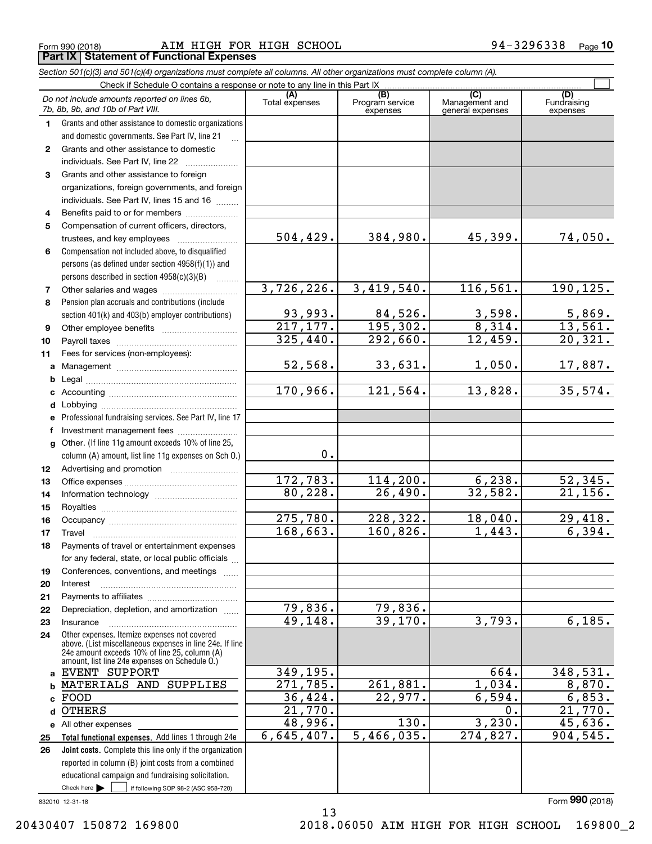Form 990 (2018) **Page 10** AIM HIGH FOR HIGH SCHOOL **194-3296338** Page 10 **Part IX Statement of Functional Expenses** | Part IX | Statement of Functional Expenses

Section 501(c)(3) and 501(c)(4) organizations must complete all columns. All other organizations must complete column (A).

|                | Check if Schedule O contains a response or note to any line in this Part IX                              |                        |                                    |                                           |                                |  |  |  |  |  |  |
|----------------|----------------------------------------------------------------------------------------------------------|------------------------|------------------------------------|-------------------------------------------|--------------------------------|--|--|--|--|--|--|
|                | Do not include amounts reported on lines 6b,<br>7b, 8b, 9b, and 10b of Part VIII.                        | (A)<br>Total expenses  | (B)<br>Program service<br>expenses | (C)<br>Management and<br>general expenses | (D)<br>Fundraising<br>expenses |  |  |  |  |  |  |
| $\mathbf 1$    | Grants and other assistance to domestic organizations                                                    |                        |                                    |                                           |                                |  |  |  |  |  |  |
|                | and domestic governments. See Part IV, line 21                                                           |                        |                                    |                                           |                                |  |  |  |  |  |  |
| $\mathbf{2}$   | Grants and other assistance to domestic                                                                  |                        |                                    |                                           |                                |  |  |  |  |  |  |
|                | individuals. See Part IV, line 22                                                                        |                        |                                    |                                           |                                |  |  |  |  |  |  |
| 3              | Grants and other assistance to foreign                                                                   |                        |                                    |                                           |                                |  |  |  |  |  |  |
|                | organizations, foreign governments, and foreign                                                          |                        |                                    |                                           |                                |  |  |  |  |  |  |
|                | individuals. See Part IV, lines 15 and 16                                                                |                        |                                    |                                           |                                |  |  |  |  |  |  |
| 4              | Benefits paid to or for members                                                                          |                        |                                    |                                           |                                |  |  |  |  |  |  |
| 5              | Compensation of current officers, directors,                                                             |                        |                                    |                                           |                                |  |  |  |  |  |  |
|                | trustees, and key employees                                                                              | 504, 429.              | 384,980.                           | 45,399.                                   | 74,050.                        |  |  |  |  |  |  |
| 6              | Compensation not included above, to disqualified                                                         |                        |                                    |                                           |                                |  |  |  |  |  |  |
|                | persons (as defined under section 4958(f)(1)) and                                                        |                        |                                    |                                           |                                |  |  |  |  |  |  |
|                | persons described in section 4958(c)(3)(B)                                                               |                        |                                    |                                           |                                |  |  |  |  |  |  |
| $\overline{7}$ |                                                                                                          | 3,726,226.             | 3,419,540.                         | 116,561.                                  | 190, 125.                      |  |  |  |  |  |  |
| 8              | Pension plan accruals and contributions (include                                                         |                        |                                    |                                           |                                |  |  |  |  |  |  |
|                | section 401(k) and 403(b) employer contributions)                                                        | 93,993.                | 84,526.                            | 3,598.                                    | 5,869.                         |  |  |  |  |  |  |
| 9              |                                                                                                          | $\overline{217,177}$ . | 195,302.                           | 8,314.                                    | 13,561.                        |  |  |  |  |  |  |
| 10             |                                                                                                          | 325,440.               | 292,660.                           | 12,459.                                   | 20,321.                        |  |  |  |  |  |  |
| 11             | Fees for services (non-employees):                                                                       |                        |                                    |                                           |                                |  |  |  |  |  |  |
|                |                                                                                                          | 52,568.                | 33,631.                            | 1,050.                                    | 17,887.                        |  |  |  |  |  |  |
| b              |                                                                                                          |                        |                                    |                                           |                                |  |  |  |  |  |  |
|                |                                                                                                          | 170,966.               | 121, 564.                          | 13,828.                                   | 35,574.                        |  |  |  |  |  |  |
|                |                                                                                                          |                        |                                    |                                           |                                |  |  |  |  |  |  |
|                | e Professional fundraising services. See Part IV, line 17                                                |                        |                                    |                                           |                                |  |  |  |  |  |  |
|                | f Investment management fees                                                                             |                        |                                    |                                           |                                |  |  |  |  |  |  |
|                | g Other. (If line 11g amount exceeds 10% of line 25,                                                     |                        |                                    |                                           |                                |  |  |  |  |  |  |
|                | column (A) amount, list line 11g expenses on Sch O.)                                                     | 0.                     |                                    |                                           |                                |  |  |  |  |  |  |
| 12             |                                                                                                          |                        |                                    |                                           |                                |  |  |  |  |  |  |
| 13             |                                                                                                          | 172,783.               | 114, 200.                          | 6, 238.                                   | 52,345.                        |  |  |  |  |  |  |
| 14             |                                                                                                          | 80,228.                | 26,490.                            | 32,582.                                   | 21,156.                        |  |  |  |  |  |  |
| 15             |                                                                                                          |                        |                                    |                                           |                                |  |  |  |  |  |  |
| 16             |                                                                                                          | 275,780.               | 228,322.                           | 18,040.                                   | 29,418.                        |  |  |  |  |  |  |
| 17             | Travel                                                                                                   | 168,663.               | 160,826.                           | 1,443.                                    | 6,394.                         |  |  |  |  |  |  |
| 18             | Payments of travel or entertainment expenses                                                             |                        |                                    |                                           |                                |  |  |  |  |  |  |
|                | for any federal, state, or local public officials                                                        |                        |                                    |                                           |                                |  |  |  |  |  |  |
| 19             | Conferences, conventions, and meetings                                                                   |                        |                                    |                                           |                                |  |  |  |  |  |  |
| 20             | Interest                                                                                                 |                        |                                    |                                           |                                |  |  |  |  |  |  |
| 21             |                                                                                                          |                        |                                    |                                           |                                |  |  |  |  |  |  |
| 22             | Depreciation, depletion, and amortization                                                                | 79,836.                | 79,836.                            |                                           |                                |  |  |  |  |  |  |
| 23             | Insurance                                                                                                | 49,148.                | 39,170.                            | 3,793.                                    | 6,185.                         |  |  |  |  |  |  |
| 24             | Other expenses. Itemize expenses not covered<br>above. (List miscellaneous expenses in line 24e. If line |                        |                                    |                                           |                                |  |  |  |  |  |  |
|                | 24e amount exceeds 10% of line 25, column (A)<br>amount, list line 24e expenses on Schedule O.)          |                        |                                    |                                           |                                |  |  |  |  |  |  |
|                | a EVENT SUPPORT                                                                                          | 349,195.               |                                    | 664.                                      | 348,531.                       |  |  |  |  |  |  |
|                | MATERIALS AND SUPPLIES                                                                                   | 271,785.               | 261,881.                           | 1,034.                                    | 8,870.                         |  |  |  |  |  |  |
|                | FOOD                                                                                                     | 36,424.                | 22,977.                            | 6,594.                                    | 6,853.                         |  |  |  |  |  |  |
| d              | <b>OTHERS</b>                                                                                            | 21,770.                |                                    | 0.                                        | 21,770.                        |  |  |  |  |  |  |
|                | e All other expenses                                                                                     | 48,996.                | 130.                               | 3,230.                                    | 45,636.                        |  |  |  |  |  |  |
| 25             | Total functional expenses. Add lines 1 through 24e                                                       | 6,645,407.             | 5,466,035.                         | 274,827.                                  | 904,545.                       |  |  |  |  |  |  |
| 26             | Joint costs. Complete this line only if the organization                                                 |                        |                                    |                                           |                                |  |  |  |  |  |  |
|                | reported in column (B) joint costs from a combined                                                       |                        |                                    |                                           |                                |  |  |  |  |  |  |
|                | educational campaign and fundraising solicitation.                                                       |                        |                                    |                                           |                                |  |  |  |  |  |  |
|                | Check here $\blacktriangleright$<br>if following SOP 98-2 (ASC 958-720)                                  |                        |                                    |                                           |                                |  |  |  |  |  |  |

13 13

832010 12-31-18 Form (2018) **990** <sup>332010</sup>12731713 Form 990 (2018)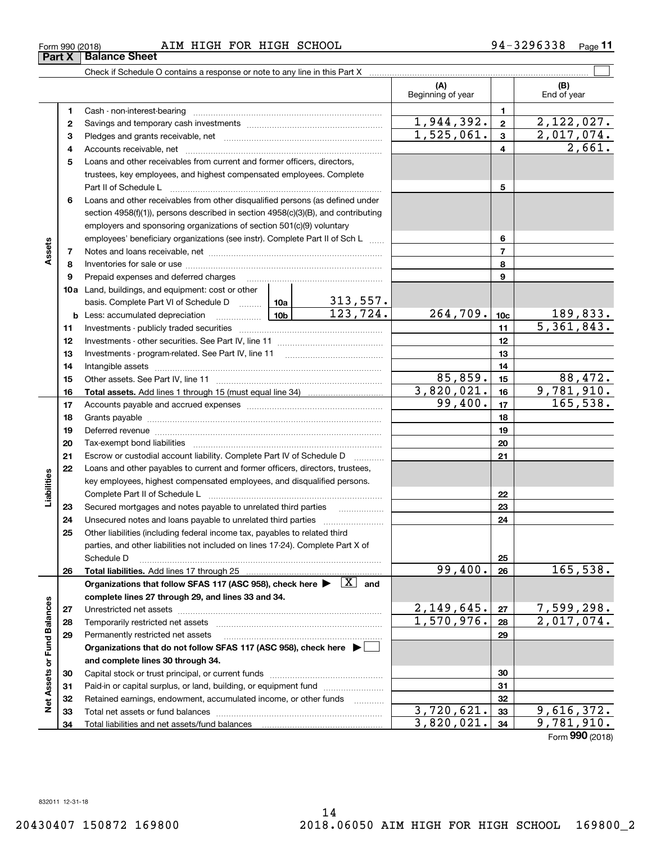20430407 150872 169800

**Liabilities**

Form (2018) **990**Form 990 (2018)

**1245**Loans and other receivables from current and former officers, directors, 5 Loans and other receivables from current and former officers, directors, **678910a**Land, buildings, and equipment: cost or other 10a Land, buildings, and equipment: cost or other **1112131415161718192021222324252612345678910c11121314151617181920212223242526**Land, buildings, and equipment: cost or other<br>basis. Complete Part VI of Schedule D , 200 . 200 . 200 . 200 . 201 . **Assets** 3  $\overline{\text{Organizations}}$  that follow SFAS 117 (ASC 958), check here  $\blacktriangleright \;\; \boxed{\text{X}}$  and **complete lines 27 through 29, and lines 33 and 34.** complete lines 27 through 29, and lines 33 and 34. Cash - non-interest-bearing ~~~~~~~~~~~~~~~~~~~~~~~~~ <sup>1</sup>Cash - non-interest-bearing <sup>1</sup> 2 Savings and temporary cash investments  $\frac{1}{2}$  ,  $\frac{1}{2}$  ,  $\frac{1}{2}$  ,  $\frac{2}{3}$  ,  $\frac{2}{12}$  ,  $\frac{2}{122}$  ,  $\frac{0}{27}$  . trustees, key employees, and highest compensated employees. Complete trustees, key employees, and highest compensated employees. Complete Part II of Schedule L ~~~~~~~~~~~~~~~~~~~~~~~~~~~~ Part II of Schedule 5 Loans and other receivables from other disqualified persons (as defined under 6 Loans and other receivables from other disqualified persons (as defined under section 4958(f)(1)), persons described in section 4958(c)(3)(B), and contributing employers and sponsoring organizations of section 501(c)(9) voluntary employers and sponsoring organizations of section 501(c)(9) voluntary employees' beneficiary organizations (see instr). Complete Part II of Sch L  $\,$  ,,,,,,  $\,$   $\,$  $\frac{3}{2}$  | 7 Notes and loans receivable, net  $\frac{3}{2}$  |  $\frac{3}{2}$  |  $\frac{3}{2}$  |  $\frac{3}{2}$  |  $\frac{3}{2}$  |  $\frac{3}{2}$  |  $\frac{3}{2}$  |  $\frac{3}{2}$  |  $\frac{3}{2}$  |  $\frac{3}{2}$  |  $\frac{3}{2}$  |  $\frac{3}{2}$  |  $\frac{3}{2}$  |  $\frac{3}{2}$  |  $\frac{3}{2$ Inventories for sale or use ~~~~~~~~~~~~~~~~~~~~~~~~~~ < 8 Inventories for sale or use 8 **9** Prepaid expenses and deferred charges 2000 minimum construction and the construction of the property of the property of the property of the property of the property of the property of the property of the property of th Investments - other securities. See Part IV, line 11 ~~~~~~~~~~~~~~12 Investments - other securities. See Part IV, line 11 12 13 Investments - program-related. See Part IV, line 11  $\ldots$   $\ldots$   $\ldots$   $\ldots$   $\ldots$   $\ldots$   $\ldots$   $\ldots$   $\ldots$  13 Intangible assets ~~~~~~~~~~~~~~~~~~~~~~~~~~~~~~ 14 Intangible assets ,,,,,,,,, 14 Grants payable ~~~~~~~~~~~~~~~~~~~~~~~~~~~~~~~ 18 Grants payable 18 Deferred revenue 19 Deferred revenue 19 Tax-exempt bond liabilities ~~~~~~~~~~~~~~~~~~~~~~~~~20 Tax-exempt bond liabi 20 21 Escrow or custodial account liability. Complete Part IV of Schedule D 21 22 21 21 21 21 21 21 21  $\mathbf{Q}$  **22** Loans and other payables to current and former officers, directors, trustees, key employees, highest compensated employees, and disqualified persons. g key employees, highest compensated employees, and disqualified persons. Complete Part II of Schedule L <sub>…………………………………………………………</sub> Secured mortgages and notes payable to unrelated third parties 24 Unsecured notes and loans payable to unrelated third parties  $\frac{1}{2}$  24 Other liabilities (including federal income tax, payables to related third 25 Other liabilities (including federal income tax, payables to related third parties, and other liabilities not included on lines 17-24). Complete Part X of parties, and other liabilities not included on lines 17-24). Complete Part X of Schedule D ~~~~~~~~~~~~~~~~~~~~~~~~~~~~~~~~ Schedule D 25 313,557. ECOMPlete Part II of Schedule L 22<br>23 Secured mortgages and notes payable to unrelated third parties 23 Secured mortgages and notes payable to unrelated third parties

# Form 990 (2018) AIM HIGH FOR HIGH SCHOOL 94-3296338 Page 11

2 Savings and temporary cash investments <u>messes and conservations and the state of the state of the set of the set of the set of the set of the set of the set of the set of the set of the set of the set of the set of the</u> **2728293031323334b** Less: accumulated depreciation www.willuminum 23 , 724 - 264 , 709 - 10c 189 , 833 -**Total assets.**  Add lines 1 through 15 (must equal line 34) <sup>16</sup>Total assets. Add lines 1 throuqh 15 (must equal line 34) 3 , 8 2 0 , <sup>02</sup>l - 16 9 , 7 81 , 91 . **Total liabilities.**  Add lines 17 through 25 <sup>26</sup>Total liabilities. Add lines 17throuqh 25 99 , 40 0 . 26 l <sup>65</sup>, 53 . **272829Organizations that do not follow SFAS 117 (ASC 958), check here** | Organizations that do not follow SFAS 117 (A86 958), check here > El **and complete lines 30 through 34.** '5 and complete lines 30 through 34. **3031323334Net Assets or Fund Balances** 3 Pledges and grants receivable, net  $\frac{1}{2}$ ,  $\frac{1}{2}$ ,  $\frac{2}{1}$ ,  $\frac{1}{2}$ ,  $\frac{2}{1}$ ,  $\frac{1}{2}$ ,  $\frac{2}{1}$ ,  $\frac{1}{2}$ ,  $\frac{2}{1}$ ,  $\frac{1}{2}$ ,  $\frac{2}{1}$ ,  $\frac{1}{2}$ ,  $\frac{2}{1}$ ,  $\frac{1}{2}$ ,  $\frac{1}{2}$ ,  $\frac{1}{2}$ ,  $\frac{1}{2}$ **b** Less: accumulated depreciation  $\frac{10b}{10b}$  123, 724. 264, 709. 10c 189, 833. The securities 11 investments - publicly traded securities 10. The second 11 second 11 second 11 second 11 second 11 second 11 second 11 s Other assets. See Part IV, line 11 ~~~~~~~~~~~~~~~~~~~~~~ <sup>15</sup>Other assets. See Part IV, line 11 85 , 859 . 15 88 , 47 . Accounts payable and accrued expenses ~~~~~~~~~~~~~~~~~~<sup>17</sup>Accounts payable and accrued expenses 9 9 , 4 0 0 - 17 l 6 5 , 5 3 -  $\frac{6}{2}$  27 Unrestricted net assets  $\frac{2,149,645.27}{7,599,298.298}$  $\frac{5}{28}$  28 Temporarily restricted net assets  $\frac{2}{28}$  2, 0 17, 0 74. Permanently restricted net assets ~~~~~~~~~~~~~~~~~~~~~29 Permanently restricted net assets ,,,,,,,,,,,,,,,,,,,,,,,,,,,,,,,,,,,,,,,,,,,,,,,,,,, 29 Capital stock or trust principal, or current funds ~~~~~~~~~~~~~~~ 30 Capital stock or trust principal, or current funds ,,,,,,,,,,,,,,,,,, 30  $\frac{m}{2}$  | 31 Paid-in or capital surplus, or land, building, or equipment fund  $\frac{1}{2}$   $\frac{1}{2}$   $\frac{1}{2}$   $\frac{31}{2}$  $\frac{1}{2}$  | 32 Retained earnings, endowment, accumulated income, or other funds  $\frac{1}{2}$  |  $\frac{1}{2}$  |  $\frac{1}{2}$  |  $\frac{1}{2}$  |  $\frac{1}{2}$  |  $\frac{1}{2}$  |  $\frac{1}{2}$  |  $\frac{1}{2}$  |  $\frac{1}{2}$  |  $\frac{1}{2}$  |  $\frac{1}{2}$  |  $\frac{1}{2}$  $\frac{9}{2}$  33 Total net assets or fund balances  $\frac{3,720,621}{3,820,021}$ , 33 9,616,372. Total liabilities and net assets/fund balances 2,661. 1,525,061. 3 2,017,074. 5,361,843.  $123,724.$  264,709.  $10c$  189,833.  $85,859.$   $15$  88,472.  $3,820,021.$   $16$  9,781,910.  $1,944,392. | z | 2,122,027.$  $99,400.$  17 165,538.  $99,400. |26| 165,538.$  $2,149,645.$   $27$  7,599,298.  $1,570,976.$  28 2,017,074.  $3,720,621.$   $33$  9,616,372.  $3,820,021.$   $34$  9,781,910. ğ. ᇹ 립 .3

Check if Schedule O contains a response or note to any line in this Part X Check if Schedule 0 contains a response or note to any line in this Part <sup>X</sup>, C|

 $\mathcal{L}^{\text{max}}$ 

**(A) (B)**

Beginning of year End of year (A) (B) Beginning of year End of year

**Part X | Balance Sheet**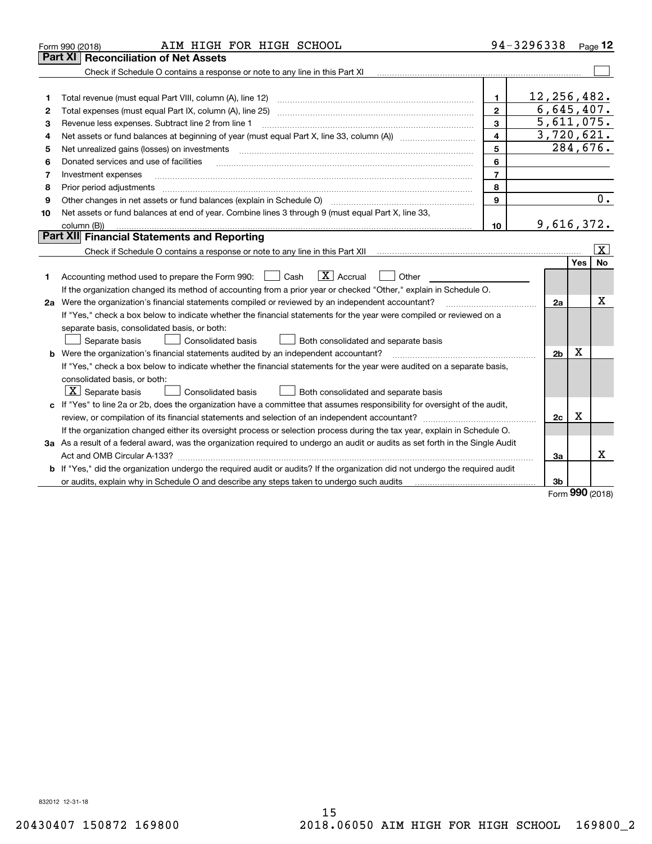|    | AIM HIGH FOR HIGH SCHOOL<br>Form 990 (2018)                                                                                                                                  |                         | 94-3296338 Page 12 |     |                         |
|----|------------------------------------------------------------------------------------------------------------------------------------------------------------------------------|-------------------------|--------------------|-----|-------------------------|
|    | <b>Reconciliation of Net Assets</b><br>Part XI                                                                                                                               |                         |                    |     |                         |
|    | Check if Schedule O contains a response or note to any line in this Part XI                                                                                                  |                         |                    |     |                         |
|    |                                                                                                                                                                              |                         |                    |     |                         |
| 1  | Total revenue (must equal Part VIII, column (A), line 12)                                                                                                                    | 1                       | 12, 256, 482.      |     |                         |
| 2  |                                                                                                                                                                              | $\mathbf{2}$            | 6,645,407.         |     |                         |
| з  | Revenue less expenses. Subtract line 2 from line 1                                                                                                                           | 3                       | 5,611,075.         |     |                         |
| 4  | Net assets or fund balances at beginning of year (must equal Part X, line 33, column (A)) manured manu-                                                                      | $\overline{\mathbf{4}}$ | 3,720,621.         |     |                         |
| 5  | Net unrealized gains (losses) on investments                                                                                                                                 | 5                       | 284,676.           |     |                         |
| 6  | Donated services and use of facilities                                                                                                                                       | 6                       |                    |     |                         |
| 7  | Investment expenses                                                                                                                                                          | $\overline{7}$          |                    |     |                         |
| 8  | Prior period adjustments                                                                                                                                                     | 8                       |                    |     |                         |
| 9  | Other changes in net assets or fund balances (explain in Schedule O) [11] [12] contraction contraction of the changes in net assets or fund balances (explain in Schedule O) | 9                       |                    |     | $\overline{0}$ .        |
| 10 | Net assets or fund balances at end of year. Combine lines 3 through 9 (must equal Part X, line 33,                                                                           |                         |                    |     |                         |
|    | column (B))                                                                                                                                                                  | 10                      | 9,616,372.         |     |                         |
|    | Part XII Financial Statements and Reporting                                                                                                                                  |                         |                    |     |                         |
|    |                                                                                                                                                                              |                         |                    |     | $\overline{\mathbf{x}}$ |
|    |                                                                                                                                                                              |                         |                    | Yes | No                      |
| 1  | $\boxed{\mathbf{X}}$ Accrual<br>Accounting method used to prepare the Form 990: <u>I</u> Cash<br>Other                                                                       |                         |                    |     |                         |
|    | If the organization changed its method of accounting from a prior year or checked "Other," explain in Schedule O.                                                            |                         |                    |     |                         |
|    | 2a Were the organization's financial statements compiled or reviewed by an independent accountant?                                                                           |                         | 2a                 |     | x                       |
|    | If "Yes," check a box below to indicate whether the financial statements for the year were compiled or reviewed on a                                                         |                         |                    |     |                         |
|    | separate basis, consolidated basis, or both:                                                                                                                                 |                         |                    |     |                         |
|    | Separate basis<br>Both consolidated and separate basis<br>Consolidated basis                                                                                                 |                         |                    |     |                         |
|    | <b>b</b> Were the organization's financial statements audited by an independent accountant?                                                                                  |                         | 2 <sub>b</sub>     | X   |                         |
|    | If "Yes," check a box below to indicate whether the financial statements for the year were audited on a separate basis,                                                      |                         |                    |     |                         |
|    | consolidated basis, or both:                                                                                                                                                 |                         |                    |     |                         |
|    | $ \mathbf{X} $ Separate basis<br><b>Consolidated basis</b><br>Both consolidated and separate basis                                                                           |                         |                    |     |                         |
|    | c If "Yes" to line 2a or 2b, does the organization have a committee that assumes responsibility for oversight of the audit,                                                  |                         |                    |     |                         |
|    | review, or compilation of its financial statements and selection of an independent accountant?                                                                               |                         | 2c                 | x   |                         |
|    | If the organization changed either its oversight process or selection process during the tax year, explain in Schedule O.                                                    |                         |                    |     |                         |
|    | 3a As a result of a federal award, was the organization required to undergo an audit or audits as set forth in the Single Audit                                              |                         |                    |     |                         |
|    |                                                                                                                                                                              |                         | 3a                 |     | х                       |
| b  | If "Yes," did the organization undergo the required audit or audits? If the organization did not undergo the required audit                                                  |                         |                    |     |                         |
|    | or audits, explain why in Schedule O and describe any steps taken to undergo such audits                                                                                     |                         | 3b                 | מחח |                         |

Form (2018) **990** Form 990 (2018)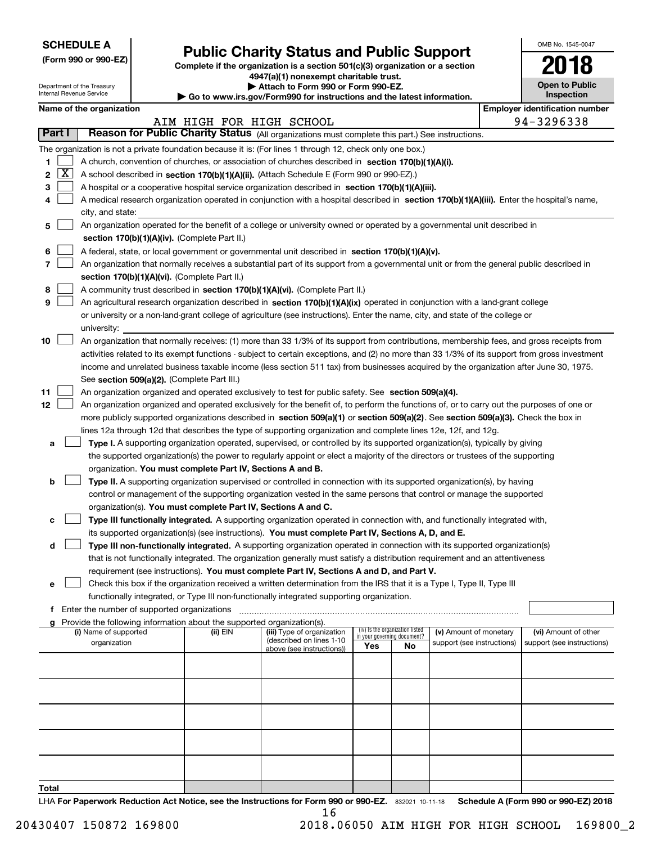| <b>SCHEDULE A</b> |
|-------------------|
|-------------------|

|  |  |  | (Form 990 or 990-EZ) |
|--|--|--|----------------------|
|--|--|--|----------------------|

# **Public Charity Status and Public Support** SCHEDULE A - . . OMB No. 154570047 Publlc Charity Status and Public Support

Complete if the organization is a section 501(c)(3) organization or a section **4947(a)(1) nonexempt charitable trust.** 4947(a)(1) nonexempt charitable trust.

|  |  |  | Attach to Form 990 or Form 990-EZ. |  |
|--|--|--|------------------------------------|--|
|  |  |  |                                    |  |

|     | OMB No. 1545-0047     |  |
|-----|-----------------------|--|
| ion | 2018                  |  |
|     | <b>Open to Public</b> |  |

|        |   | Department of the Treasury<br>Internal Revenue Service                                                                                        |                                             | Attach to Form 990 or Form 990-EZ.<br>$\blacktriangleright$ Go to www.irs.gov/Form990 for instructions and the latest information. | <b>Open to Public</b><br><b>Inspection</b>                                                                                                    |                             |                                 |                            |  |                                       |  |
|--------|---|-----------------------------------------------------------------------------------------------------------------------------------------------|---------------------------------------------|------------------------------------------------------------------------------------------------------------------------------------|-----------------------------------------------------------------------------------------------------------------------------------------------|-----------------------------|---------------------------------|----------------------------|--|---------------------------------------|--|
|        |   | Name of the organization                                                                                                                      |                                             |                                                                                                                                    |                                                                                                                                               |                             |                                 |                            |  | <b>Employer identification number</b> |  |
|        |   |                                                                                                                                               |                                             | AIM HIGH FOR HIGH SCHOOL                                                                                                           |                                                                                                                                               |                             |                                 |                            |  | 94-3296338                            |  |
| Part I |   |                                                                                                                                               |                                             |                                                                                                                                    | Reason for Public Charity Status (All organizations must complete this part.) See instructions.                                               |                             |                                 |                            |  |                                       |  |
|        |   |                                                                                                                                               |                                             |                                                                                                                                    |                                                                                                                                               |                             |                                 |                            |  |                                       |  |
|        |   |                                                                                                                                               |                                             |                                                                                                                                    | The organization is not a private foundation because it is: (For lines 1 through 12, check only one box.)                                     |                             |                                 |                            |  |                                       |  |
| 1      |   |                                                                                                                                               |                                             |                                                                                                                                    | A church, convention of churches, or association of churches described in section 170(b)(1)(A)(i).                                            |                             |                                 |                            |  |                                       |  |
| 2      | X | A school described in section 170(b)(1)(A)(ii). (Attach Schedule E (Form 990 or 990-EZ).)                                                     |                                             |                                                                                                                                    |                                                                                                                                               |                             |                                 |                            |  |                                       |  |
| 3      |   |                                                                                                                                               |                                             |                                                                                                                                    | A hospital or a cooperative hospital service organization described in section 170(b)(1)(A)(iii).                                             |                             |                                 |                            |  |                                       |  |
| 4      |   | A medical research organization operated in conjunction with a hospital described in section 170(b)(1)(A)(iii). Enter the hospital's name,    |                                             |                                                                                                                                    |                                                                                                                                               |                             |                                 |                            |  |                                       |  |
|        |   | city, and state:<br>An organization operated for the benefit of a college or university owned or operated by a governmental unit described in |                                             |                                                                                                                                    |                                                                                                                                               |                             |                                 |                            |  |                                       |  |
| 5      |   |                                                                                                                                               |                                             |                                                                                                                                    |                                                                                                                                               |                             |                                 |                            |  |                                       |  |
|        |   |                                                                                                                                               |                                             | section 170(b)(1)(A)(iv). (Complete Part II.)                                                                                      |                                                                                                                                               |                             |                                 |                            |  |                                       |  |
| 6      |   |                                                                                                                                               |                                             |                                                                                                                                    | A federal, state, or local government or governmental unit described in section 170(b)(1)(A)(v).                                              |                             |                                 |                            |  |                                       |  |
| 7      |   |                                                                                                                                               |                                             |                                                                                                                                    | An organization that normally receives a substantial part of its support from a governmental unit or from the general public described in     |                             |                                 |                            |  |                                       |  |
|        |   |                                                                                                                                               |                                             | section 170(b)(1)(A)(vi). (Complete Part II.)                                                                                      |                                                                                                                                               |                             |                                 |                            |  |                                       |  |
| 8      |   |                                                                                                                                               |                                             |                                                                                                                                    | A community trust described in section 170(b)(1)(A)(vi). (Complete Part II.)                                                                  |                             |                                 |                            |  |                                       |  |
| 9      |   |                                                                                                                                               |                                             |                                                                                                                                    | An agricultural research organization described in section 170(b)(1)(A)(ix) operated in conjunction with a land-grant college                 |                             |                                 |                            |  |                                       |  |
|        |   |                                                                                                                                               |                                             |                                                                                                                                    | or university or a non-land-grant college of agriculture (see instructions). Enter the name, city, and state of the college or                |                             |                                 |                            |  |                                       |  |
|        |   | university:                                                                                                                                   |                                             |                                                                                                                                    |                                                                                                                                               |                             |                                 |                            |  |                                       |  |
| 10     |   |                                                                                                                                               |                                             |                                                                                                                                    | An organization that normally receives: (1) more than 33 1/3% of its support from contributions, membership fees, and gross receipts from     |                             |                                 |                            |  |                                       |  |
|        |   |                                                                                                                                               |                                             |                                                                                                                                    | activities related to its exempt functions - subject to certain exceptions, and (2) no more than 33 1/3% of its support from gross investment |                             |                                 |                            |  |                                       |  |
|        |   |                                                                                                                                               |                                             |                                                                                                                                    | income and unrelated business taxable income (less section 511 tax) from businesses acquired by the organization after June 30, 1975.         |                             |                                 |                            |  |                                       |  |
|        |   |                                                                                                                                               |                                             | See section 509(a)(2). (Complete Part III.)                                                                                        |                                                                                                                                               |                             |                                 |                            |  |                                       |  |
| 11     |   |                                                                                                                                               |                                             |                                                                                                                                    | An organization organized and operated exclusively to test for public safety. See section 509(a)(4).                                          |                             |                                 |                            |  |                                       |  |
| 12     |   |                                                                                                                                               |                                             |                                                                                                                                    | An organization organized and operated exclusively for the benefit of, to perform the functions of, or to carry out the purposes of one or    |                             |                                 |                            |  |                                       |  |
|        |   |                                                                                                                                               |                                             |                                                                                                                                    | more publicly supported organizations described in section 509(a)(1) or section 509(a)(2). See section 509(a)(3). Check the box in            |                             |                                 |                            |  |                                       |  |
|        |   |                                                                                                                                               |                                             |                                                                                                                                    | lines 12a through 12d that describes the type of supporting organization and complete lines 12e, 12f, and 12g.                                |                             |                                 |                            |  |                                       |  |
| а      |   |                                                                                                                                               |                                             |                                                                                                                                    | Type I. A supporting organization operated, supervised, or controlled by its supported organization(s), typically by giving                   |                             |                                 |                            |  |                                       |  |
|        |   |                                                                                                                                               |                                             |                                                                                                                                    | the supported organization(s) the power to regularly appoint or elect a majority of the directors or trustees of the supporting               |                             |                                 |                            |  |                                       |  |
|        |   |                                                                                                                                               |                                             | organization. You must complete Part IV, Sections A and B.                                                                         |                                                                                                                                               |                             |                                 |                            |  |                                       |  |
| b      |   |                                                                                                                                               |                                             |                                                                                                                                    | <b>Type II.</b> A supporting organization supervised or controlled in connection with its supported organization(s), by having                |                             |                                 |                            |  |                                       |  |
|        |   |                                                                                                                                               |                                             |                                                                                                                                    | control or management of the supporting organization vested in the same persons that control or manage the supported                          |                             |                                 |                            |  |                                       |  |
|        |   |                                                                                                                                               |                                             | organization(s). You must complete Part IV, Sections A and C.                                                                      |                                                                                                                                               |                             |                                 |                            |  |                                       |  |
| c      |   |                                                                                                                                               |                                             |                                                                                                                                    | Type III functionally integrated. A supporting organization operated in connection with, and functionally integrated with,                    |                             |                                 |                            |  |                                       |  |
|        |   |                                                                                                                                               |                                             |                                                                                                                                    | its supported organization(s) (see instructions). You must complete Part IV, Sections A, D, and E.                                            |                             |                                 |                            |  |                                       |  |
| d      |   |                                                                                                                                               |                                             |                                                                                                                                    | Type III non-functionally integrated. A supporting organization operated in connection with its supported organization(s)                     |                             |                                 |                            |  |                                       |  |
|        |   |                                                                                                                                               |                                             |                                                                                                                                    | that is not functionally integrated. The organization generally must satisfy a distribution requirement and an attentiveness                  |                             |                                 |                            |  |                                       |  |
|        |   |                                                                                                                                               |                                             |                                                                                                                                    | requirement (see instructions). You must complete Part IV, Sections A and D, and Part V.                                                      |                             |                                 |                            |  |                                       |  |
| e      |   |                                                                                                                                               |                                             |                                                                                                                                    | Check this box if the organization received a written determination from the IRS that it is a Type I, Type II, Type III                       |                             |                                 |                            |  |                                       |  |
|        |   |                                                                                                                                               |                                             |                                                                                                                                    | functionally integrated, or Type III non-functionally integrated supporting organization.                                                     |                             |                                 |                            |  |                                       |  |
| f      |   |                                                                                                                                               | Enter the number of supported organizations |                                                                                                                                    |                                                                                                                                               |                             |                                 |                            |  |                                       |  |
|        |   |                                                                                                                                               |                                             | Provide the following information about the supported organization(s).                                                             |                                                                                                                                               |                             |                                 |                            |  |                                       |  |
|        |   | (i) Name of supported                                                                                                                         |                                             | (ii) EIN                                                                                                                           | (iii) Type of organization<br>(described on lines 1-10                                                                                        | in your governing document? | (iv) Is the organization listed | (v) Amount of monetary     |  | (vi) Amount of other                  |  |
|        |   | organization                                                                                                                                  |                                             |                                                                                                                                    | above (see instructions))                                                                                                                     | Yes                         | No                              | support (see instructions) |  | support (see instructions)            |  |
|        |   |                                                                                                                                               |                                             |                                                                                                                                    |                                                                                                                                               |                             |                                 |                            |  |                                       |  |
|        |   |                                                                                                                                               |                                             |                                                                                                                                    |                                                                                                                                               |                             |                                 |                            |  |                                       |  |
|        |   |                                                                                                                                               |                                             |                                                                                                                                    |                                                                                                                                               |                             |                                 |                            |  |                                       |  |
|        |   |                                                                                                                                               |                                             |                                                                                                                                    |                                                                                                                                               |                             |                                 |                            |  |                                       |  |
|        |   |                                                                                                                                               |                                             |                                                                                                                                    |                                                                                                                                               |                             |                                 |                            |  |                                       |  |
|        |   |                                                                                                                                               |                                             |                                                                                                                                    |                                                                                                                                               |                             |                                 |                            |  |                                       |  |
|        |   |                                                                                                                                               |                                             |                                                                                                                                    |                                                                                                                                               |                             |                                 |                            |  |                                       |  |
|        |   |                                                                                                                                               |                                             |                                                                                                                                    |                                                                                                                                               |                             |                                 |                            |  |                                       |  |
|        |   |                                                                                                                                               |                                             |                                                                                                                                    |                                                                                                                                               |                             |                                 |                            |  |                                       |  |
|        |   |                                                                                                                                               |                                             |                                                                                                                                    |                                                                                                                                               |                             |                                 |                            |  |                                       |  |
| Total  |   |                                                                                                                                               |                                             |                                                                                                                                    |                                                                                                                                               |                             |                                 |                            |  |                                       |  |

LHA For Paperwork Reduction Act Notice, see the Instructions for Form 990 or 990-EZ. 832021 10-11-18 Schedule A (Form 990 or 990-EZ) 2018 16 16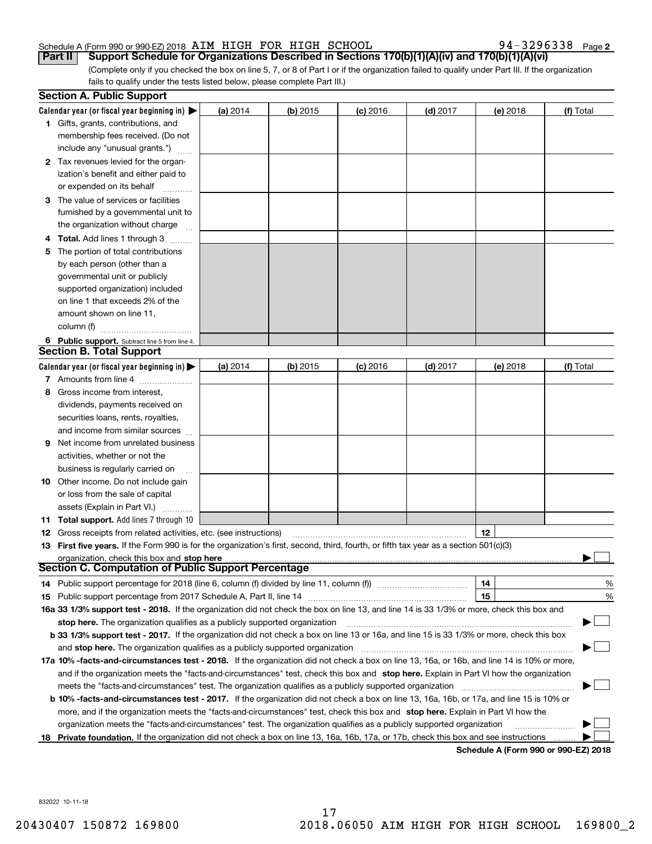**2**7 3 2 9 6 3 3 8 Paqe 2

(Complete only if you checked the box on line 5, 7, or 8 of Part I or if the organization failed to qualify under Part III. If the organization fails to qualify under the tests listed below, please complete Part III.) fails to qualify under the tests listed below, please complete Part III.) Part II| Support Schedule for Organizations Described in Sections 170(b)(1)(A)(iv) and 170(b)(1)(A)(vi)

|    | <b>Section A. Public Support</b>                                                                                                                                                                                                                                                             |          |          |            |            |                                      |           |
|----|----------------------------------------------------------------------------------------------------------------------------------------------------------------------------------------------------------------------------------------------------------------------------------------------|----------|----------|------------|------------|--------------------------------------|-----------|
|    | Calendar year (or fiscal year beginning in) $\blacktriangleright$                                                                                                                                                                                                                            | (a) 2014 | (b) 2015 | $(c)$ 2016 | $(d)$ 2017 | (e) 2018                             | (f) Total |
|    | <b>1</b> Gifts, grants, contributions, and<br>membership fees received. (Do not                                                                                                                                                                                                              |          |          |            |            |                                      |           |
|    | include any "unusual grants.")                                                                                                                                                                                                                                                               |          |          |            |            |                                      |           |
|    | 2 Tax revenues levied for the organ-                                                                                                                                                                                                                                                         |          |          |            |            |                                      |           |
|    | ization's benefit and either paid to                                                                                                                                                                                                                                                         |          |          |            |            |                                      |           |
|    | or expended on its behalf                                                                                                                                                                                                                                                                    |          |          |            |            |                                      |           |
| З  | The value of services or facilities                                                                                                                                                                                                                                                          |          |          |            |            |                                      |           |
|    | furnished by a governmental unit to                                                                                                                                                                                                                                                          |          |          |            |            |                                      |           |
|    | the organization without charge                                                                                                                                                                                                                                                              |          |          |            |            |                                      |           |
|    | 4 Total. Add lines 1 through 3                                                                                                                                                                                                                                                               |          |          |            |            |                                      |           |
| 5  | The portion of total contributions                                                                                                                                                                                                                                                           |          |          |            |            |                                      |           |
|    | by each person (other than a                                                                                                                                                                                                                                                                 |          |          |            |            |                                      |           |
|    | governmental unit or publicly                                                                                                                                                                                                                                                                |          |          |            |            |                                      |           |
|    | supported organization) included                                                                                                                                                                                                                                                             |          |          |            |            |                                      |           |
|    | on line 1 that exceeds 2% of the                                                                                                                                                                                                                                                             |          |          |            |            |                                      |           |
|    | amount shown on line 11,                                                                                                                                                                                                                                                                     |          |          |            |            |                                      |           |
|    | column (f)                                                                                                                                                                                                                                                                                   |          |          |            |            |                                      |           |
|    | 6 Public support. Subtract line 5 from line 4.<br><b>Section B. Total Support</b>                                                                                                                                                                                                            |          |          |            |            |                                      |           |
|    | Calendar year (or fiscal year beginning in) $\blacktriangleright$                                                                                                                                                                                                                            | (a) 2014 | (b) 2015 | $(c)$ 2016 | $(d)$ 2017 | (e) 2018                             | (f) Total |
|    | 7 Amounts from line 4                                                                                                                                                                                                                                                                        |          |          |            |            |                                      |           |
| 8  | Gross income from interest.                                                                                                                                                                                                                                                                  |          |          |            |            |                                      |           |
|    | dividends, payments received on                                                                                                                                                                                                                                                              |          |          |            |            |                                      |           |
|    | securities loans, rents, royalties,                                                                                                                                                                                                                                                          |          |          |            |            |                                      |           |
|    | and income from similar sources                                                                                                                                                                                                                                                              |          |          |            |            |                                      |           |
| 9  | Net income from unrelated business                                                                                                                                                                                                                                                           |          |          |            |            |                                      |           |
|    | activities, whether or not the                                                                                                                                                                                                                                                               |          |          |            |            |                                      |           |
|    | business is regularly carried on                                                                                                                                                                                                                                                             |          |          |            |            |                                      |           |
|    | <b>10</b> Other income. Do not include gain                                                                                                                                                                                                                                                  |          |          |            |            |                                      |           |
|    | or loss from the sale of capital                                                                                                                                                                                                                                                             |          |          |            |            |                                      |           |
|    | assets (Explain in Part VI.)                                                                                                                                                                                                                                                                 |          |          |            |            |                                      |           |
|    | 11 Total support. Add lines 7 through 10                                                                                                                                                                                                                                                     |          |          |            |            |                                      |           |
|    | 12 Gross receipts from related activities, etc. (see instructions)                                                                                                                                                                                                                           |          |          |            |            | 12                                   |           |
|    | 13 First five years. If the Form 990 is for the organization's first, second, third, fourth, or fifth tax year as a section 501(c)(3)                                                                                                                                                        |          |          |            |            |                                      |           |
|    | organization, check this box and stop here manufactured and according to the state of the state of the state of the state of the state of the state of the state of the state of the state of the state of the state of the st<br><b>Section C. Computation of Public Support Percentage</b> |          |          |            |            |                                      |           |
|    |                                                                                                                                                                                                                                                                                              |          |          |            |            | 14                                   | %         |
|    |                                                                                                                                                                                                                                                                                              |          |          |            |            | 15                                   | %         |
|    | 16a 33 1/3% support test - 2018. If the organization did not check the box on line 13, and line 14 is 33 1/3% or more, check this box and                                                                                                                                                    |          |          |            |            |                                      |           |
|    | stop here. The organization qualifies as a publicly supported organization                                                                                                                                                                                                                   |          |          |            |            |                                      |           |
|    | b 33 1/3% support test - 2017. If the organization did not check a box on line 13 or 16a, and line 15 is 33 1/3% or more, check this box                                                                                                                                                     |          |          |            |            |                                      |           |
|    | and stop here. The organization qualifies as a publicly supported organization                                                                                                                                                                                                               |          |          |            |            |                                      |           |
|    | 17a 10% -facts-and-circumstances test - 2018. If the organization did not check a box on line 13, 16a, or 16b, and line 14 is 10% or more,                                                                                                                                                   |          |          |            |            |                                      |           |
|    | and if the organization meets the "facts-and-circumstances" test, check this box and stop here. Explain in Part VI how the organization                                                                                                                                                      |          |          |            |            |                                      |           |
|    | meets the "facts-and-circumstances" test. The organization qualifies as a publicly supported organization                                                                                                                                                                                    |          |          |            |            |                                      |           |
|    | <b>b 10% -facts-and-circumstances test - 2017.</b> If the organization did not check a box on line 13, 16a, 16b, or 17a, and line 15 is 10% or                                                                                                                                               |          |          |            |            |                                      |           |
|    | more, and if the organization meets the "facts-and-circumstances" test, check this box and stop here. Explain in Part VI how the                                                                                                                                                             |          |          |            |            |                                      |           |
|    | organization meets the "facts-and-circumstances" test. The organization qualifies as a publicly supported organization                                                                                                                                                                       |          |          |            |            |                                      |           |
| 18 | Private foundation. If the organization did not check a box on line 13, 16a, 16b, 17a, or 17b, check this box and see instructions                                                                                                                                                           |          |          |            |            |                                      |           |
|    |                                                                                                                                                                                                                                                                                              |          |          |            |            | Schedule A (Form 990 or 990-EZ) 2018 |           |

832022 10-11-18 832022 10711718

17 17 20430407 150872 169800 2018.06050 AIM HIGH FOR HIGH SCHOOL 169800\_2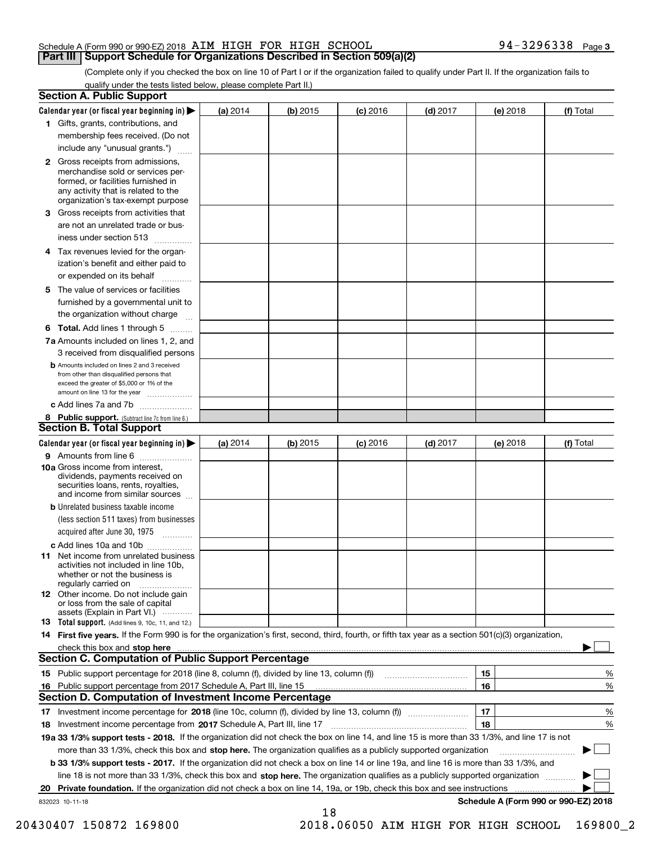(Complete only if you checked the box on line 10 of Part I or if the organization failed to qualify under Part II. If the organization fails to qualify under the tests listed below, please complete Part II.) qualify under the tests listed below please complete Part II.)

|    | <b>Section A. Public Support</b>                                                                                                                                                                |          |            |            |            |          |                                      |
|----|-------------------------------------------------------------------------------------------------------------------------------------------------------------------------------------------------|----------|------------|------------|------------|----------|--------------------------------------|
|    | Calendar year (or fiscal year beginning in) $\blacktriangleright$                                                                                                                               | (a) 2014 | $(b)$ 2015 | $(c)$ 2016 | $(d)$ 2017 | (e) 2018 | (f) Total                            |
|    | 1 Gifts, grants, contributions, and                                                                                                                                                             |          |            |            |            |          |                                      |
|    | membership fees received. (Do not                                                                                                                                                               |          |            |            |            |          |                                      |
|    | include any "unusual grants.")                                                                                                                                                                  |          |            |            |            |          |                                      |
|    | <b>2</b> Gross receipts from admissions,<br>merchandise sold or services per-<br>formed, or facilities furnished in<br>any activity that is related to the<br>organization's tax-exempt purpose |          |            |            |            |          |                                      |
| З  | Gross receipts from activities that                                                                                                                                                             |          |            |            |            |          |                                      |
|    | are not an unrelated trade or bus-                                                                                                                                                              |          |            |            |            |          |                                      |
|    | iness under section 513                                                                                                                                                                         |          |            |            |            |          |                                      |
| 4  | Tax revenues levied for the organ-<br>ization's benefit and either paid to                                                                                                                      |          |            |            |            |          |                                      |
|    | or expended on its behalf                                                                                                                                                                       |          |            |            |            |          |                                      |
| 5. | The value of services or facilities                                                                                                                                                             |          |            |            |            |          |                                      |
|    | furnished by a governmental unit to                                                                                                                                                             |          |            |            |            |          |                                      |
|    | the organization without charge                                                                                                                                                                 |          |            |            |            |          |                                      |
|    | <b>6 Total.</b> Add lines 1 through 5                                                                                                                                                           |          |            |            |            |          |                                      |
|    | 7a Amounts included on lines 1, 2, and                                                                                                                                                          |          |            |            |            |          |                                      |
|    | 3 received from disqualified persons                                                                                                                                                            |          |            |            |            |          |                                      |
|    | <b>b</b> Amounts included on lines 2 and 3 received<br>from other than disqualified persons that<br>exceed the greater of \$5,000 or 1% of the<br>amount on line 13 for the year                |          |            |            |            |          |                                      |
|    | c Add lines 7a and 7b                                                                                                                                                                           |          |            |            |            |          |                                      |
|    | 8 Public support. (Subtract line 7c from line 6.)<br><b>Section B. Total Support</b>                                                                                                            |          |            |            |            |          |                                      |
|    | Calendar year (or fiscal year beginning in) $\blacktriangleright$                                                                                                                               | (a) 2014 | $(b)$ 2015 | $(c)$ 2016 | $(d)$ 2017 | (e) 2018 | (f) Total                            |
|    | 9 Amounts from line 6                                                                                                                                                                           |          |            |            |            |          |                                      |
|    | <b>10a Gross income from interest.</b><br>dividends, payments received on<br>securities loans, rents, royalties,<br>and income from similar sources                                             |          |            |            |            |          |                                      |
|    | <b>b</b> Unrelated business taxable income                                                                                                                                                      |          |            |            |            |          |                                      |
|    | (less section 511 taxes) from businesses<br>acquired after June 30, 1975                                                                                                                        |          |            |            |            |          |                                      |
|    | c Add lines 10a and 10b                                                                                                                                                                         |          |            |            |            |          |                                      |
|    | <b>11</b> Net income from unrelated business<br>activities not included in line 10b.<br>whether or not the business is<br>regularly carried on                                                  |          |            |            |            |          |                                      |
|    | <b>12</b> Other income. Do not include gain<br>or loss from the sale of capital<br>assets (Explain in Part VI.)                                                                                 |          |            |            |            |          |                                      |
|    | <b>13</b> Total support. (Add lines 9, 10c, 11, and 12.)                                                                                                                                        |          |            |            |            |          |                                      |
|    | 14 First five years. If the Form 990 is for the organization's first, second, third, fourth, or fifth tax year as a section 501(c)(3) organization,                                             |          |            |            |            |          |                                      |
|    | <b>Section C. Computation of Public Support Percentage</b>                                                                                                                                      |          |            |            |            |          |                                      |
|    |                                                                                                                                                                                                 |          |            |            |            | 15       |                                      |
|    |                                                                                                                                                                                                 |          |            |            |            | 16       | %                                    |
|    | 16 Public support percentage from 2017 Schedule A, Part III, line 15<br>Section D. Computation of Investment Income Percentage                                                                  |          |            |            |            |          | %                                    |
|    |                                                                                                                                                                                                 |          |            |            |            | 17       | %                                    |
|    | 18 Investment income percentage from 2017 Schedule A, Part III, line 17                                                                                                                         |          |            |            |            | 18       | %                                    |
|    | 19a 33 1/3% support tests - 2018. If the organization did not check the box on line 14, and line 15 is more than 33 1/3%, and line 17 is not                                                    |          |            |            |            |          |                                      |
|    | more than 33 1/3%, check this box and stop here. The organization qualifies as a publicly supported organization                                                                                |          |            |            |            |          |                                      |
|    | b 33 1/3% support tests - 2017. If the organization did not check a box on line 14 or line 19a, and line 16 is more than 33 1/3%, and                                                           |          |            |            |            |          |                                      |
|    | line 18 is not more than 33 1/3%, check this box and stop here. The organization qualifies as a publicly supported organization                                                                 |          |            |            |            |          |                                      |
| 20 | Private foundation. If the organization did not check a box on line 14, 19a, or 19b, check this box and see instructions                                                                        |          |            |            |            |          | .                                    |
|    | 832023 10-11-18                                                                                                                                                                                 |          |            |            |            |          | Schedule A (Form 990 or 990-EZ) 2018 |
|    |                                                                                                                                                                                                 |          | 18         |            |            |          |                                      |

20430407 150872 169800 2018.06050 AIM HIGH FOR HIGH SCHOOL 169800\_2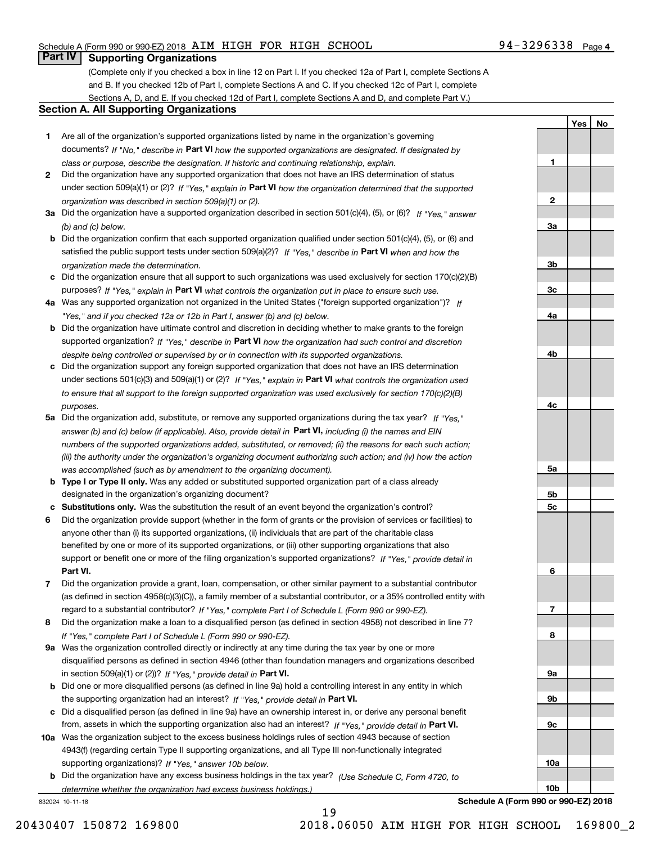# **Part IV** Supporting Organizations

(Complete only if you checked a box in line 12 on Part I. If you checked 12a of Part I, complete Sections A and B. If you checked 12b of Part I, complete Sections A and C. If you checked 12c of Part I, complete Sections A, D, and E. If you checked 12d of Part I, complete Sections A and D, and complete Part V.) Sections A, D, and E. If you checked 12d of Part I, complete Sections A and D, and complete Part V.)

#### **Section A. All Supporting Organizations** Section A. All Supporting Organizations

- **1**Are all of the organization's supported organizations listed by name in the organization's governing Are all of the organization's supported organizations listed by name in the organization's governing documents? If "No," describe in Part **VI** how the supported organizations are designated. If designated by *class or purpose, describe the designation. If historic and continuing relationship, explain.* class or purpose, describe the designation. If historic and continuing relationship, explain.
- **2**Did the organization have any supported organization that does not have an IRS determination of status Did the organization have any supported organization that does not have an IRS determination of status under section 509(a)(1) or (2)? If "Yes," explain in P**art VI** how the organization determined that the supported *organization was described in section 509(a)(1) or (2).* organization was described in section 509(a)( 1) or (2).
- 3a Did the organization have a supported organization described in section 501(c)(4), (5), or (6)? If "Yes," answer *(b) and (c) below.* (b) and (0) below.
- **b** Did the organization confirm that each supported organization qualified under section 501(c)(4), (5), or (6) and satisfied the public support tests under section 509(a)(2)? If "Yes," describe in Part VI when and how the *organization made the determination.* organization made the determination.
- $\bm{c}$  Did the organization ensure that all support to such organizations was used exclusively for section 170(c)(2)(B) purposes? If "Yes," explain in Part VI what controls the organization put in place to ensure such use.
- 4a Was any supported organization not organized in the United States ("foreign supported organization")?  $_H$ *"Yes," and if you checked 12a or 12b in Part I, answer (b) and (c) below.* " Yes, " and if you checked 12a or 12b in Pan' I, answer (b) and (0) below.
- **b** Did the organization have ultimate control and discretion in deciding whether to make grants to the foreign supported organization? If "Yes," describe in Part VI how the organization had such control and discretion *despite being controlled or supervised by or in connection with its supported organizations.* despite being controlled or supervised by or in connection with its supported organizations.
- **c**Did the organization support any foreign supported organization that does not have an IRS determination Did the organization support any foreign supported organization that does not have an IRS determination under sections 501(c)(3) and 509(a)(1) or (2)? If "Yes," explain in Part VI what controls the organization used to ensure that all support to the foreign supported organization was used exclusively for section 170(c)(2)(B) *purposes.* purposes.
- **5a** Did the organization add, substitute, or remove any supported organizations during the tax year? If "Yes," answer (b) and (c) below (if applicable). Also, provide detail in P**art VI**, including (i) the names and EIN numbers of the supported organizations added, substituted, or removed; (ii) the reasons for each such action; (iii) the authority under the organization's organizing document authorizing such action; and (iv) how the action *was accomplished (such as by amendment to the organizing document).* was accomplished (such as by amendment to the organizing document).
- **b** Type I or Type II only. Was any added or substituted supported organization part of a class already designated in the organization's organizing document? designated in the organization's organizing document?
- **cSubstitutions only.**  Was the substitution the result of an event beyond the organization's control? Substitutions only. Was the substitution the result of an event beyond the organization's control?
- 6 Did the organization provide support (whether in the form of grants or the provision of services or facilities) to **Part VI.** Part VI. support or benefit one or more of the filing organization's supported organizations? If "Yes," provide detail in anyone other than (i) its supported organizations, (ii) individuals that are part of the charitable class benefited by one or more of its supported organizations, or (iii) other supporting organizations that also benefited by one or more of its supported organizations, or (iii) other supporting organizations that also
- 7 Did the organization provide a grant, loan, compensation, or other similar payment to a substantial contributor regard to a substantial contributor? If "Yes," complete Part I of Schedule L (Form 990 or 990-EZ). (as defined in section 4958(c)(3)(C)), a family member of a substantial contributor, or a 35% controlled entity with
- 8 Did the organization make a loan to a disqualified person (as defined in section 4958) not described in line 7? *If "Yes," complete Part I of Schedule L (Form 990 or 990-EZ).* If "Yes, " complete Part I of Schedule L (Form 990 or 990-EZ).
- **9a**Was the organization controlled directly or indirectly at any time during the tax year by one or more 9a Was the organization controlled directly or indirectly at any time during the tax year by one or more in section 509(a)(1) or (2))? *If "Yes," provide detail in* **Part VI.** disqualified persons as defined in section 4946 (other than foundation managers and organizations described disqualified persons as defined in section 4946 (other than foundation managers and organizations described
- **b** Did one or more disqualified persons (as defined in line 9a) hold a controlling interest in any entity in which the supporting organization had an interest? If "Yes," provide detail in Part VI.
- c Did a disqualified person (as defined in line 9a) have an ownership interest in, or derive any personal benefit from, assets in which the supporting organization also had an interest? If "Yes," provide detail in P**art VI.**
- 10a Was the organization subject to the excess business holdings rules of section 4943 because of section  *If "Yes," answer 10b below.* supporting organizations)? supporting organizations)? If "Yes, " answer 10b below. 4943(f) (regarding certain Type II supporting organizations, and all Type III non-functionally integrated
- **b***(Use Schedule C, Form 4720, to* Did the organization have any excess business holdings in the tax year? Did the organization have any excess business holdings in the tax year? (Use Schedule C, Form 4720, to *determine whether the organization had excess business holdings.)* determine whether the organization had excess business holdings.)

832024 10-11-18 832024 10711718



**Schedule A (Form 990 or 990-EZ) 2018** Schedule A (Form 990 or 990-EZ) 2018

**10b**10b

<u>Yes|No</u> **No**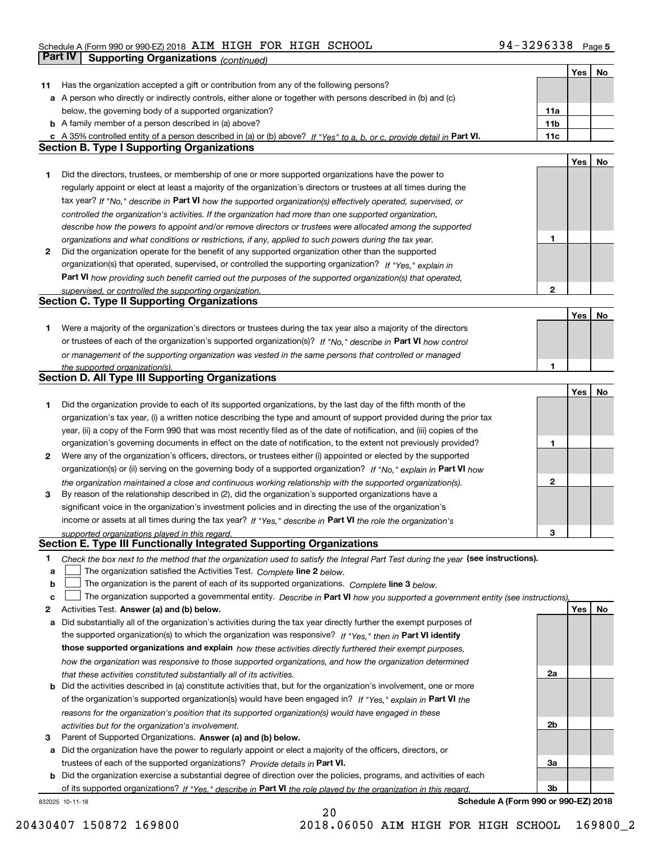|    | <b>Part IV</b><br><b>Supporting Organizations (continued)</b>                                                                                                                                                                     |                 |            |    |
|----|-----------------------------------------------------------------------------------------------------------------------------------------------------------------------------------------------------------------------------------|-----------------|------------|----|
|    |                                                                                                                                                                                                                                   |                 | Yes        | No |
| 11 | Has the organization accepted a gift or contribution from any of the following persons?                                                                                                                                           |                 |            |    |
|    | a A person who directly or indirectly controls, either alone or together with persons described in (b) and (c)                                                                                                                    |                 |            |    |
|    | below, the governing body of a supported organization?                                                                                                                                                                            | 11a             |            |    |
|    | <b>b</b> A family member of a person described in (a) above?                                                                                                                                                                      | 11 <sub>b</sub> |            |    |
|    | c A 35% controlled entity of a person described in (a) or (b) above? If "Yes" to a, b, or c, provide detail in Part VI.                                                                                                           | 11c             |            |    |
|    | <b>Section B. Type I Supporting Organizations</b>                                                                                                                                                                                 |                 |            |    |
|    |                                                                                                                                                                                                                                   |                 | <b>Yes</b> | No |
| 1  | Did the directors, trustees, or membership of one or more supported organizations have the power to                                                                                                                               |                 |            |    |
|    | regularly appoint or elect at least a majority of the organization's directors or trustees at all times during the                                                                                                                |                 |            |    |
|    | tax year? If "No," describe in Part VI how the supported organization(s) effectively operated, supervised, or                                                                                                                     |                 |            |    |
|    | controlled the organization's activities. If the organization had more than one supported organization,                                                                                                                           |                 |            |    |
|    | describe how the powers to appoint and/or remove directors or trustees were allocated among the supported                                                                                                                         |                 |            |    |
|    | organizations and what conditions or restrictions, if any, applied to such powers during the tax year.                                                                                                                            | 1               |            |    |
| 2  | Did the organization operate for the benefit of any supported organization other than the supported                                                                                                                               |                 |            |    |
|    | organization(s) that operated, supervised, or controlled the supporting organization? If "Yes," explain in                                                                                                                        |                 |            |    |
|    | Part VI how providing such benefit carried out the purposes of the supported organization(s) that operated,                                                                                                                       |                 |            |    |
|    | supervised, or controlled the supporting organization.                                                                                                                                                                            | $\mathbf{2}$    |            |    |
|    | <b>Section C. Type II Supporting Organizations</b>                                                                                                                                                                                |                 |            |    |
|    |                                                                                                                                                                                                                                   |                 | Yes        | No |
| 1  | Were a majority of the organization's directors or trustees during the tax year also a majority of the directors<br>or trustees of each of the organization's supported organization(s)? If "No," describe in Part VI how control |                 |            |    |
|    |                                                                                                                                                                                                                                   |                 |            |    |
|    | or management of the supporting organization was vested in the same persons that controlled or managed<br>the supported organization(s).                                                                                          | 1               |            |    |
|    | <b>Section D. All Type III Supporting Organizations</b>                                                                                                                                                                           |                 |            |    |
|    |                                                                                                                                                                                                                                   |                 | Yes        | No |
| 1  | Did the organization provide to each of its supported organizations, by the last day of the fifth month of the                                                                                                                    |                 |            |    |
|    | organization's tax year, (i) a written notice describing the type and amount of support provided during the prior tax                                                                                                             |                 |            |    |
|    | year, (ii) a copy of the Form 990 that was most recently filed as of the date of notification, and (iii) copies of the                                                                                                            |                 |            |    |
|    | organization's governing documents in effect on the date of notification, to the extent not previously provided?                                                                                                                  | 1               |            |    |
| 2  | Were any of the organization's officers, directors, or trustees either (i) appointed or elected by the supported                                                                                                                  |                 |            |    |
|    | organization(s) or (ii) serving on the governing body of a supported organization? If "No," explain in Part VI how                                                                                                                |                 |            |    |
|    | the organization maintained a close and continuous working relationship with the supported organization(s).                                                                                                                       | $\mathbf{2}$    |            |    |
| 3  | By reason of the relationship described in (2), did the organization's supported organizations have a                                                                                                                             |                 |            |    |
|    | significant voice in the organization's investment policies and in directing the use of the organization's                                                                                                                        |                 |            |    |
|    | income or assets at all times during the tax year? If "Yes," describe in Part VI the role the organization's                                                                                                                      |                 |            |    |
|    | supported organizations played in this regard.                                                                                                                                                                                    | з               |            |    |
|    | Section E. Type III Functionally Integrated Supporting Organizations                                                                                                                                                              |                 |            |    |
| 1  | Check the box next to the method that the organization used to satisfy the Integral Part Test during the year (see instructions).                                                                                                 |                 |            |    |
| а  | The organization satisfied the Activities Test. Complete line 2 below.                                                                                                                                                            |                 |            |    |
| b  | The organization is the parent of each of its supported organizations. Complete line 3 below.                                                                                                                                     |                 |            |    |
| с  | The organization supported a governmental entity. Describe in Part VI how you supported a government entity (see instructions),                                                                                                   |                 |            |    |
| 2  | Activities Test. Answer (a) and (b) below.                                                                                                                                                                                        |                 | Yes        | No |
| а  | Did substantially all of the organization's activities during the tax year directly further the exempt purposes of                                                                                                                |                 |            |    |
|    | the supported organization(s) to which the organization was responsive? If "Yes," then in Part VI identify                                                                                                                        |                 |            |    |
|    | those supported organizations and explain how these activities directly furthered their exempt purposes,                                                                                                                          |                 |            |    |
|    | how the organization was responsive to those supported organizations, and how the organization determined                                                                                                                         | 2a              |            |    |
|    | that these activities constituted substantially all of its activities.<br><b>b</b> Did the activities described in (a) constitute activities that, but for the organization's involvement, one or more                            |                 |            |    |
|    | of the organization's supported organization(s) would have been engaged in? If "Yes," explain in Part VI the                                                                                                                      |                 |            |    |
|    | reasons for the organization's position that its supported organization(s) would have engaged in these                                                                                                                            |                 |            |    |
|    | activities but for the organization's involvement.                                                                                                                                                                                | 2b              |            |    |
| з  | Parent of Supported Organizations. Answer (a) and (b) below.                                                                                                                                                                      |                 |            |    |
| а  | Did the organization have the power to regularly appoint or elect a majority of the officers, directors, or                                                                                                                       |                 |            |    |
|    | trustees of each of the supported organizations? Provide details in Part VI.                                                                                                                                                      | За              |            |    |
|    | <b>b</b> Did the organization exercise a substantial degree of direction over the policies, programs, and activities of each                                                                                                      |                 |            |    |
|    | of its supported organizations? If "Yes." describe in Part VI the role played by the organization in this regard.                                                                                                                 | 3b              |            |    |

20 0

832025 10-11-18

**Schedule A (Form 990 or 990-EZ) 2018**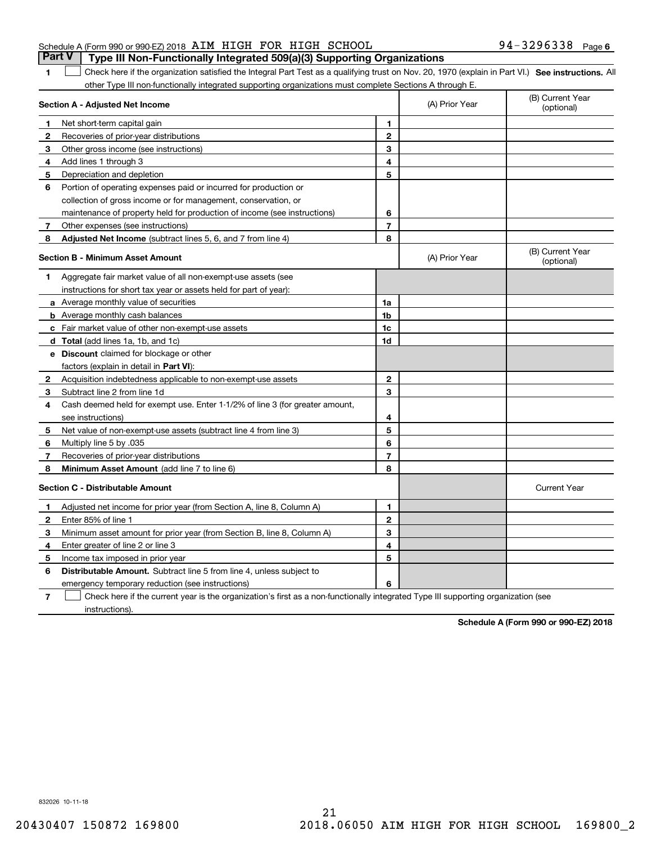# Schedule A (Form 990 or 990-EZ) 2018 AIM HIGH FOR HIGH SCHOOL 94-3296338 Page **Part V** Type III Non-Functionally Integrated 509(a)(3) Supporting Organizations

1 Check here if the organization satisfied the Integral Part Test as a qualifying trust on Nov. 20, 1970 (explain in Part VI.) See instructions. All other Type III non-functionally integrated supporting organizations must complete Sections A through E. other Type III non-functionally integrated supporting organizations must complete Sections A through E.

|                | Section A - Adjusted Net Income                                                                                                   |                | (A) Prior Year | (B) Current Year<br>(optional) |
|----------------|-----------------------------------------------------------------------------------------------------------------------------------|----------------|----------------|--------------------------------|
| 1              | Net short-term capital gain                                                                                                       | 1              |                |                                |
| $\mathbf{2}$   | Recoveries of prior-year distributions                                                                                            | $\mathbf{2}$   |                |                                |
| 3              | Other gross income (see instructions)                                                                                             | 3              |                |                                |
| 4              | Add lines 1 through 3                                                                                                             | 4              |                |                                |
| 5              | Depreciation and depletion                                                                                                        | 5              |                |                                |
| 6              | Portion of operating expenses paid or incurred for production or                                                                  |                |                |                                |
|                | collection of gross income or for management, conservation, or                                                                    |                |                |                                |
|                | maintenance of property held for production of income (see instructions)                                                          | 6              |                |                                |
| 7              | Other expenses (see instructions)                                                                                                 | $\overline{7}$ |                |                                |
| 8              | Adjusted Net Income (subtract lines 5, 6, and 7 from line 4)                                                                      | 8              |                |                                |
|                | <b>Section B - Minimum Asset Amount</b>                                                                                           |                | (A) Prior Year | (B) Current Year<br>(optional) |
| 1.             | Aggregate fair market value of all non-exempt-use assets (see                                                                     |                |                |                                |
|                | instructions for short tax year or assets held for part of year):                                                                 |                |                |                                |
|                | a Average monthly value of securities                                                                                             | 1a             |                |                                |
|                | <b>b</b> Average monthly cash balances                                                                                            | 1b             |                |                                |
|                | c Fair market value of other non-exempt-use assets                                                                                | 1c             |                |                                |
|                | <b>d</b> Total (add lines 1a, 1b, and 1c)                                                                                         | 1d             |                |                                |
|                | e Discount claimed for blockage or other                                                                                          |                |                |                                |
|                | factors (explain in detail in Part VI):                                                                                           |                |                |                                |
| 2              | Acquisition indebtedness applicable to non-exempt-use assets                                                                      | $\mathbf{2}$   |                |                                |
| 3              | Subtract line 2 from line 1d                                                                                                      | 3              |                |                                |
| 4              | Cash deemed held for exempt use. Enter 1-1/2% of line 3 (for greater amount,                                                      |                |                |                                |
|                | see instructions)                                                                                                                 | 4              |                |                                |
| 5              | Net value of non-exempt-use assets (subtract line 4 from line 3)                                                                  | 5              |                |                                |
| 6              | Multiply line 5 by .035                                                                                                           | 6              |                |                                |
| 7              | Recoveries of prior-year distributions                                                                                            | 7              |                |                                |
| 8              | <b>Minimum Asset Amount</b> (add line 7 to line 6)                                                                                | 8              |                |                                |
|                | <b>Section C - Distributable Amount</b>                                                                                           |                |                | <b>Current Year</b>            |
| $\mathbf{1}$   | Adjusted net income for prior year (from Section A, line 8, Column A)                                                             | 1              |                |                                |
| $\mathbf{2}$   | Enter 85% of line 1                                                                                                               | $\mathbf{2}$   |                |                                |
| 3              | Minimum asset amount for prior year (from Section B, line 8, Column A)                                                            | 3              |                |                                |
| 4              | Enter greater of line 2 or line 3                                                                                                 | 4              |                |                                |
| 5              | Income tax imposed in prior year                                                                                                  | 5              |                |                                |
| 6              | Distributable Amount. Subtract line 5 from line 4, unless subject to                                                              |                |                |                                |
|                | emergency temporary reduction (see instructions)                                                                                  | 6              |                |                                |
| $\overline{7}$ | Check here if the current year is the organization's first as a non-functionally integrated Type III supporting organization (see |                |                |                                |

<u>instructions).</u>

**1**

**Schedule A (Form 990 or 990-EZ) 2018** Schedule A (Form 990 or 990-EZ) 2018

832026 10-11-18 832025 10711718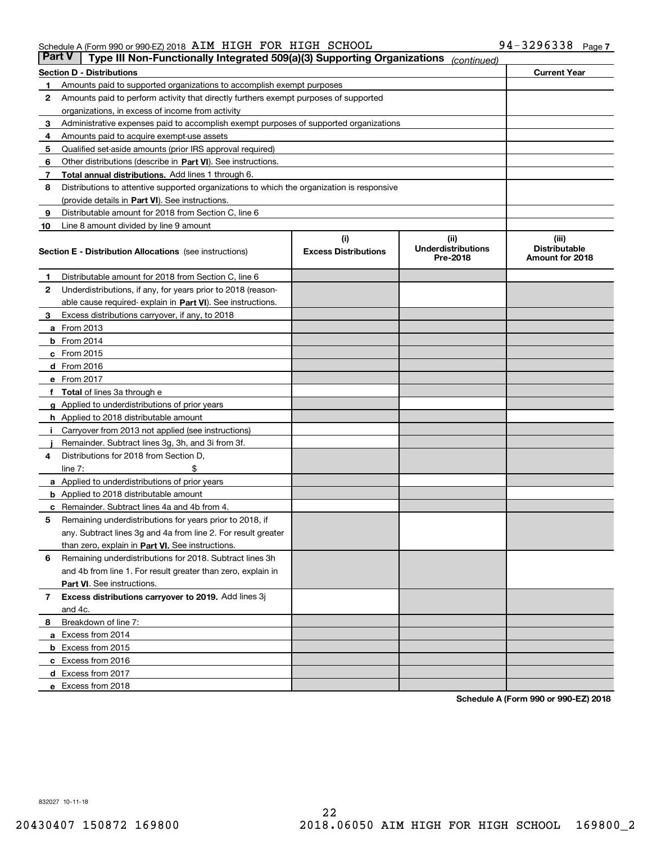| Type III Non-Functionally Integrated 509(a)(3) Supporting Organizations<br><b>Part V</b><br>(continued) |                                                                                            |                                    |                                               |                                                  |  |  |
|---------------------------------------------------------------------------------------------------------|--------------------------------------------------------------------------------------------|------------------------------------|-----------------------------------------------|--------------------------------------------------|--|--|
|                                                                                                         | <b>Current Year</b><br><b>Section D - Distributions</b>                                    |                                    |                                               |                                                  |  |  |
| 1                                                                                                       | Amounts paid to supported organizations to accomplish exempt purposes                      |                                    |                                               |                                                  |  |  |
| 2                                                                                                       | Amounts paid to perform activity that directly furthers exempt purposes of supported       |                                    |                                               |                                                  |  |  |
|                                                                                                         | organizations, in excess of income from activity                                           |                                    |                                               |                                                  |  |  |
| 3                                                                                                       | Administrative expenses paid to accomplish exempt purposes of supported organizations      |                                    |                                               |                                                  |  |  |
| 4                                                                                                       | Amounts paid to acquire exempt use assets                                                  |                                    |                                               |                                                  |  |  |
| 5                                                                                                       | Qualified set-aside amounts (prior IRS approval required)                                  |                                    |                                               |                                                  |  |  |
| 6                                                                                                       | Other distributions (describe in Part VI). See instructions.                               |                                    |                                               |                                                  |  |  |
| 7                                                                                                       | Total annual distributions. Add lines 1 through 6.                                         |                                    |                                               |                                                  |  |  |
| 8                                                                                                       | Distributions to attentive supported organizations to which the organization is responsive |                                    |                                               |                                                  |  |  |
|                                                                                                         | (provide details in Part VI). See instructions.                                            |                                    |                                               |                                                  |  |  |
| 9                                                                                                       | Distributable amount for 2018 from Section C, line 6                                       |                                    |                                               |                                                  |  |  |
| 10                                                                                                      | Line 8 amount divided by line 9 amount                                                     |                                    |                                               |                                                  |  |  |
|                                                                                                         | <b>Section E - Distribution Allocations</b> (see instructions)                             | (i)<br><b>Excess Distributions</b> | (ii)<br><b>Underdistributions</b><br>Pre-2018 | (iii)<br><b>Distributable</b><br>Amount for 2018 |  |  |
| 1                                                                                                       | Distributable amount for 2018 from Section C, line 6                                       |                                    |                                               |                                                  |  |  |
| 2                                                                                                       | Underdistributions, if any, for years prior to 2018 (reason-                               |                                    |                                               |                                                  |  |  |
|                                                                                                         | able cause required-explain in Part VI). See instructions.                                 |                                    |                                               |                                                  |  |  |
| 3                                                                                                       | Excess distributions carryover, if any, to 2018                                            |                                    |                                               |                                                  |  |  |
|                                                                                                         | <b>a</b> From 2013                                                                         |                                    |                                               |                                                  |  |  |
|                                                                                                         | <b>b</b> From $2014$                                                                       |                                    |                                               |                                                  |  |  |
|                                                                                                         | $c$ From 2015                                                                              |                                    |                                               |                                                  |  |  |
|                                                                                                         | $d$ From 2016                                                                              |                                    |                                               |                                                  |  |  |
|                                                                                                         | e From 2017                                                                                |                                    |                                               |                                                  |  |  |
|                                                                                                         | f Total of lines 3a through e                                                              |                                    |                                               |                                                  |  |  |
|                                                                                                         | g Applied to underdistributions of prior years                                             |                                    |                                               |                                                  |  |  |
|                                                                                                         | <b>h</b> Applied to 2018 distributable amount                                              |                                    |                                               |                                                  |  |  |
| j.                                                                                                      | Carryover from 2013 not applied (see instructions)                                         |                                    |                                               |                                                  |  |  |
|                                                                                                         | Remainder. Subtract lines 3g, 3h, and 3i from 3f.                                          |                                    |                                               |                                                  |  |  |
| 4                                                                                                       | Distributions for 2018 from Section D,                                                     |                                    |                                               |                                                  |  |  |
|                                                                                                         | line $7:$<br>\$                                                                            |                                    |                                               |                                                  |  |  |
|                                                                                                         | <b>a</b> Applied to underdistributions of prior years                                      |                                    |                                               |                                                  |  |  |
|                                                                                                         | <b>b</b> Applied to 2018 distributable amount                                              |                                    |                                               |                                                  |  |  |
|                                                                                                         | <b>c</b> Remainder. Subtract lines 4a and 4b from 4.                                       |                                    |                                               |                                                  |  |  |
| 5                                                                                                       | Remaining underdistributions for years prior to 2018, if                                   |                                    |                                               |                                                  |  |  |
|                                                                                                         | any. Subtract lines 3g and 4a from line 2. For result greater                              |                                    |                                               |                                                  |  |  |
|                                                                                                         | than zero, explain in <b>Part VI.</b> See instructions.                                    |                                    |                                               |                                                  |  |  |
| 6                                                                                                       | Remaining underdistributions for 2018. Subtract lines 3h                                   |                                    |                                               |                                                  |  |  |
|                                                                                                         | and 4b from line 1. For result greater than zero, explain in                               |                                    |                                               |                                                  |  |  |
| 7                                                                                                       | <b>Part VI.</b> See instructions.<br>Excess distributions carryover to 2019. Add lines 3j  |                                    |                                               |                                                  |  |  |
|                                                                                                         | and 4c.                                                                                    |                                    |                                               |                                                  |  |  |
| 8                                                                                                       | Breakdown of line 7:                                                                       |                                    |                                               |                                                  |  |  |
|                                                                                                         | a Excess from 2014                                                                         |                                    |                                               |                                                  |  |  |
|                                                                                                         | <b>b</b> Excess from 2015                                                                  |                                    |                                               |                                                  |  |  |
|                                                                                                         | c Excess from 2016                                                                         |                                    |                                               |                                                  |  |  |
|                                                                                                         | d Excess from 2017                                                                         |                                    |                                               |                                                  |  |  |
|                                                                                                         | e Excess from 2018                                                                         |                                    |                                               |                                                  |  |  |
|                                                                                                         |                                                                                            |                                    |                                               |                                                  |  |  |

**Schedule A (Form 990 or 990-EZ) 2018** Schedule A (Form 990 or 990-EZ) 201B

832027 10-11-18 832027 10711718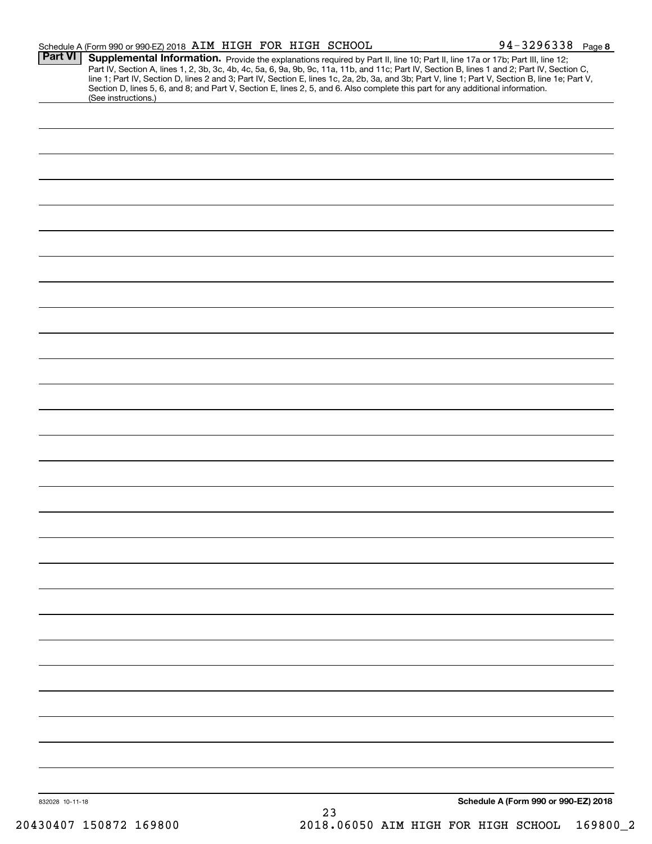|                 | Schedule A (Form 990 or 990-EZ) 2018 AIM HIGH FOR HIGH SCHOOL |  |    | 94-3296338 Page 8                                                                                                                                                                                                                                                                                                                                                                                                                                                                                                                                                    |
|-----------------|---------------------------------------------------------------|--|----|----------------------------------------------------------------------------------------------------------------------------------------------------------------------------------------------------------------------------------------------------------------------------------------------------------------------------------------------------------------------------------------------------------------------------------------------------------------------------------------------------------------------------------------------------------------------|
| <b>Part VI</b>  |                                                               |  |    | Supplemental Information. Provide the explanations required by Part II, line 10; Part II, line 17a or 17b; Part III, line 12;<br>Part IV, Section A, lines 1, 2, 3b, 3c, 4b, 4c, 5a, 6, 9a, 9b, 9c, 11a, 11b, and 11c; Part IV, Section B, lines 1 and 2; Part IV, Section C,<br>line 1; Part IV, Section D, lines 2 and 3; Part IV, Section E, lines 1c, 2a, 2b, 3a, and 3b; Part V, line 1; Part V, Section B, line 1e; Part V,<br>Section D, lines 5, 6, and 8; and Part V, Section E, lines 2, 5, and 6. Also complete this part for any additional information. |
|                 | (See instructions.)                                           |  |    |                                                                                                                                                                                                                                                                                                                                                                                                                                                                                                                                                                      |
|                 |                                                               |  |    |                                                                                                                                                                                                                                                                                                                                                                                                                                                                                                                                                                      |
|                 |                                                               |  |    |                                                                                                                                                                                                                                                                                                                                                                                                                                                                                                                                                                      |
|                 |                                                               |  |    |                                                                                                                                                                                                                                                                                                                                                                                                                                                                                                                                                                      |
|                 |                                                               |  |    |                                                                                                                                                                                                                                                                                                                                                                                                                                                                                                                                                                      |
|                 |                                                               |  |    |                                                                                                                                                                                                                                                                                                                                                                                                                                                                                                                                                                      |
|                 |                                                               |  |    |                                                                                                                                                                                                                                                                                                                                                                                                                                                                                                                                                                      |
|                 |                                                               |  |    |                                                                                                                                                                                                                                                                                                                                                                                                                                                                                                                                                                      |
|                 |                                                               |  |    |                                                                                                                                                                                                                                                                                                                                                                                                                                                                                                                                                                      |
|                 |                                                               |  |    |                                                                                                                                                                                                                                                                                                                                                                                                                                                                                                                                                                      |
|                 |                                                               |  |    |                                                                                                                                                                                                                                                                                                                                                                                                                                                                                                                                                                      |
|                 |                                                               |  |    |                                                                                                                                                                                                                                                                                                                                                                                                                                                                                                                                                                      |
|                 |                                                               |  |    |                                                                                                                                                                                                                                                                                                                                                                                                                                                                                                                                                                      |
|                 |                                                               |  |    |                                                                                                                                                                                                                                                                                                                                                                                                                                                                                                                                                                      |
|                 |                                                               |  |    |                                                                                                                                                                                                                                                                                                                                                                                                                                                                                                                                                                      |
|                 |                                                               |  |    |                                                                                                                                                                                                                                                                                                                                                                                                                                                                                                                                                                      |
|                 |                                                               |  |    |                                                                                                                                                                                                                                                                                                                                                                                                                                                                                                                                                                      |
|                 |                                                               |  |    |                                                                                                                                                                                                                                                                                                                                                                                                                                                                                                                                                                      |
|                 |                                                               |  |    |                                                                                                                                                                                                                                                                                                                                                                                                                                                                                                                                                                      |
|                 |                                                               |  |    |                                                                                                                                                                                                                                                                                                                                                                                                                                                                                                                                                                      |
|                 |                                                               |  |    |                                                                                                                                                                                                                                                                                                                                                                                                                                                                                                                                                                      |
|                 |                                                               |  |    |                                                                                                                                                                                                                                                                                                                                                                                                                                                                                                                                                                      |
|                 |                                                               |  |    |                                                                                                                                                                                                                                                                                                                                                                                                                                                                                                                                                                      |
|                 |                                                               |  |    |                                                                                                                                                                                                                                                                                                                                                                                                                                                                                                                                                                      |
|                 |                                                               |  |    |                                                                                                                                                                                                                                                                                                                                                                                                                                                                                                                                                                      |
|                 |                                                               |  |    |                                                                                                                                                                                                                                                                                                                                                                                                                                                                                                                                                                      |
| 832028 10-11-18 |                                                               |  | 23 | Schedule A (Form 990 or 990-EZ) 2018                                                                                                                                                                                                                                                                                                                                                                                                                                                                                                                                 |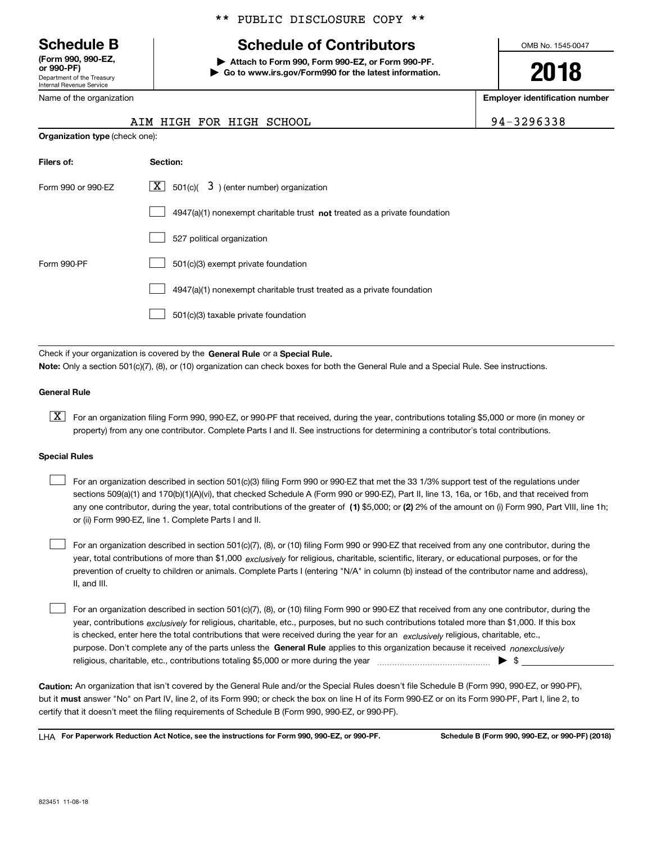# Schedule B

Department of the Treasury Internal Revenue Service **(Form 990, 990-EZ,** (Form 990: 990-EZ, **or 990-PF)** or 990-PF)<br>Department of the Treasury **D** Go to www.irs.gov/Form990 for the latest information.<br>Internal Bevenue Service

**Organization type** (check one): Organization type (check one):

Name of the organization

# \*\* PUBLIC DISCLOSURE COPY \*\* \*\* PUBLIC DISCLOSURE COPY \*\*

# **Schedule B Schedule of Contributors** Schedule of Contributors  $\begin{array}{r} \star\star\quad \text{PUBLIC DISCLOSURE } \text{COPY} \star\star \ \text{c} \ \text{hedule B}\ \text{or}\quad \text{990, 990-EZ,} \ \text{or}\quad \text{990, 990-EZ,} \ \text{PQOP-F} \ \text{partment of the Treasury} \end{array}$

Attach to Form 990, Form 990-EZ, or Form 990-PF.

OMB No. 1545-0047

**2018**

Name of the organization **and the organization in the original energy of the original energy of the original energy of the original energy of**  $\blacksquare$ 

| 4-3296338 |  |
|-----------|--|
|-----------|--|

| AIM HIGH FOR HIGH SCHOOL | 94-3296338 |
|--------------------------|------------|
|--------------------------|------------|

| Filers of:         | Section:                                                                    |
|--------------------|-----------------------------------------------------------------------------|
| Form 990 or 990-EZ | $\boxed{\text{X}}$ 501(c)( 3) (enter number) organization                   |
|                    | $4947(a)(1)$ nonexempt charitable trust not treated as a private foundation |
|                    | 527 political organization                                                  |
| Form 990-PF        | 501(c)(3) exempt private foundation                                         |
|                    | 4947(a)(1) nonexempt charitable trust treated as a private foundation       |
|                    | 501(c)(3) taxable private foundation                                        |

Check if your organization is covered by the General Rule or a Special Rule. Note: Only a section 501(c)(7), (8), or (10) organization can check boxes for both the General Rule and a Special Rule. See instructions.

#### **General Rule** General Rule

 $\boxed{\text{X}}$  For an organization filing Form 990, 990-EZ, or 990-PF that received, during the year, contributions totaling \$5,000 or more (in money or property) from any one contributor. Complete Parts I and II. See instructions for determining a contributor's total contributions.

#### **Special Rules** Special Rules

any one contributor, during the year, total contributions of the greater of  $\,$  (1) \$5,000; or (2) 2% of the amount on (i) Form 990, Part VIII, line 1h; For an organization described in section 501(c)(3) filing Form 990 or 990-EZ that met the 33 1/3% support test of the regulations under sections 509(a)(1) and 170(b)(1)(A)(vi), that checked Schedule A (Form 990 or 990-EZ), Part II, line 13, 16a, or 16b, and that received from or (ii) Form 990-EZ, line 1. Complete Parts I and II. or (ii) Form 990-EZ, line 1. Complete Parts | and II.  $\mathcal{L}^{\text{max}}$ 

year, total contributions of more than \$1,000 *exclusively* for religious, charitable, scientific, literary, or educational purposes, or for the For an organization described in section 501(c)(7), (8), or (10) filing Form 990 or 990-EZ that received from any one contributor, during the prevention of cruelty to children or animals. Complete Parts I (entering "N/A" in column (b) instead of the contributor name and address), II, and III. II, and III.  $\mathcal{L}^{\text{max}}$ 

purpose. Don't complete any of the parts unless the General Rule applies to this organization because it received *nonexclusively* year, contributions <sub>exclusively</sub> for religious, charitable, etc., purposes, but no such contributions totaled more than \$1,000. If this box is checked, enter here the total contributions that were received during the year for an exclusively religious, charitable, etc., For an organization described in section 501(c)(7), (8), or (10) filing Form 990 or 990-EZ that received from any one contributor, during the religious, charitable, etc., contributions totaling \$5,000 or more during the year ~~~~~~~~~~~~~~~ | \$ religious, charitable, etc., contributions totaling \$5,000 or more during the year ,,,,,,,,,,,,,,,,,,,,,,,,,,,,,,,,,,,,,,,,,,,,, > \$  $\mathcal{L}^{\text{max}}$ 

Caution: An organization that isn't covered by the General Rule and/or the Special Rules doesn't file Schedule B (Form 990, 990-EZ, or 990-PF), but it must answer "No" on Part IV, line 2, of its Form 990; or check the box on line H of its Form 990-EZ or on its Form 990-PF, Part I, line 2, to certify that it doesn't meet the filing requirements of Schedule B (Form 990, 990-EZ, or 990-PF).

LHA For Paperwork Reduction Act Notice, see the instructions for Form 990, 990-EZ, or 990-PF. Schedule B (Form 990, 990-EZ, or 990-PF) (2018)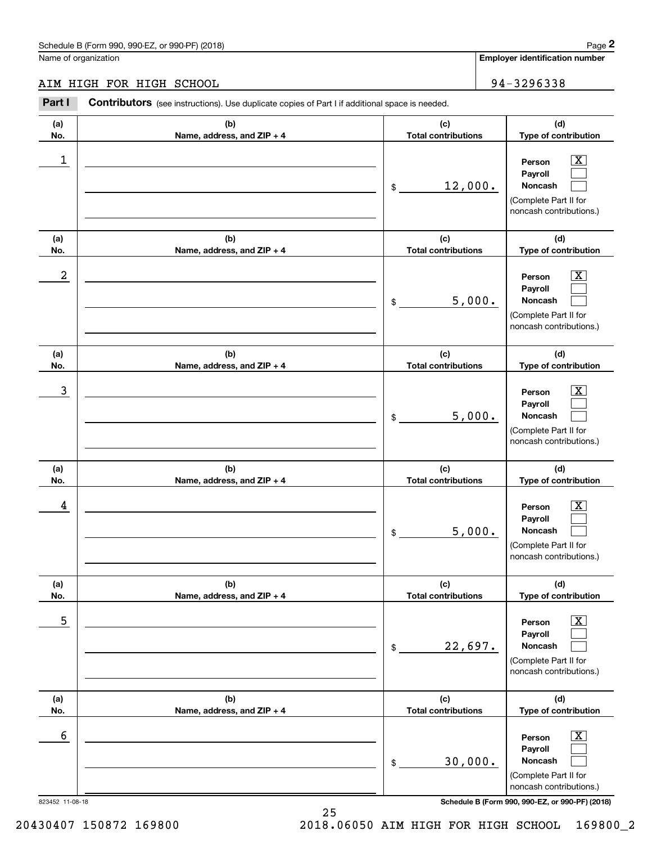|                  | Schedule B (Form 990, 990-EZ, or 990-PF) (2018)                                                       |                                   | Page 2                                                                                                      |
|------------------|-------------------------------------------------------------------------------------------------------|-----------------------------------|-------------------------------------------------------------------------------------------------------------|
|                  | Name of organization                                                                                  |                                   | <b>Employer identification number</b>                                                                       |
|                  | AIM HIGH FOR HIGH SCHOOL                                                                              |                                   | 94-3296338                                                                                                  |
| Part I           | <b>Contributors</b> (see instructions). Use duplicate copies of Part I if additional space is needed. |                                   |                                                                                                             |
| (a)<br>No.       | (b)<br>Name, address, and ZIP + 4                                                                     | (c)<br><b>Total contributions</b> | (d)<br>Type of contribution                                                                                 |
| 1                |                                                                                                       | \$<br>12,000.                     | $\mathbf{X}$<br>Person<br>Payroll<br>Noncash<br>(Complete Part II for<br>noncash contributions.)            |
| (a)<br>No.       | (b)<br>Name, address, and ZIP + 4                                                                     | (c)<br><b>Total contributions</b> | (d)<br>Type of contribution                                                                                 |
| $\boldsymbol{2}$ |                                                                                                       | \$<br>5,000.                      | $\mathbf{X}$<br>Person<br>Payroll<br>Noncash<br>(Complete Part II for<br>noncash contributions.)            |
| (a)<br>No.       | (b)<br>Name, address, and ZIP + 4                                                                     | (c)<br><b>Total contributions</b> | (d)<br>Type of contribution                                                                                 |
| 3                |                                                                                                       | \$<br>5,000.                      | $\overline{\mathbf{X}}$<br>Person<br>Payroll<br>Noncash<br>(Complete Part II for<br>noncash contributions.) |
| (a)<br>No.       | (b)<br>Name, address, and ZIP + 4                                                                     | (c)<br><b>Total contributions</b> | (d)<br>Type of contribution                                                                                 |
| 4                |                                                                                                       | \$<br>5,000.                      | $\mathbf{X}$<br>Person<br>Payroll<br>Noncash<br>(Complete Part II for<br>noncash contributions.)            |
| (a)<br>No.       | (b)<br>Name, address, and ZIP + 4                                                                     | (c)<br><b>Total contributions</b> | (d)<br>Type of contribution                                                                                 |
| 5                |                                                                                                       | \$<br>22,697.                     | $\boxed{\text{X}}$<br>Person<br>Payroll<br>Noncash<br>(Complete Part II for<br>noncash contributions.)      |
| (a)<br>No.       | (b)<br>Name, address, and ZIP + 4                                                                     | (c)<br><b>Total contributions</b> | (d)<br>Type of contribution                                                                                 |
| 6                |                                                                                                       | \$<br>30,000.                     | $\boxed{\text{X}}$<br>Person<br>Payroll<br>Noncash<br>(Complete Part II for<br>noncash contributions.)      |
| 823452 11-08-18  |                                                                                                       |                                   | Schedule B (Form 990, 990-EZ, or 990-PF) (2018)                                                             |

20430407 150872 169800 2018.06050 AIM HIGH FOR HIGH SCHOOL 169800\_2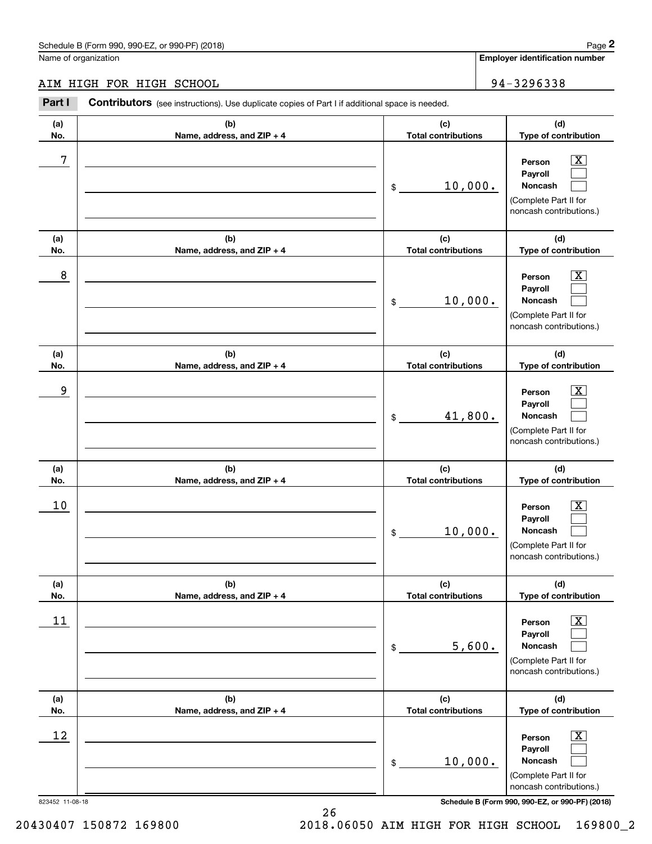# AIM HIGH FOR HIGH SCHOOL 94-3296338

|                 | Schedule B (Form 990, 990-EZ, or 990-PF) (2018)                                                       |                                   |        | Page 2                                                                                                      |
|-----------------|-------------------------------------------------------------------------------------------------------|-----------------------------------|--------|-------------------------------------------------------------------------------------------------------------|
|                 | Name of organization                                                                                  |                                   |        | <b>Employer identification number</b>                                                                       |
|                 | AIM HIGH FOR HIGH SCHOOL                                                                              |                                   |        | 94-3296338                                                                                                  |
| Part I          | <b>Contributors</b> (see instructions). Use duplicate copies of Part I if additional space is needed. |                                   |        |                                                                                                             |
| (a)<br>No.      | (b)<br>Name, address, and ZIP + 4                                                                     | (c)<br><b>Total contributions</b> |        | (d)<br>Type of contribution                                                                                 |
| 7               |                                                                                                       | 10,000.<br>\$                     |        | $\overline{\mathbf{X}}$<br>Person<br>Payroll<br>Noncash<br>(Complete Part II for<br>noncash contributions.) |
| (a)<br>No.      | (b)<br>Name, address, and ZIP + 4                                                                     | (c)<br><b>Total contributions</b> |        | (d)<br>Type of contribution                                                                                 |
| 8               |                                                                                                       | 10,000.<br>\$                     |        | $\overline{\mathbf{X}}$<br>Person<br>Payroll<br>Noncash<br>(Complete Part II for<br>noncash contributions.) |
| (a)<br>No.      | (b)<br>Name, address, and ZIP + 4                                                                     | (c)<br><b>Total contributions</b> |        | (d)<br>Type of contribution                                                                                 |
| 9               |                                                                                                       | 41,800.<br>\$                     |        | $\overline{\mathbf{X}}$<br>Person<br>Payroll<br>Noncash<br>(Complete Part II for<br>noncash contributions.) |
| (a)<br>No.      | (b)<br>Name, address, and ZIP + 4                                                                     | (c)<br><b>Total contributions</b> |        | (d)<br>Type of contribution                                                                                 |
| 10              |                                                                                                       | 10,000.<br>\$                     |        | $\mathbf{X}$<br>Person<br>Payroll<br>Noncash<br>(Complete Part II for<br>noncash contributions.)            |
| (a)<br>No.      | (b)<br>Name, address, and ZIP + 4                                                                     | (c)<br><b>Total contributions</b> |        | (d)<br>Type of contribution                                                                                 |
| 11              |                                                                                                       | \$                                | 5,600. | $\overline{\mathbf{X}}$<br>Person<br>Payroll<br>Noncash<br>(Complete Part II for<br>noncash contributions.) |
| (a)<br>No.      | (b)<br>Name, address, and ZIP + 4                                                                     | (c)<br><b>Total contributions</b> |        | (d)<br>Type of contribution                                                                                 |
| 12              |                                                                                                       | 10,000.<br>\$                     |        | $\overline{\mathbf{X}}$<br>Person<br>Payroll<br>Noncash<br>(Complete Part II for<br>noncash contributions.) |
| 823452 11-08-18 |                                                                                                       |                                   |        | Schedule B (Form 990, 990-EZ, or 990-PF) (2018)                                                             |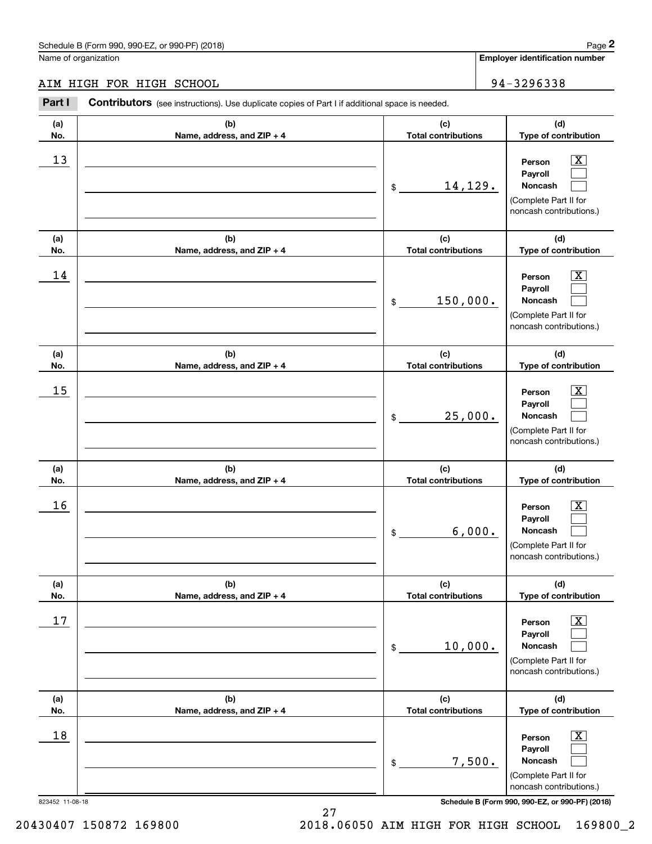# AIM HIGH FOR HIGH SCHOOL 94-3296338 AIM HIGH FOR HIGH SCHOOL

|                 | Schedule B (Form 990, 990-EZ, or 990-PF) (2018)                                                       |                                   | Page 2                                                                                                      |
|-----------------|-------------------------------------------------------------------------------------------------------|-----------------------------------|-------------------------------------------------------------------------------------------------------------|
|                 | Name of organization                                                                                  |                                   | Employer identification number                                                                              |
|                 | AIM HIGH FOR HIGH SCHOOL                                                                              |                                   | 94-3296338                                                                                                  |
| Part I          | <b>Contributors</b> (see instructions). Use duplicate copies of Part I if additional space is needed. |                                   |                                                                                                             |
| (a)<br>No.      | (b)<br>Name, address, and ZIP + 4                                                                     | (c)<br><b>Total contributions</b> | (d)<br>Type of contribution                                                                                 |
| 13              |                                                                                                       | 14,129.<br>\$                     | $\mathbf{X}$<br>Person<br>Payroll<br>Noncash<br>(Complete Part II for<br>noncash contributions.)            |
| (a)<br>No.      | (b)<br>Name, address, and ZIP + 4                                                                     | (c)<br><b>Total contributions</b> | (d)<br>Type of contribution                                                                                 |
| 14              |                                                                                                       | 150,000.<br>\$                    | $\overline{\mathbf{X}}$<br>Person<br>Payroll<br>Noncash<br>(Complete Part II for<br>noncash contributions.) |
| (a)<br>No.      | (b)<br>Name, address, and ZIP + 4                                                                     | (c)<br><b>Total contributions</b> | (d)<br>Type of contribution                                                                                 |
| 15              |                                                                                                       | 25,000.<br>\$                     | $\overline{\mathbf{X}}$<br>Person<br>Payroll<br>Noncash<br>(Complete Part II for<br>noncash contributions.) |
| (a)<br>No.      | (b)<br>Name, address, and ZIP + 4                                                                     | (c)<br><b>Total contributions</b> | (d)<br>Type of contribution                                                                                 |
| 16              |                                                                                                       | 6,000.<br>\$                      | $\mathbf{X}$<br>Person<br>Payroll<br>Noncash<br>(Complete Part II for<br>noncash contributions.)            |
| (a)<br>No.      | (b)<br>Name, address, and ZIP + 4                                                                     | (c)<br><b>Total contributions</b> | (d)<br>Type of contribution                                                                                 |
| 17              |                                                                                                       | 10,000.<br>\$                     | $\overline{\mathbf{X}}$<br>Person<br>Payroll<br>Noncash<br>(Complete Part II for<br>noncash contributions.) |
| (a)<br>No.      | (b)<br>Name, address, and ZIP + 4                                                                     | (c)<br><b>Total contributions</b> | (d)<br>Type of contribution                                                                                 |
| 18              |                                                                                                       | 7,500.<br>\$                      | $\overline{\mathbf{X}}$<br>Person<br>Payroll<br>Noncash<br>(Complete Part II for<br>noncash contributions.) |
| 823452 11-08-18 |                                                                                                       |                                   | Schedule B (Form 990, 990-EZ, or 990-PF) (2018)                                                             |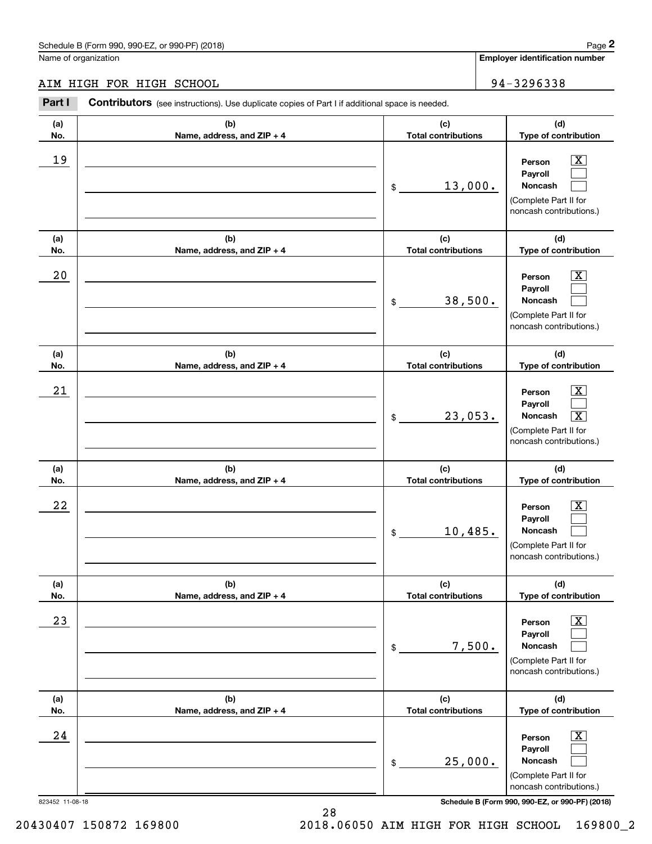# AIM HIGH FOR HIGH SCHOOL 94-3296338 AIM HIGH FOR HIGH SCHOOL

|                 | Schedule B (Form 990, 990-EZ, or 990-PF) (2018)                                                       |                                   | Page 2                                                                                                                 |
|-----------------|-------------------------------------------------------------------------------------------------------|-----------------------------------|------------------------------------------------------------------------------------------------------------------------|
|                 | Name of organization                                                                                  |                                   | Employer identification number                                                                                         |
|                 | AIM HIGH FOR HIGH SCHOOL                                                                              |                                   | 94-3296338                                                                                                             |
| Part I          | <b>Contributors</b> (see instructions). Use duplicate copies of Part I if additional space is needed. |                                   |                                                                                                                        |
| (a)<br>No.      | (b)<br>Name, address, and ZIP + 4                                                                     | (c)<br><b>Total contributions</b> | (d)<br>Type of contribution                                                                                            |
| 19              |                                                                                                       | 13,000.<br>\$                     | $\mathbf{X}$<br>Person<br>Payroll<br>Noncash<br>(Complete Part II for<br>noncash contributions.)                       |
| (a)<br>No.      | (b)<br>Name, address, and ZIP + 4                                                                     | (c)<br><b>Total contributions</b> | (d)<br>Type of contribution                                                                                            |
| 20              |                                                                                                       | 38,500.<br>\$                     | $\overline{\mathbf{X}}$<br>Person<br>Payroll<br>Noncash<br>(Complete Part II for<br>noncash contributions.)            |
| (a)<br>No.      | (b)<br>Name, address, and ZIP + 4                                                                     | (c)<br><b>Total contributions</b> | (d)<br>Type of contribution                                                                                            |
| 21              |                                                                                                       | 23,053.<br>\$                     | $\mathbf{X}$<br>Person<br>Payroll<br>Noncash<br>$\boxed{\text{X}}$<br>(Complete Part II for<br>noncash contributions.) |
| (a)<br>No.      | (b)<br>Name, address, and ZIP + 4                                                                     | (c)<br><b>Total contributions</b> | (d)<br>Type of contribution                                                                                            |
| 22              |                                                                                                       | 10,485.<br>\$                     | $\mathbf{X}$<br>Person<br>Payroll<br>Noncash<br>(Complete Part II for<br>noncash contributions.)                       |
| (a)<br>No.      | (b)<br>Name, address, and ZIP + 4                                                                     | (c)<br><b>Total contributions</b> | (d)<br>Type of contribution                                                                                            |
| 23              |                                                                                                       | 7,500.<br>\$                      | $\overline{\mathbf{X}}$<br>Person<br>Payroll<br>Noncash<br>(Complete Part II for<br>noncash contributions.)            |
| (a)<br>No.      | (b)<br>Name, address, and ZIP + 4                                                                     | (c)<br><b>Total contributions</b> | (d)<br>Type of contribution                                                                                            |
| 24              |                                                                                                       | 25,000.<br>\$                     | $\overline{\mathbf{X}}$<br>Person<br>Payroll<br>Noncash<br>(Complete Part II for<br>noncash contributions.)            |
| 823452 11-08-18 |                                                                                                       |                                   | Schedule B (Form 990, 990-EZ, or 990-PF) (2018)                                                                        |

20430407 150872 169800 2018.06050 AIM HIGH FOR HIGH SCHOOL 169800\_2 2018.06050 AIM HIGH FOR HIGH SCHOOL 16980072

<sup>28</sup> 28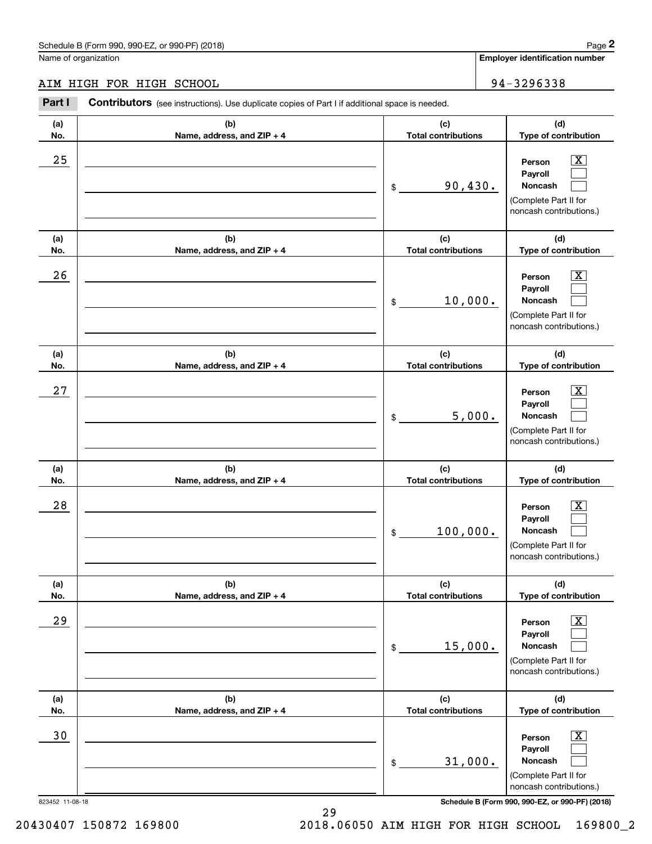# AIM HIGH FOR HIGH SCHOOL 94-3296338 AIM HIGH FOR HIGH SCHOOL

|                 | Schedule B (Form 990, 990-EZ, or 990-PF) (2018)                                                       |                                   | Page 2                                                                                                      |
|-----------------|-------------------------------------------------------------------------------------------------------|-----------------------------------|-------------------------------------------------------------------------------------------------------------|
|                 | Name of organization                                                                                  |                                   | Employer identification number                                                                              |
|                 | AIM HIGH FOR HIGH SCHOOL                                                                              |                                   | 94-3296338                                                                                                  |
| Part I          | <b>Contributors</b> (see instructions). Use duplicate copies of Part I if additional space is needed. |                                   |                                                                                                             |
| (a)<br>No.      | (b)<br>Name, address, and ZIP + 4                                                                     | (c)<br><b>Total contributions</b> | (d)<br>Type of contribution                                                                                 |
| 25              |                                                                                                       | 90,430.<br>\$                     | $\overline{\mathbf{X}}$<br>Person<br>Payroll<br>Noncash<br>(Complete Part II for<br>noncash contributions.) |
| (a)<br>No.      | (b)<br>Name, address, and ZIP + 4                                                                     | (c)<br><b>Total contributions</b> | (d)<br>Type of contribution                                                                                 |
| 26              |                                                                                                       | 10,000.<br>\$                     | $\overline{\mathbf{X}}$<br>Person<br>Payroll<br>Noncash<br>(Complete Part II for<br>noncash contributions.) |
| (a)<br>No.      | (b)<br>Name, address, and ZIP + 4                                                                     | (c)<br><b>Total contributions</b> | (d)<br>Type of contribution                                                                                 |
| 27              |                                                                                                       | 5,000.<br>\$                      | $\overline{\mathbf{X}}$<br>Person<br>Payroll<br>Noncash<br>(Complete Part II for<br>noncash contributions.) |
| (a)<br>No.      | (b)<br>Name, address, and ZIP + 4                                                                     | (c)<br><b>Total contributions</b> | (d)<br>Type of contribution                                                                                 |
| 28              |                                                                                                       | 100,000.<br>\$                    | $\mathbf{X}$<br>Person<br>Payroll<br>Noncash<br>(Complete Part II for<br>noncash contributions.)            |
| (a)<br>No.      | (b)<br>Name, address, and ZIP + 4                                                                     | (c)<br><b>Total contributions</b> | (d)<br>Type of contribution                                                                                 |
| 29              |                                                                                                       | 15,000.<br>\$                     | $\overline{\mathbf{X}}$<br>Person<br>Payroll<br>Noncash<br>(Complete Part II for<br>noncash contributions.) |
| (a)<br>No.      | (b)<br>Name, address, and ZIP + 4                                                                     | (c)<br><b>Total contributions</b> | (d)<br>Type of contribution                                                                                 |
| 30              |                                                                                                       | 31,000.<br>\$                     | $\overline{\mathbf{X}}$<br>Person<br>Payroll<br>Noncash<br>(Complete Part II for<br>noncash contributions.) |
| 823452 11-08-18 |                                                                                                       |                                   | Schedule B (Form 990, 990-EZ, or 990-PF) (2018)                                                             |

823452 11-08-18 **Schedule B (Form 990, 990-EZ, or 990-PF) (2018)**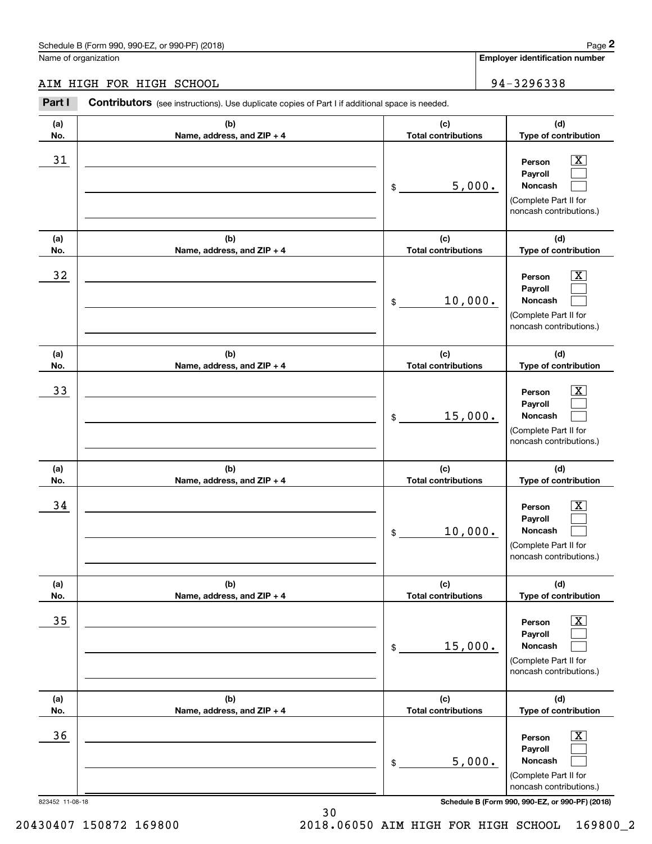# AIM HIGH FOR HIGH SCHOOL 94-3296338

|                 | Schedule B (Form 990, 990-EZ, or 990-PF) (2018)                                                       |                                   |         | Page 2                                                                                                      |
|-----------------|-------------------------------------------------------------------------------------------------------|-----------------------------------|---------|-------------------------------------------------------------------------------------------------------------|
|                 | Name of organization                                                                                  |                                   |         | <b>Employer identification number</b>                                                                       |
|                 | AIM HIGH FOR HIGH SCHOOL                                                                              |                                   |         | 94-3296338                                                                                                  |
| Part I          | <b>Contributors</b> (see instructions). Use duplicate copies of Part I if additional space is needed. |                                   |         |                                                                                                             |
| (a)<br>No.      | (b)<br>Name, address, and ZIP + 4                                                                     | (c)<br><b>Total contributions</b> |         | (d)<br>Type of contribution                                                                                 |
| 31              |                                                                                                       | \$                                | 5,000.  | $\overline{\mathbf{X}}$<br>Person<br>Payroll<br>Noncash<br>(Complete Part II for<br>noncash contributions.) |
| (a)<br>No.      | (b)<br>Name, address, and ZIP + 4                                                                     | (c)<br><b>Total contributions</b> |         | (d)<br>Type of contribution                                                                                 |
| 32              |                                                                                                       | \$                                | 10,000. | $\overline{\mathbf{X}}$<br>Person<br>Payroll<br>Noncash<br>(Complete Part II for<br>noncash contributions.) |
| (a)<br>No.      | (b)<br>Name, address, and ZIP + 4                                                                     | (c)<br><b>Total contributions</b> |         | (d)<br>Type of contribution                                                                                 |
| 33              |                                                                                                       | \$                                | 15,000. | $\overline{\text{X}}$<br>Person<br>Payroll<br>Noncash<br>(Complete Part II for<br>noncash contributions.)   |
| (a)<br>No.      | (b)<br>Name, address, and ZIP + 4                                                                     | (c)<br><b>Total contributions</b> |         | (d)<br>Type of contribution                                                                                 |
| 34              |                                                                                                       | \$                                | 10,000. | $\mathbf{X}$<br>Person<br>Payroll<br>Noncash<br>(Complete Part II for<br>noncash contributions.)            |
| (a)<br>No.      | (b)<br>Name, address, and ZIP + 4                                                                     | (c)<br><b>Total contributions</b> |         | (d)<br>Type of contribution                                                                                 |
| 35              |                                                                                                       | \$                                | 15,000. | $\boxed{\text{X}}$<br>Person<br>Payroll<br>Noncash<br>(Complete Part II for<br>noncash contributions.)      |
| (a)<br>No.      | (b)<br>Name, address, and ZIP + 4                                                                     | (c)<br><b>Total contributions</b> |         | (d)<br>Type of contribution                                                                                 |
| 36              |                                                                                                       | \$                                | 5,000.  | $\boxed{\text{X}}$<br>Person<br>Payroll<br>Noncash<br>(Complete Part II for<br>noncash contributions.)      |
| 823452 11-08-18 |                                                                                                       |                                   |         | Schedule B (Form 990, 990-EZ, or 990-PF) (2018)                                                             |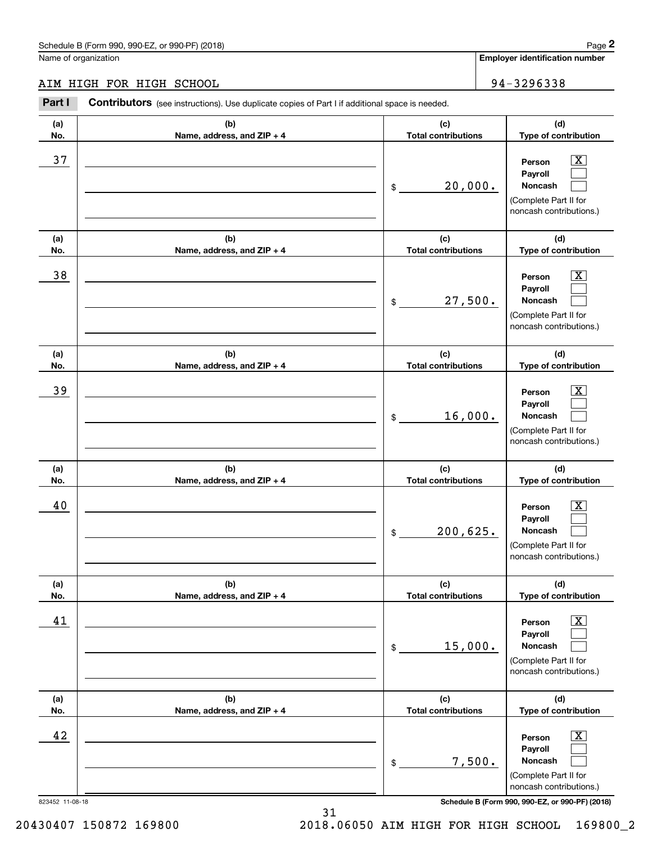# AIM HIGH FOR HIGH SCHOOL 94-3296338

|            | Schedule B (Form 990, 990-EZ, or 990-PF) (2018)                                                |                                             |        | Page 2                                                                                                                            |
|------------|------------------------------------------------------------------------------------------------|---------------------------------------------|--------|-----------------------------------------------------------------------------------------------------------------------------------|
|            | Name of organization                                                                           |                                             |        | <b>Employer identification number</b>                                                                                             |
|            | AIM HIGH FOR HIGH SCHOOL                                                                       |                                             |        | 94-3296338                                                                                                                        |
| Part I     | Contributors (see instructions). Use duplicate copies of Part I if additional space is needed. |                                             |        |                                                                                                                                   |
| (a)<br>No. | (b)<br>Name, address, and ZIP + 4                                                              | (c)<br><b>Total contributions</b>           |        | (d)<br>Type of contribution                                                                                                       |
| 37         |                                                                                                | 20,000.<br>\$                               |        | $\overline{\text{X}}$<br>Person<br>Payroll<br>Noncash<br>(Complete Part II for<br>noncash contributions.)                         |
| (a)<br>No. | (b)<br>Name, address, and ZIP + 4                                                              | (c)<br><b>Total contributions</b>           |        | (d)<br>Type of contribution                                                                                                       |
| 38         |                                                                                                | 27,500.<br>\$                               |        | $\overline{\text{X}}$<br>Person<br>Payroll<br>Noncash<br>(Complete Part II for<br>noncash contributions.)                         |
| (a)        | (b)                                                                                            | (c)                                         |        | (d)                                                                                                                               |
| No.<br>39  | Name, address, and ZIP + 4                                                                     | <b>Total contributions</b><br>16,000.<br>\$ |        | Type of contribution<br>$\overline{\text{X}}$<br>Person<br>Payroll<br>Noncash<br>(Complete Part II for<br>noncash contributions.) |
| (a)<br>No. | (b)<br>Name, address, and ZIP + 4                                                              | (c)<br><b>Total contributions</b>           |        | (d)<br>Type of contribution                                                                                                       |
| 40         |                                                                                                | 200,625.<br>\$                              |        | $\mathbf{X}$<br>Person<br>Payroll<br>Noncash<br>(Complete Part II for<br>noncash contributions.)                                  |
| (a)<br>No. | (b)<br>Name, address, and ZIP + 4                                                              | (c)<br><b>Total contributions</b>           |        | (d)<br>Type of contribution                                                                                                       |
| 41         |                                                                                                | 15,000.<br>\$                               |        | $\boxed{\text{X}}$<br>Person<br>Payroll<br>Noncash<br>(Complete Part II for<br>noncash contributions.)                            |
| (a)<br>No. | (b)<br>Name, address, and ZIP + 4                                                              | (c)<br><b>Total contributions</b>           |        | (d)<br>Type of contribution                                                                                                       |
| 42         |                                                                                                | \$                                          | 7,500. | $\overline{\mathbf{X}}$<br>Person<br>Payroll<br>Noncash<br>(Complete Part II for<br>noncash contributions.)<br>000.051(0010)      |

823452 11-08-18 **Schedule B (Form 990, 990-EZ, or 990-PF) (2018)**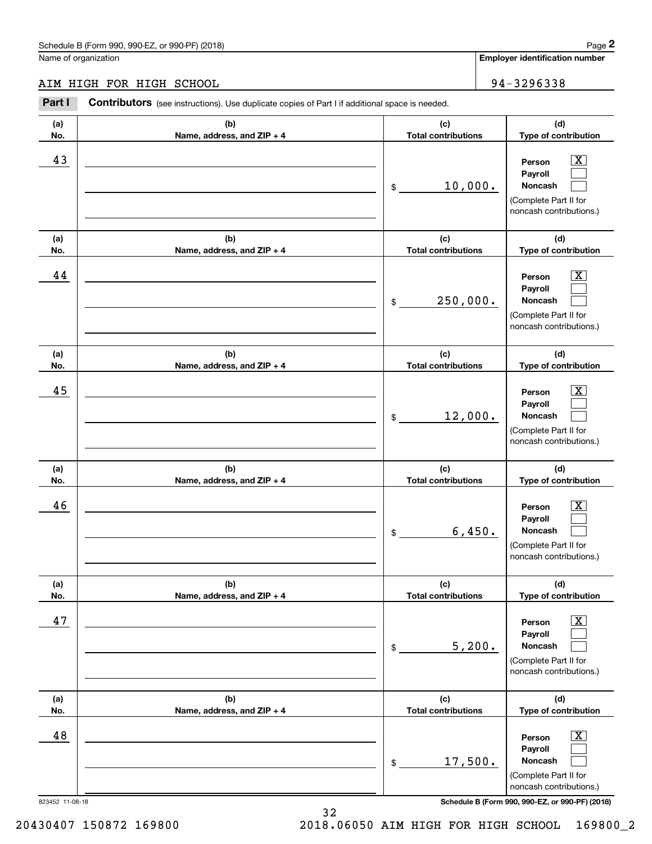# AIM HIGH FOR HIGH SCHOOL 94-3296338 AIM HIGH FOR HIGH SCHOOL

|                 | Schedule B (Form 990, 990-EZ, or 990-PF) (2018)                                                       |                                   | Page 2                                                                                                      |
|-----------------|-------------------------------------------------------------------------------------------------------|-----------------------------------|-------------------------------------------------------------------------------------------------------------|
|                 | Name of organization                                                                                  |                                   | Employer identification number                                                                              |
|                 | AIM HIGH FOR HIGH SCHOOL                                                                              |                                   | 94-3296338                                                                                                  |
| Part I          | <b>Contributors</b> (see instructions). Use duplicate copies of Part I if additional space is needed. |                                   |                                                                                                             |
| (a)<br>No.      | (b)<br>Name, address, and ZIP + 4                                                                     | (c)<br><b>Total contributions</b> | (d)<br>Type of contribution                                                                                 |
| 43              |                                                                                                       | 10,000.<br>\$                     | $\overline{\mathbf{X}}$<br>Person<br>Payroll<br>Noncash<br>(Complete Part II for<br>noncash contributions.) |
| (a)<br>No.      | (b)<br>Name, address, and ZIP + 4                                                                     | (c)<br><b>Total contributions</b> | (d)<br>Type of contribution                                                                                 |
| 44              |                                                                                                       | 250,000.<br>\$                    | $\overline{\mathbf{X}}$<br>Person<br>Payroll<br>Noncash<br>(Complete Part II for<br>noncash contributions.) |
| (a)<br>No.      | (b)<br>Name, address, and ZIP + 4                                                                     | (c)<br><b>Total contributions</b> | (d)<br>Type of contribution                                                                                 |
| 45              |                                                                                                       | 12,000.<br>\$                     | $\overline{\mathbf{X}}$<br>Person<br>Payroll<br>Noncash<br>(Complete Part II for<br>noncash contributions.) |
| (a)<br>No.      | (b)<br>Name, address, and ZIP + 4                                                                     | (c)<br><b>Total contributions</b> | (d)<br>Type of contribution                                                                                 |
| 46              |                                                                                                       | 6,450.<br>\$                      | $\mathbf{X}$<br>Person<br>Payroll<br>Noncash<br>(Complete Part II for<br>noncash contributions.)            |
| (a)<br>No.      | (b)<br>Name, address, and ZIP + 4                                                                     | (c)<br><b>Total contributions</b> | (d)<br>Type of contribution                                                                                 |
| 47              |                                                                                                       | 5,200.<br>\$                      | $\overline{\mathbf{X}}$<br>Person<br>Payroll<br>Noncash<br>(Complete Part II for<br>noncash contributions.) |
| (a)<br>No.      | (b)<br>Name, address, and ZIP + 4                                                                     | (c)<br><b>Total contributions</b> | (d)<br>Type of contribution                                                                                 |
| 48              |                                                                                                       | 17,500.<br>\$                     | $\overline{\mathbf{X}}$<br>Person<br>Payroll<br>Noncash<br>(Complete Part II for<br>noncash contributions.) |
| 823452 11-08-18 |                                                                                                       |                                   | Schedule B (Form 990, 990-EZ, or 990-PF) (2018)                                                             |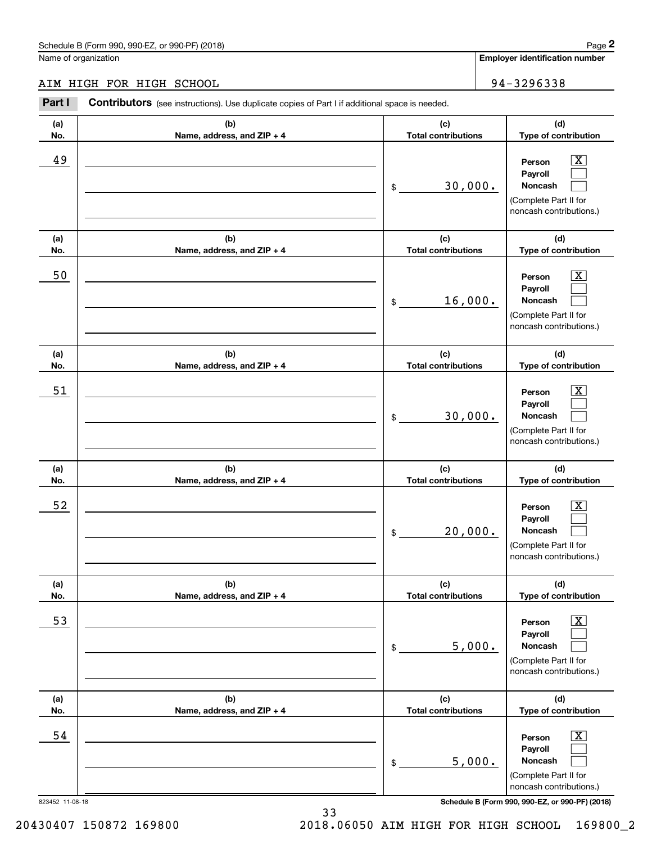# AIM HIGH FOR HIGH SCHOOL 94-3296338 AIM HIGH FOR HIGH SCHOOL

|                 | Schedule B (Form 990, 990-EZ, or 990-PF) (2018)                                                       |                                   | Page 2                                                                                                      |
|-----------------|-------------------------------------------------------------------------------------------------------|-----------------------------------|-------------------------------------------------------------------------------------------------------------|
|                 | Name of organization                                                                                  |                                   | Employer identification number                                                                              |
|                 | AIM HIGH FOR HIGH SCHOOL                                                                              |                                   | 94-3296338                                                                                                  |
| Part I          | <b>Contributors</b> (see instructions). Use duplicate copies of Part I if additional space is needed. |                                   |                                                                                                             |
| (a)<br>No.      | (b)<br>Name, address, and ZIP + 4                                                                     | (c)<br><b>Total contributions</b> | (d)<br>Type of contribution                                                                                 |
| 49              |                                                                                                       | 30,000.<br>\$                     | $\overline{\mathbf{X}}$<br>Person<br>Payroll<br>Noncash<br>(Complete Part II for<br>noncash contributions.) |
| (a)<br>No.      | (b)<br>Name, address, and ZIP + 4                                                                     | (c)<br><b>Total contributions</b> | (d)<br>Type of contribution                                                                                 |
| 50              |                                                                                                       | 16,000.<br>\$                     | $\overline{\mathbf{X}}$<br>Person<br>Payroll<br>Noncash<br>(Complete Part II for<br>noncash contributions.) |
| (a)<br>No.      | (b)<br>Name, address, and ZIP + 4                                                                     | (c)<br><b>Total contributions</b> | (d)<br>Type of contribution                                                                                 |
| 51              |                                                                                                       | 30,000.<br>\$                     | $\overline{\mathbf{X}}$<br>Person<br>Payroll<br>Noncash<br>(Complete Part II for<br>noncash contributions.) |
| (a)<br>No.      | (b)<br>Name, address, and ZIP + 4                                                                     | (c)<br><b>Total contributions</b> | (d)<br>Type of contribution                                                                                 |
| 52              |                                                                                                       | 20,000.<br>\$                     | $\mathbf{X}$<br>Person<br>Payroll<br>Noncash<br>(Complete Part II for<br>noncash contributions.)            |
| (a)<br>No.      | (b)<br>Name, address, and ZIP + 4                                                                     | (c)<br><b>Total contributions</b> | (d)<br>Type of contribution                                                                                 |
| 53              |                                                                                                       | 5,000.<br>\$                      | $\overline{\mathbf{X}}$<br>Person<br>Payroll<br>Noncash<br>(Complete Part II for<br>noncash contributions.) |
| (a)<br>No.      | (b)<br>Name, address, and ZIP + 4                                                                     | (c)<br><b>Total contributions</b> | (d)<br>Type of contribution                                                                                 |
| 54              |                                                                                                       | 5,000.<br>\$                      | $\overline{\mathbf{X}}$<br>Person<br>Payroll<br>Noncash<br>(Complete Part II for<br>noncash contributions.) |
| 823452 11-08-18 |                                                                                                       |                                   | Schedule B (Form 990, 990-EZ, or 990-PF) (2018)                                                             |

33 33

20430407 150872 169800 2018.06050 AIM HIGH FOR HIGH SCHOOL 169800\_2 2018.06050 AIM HIGH FOR HIGH SCHOOL 16980072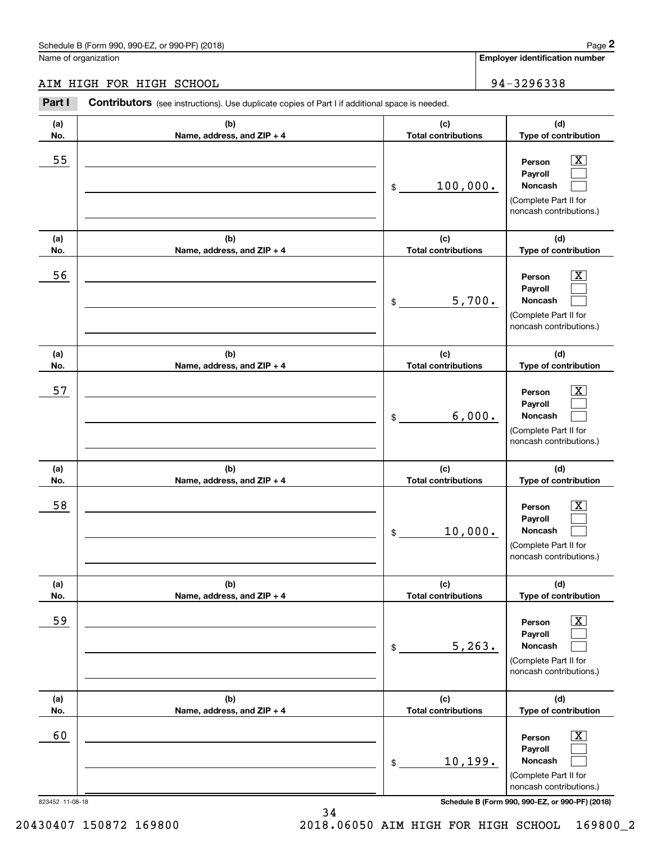# AIM HIGH FOR HIGH SCHOOL 94-3296338 AIM HIGH FOR HIGH SCHOOL

|                 | Schedule B (Form 990, 990-EZ, or 990-PF) (2018)                                                       |                                   | Page 2                                                                                                      |
|-----------------|-------------------------------------------------------------------------------------------------------|-----------------------------------|-------------------------------------------------------------------------------------------------------------|
|                 | Name of organization                                                                                  |                                   | Employer identification number                                                                              |
|                 | AIM HIGH FOR HIGH SCHOOL                                                                              |                                   | 94-3296338                                                                                                  |
| Part I          | <b>Contributors</b> (see instructions). Use duplicate copies of Part I if additional space is needed. |                                   |                                                                                                             |
| (a)<br>No.      | (b)<br>Name, address, and ZIP + 4                                                                     | (c)<br><b>Total contributions</b> | (d)<br>Type of contribution                                                                                 |
| 55              |                                                                                                       | 100,000.<br>\$                    | $\overline{\mathbf{X}}$<br>Person<br>Payroll<br>Noncash<br>(Complete Part II for<br>noncash contributions.) |
| (a)<br>No.      | (b)<br>Name, address, and ZIP + 4                                                                     | (c)<br><b>Total contributions</b> | (d)<br>Type of contribution                                                                                 |
| 56              |                                                                                                       | 5,700.<br>\$                      | $\overline{\mathbf{X}}$<br>Person<br>Payroll<br>Noncash<br>(Complete Part II for<br>noncash contributions.) |
| (a)<br>No.      | (b)<br>Name, address, and ZIP + 4                                                                     | (c)<br><b>Total contributions</b> | (d)<br>Type of contribution                                                                                 |
| 57              |                                                                                                       | 6,000.<br>\$                      | $\overline{\text{X}}$<br>Person<br>Payroll<br>Noncash<br>(Complete Part II for<br>noncash contributions.)   |
| (a)<br>No.      | (b)<br>Name, address, and ZIP + 4                                                                     | (c)<br><b>Total contributions</b> | (d)<br>Type of contribution                                                                                 |
| 58              |                                                                                                       | 10,000.<br>\$                     | $\mathbf{X}$<br>Person<br>Payroll<br>Noncash<br>(Complete Part II for<br>noncash contributions.)            |
| (a)<br>No.      | (b)<br>Name, address, and ZIP + 4                                                                     | (c)<br><b>Total contributions</b> | (d)<br>Type of contribution                                                                                 |
| 59              |                                                                                                       | 5, 263.<br>\$                     | $\overline{\mathbf{X}}$<br>Person<br>Payroll<br>Noncash<br>(Complete Part II for<br>noncash contributions.) |
| (a)<br>No.      | (b)<br>Name, address, and ZIP + 4                                                                     | (c)<br><b>Total contributions</b> | (d)<br>Type of contribution                                                                                 |
| 60              |                                                                                                       | 10, 199.<br>\$                    | $\overline{\mathbf{X}}$<br>Person<br>Payroll<br>Noncash<br>(Complete Part II for<br>noncash contributions.) |
| 823452 11-08-18 |                                                                                                       |                                   | Schedule B (Form 990, 990-EZ, or 990-PF) (2018)                                                             |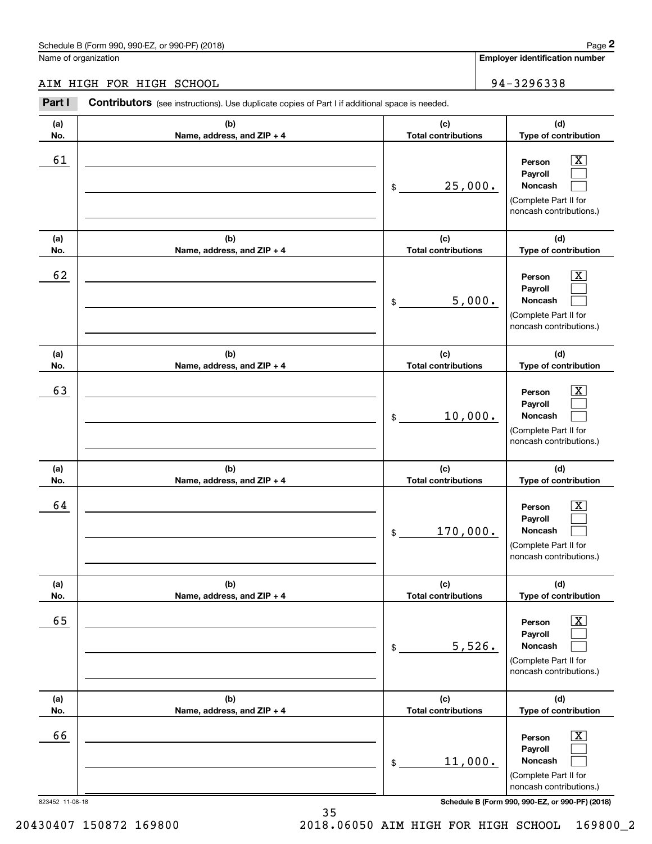# AIM HIGH FOR HIGH SCHOOL 94-3296338

|                 | Schedule B (Form 990, 990-EZ, or 990-PF) (2018)                                                       |                                   |         | Page 2                                                                                                      |
|-----------------|-------------------------------------------------------------------------------------------------------|-----------------------------------|---------|-------------------------------------------------------------------------------------------------------------|
|                 | Name of organization                                                                                  |                                   |         | Employer identification number                                                                              |
|                 | AIM HIGH FOR HIGH SCHOOL                                                                              |                                   |         | 94-3296338                                                                                                  |
| Part I          | <b>Contributors</b> (see instructions). Use duplicate copies of Part I if additional space is needed. |                                   |         |                                                                                                             |
| (a)<br>No.      | (b)<br>Name, address, and ZIP + 4                                                                     | (c)<br><b>Total contributions</b> |         | (d)<br>Type of contribution                                                                                 |
| 61              |                                                                                                       | \$                                | 25,000. | $\overline{\mathbf{X}}$<br>Person<br>Payroll<br>Noncash<br>(Complete Part II for<br>noncash contributions.) |
| (a)<br>No.      | (b)<br>Name, address, and ZIP + 4                                                                     | (c)<br><b>Total contributions</b> |         | (d)<br>Type of contribution                                                                                 |
| 62              |                                                                                                       | \$                                | 5,000.  | $\overline{\mathbf{X}}$<br>Person<br>Payroll<br>Noncash<br>(Complete Part II for<br>noncash contributions.) |
| (a)<br>No.      | (b)<br>Name, address, and ZIP + 4                                                                     | (c)<br><b>Total contributions</b> |         | (d)<br>Type of contribution                                                                                 |
| 63              |                                                                                                       | \$                                | 10,000. | $\overline{\mathbf{X}}$<br>Person<br>Payroll<br>Noncash<br>(Complete Part II for<br>noncash contributions.) |
| (a)<br>No.      | (b)<br>Name, address, and ZIP + 4                                                                     | (c)<br><b>Total contributions</b> |         | (d)<br>Type of contribution                                                                                 |
| 64              |                                                                                                       | 170,000.<br>\$                    |         | $\mathbf{X}$<br>Person<br>Payroll<br>Noncash<br>(Complete Part II for<br>noncash contributions.)            |
| (a)<br>No.      | (b)<br>Name, address, and ZIP + 4                                                                     | (c)<br><b>Total contributions</b> |         | (d)<br>Type of contribution                                                                                 |
| 65              |                                                                                                       | \$                                | 5,526.  | $\overline{\mathbf{X}}$<br>Person<br>Payroll<br>Noncash<br>(Complete Part II for<br>noncash contributions.) |
| (a)<br>No.      | (b)<br>Name, address, and ZIP + 4                                                                     | (c)<br><b>Total contributions</b> |         | (d)<br>Type of contribution                                                                                 |
| 66              |                                                                                                       | \$                                | 11,000. | $\boxed{\text{X}}$<br>Person<br>Payroll<br>Noncash<br>(Complete Part II for<br>noncash contributions.)      |
| 823452 11-08-18 |                                                                                                       |                                   |         | Schedule B (Form 990, 990-EZ, or 990-PF) (2018)                                                             |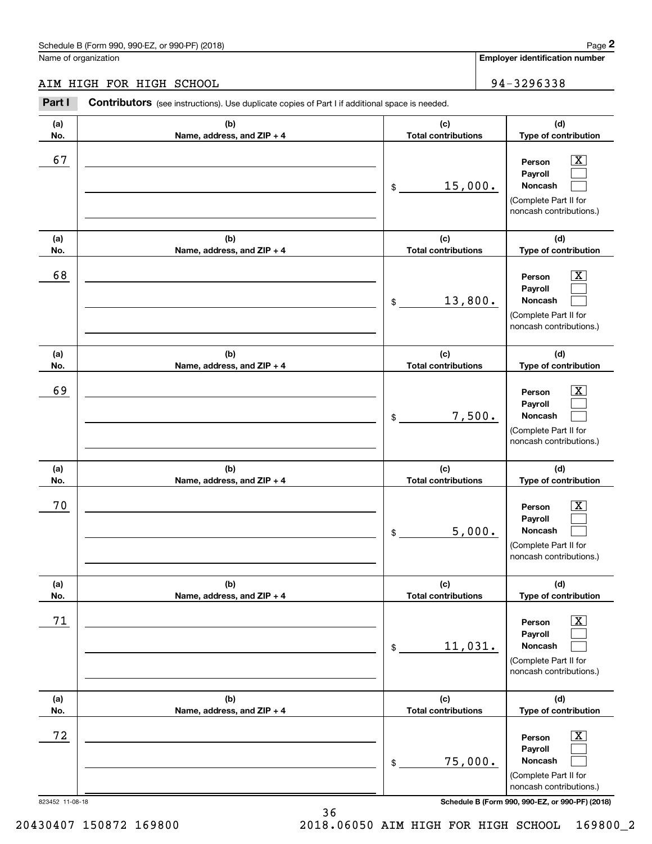# AIM HIGH FOR HIGH SCHOOL 94-3296338

|                 | Schedule B (Form 990, 990-EZ, or 990-PF) (2018)                                                       |                                   |        | Page 2                                                                                                      |
|-----------------|-------------------------------------------------------------------------------------------------------|-----------------------------------|--------|-------------------------------------------------------------------------------------------------------------|
|                 | Name of organization                                                                                  |                                   |        | Employer identification number                                                                              |
|                 | AIM HIGH FOR HIGH SCHOOL                                                                              |                                   |        | 94-3296338                                                                                                  |
| Part I          | <b>Contributors</b> (see instructions). Use duplicate copies of Part I if additional space is needed. |                                   |        |                                                                                                             |
| (a)<br>No.      | (b)<br>Name, address, and ZIP + 4                                                                     | (c)<br><b>Total contributions</b> |        | (d)<br>Type of contribution                                                                                 |
| 67              |                                                                                                       | 15,000.<br>\$                     |        | $\overline{\mathbf{X}}$<br>Person<br>Payroll<br>Noncash<br>(Complete Part II for<br>noncash contributions.) |
| (a)<br>No.      | (b)<br>Name, address, and ZIP + 4                                                                     | (c)<br><b>Total contributions</b> |        | (d)<br>Type of contribution                                                                                 |
| 68              |                                                                                                       | 13,800.<br>\$                     |        | $\overline{\mathbf{X}}$<br>Person<br>Payroll<br>Noncash<br>(Complete Part II for<br>noncash contributions.) |
| (a)<br>No.      | (b)<br>Name, address, and ZIP + 4                                                                     | (c)<br><b>Total contributions</b> |        | (d)<br>Type of contribution                                                                                 |
| 69              |                                                                                                       | \$                                | 7,500. | $\overline{\mathbf{X}}$<br>Person<br>Payroll<br>Noncash<br>(Complete Part II for<br>noncash contributions.) |
| (a)<br>No.      | (b)<br>Name, address, and ZIP + 4                                                                     | (c)<br><b>Total contributions</b> |        | (d)<br>Type of contribution                                                                                 |
| 70              |                                                                                                       | \$                                | 5,000. | $\mathbf{X}$<br>Person<br>Payroll<br>Noncash<br>(Complete Part II for<br>noncash contributions.)            |
| (a)<br>No.      | (b)<br>Name, address, and ZIP + 4                                                                     | (c)<br><b>Total contributions</b> |        | (d)<br>Type of contribution                                                                                 |
| 71              |                                                                                                       | 11,031.<br>\$                     |        | $\overline{\mathbf{X}}$<br>Person<br>Payroll<br>Noncash<br>(Complete Part II for<br>noncash contributions.) |
| (a)<br>No.      | (b)<br>Name, address, and ZIP + 4                                                                     | (c)<br><b>Total contributions</b> |        | (d)<br>Type of contribution                                                                                 |
| 72              |                                                                                                       | 75,000.<br>\$                     |        | $\overline{\mathbf{X}}$<br>Person<br>Payroll<br>Noncash<br>(Complete Part II for<br>noncash contributions.) |
| 823452 11-08-18 |                                                                                                       |                                   |        | Schedule B (Form 990, 990-EZ, or 990-PF) (2018)                                                             |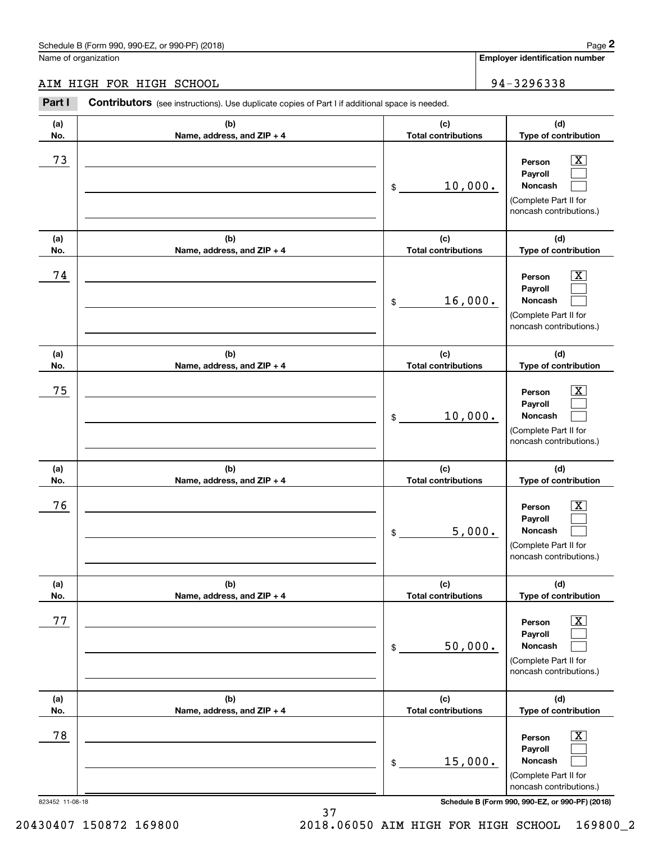# AIM HIGH FOR HIGH SCHOOL 94-3296338 AIM HIGH FOR HIGH SCHOOL

|                 | Schedule B (Form 990, 990-EZ, or 990-PF) (2018)                                                       |                                   |         | Page 2                                                                                                      |
|-----------------|-------------------------------------------------------------------------------------------------------|-----------------------------------|---------|-------------------------------------------------------------------------------------------------------------|
|                 | Name of organization                                                                                  |                                   |         | <b>Employer identification number</b>                                                                       |
|                 | AIM HIGH FOR HIGH SCHOOL                                                                              |                                   |         | 94-3296338                                                                                                  |
| Part I          | <b>Contributors</b> (see instructions). Use duplicate copies of Part I if additional space is needed. |                                   |         |                                                                                                             |
| (a)<br>No.      | (b)<br>Name, address, and ZIP + 4                                                                     | (c)<br><b>Total contributions</b> |         | (d)<br>Type of contribution                                                                                 |
| 73              |                                                                                                       | \$                                | 10,000. | $\overline{\mathbf{X}}$<br>Person<br>Payroll<br>Noncash<br>(Complete Part II for<br>noncash contributions.) |
| (a)<br>No.      | (b)<br>Name, address, and ZIP + 4                                                                     | (c)<br><b>Total contributions</b> |         | (d)<br>Type of contribution                                                                                 |
| 74              |                                                                                                       | \$                                | 16,000. | $\overline{\mathbf{X}}$<br>Person<br>Payroll<br>Noncash<br>(Complete Part II for<br>noncash contributions.) |
| (a)<br>No.      | (b)<br>Name, address, and ZIP + 4                                                                     | (c)<br><b>Total contributions</b> |         | (d)<br>Type of contribution                                                                                 |
| 75              |                                                                                                       | \$                                | 10,000. | $\overline{\text{X}}$<br>Person<br>Payroll<br>Noncash<br>(Complete Part II for<br>noncash contributions.)   |
| (a)<br>No.      | (b)<br>Name, address, and ZIP + 4                                                                     | (c)<br><b>Total contributions</b> |         | (d)<br>Type of contribution                                                                                 |
| 76              |                                                                                                       | \$                                | 5,000.  | $\mathbf{X}$<br>Person<br>Payroll<br>Noncash<br>(Complete Part II for<br>noncash contributions.)            |
| (a)<br>No.      | (b)<br>Name, address, and ZIP + 4                                                                     | (c)<br><b>Total contributions</b> |         | (d)<br>Type of contribution                                                                                 |
| 77              |                                                                                                       | \$                                | 50,000. | $\boxed{\text{X}}$<br>Person<br>Payroll<br>Noncash<br>(Complete Part II for<br>noncash contributions.)      |
| (a)<br>No.      | (b)<br>Name, address, and ZIP + 4                                                                     | (c)<br><b>Total contributions</b> |         | (d)<br>Type of contribution                                                                                 |
| 78              |                                                                                                       | \$                                | 15,000. | $\boxed{\text{X}}$<br>Person<br>Payroll<br>Noncash<br>(Complete Part II for<br>noncash contributions.)      |
| 823452 11-08-18 |                                                                                                       |                                   |         | Schedule B (Form 990, 990-EZ, or 990-PF) (2018)                                                             |

20430407 150872 169800 2018.06050 AIM HIGH FOR HIGH SCHOOL 169800\_2 2018.06050 AIM HIGH FOR HIGH SCHOOL 16980072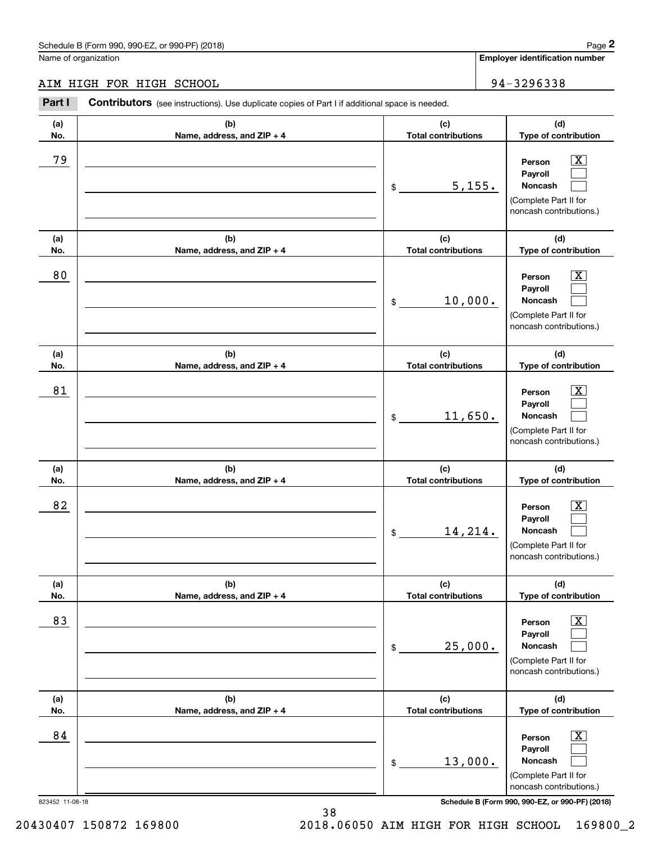#### AIM HIGH FOR HIGH SCHOOL 94-3296338 AIM HIGH FOR HIGH SCHOOL

|                 | Schedule B (Form 990, 990-EZ, or 990-PF) (2018)                                                       |                                   | Page 2                                                                                                             |
|-----------------|-------------------------------------------------------------------------------------------------------|-----------------------------------|--------------------------------------------------------------------------------------------------------------------|
|                 | Name of organization                                                                                  |                                   | Employer identification number                                                                                     |
|                 | AIM HIGH FOR HIGH SCHOOL                                                                              |                                   | 94-3296338                                                                                                         |
| Part I          | <b>Contributors</b> (see instructions). Use duplicate copies of Part I if additional space is needed. |                                   |                                                                                                                    |
| (a)<br>No.      | (b)<br>Name, address, and ZIP + 4                                                                     | (c)<br><b>Total contributions</b> | (d)<br>Type of contribution                                                                                        |
| 79              |                                                                                                       | 5,155.<br>\$                      | $\overline{\mathbf{X}}$<br>Person<br>Payroll<br>Noncash<br>(Complete Part II for<br>noncash contributions.)        |
| (a)<br>No.      | (b)<br>Name, address, and ZIP + 4                                                                     | (c)<br><b>Total contributions</b> | (d)<br>Type of contribution                                                                                        |
| 80              |                                                                                                       | 10,000.<br>\$                     | $\overline{\mathbf{X}}$<br>Person<br>Payroll<br><b>Noncash</b><br>(Complete Part II for<br>noncash contributions.) |
| (a)<br>No.      | (b)<br>Name, address, and ZIP + 4                                                                     | (c)<br><b>Total contributions</b> | (d)<br>Type of contribution                                                                                        |
| 81              |                                                                                                       | 11,650.<br>\$                     | $\overline{\mathbf{X}}$<br>Person<br>Payroll<br>Noncash<br>(Complete Part II for<br>noncash contributions.)        |
| (a)<br>No.      | (b)<br>Name, address, and ZIP + 4                                                                     | (c)<br><b>Total contributions</b> | (d)<br>Type of contribution                                                                                        |
| 82              |                                                                                                       | 14,214.<br>\$                     | $\mathbf{X}$<br>Person<br>Payroll<br>Noncash<br>(Complete Part II for<br>noncash contributions.)                   |
| (a)<br>No.      | (b)<br>Name, address, and ZIP + 4                                                                     | (c)<br><b>Total contributions</b> | (d)<br>Type of contribution                                                                                        |
| 83              |                                                                                                       | 25,000.<br>\$                     | $\overline{\mathbf{X}}$<br>Person<br>Payroll<br>Noncash<br>(Complete Part II for<br>noncash contributions.)        |
| (a)<br>No.      | (b)<br>Name, address, and ZIP + 4                                                                     | (c)<br><b>Total contributions</b> | (d)<br>Type of contribution                                                                                        |
| 84              |                                                                                                       | 13,000.<br>\$                     | $\overline{\mathbf{X}}$<br>Person<br>Payroll<br>Noncash<br>(Complete Part II for<br>noncash contributions.)        |
| 823452 11-08-18 |                                                                                                       |                                   | Schedule B (Form 990, 990-EZ, or 990-PF) (2018)                                                                    |

823452 11-08-18 **Schedule B (Form 990, 990-EZ, or 990-PF) (2018)** 

38 38

20430407 150872 169800 2018.06050 AIM HIGH FOR HIGH SCHOOL 169800\_2 2018.06050 AIM HIGH FOR HIGH SCHOOL 16980072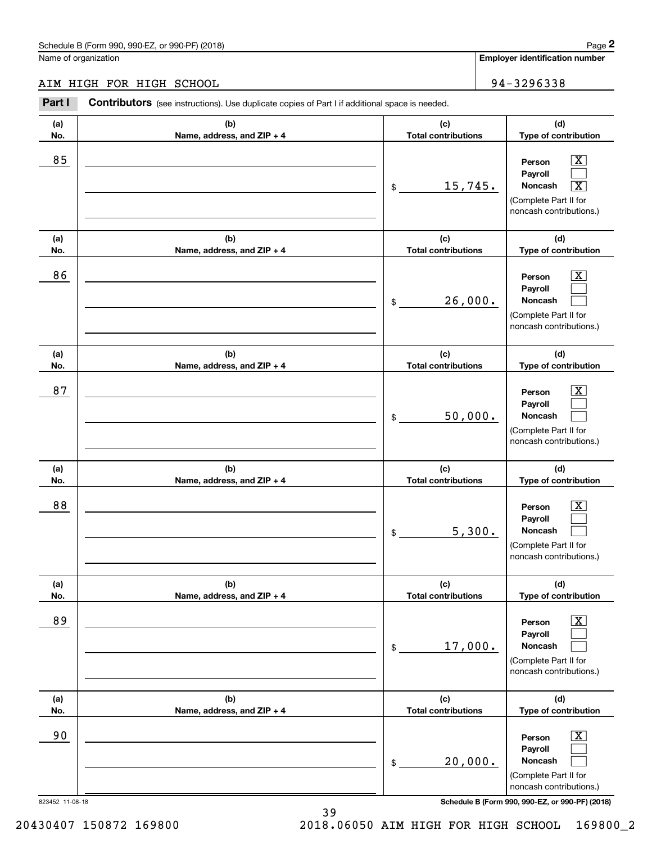#### AIM HIGH FOR HIGH SCHOOL 94-3296338 AIM HIGH FOR HIGH SCHOOL

|                 | Schedule B (Form 990, 990-EZ, or 990-PF) (2018)                                                       |                                   |        | Page 2                                                                                                              |
|-----------------|-------------------------------------------------------------------------------------------------------|-----------------------------------|--------|---------------------------------------------------------------------------------------------------------------------|
|                 | Name of organization                                                                                  |                                   |        | <b>Employer identification number</b>                                                                               |
|                 | AIM HIGH FOR HIGH SCHOOL                                                                              |                                   |        | 94-3296338                                                                                                          |
| Part I          | <b>Contributors</b> (see instructions). Use duplicate copies of Part I if additional space is needed. |                                   |        |                                                                                                                     |
| (a)<br>No.      | (b)<br>Name, address, and ZIP + 4                                                                     | (c)<br><b>Total contributions</b> |        | (d)<br>Type of contribution                                                                                         |
| 85              |                                                                                                       | 15,745.<br>\$                     |        | $\vert$ X<br>Person<br>Payroll<br>$\boxed{\text{X}}$<br>Noncash<br>(Complete Part II for<br>noncash contributions.) |
| (a)<br>No.      | (b)<br>Name, address, and ZIP + 4                                                                     | (c)<br><b>Total contributions</b> |        | (d)<br>Type of contribution                                                                                         |
| 86              |                                                                                                       | 26,000.<br>\$                     |        | $\mathbf{X}$<br>Person<br>Payroll<br>Noncash<br>(Complete Part II for<br>noncash contributions.)                    |
| (a)<br>No.      | (b)<br>Name, address, and ZIP + 4                                                                     | (c)<br><b>Total contributions</b> |        | (d)<br>Type of contribution                                                                                         |
| 87              |                                                                                                       | 50,000.<br>\$                     |        | $\mathbf{X}$<br>Person<br>Payroll<br>Noncash<br>(Complete Part II for<br>noncash contributions.)                    |
| (a)<br>No.      | (b)<br>Name, address, and ZIP + 4                                                                     | (c)<br><b>Total contributions</b> |        | (d)<br>Type of contribution                                                                                         |
| 88              |                                                                                                       | \$                                | 5,300. | $\mathbf{X}$<br>Person<br>Payroll<br>Noncash<br>(Complete Part II for<br>noncash contributions.)                    |
| (a)<br>No.      | (b)<br>Name, address, and ZIP + 4                                                                     | (c)<br><b>Total contributions</b> |        | (d)<br>Type of contribution                                                                                         |
| 89              |                                                                                                       | 17,000.<br>\$                     |        | $\boxed{\text{X}}$<br>Person<br>Payroll<br>Noncash<br>(Complete Part II for<br>noncash contributions.)              |
| (a)<br>No.      | (b)<br>Name, address, and ZIP + 4                                                                     | (c)<br><b>Total contributions</b> |        | (d)<br>Type of contribution                                                                                         |
| 90              |                                                                                                       | 20,000.<br>\$                     |        | $\boxed{\text{X}}$<br>Person<br>Payroll<br>Noncash<br>(Complete Part II for<br>noncash contributions.)              |
| 823452 11-08-18 |                                                                                                       |                                   |        | Schedule B (Form 990, 990-EZ, or 990-PF) (2018)                                                                     |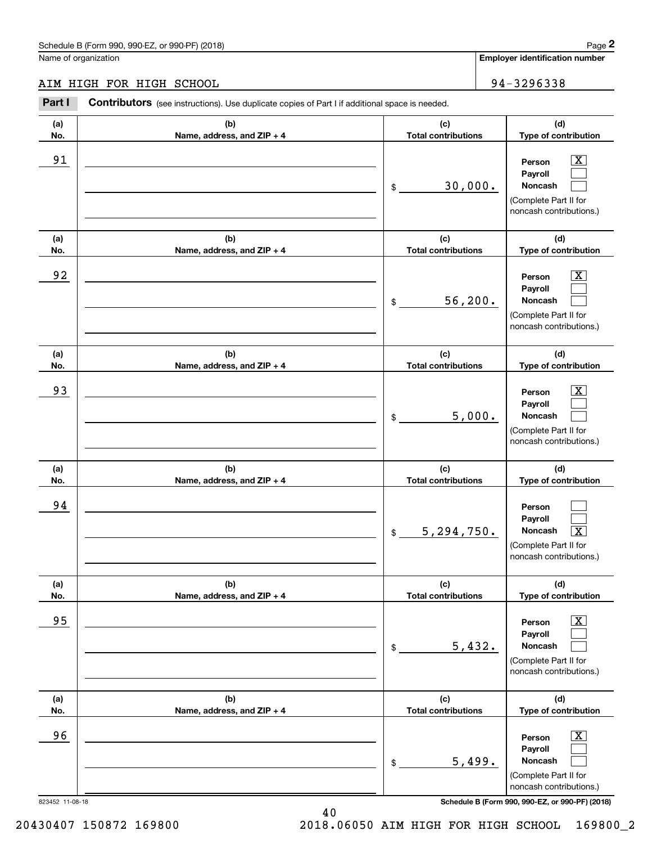#### AIM HIGH FOR HIGH SCHOOL 94-3296338 AIM HIGH FOR HIGH SCHOOL

|            | Schedule B (Form 990, 990-EZ, or 990-PF) (2018)                                                |                                   |        | Page 2                                                                                                                            |
|------------|------------------------------------------------------------------------------------------------|-----------------------------------|--------|-----------------------------------------------------------------------------------------------------------------------------------|
|            | Name of organization                                                                           |                                   |        | Employer identification number                                                                                                    |
|            | AIM HIGH FOR HIGH SCHOOL                                                                       |                                   |        | 94-3296338                                                                                                                        |
| Part I     | Contributors (see instructions). Use duplicate copies of Part I if additional space is needed. |                                   |        |                                                                                                                                   |
| (a)<br>No. | (b)<br>Name, address, and ZIP + 4                                                              | (c)<br><b>Total contributions</b> |        | (d)<br>Type of contribution                                                                                                       |
| 91         |                                                                                                | 30,000.<br>\$                     |        | $\overline{\mathbf{X}}$<br>Person<br>Payroll<br>Noncash<br>(Complete Part II for<br>noncash contributions.)                       |
| (a)<br>No. | (b)<br>Name, address, and ZIP + 4                                                              | (c)<br><b>Total contributions</b> |        | (d)<br>Type of contribution                                                                                                       |
| 92         |                                                                                                | 56, 200.<br>\$                    |        | $\overline{\mathbf{X}}$<br>Person<br>Payroll<br>Noncash<br>(Complete Part II for<br>noncash contributions.)                       |
| (a)        | (b)                                                                                            | (c)                               |        | (d)                                                                                                                               |
| No.<br>93  | Name, address, and ZIP + 4                                                                     | <b>Total contributions</b><br>\$  | 5,000. | Type of contribution<br>$\overline{\text{X}}$<br>Person<br>Payroll<br>Noncash<br>(Complete Part II for<br>noncash contributions.) |
| (a)<br>No. | (b)<br>Name, address, and ZIP + 4                                                              | (c)<br><b>Total contributions</b> |        | (d)<br>Type of contribution                                                                                                       |
| 94         |                                                                                                | 5, 294, 750.<br>\$                |        | Person<br>Payroll<br>Noncash<br>$\boxed{\text{X}}$<br>(Complete Part II for<br>noncash contributions.)                            |
| (a)<br>No. | (b)<br>Name, address, and ZIP + 4                                                              | (c)<br><b>Total contributions</b> |        | (d)<br>Type of contribution                                                                                                       |
| 95         |                                                                                                | \$                                | 5,432. | $\boxed{\text{X}}$<br>Person<br>Payroll<br>Noncash<br>(Complete Part II for<br>noncash contributions.)                            |
| (a)<br>No. | (b)<br>Name, address, and ZIP + 4                                                              | (c)<br><b>Total contributions</b> |        | (d)<br>Type of contribution                                                                                                       |
| 96         |                                                                                                | \$                                | 5,499. | $\boxed{\text{X}}$<br>Person<br>Payroll<br>Noncash<br>(Complete Part II for<br>noncash contributions.)                            |

823452 11-08-18 **Schedule B (Form 990, 990-EZ, or 990-PF) (2018)** 

823452 11-08-18

20430407 150872 169800 2018.06050 AIM HIGH FOR HIGH SCHOOL 169800\_2 2018.06050 AIM HIGH FOR HIGH SCHOOL 16980072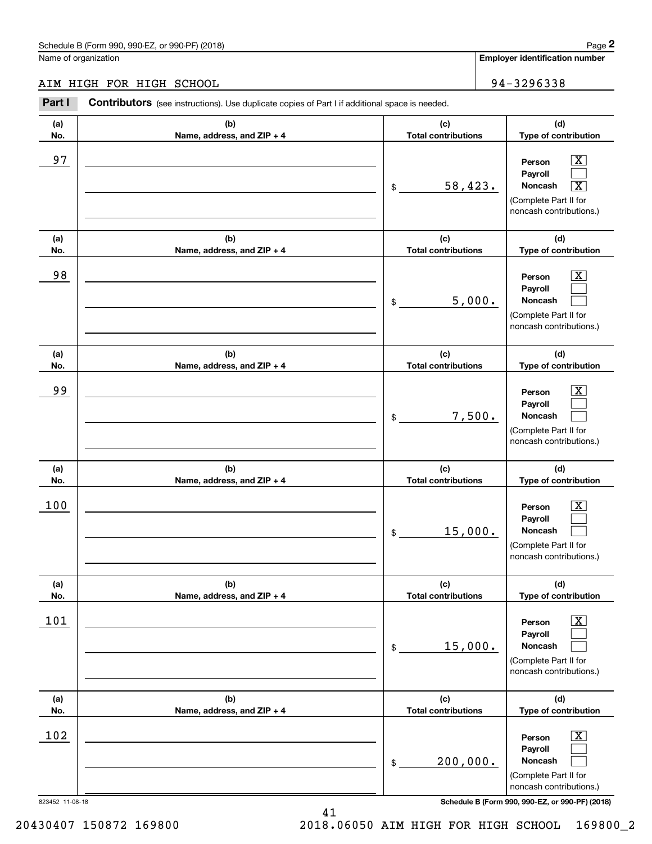# AIM HIGH FOR HIGH SCHOOL 94-3296338

|                 | Schedule B (Form 990, 990-EZ, or 990-PF) (2018)                                                |                                   |        | Page 2                                                                                                                               |
|-----------------|------------------------------------------------------------------------------------------------|-----------------------------------|--------|--------------------------------------------------------------------------------------------------------------------------------------|
|                 | Name of organization                                                                           |                                   |        | Employer identification number                                                                                                       |
|                 | AIM HIGH FOR HIGH SCHOOL                                                                       |                                   |        | 94-3296338                                                                                                                           |
| Part I          | Contributors (see instructions). Use duplicate copies of Part I if additional space is needed. |                                   |        |                                                                                                                                      |
| (a)<br>No.      | (b)<br>Name, address, and ZIP + 4                                                              | (c)<br><b>Total contributions</b> |        | (d)<br>Type of contribution                                                                                                          |
| 97              |                                                                                                | 58,423.<br>\$                     |        | $\overline{\mathbf{X}}$<br>Person<br>Payroll<br>Noncash<br>$\overline{\text{X}}$<br>(Complete Part II for<br>noncash contributions.) |
| (a)<br>No.      | (b)<br>Name, address, and ZIP + 4                                                              | (c)<br><b>Total contributions</b> |        | (d)<br>Type of contribution                                                                                                          |
| 98              |                                                                                                | \$                                | 5,000. | $\overline{\text{X}}$<br>Person<br>Payroll<br>Noncash<br>(Complete Part II for<br>noncash contributions.)                            |
| (a)<br>No.      | (b)<br>Name, address, and ZIP + 4                                                              | (c)<br><b>Total contributions</b> |        | (d)<br>Type of contribution                                                                                                          |
| 99              |                                                                                                | \$                                | 7,500. | $\overline{\text{X}}$<br>Person<br>Payroll<br>Noncash<br>(Complete Part II for<br>noncash contributions.)                            |
| (a)<br>No.      | (b)<br>Name, address, and ZIP + 4                                                              | (c)<br><b>Total contributions</b> |        | (d)<br>Type of contribution                                                                                                          |
| 100             |                                                                                                | 15,000.<br>\$                     |        | $\mathbf{X}$<br>Person<br>Payroll<br>Noncash<br>(Complete Part II for<br>noncash contributions.)                                     |
| (a)<br>No.      | (b)<br>Name, address, and ZIP + 4                                                              | (c)<br><b>Total contributions</b> |        | (d)<br>Type of contribution                                                                                                          |
| 101             |                                                                                                | 15,000.<br>\$                     |        | $\overline{\mathbf{X}}$<br>Person<br>Payroll<br>Noncash<br>(Complete Part II for<br>noncash contributions.)                          |
| (a)<br>No.      | (b)<br>Name, address, and ZIP + 4                                                              | (c)<br><b>Total contributions</b> |        | (d)<br>Type of contribution                                                                                                          |
| 102             |                                                                                                | 200,000.<br>\$                    |        | $\overline{\mathbf{X}}$<br>Person<br>Payroll<br>Noncash<br>(Complete Part II for<br>noncash contributions.)                          |
| 823452 11-08-18 |                                                                                                |                                   |        | Schedule B (Form 990, 990-EZ, or 990-PF) (2018)                                                                                      |

41 41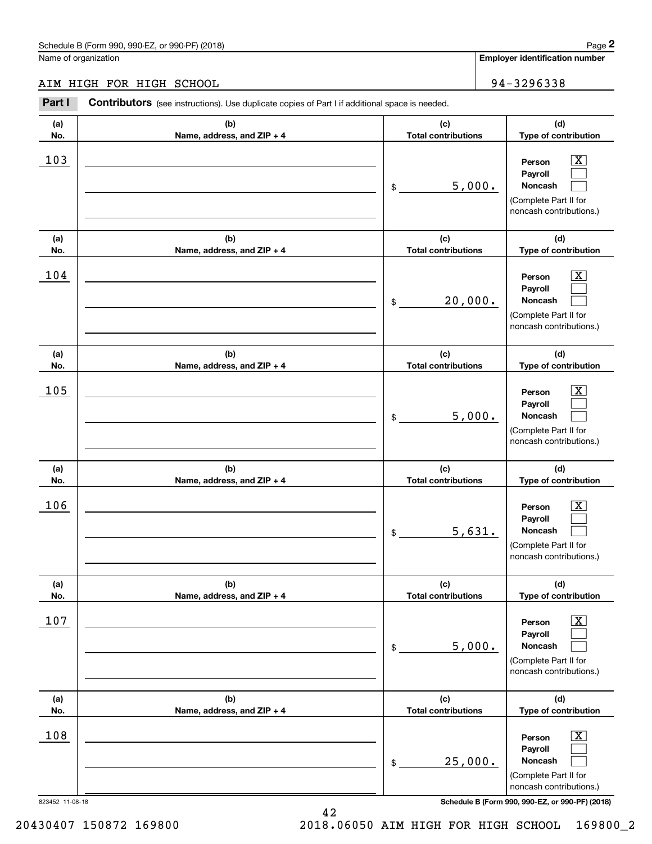#### AIM HIGH FOR HIGH SCHOOL 94-3296338 AIM HIGH FOR HIGH SCHOOL

|                 | Schedule B (Form 990, 990-EZ, or 990-PF) (2018)                                                |                                   |        | Page 2                                                                                                      |
|-----------------|------------------------------------------------------------------------------------------------|-----------------------------------|--------|-------------------------------------------------------------------------------------------------------------|
|                 | Name of organization                                                                           |                                   |        | Employer identification number                                                                              |
|                 | AIM HIGH FOR HIGH SCHOOL                                                                       |                                   |        | 94-3296338                                                                                                  |
| Part I          | Contributors (see instructions). Use duplicate copies of Part I if additional space is needed. |                                   |        |                                                                                                             |
| (a)<br>No.      | (b)<br>Name, address, and ZIP + 4                                                              | (c)<br><b>Total contributions</b> |        | (d)<br>Type of contribution                                                                                 |
| 103             |                                                                                                | \$                                | 5,000. | $\overline{\text{X}}$<br>Person<br>Payroll<br>Noncash<br>(Complete Part II for<br>noncash contributions.)   |
| (a)<br>No.      | (b)<br>Name, address, and ZIP + 4                                                              | (c)<br><b>Total contributions</b> |        | (d)<br>Type of contribution                                                                                 |
| 104             |                                                                                                | 20,000.<br>\$                     |        | $\overline{\text{X}}$<br>Person<br>Payroll<br>Noncash<br>(Complete Part II for<br>noncash contributions.)   |
| (a)<br>No.      | (b)<br>Name, address, and ZIP + 4                                                              | (c)<br><b>Total contributions</b> |        | (d)<br>Type of contribution                                                                                 |
| 105             |                                                                                                | \$                                | 5,000. | X<br>Person<br>Payroll<br>Noncash<br>(Complete Part II for<br>noncash contributions.)                       |
| (a)<br>No.      | (b)<br>Name, address, and ZIP + 4                                                              | (c)<br><b>Total contributions</b> |        | (d)<br>Type of contribution                                                                                 |
| 106             |                                                                                                | \$                                | 5,631. | $\mathbf{X}$<br>Person<br>Payroll<br>Noncash<br>(Complete Part II for<br>noncash contributions.)            |
| (a)<br>No.      | (b)<br>Name, address, and ZIP + 4                                                              | (c)<br><b>Total contributions</b> |        | (d)<br>Type of contribution                                                                                 |
| 107             |                                                                                                | \$                                | 5,000. | $\overline{\mathbf{X}}$<br>Person<br>Payroll<br>Noncash<br>(Complete Part II for<br>noncash contributions.) |
| (a)<br>No.      | (b)<br>Name, address, and ZIP + 4                                                              | (c)<br><b>Total contributions</b> |        | (d)<br>Type of contribution                                                                                 |
| 108             |                                                                                                | 25,000.<br>\$                     |        | $\overline{\mathbf{X}}$<br>Person<br>Payroll<br>Noncash<br>(Complete Part II for<br>noncash contributions.) |
| 823452 11-08-18 |                                                                                                |                                   |        | Schedule B (Form 990, 990-EZ, or 990-PF) (2018)                                                             |

42 42

20430407 150872 169800 2018.06050 AIM HIGH FOR HIGH SCHOOL 169800\_2 2018.06050 AIM HIGH FOR HIGH SCHOOL 16980072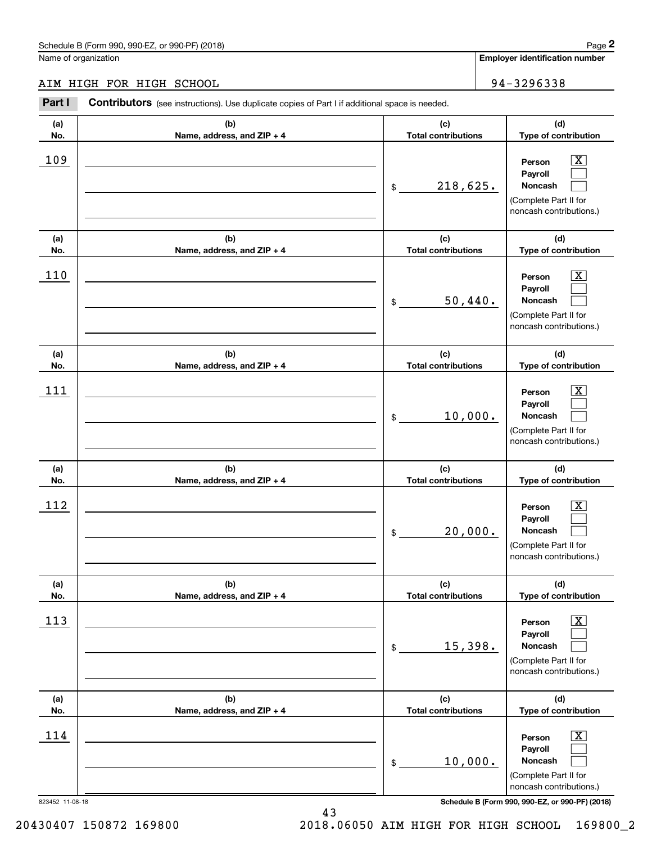# AIM HIGH FOR HIGH SCHOOL 94-3296338

|                 | Schedule B (Form 990, 990-EZ, or 990-PF) (2018)                                                |                                   | Page 2                                                                                                      |
|-----------------|------------------------------------------------------------------------------------------------|-----------------------------------|-------------------------------------------------------------------------------------------------------------|
|                 | Name of organization                                                                           |                                   | Employer identification number                                                                              |
|                 | AIM HIGH FOR HIGH SCHOOL                                                                       |                                   | 94-3296338                                                                                                  |
| Part I          | Contributors (see instructions). Use duplicate copies of Part I if additional space is needed. |                                   |                                                                                                             |
| (a)<br>No.      | (b)<br>Name, address, and ZIP + 4                                                              | (c)<br><b>Total contributions</b> | (d)<br>Type of contribution                                                                                 |
| 109             |                                                                                                | 218,625.<br>\$                    | $\overline{\text{X}}$<br>Person<br>Payroll<br>Noncash<br>(Complete Part II for<br>noncash contributions.)   |
| (a)<br>No.      | (b)<br>Name, address, and ZIP + 4                                                              | (c)<br><b>Total contributions</b> | (d)<br>Type of contribution                                                                                 |
| 110             |                                                                                                | 50,440.<br>\$                     | $\overline{\text{X}}$<br>Person<br>Payroll<br>Noncash<br>(Complete Part II for<br>noncash contributions.)   |
| (a)<br>No.      | (b)<br>Name, address, and ZIP + 4                                                              | (c)<br><b>Total contributions</b> | (d)<br>Type of contribution                                                                                 |
| 111             |                                                                                                | 10,000.<br>\$                     | X<br>Person<br>Payroll<br>Noncash<br>(Complete Part II for<br>noncash contributions.)                       |
| (a)<br>No.      | (b)<br>Name, address, and ZIP + 4                                                              | (c)<br><b>Total contributions</b> | (d)<br>Type of contribution                                                                                 |
| 112             |                                                                                                | 20,000.<br>\$                     | $\mathbf{X}$<br>Person<br>Payroll<br>Noncash<br>(Complete Part II for<br>noncash contributions.)            |
| (a)<br>No.      | (b)<br>Name, address, and ZIP + 4                                                              | (c)<br><b>Total contributions</b> | (d)<br>Type of contribution                                                                                 |
| 113             |                                                                                                | 15,398.<br>\$                     | $\boxed{\text{X}}$<br>Person<br>Payroll<br>Noncash<br>(Complete Part II for<br>noncash contributions.)      |
| (a)<br>No.      | (b)<br>Name, address, and ZIP + 4                                                              | (c)<br><b>Total contributions</b> | (d)<br>Type of contribution                                                                                 |
| 114             |                                                                                                | 10,000.<br>\$                     | $\overline{\mathbf{X}}$<br>Person<br>Payroll<br>Noncash<br>(Complete Part II for<br>noncash contributions.) |
| 823452 11-08-18 |                                                                                                |                                   | Schedule B (Form 990, 990-EZ, or 990-PF) (2018)                                                             |

43 43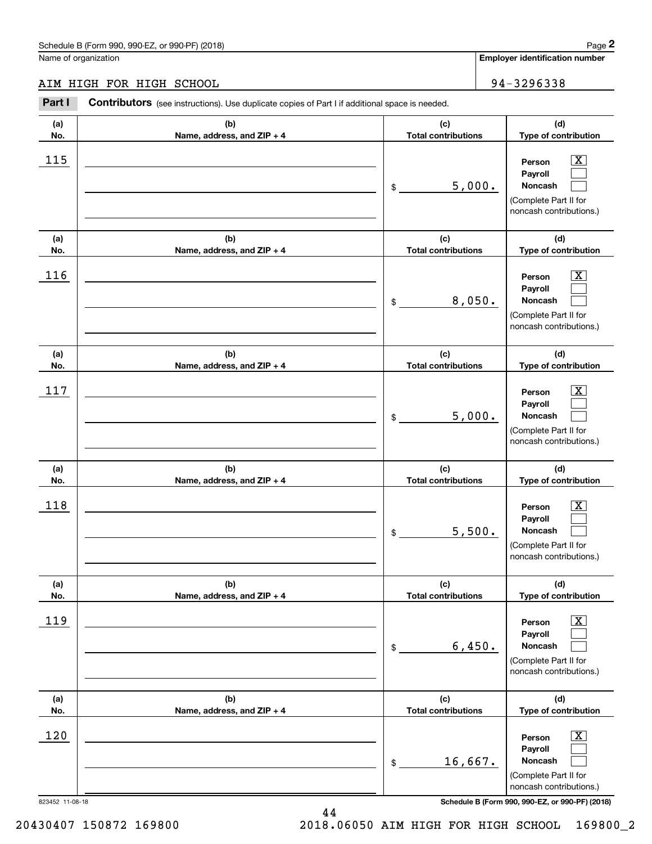# AIM HIGH FOR HIGH SCHOOL 94-3296338

|            | Schedule B (Form 990, 990-EZ, or 990-PF) (2018)                                                |                                   |        | Page 2                                                                                                        |
|------------|------------------------------------------------------------------------------------------------|-----------------------------------|--------|---------------------------------------------------------------------------------------------------------------|
|            | Name of organization                                                                           |                                   |        | Employer identification number                                                                                |
|            | AIM HIGH FOR HIGH SCHOOL                                                                       |                                   |        | 94-3296338                                                                                                    |
| Part I     | Contributors (see instructions). Use duplicate copies of Part I if additional space is needed. |                                   |        |                                                                                                               |
| (a)<br>No. | (b)<br>Name, address, and ZIP + 4                                                              | (c)<br><b>Total contributions</b> |        | (d)<br>Type of contribution                                                                                   |
| 115        |                                                                                                | \$                                | 5,000. | $\overline{\text{X}}$<br>Person<br>Payroll<br>Noncash<br>(Complete Part II for<br>noncash contributions.)     |
| (a)<br>No. | (b)<br>Name, address, and ZIP + 4                                                              | (c)<br><b>Total contributions</b> |        | (d)<br>Type of contribution                                                                                   |
| 116        |                                                                                                | \$                                | 8,050. | $\overline{\text{X}}$<br>Person<br>Payroll<br>Noncash<br>(Complete Part II for<br>noncash contributions.)     |
| (a)        | (b)                                                                                            | (c)                               |        | (d)                                                                                                           |
| No.<br>117 | Name, address, and ZIP + 4                                                                     | <b>Total contributions</b><br>\$  | 5,000. | Type of contribution<br>X<br>Person<br>Payroll<br>Noncash<br>(Complete Part II for<br>noncash contributions.) |
| (a)<br>No. | (b)<br>Name, address, and ZIP + 4                                                              | (c)<br><b>Total contributions</b> |        | (d)<br>Type of contribution                                                                                   |
| 118        |                                                                                                | \$                                | 5,500. | $\mathbf{X}$<br>Person<br>Payroll<br>Noncash<br>(Complete Part II for<br>noncash contributions.)              |
| (a)<br>No. | (b)<br>Name, address, and ZIP + 4                                                              | (c)<br><b>Total contributions</b> |        | (d)<br>Type of contribution                                                                                   |
| 119        |                                                                                                | \$                                | 6,450. | $\boxed{\text{X}}$<br>Person<br>Payroll<br>Noncash<br>(Complete Part II for<br>noncash contributions.)        |
| (a)<br>No. | (b)<br>Name, address, and ZIP + 4                                                              | (c)<br><b>Total contributions</b> |        | (d)<br>Type of contribution                                                                                   |
| 120        |                                                                                                | 16,667.<br>\$                     |        | $\overline{\mathbf{X}}$<br>Person<br>Payroll<br>Noncash<br>(Complete Part II for<br>noncash contributions.)   |

823452 11-08-18 **Schedule B (Form 990, 990-EZ, or 990-PF) (2018)** 

823452 11-08-18

20430407 150872 169800

20430407 150872 169800 2018.06050 AIM HIGH FOR HIGH SCHOOL 169800\_2 2018.06050 AIM HIGH FOR HIGH SCHOOL 16980072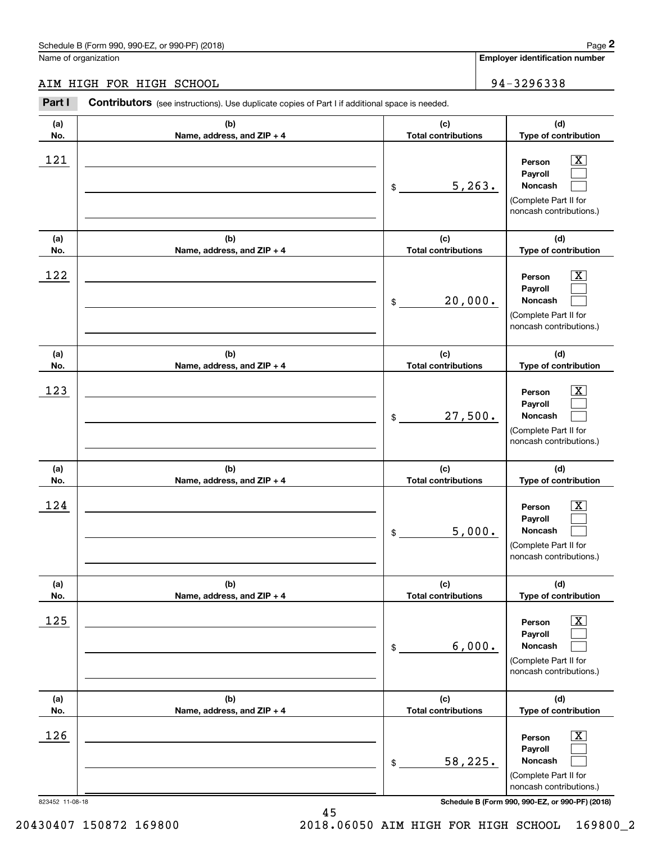# AIM HIGH FOR HIGH SCHOOL 94-3296338

|                 | Schedule B (Form 990, 990-EZ, or 990-PF) (2018)                                                |                                   |         | Page 2                                                                                                      |
|-----------------|------------------------------------------------------------------------------------------------|-----------------------------------|---------|-------------------------------------------------------------------------------------------------------------|
|                 | Name of organization                                                                           |                                   |         | <b>Employer identification number</b>                                                                       |
|                 | AIM HIGH FOR HIGH SCHOOL                                                                       |                                   |         | 94-3296338                                                                                                  |
| Part I          | Contributors (see instructions). Use duplicate copies of Part I if additional space is needed. |                                   |         |                                                                                                             |
| (a)<br>No.      | (b)<br>Name, address, and ZIP + 4                                                              | (c)<br><b>Total contributions</b> |         | (d)<br>Type of contribution                                                                                 |
| 121             |                                                                                                | \$                                | 5, 263. | $\overline{\mathbf{X}}$<br>Person<br>Payroll<br>Noncash<br>(Complete Part II for<br>noncash contributions.) |
| (a)<br>No.      | (b)<br>Name, address, and ZIP + 4                                                              | (c)<br><b>Total contributions</b> |         | (d)<br>Type of contribution                                                                                 |
| 122             |                                                                                                | \$                                | 20,000. | $\overline{\mathbf{X}}$<br>Person<br>Payroll<br>Noncash<br>(Complete Part II for<br>noncash contributions.) |
| (a)<br>No.      | (b)<br>Name, address, and ZIP + 4                                                              | (c)<br><b>Total contributions</b> |         | (d)<br>Type of contribution                                                                                 |
| 123             |                                                                                                | \$                                | 27,500. | $\overline{\mathbf{X}}$<br>Person<br>Payroll<br>Noncash<br>(Complete Part II for<br>noncash contributions.) |
| (a)<br>No.      | (b)<br>Name, address, and ZIP + 4                                                              | (c)<br><b>Total contributions</b> |         | (d)<br>Type of contribution                                                                                 |
| 124             |                                                                                                | \$                                | 5,000.  | $\mathbf{X}$<br>Person<br>Payroll<br>Noncash<br>(Complete Part II for<br>noncash contributions.)            |
| (a)<br>No.      | (b)<br>Name, address, and ZIP + 4                                                              | (c)<br><b>Total contributions</b> |         | (d)<br>Type of contribution                                                                                 |
| 125             |                                                                                                | \$                                | 6,000.  | $\overline{\mathbf{X}}$<br>Person<br>Payroll<br>Noncash<br>(Complete Part II for<br>noncash contributions.) |
| (a)<br>No.      | (b)<br>Name, address, and ZIP + 4                                                              | (c)<br><b>Total contributions</b> |         | (d)<br>Type of contribution                                                                                 |
| 126             |                                                                                                | \$                                | 58,225. | $\overline{\mathbf{X}}$<br>Person<br>Payroll<br>Noncash<br>(Complete Part II for<br>noncash contributions.) |
| 823452 11-08-18 |                                                                                                |                                   |         | Schedule B (Form 990, 990-EZ, or 990-PF) (2018)                                                             |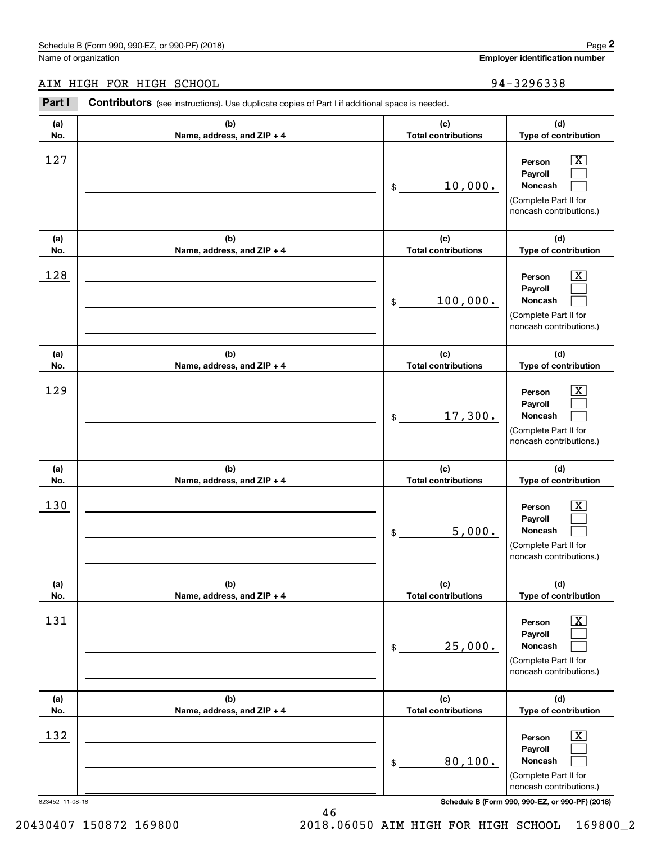# AIM HIGH FOR HIGH SCHOOL 94-3296338

|                 | Schedule B (Form 990, 990-EZ, or 990-PF) (2018)                                                |                                   |        | Page 2                                                                                                             |
|-----------------|------------------------------------------------------------------------------------------------|-----------------------------------|--------|--------------------------------------------------------------------------------------------------------------------|
|                 | Name of organization                                                                           |                                   |        | Employer identification number                                                                                     |
|                 | AIM HIGH FOR HIGH SCHOOL                                                                       |                                   |        | 94-3296338                                                                                                         |
| Part I          | Contributors (see instructions). Use duplicate copies of Part I if additional space is needed. |                                   |        |                                                                                                                    |
| (a)<br>No.      | (b)<br>Name, address, and ZIP + 4                                                              | (c)<br><b>Total contributions</b> |        | (d)<br>Type of contribution                                                                                        |
| 127             |                                                                                                | 10,000.<br>\$                     |        | $\overline{\mathbf{X}}$<br>Person<br>Payroll<br>Noncash<br>(Complete Part II for<br>noncash contributions.)        |
| (a)<br>No.      | (b)<br>Name, address, and ZIP + 4                                                              | (c)<br><b>Total contributions</b> |        | (d)<br>Type of contribution                                                                                        |
| 128             |                                                                                                | 100,000.<br>\$                    |        | $\overline{\mathbf{X}}$<br>Person<br>Payroll<br>Noncash<br>(Complete Part II for<br>noncash contributions.)        |
| (a)<br>No.      | (b)<br>Name, address, and ZIP + 4                                                              | (c)<br><b>Total contributions</b> |        | (d)<br>Type of contribution                                                                                        |
| 129             |                                                                                                | 17,300.<br>\$                     |        | $\overline{\mathbf{X}}$<br>Person<br>Payroll<br>Noncash<br>(Complete Part II for<br>noncash contributions.)        |
| (a)<br>No.      | (b)<br>Name, address, and ZIP + 4                                                              | (c)<br><b>Total contributions</b> |        | (d)<br>Type of contribution                                                                                        |
| 130             |                                                                                                | \$                                | 5,000. | $\mathbf{X}$<br>Person<br>Payroll<br>Noncash<br>(Complete Part II for<br>noncash contributions.)                   |
| (a)<br>No.      | (b)<br>Name, address, and ZIP + 4                                                              | (c)<br><b>Total contributions</b> |        | (d)<br>Type of contribution                                                                                        |
| 131             |                                                                                                | 25,000.<br>\$                     |        | $\overline{\mathbf{X}}$<br>Person<br>Payroll<br><b>Noncash</b><br>(Complete Part II for<br>noncash contributions.) |
| (a)<br>No.      | (b)<br>Name, address, and ZIP + 4                                                              | (c)<br><b>Total contributions</b> |        | (d)<br>Type of contribution                                                                                        |
| 132             |                                                                                                | 80,100.<br>\$                     |        | $\boxed{\text{X}}$<br>Person<br>Payroll<br><b>Noncash</b><br>(Complete Part II for<br>noncash contributions.)      |
| 823452 11-08-18 |                                                                                                |                                   |        | Schedule B (Form 990, 990-EZ, or 990-PF) (2018)                                                                    |

46 46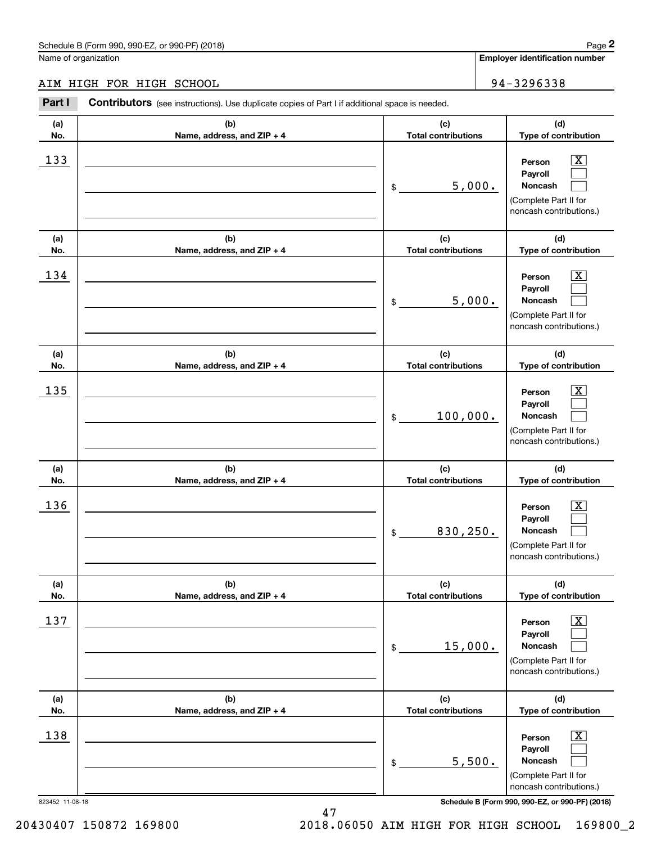# AIM HIGH FOR HIGH SCHOOL 94-3296338

|            | Schedule B (Form 990, 990-EZ, or 990-PF) (2018)                                                |                                   | Page 2                                                                                                    |
|------------|------------------------------------------------------------------------------------------------|-----------------------------------|-----------------------------------------------------------------------------------------------------------|
|            | Name of organization                                                                           |                                   | Employer identification number                                                                            |
|            | AIM HIGH FOR HIGH SCHOOL                                                                       |                                   | 94-3296338                                                                                                |
| Part I     | Contributors (see instructions). Use duplicate copies of Part I if additional space is needed. |                                   |                                                                                                           |
| (a)<br>No. | (b)<br>Name, address, and ZIP + 4                                                              | (c)<br><b>Total contributions</b> | (d)<br>Type of contribution                                                                               |
| 133        |                                                                                                | 5,000.<br>\$                      | $\overline{\text{X}}$<br>Person<br>Payroll<br>Noncash<br>(Complete Part II for<br>noncash contributions.) |
| (a)<br>No. | (b)<br>Name, address, and ZIP + 4                                                              | (c)<br><b>Total contributions</b> | (d)<br>Type of contribution                                                                               |
| 134        |                                                                                                | 5,000.<br>\$                      | $\overline{\text{X}}$<br>Person<br>Payroll<br>Noncash<br>(Complete Part II for<br>noncash contributions.) |
| (a)<br>No. | (b)<br>Name, address, and ZIP + 4                                                              | (c)<br><b>Total contributions</b> | (d)<br>Type of contribution                                                                               |
| 135        |                                                                                                | 100,000.<br>\$                    | X<br>Person<br>Payroll<br>Noncash<br>(Complete Part II for<br>noncash contributions.)                     |
| (a)<br>No. | (b)<br>Name, address, and ZIP + 4                                                              | (c)<br><b>Total contributions</b> | (d)<br>Type of contribution                                                                               |
| 136        |                                                                                                | 830,250.<br>\$                    | $\mathbf{X}$<br>Person<br>Payroll<br>Noncash<br>(Complete Part II for<br>noncash contributions.)          |
| (a)<br>No. | (b)<br>Name, address, and ZIP + 4                                                              | (c)<br><b>Total contributions</b> | (d)<br>Type of contribution                                                                               |
| 137        |                                                                                                | 15,000.<br>\$                     | $\boxed{\text{X}}$<br>Person<br>Payroll<br>Noncash<br>(Complete Part II for<br>noncash contributions.)    |
| (a)<br>No. | (b)<br>Name, address, and ZIP + 4                                                              | (c)<br><b>Total contributions</b> | (d)<br>Type of contribution                                                                               |
| 138        |                                                                                                | 5,500.<br>\$                      | $\boxed{\text{X}}$<br>Person<br>Payroll<br>Noncash<br>(Complete Part II for<br>noncash contributions.)    |

823452 11-08-18 **Schedule B (Form 990, 990-EZ, or 990-PF) (2018)** 

47 47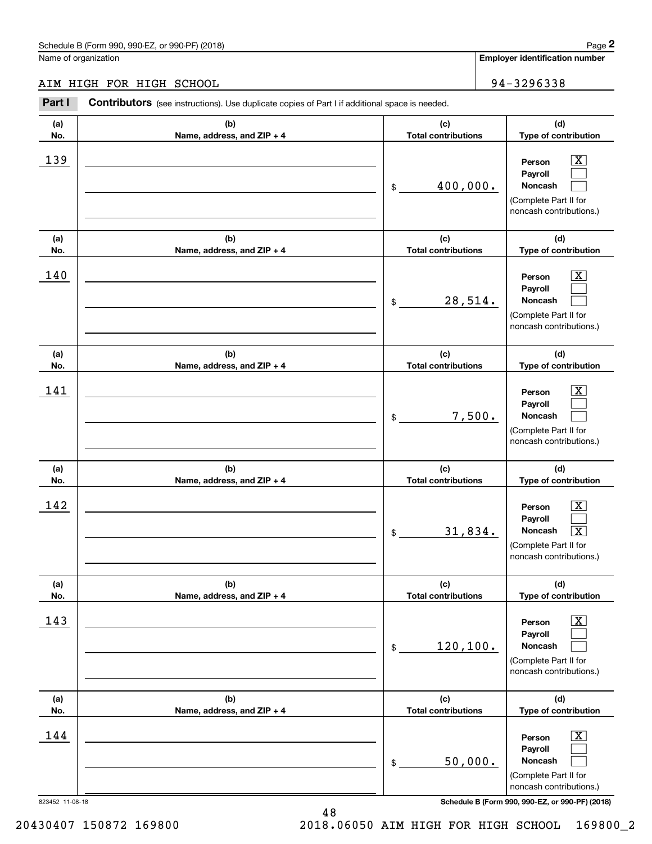#### AIM HIGH FOR HIGH SCHOOL 94-3296338 AIM HIGH FOR HIGH SCHOOL

|                 | Schedule B (Form 990, 990-EZ, or 990-PF) (2018)                                                       |                                   | Page 2                                                                                                                             |
|-----------------|-------------------------------------------------------------------------------------------------------|-----------------------------------|------------------------------------------------------------------------------------------------------------------------------------|
|                 | Name of organization                                                                                  |                                   | Employer identification number                                                                                                     |
|                 | AIM HIGH FOR HIGH SCHOOL                                                                              |                                   | 94-3296338                                                                                                                         |
| Part I          | <b>Contributors</b> (see instructions). Use duplicate copies of Part I if additional space is needed. |                                   |                                                                                                                                    |
| (a)<br>No.      | (b)<br>Name, address, and ZIP + 4                                                                     | (c)<br><b>Total contributions</b> | (d)<br>Type of contribution                                                                                                        |
| 139             |                                                                                                       | 400,000.<br>\$                    | $\mathbf{X}$<br>Person<br>Payroll<br><b>Noncash</b><br>(Complete Part II for<br>noncash contributions.)                            |
| (a)<br>No.      | (b)<br>Name, address, and ZIP + 4                                                                     | (c)<br><b>Total contributions</b> | (d)<br>Type of contribution                                                                                                        |
| 140             |                                                                                                       | 28,514.<br>\$                     | $\overline{\mathbf{X}}$<br>Person<br>Payroll<br>Noncash<br>(Complete Part II for<br>noncash contributions.)                        |
| (a)<br>No.      | (b)<br>Name, address, and ZIP + 4                                                                     | (c)<br><b>Total contributions</b> | (d)<br>Type of contribution                                                                                                        |
| 141             |                                                                                                       | 7,500.<br>\$                      | $\overline{\mathbf{X}}$<br>Person<br>Payroll<br>Noncash<br>(Complete Part II for<br>noncash contributions.)                        |
| (a)<br>No.      | (b)<br>Name, address, and ZIP + 4                                                                     | (c)<br><b>Total contributions</b> | (d)<br>Type of contribution                                                                                                        |
| 142             |                                                                                                       | 31,834.<br>\$                     | $\mathbf{X}$<br>Person<br>Payroll<br><b>Noncash</b><br>$\overline{\mathbf{X}}$<br>(Complete Part II for<br>noncash contributions.) |
| (a)<br>No.      | (b)<br>Name, address, and ZIP + 4                                                                     | (c)<br><b>Total contributions</b> | (d)<br>Type of contribution                                                                                                        |
| 143             |                                                                                                       | 120, 100.<br>\$                   | $\overline{\mathbf{X}}$<br>Person<br>Payroll<br>Noncash<br>(Complete Part II for<br>noncash contributions.)                        |
| (a)<br>No.      | (b)<br>Name, address, and ZIP + 4                                                                     | (c)<br><b>Total contributions</b> | (d)<br>Type of contribution                                                                                                        |
| 144             |                                                                                                       | 50,000.<br>\$                     | $\overline{\mathbf{X}}$<br>Person<br>Payroll<br>Noncash<br>(Complete Part II for<br>noncash contributions.)                        |
| 823452 11-08-18 |                                                                                                       |                                   | Schedule B (Form 990, 990-EZ, or 990-PF) (2018)                                                                                    |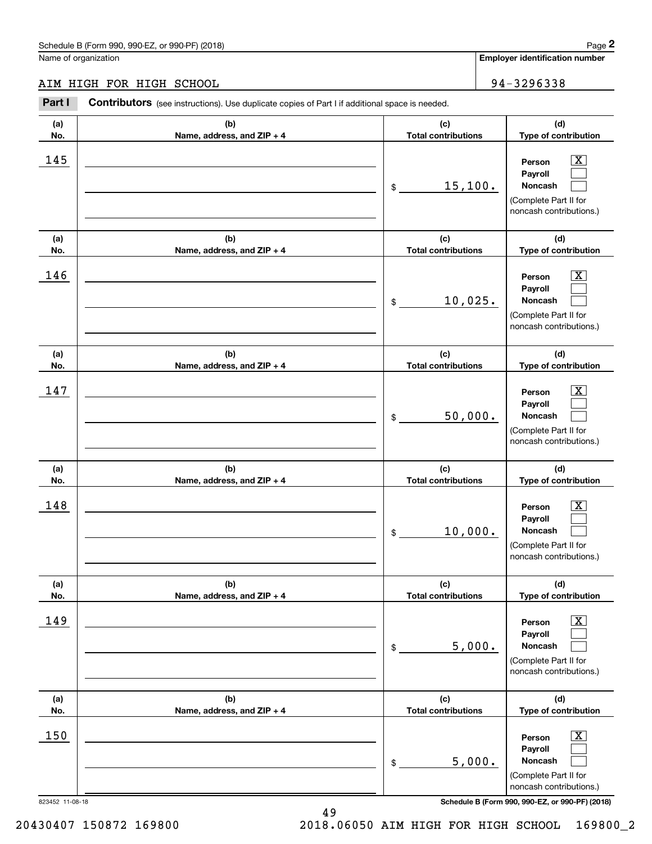# AIM HIGH FOR HIGH SCHOOL 94-3296338

|            | Schedule B (Form 990, 990-EZ, or 990-PF) (2018)                                                |                                             | Page 2                                                                                                                    |
|------------|------------------------------------------------------------------------------------------------|---------------------------------------------|---------------------------------------------------------------------------------------------------------------------------|
|            | Name of organization                                                                           |                                             | Employer identification number                                                                                            |
|            | AIM HIGH FOR HIGH SCHOOL                                                                       |                                             | 94-3296338                                                                                                                |
| Part I     | Contributors (see instructions). Use duplicate copies of Part I if additional space is needed. |                                             |                                                                                                                           |
| (a)<br>No. | (b)<br>Name, address, and ZIP + 4                                                              | (c)<br><b>Total contributions</b>           | (d)<br>Type of contribution                                                                                               |
| 145        |                                                                                                | 15,100.<br>\$                               | $\overline{\text{X}}$<br>Person<br>Payroll<br>Noncash<br>(Complete Part II for<br>noncash contributions.)                 |
| (a)<br>No. | (b)<br>Name, address, and ZIP + 4                                                              | (c)<br><b>Total contributions</b>           | (d)<br>Type of contribution                                                                                               |
| 146        |                                                                                                | 10,025.<br>\$                               | $\overline{\text{X}}$<br>Person<br>Payroll<br>Noncash<br>(Complete Part II for<br>noncash contributions.)                 |
| (a)        | (b)                                                                                            | (c)                                         | (d)                                                                                                                       |
| No.<br>147 | Name, address, and ZIP + 4                                                                     | <b>Total contributions</b><br>50,000.<br>\$ | Type of contribution<br>X<br>Person<br>Payroll<br>Noncash<br>(Complete Part II for<br>noncash contributions.)             |
| (a)<br>No. | (b)<br>Name, address, and ZIP + 4                                                              | (c)<br><b>Total contributions</b>           | (d)<br>Type of contribution                                                                                               |
| 148        |                                                                                                | 10,000.<br>\$                               | $\mathbf{X}$<br>Person<br>Payroll<br><b>Noncash</b><br>(Complete Part II for<br>noncash contributions.)                   |
| (a)<br>No. | (b)<br>Name, address, and ZIP + 4                                                              | (c)<br><b>Total contributions</b>           | (d)<br>Type of contribution                                                                                               |
| 149        |                                                                                                | 5,000.<br>\$                                | $\overline{\text{X}}$<br>Person<br>Payroll<br>Noncash<br>(Complete Part II for<br>noncash contributions.)                 |
| (a)<br>No. | (b)<br>Name, address, and ZIP + 4                                                              | (c)<br><b>Total contributions</b>           | (d)<br>Type of contribution                                                                                               |
| 150        |                                                                                                | 5,000.<br>\$                                | $\overline{\text{X}}$<br>Person<br>Payroll<br>Noncash<br>(Complete Part II for<br>noncash contributions.)<br>000.051/0040 |

49 49

823452 11-08-18 **Schedule B (Form 990, 990-EZ, or 990-PF) (2018)**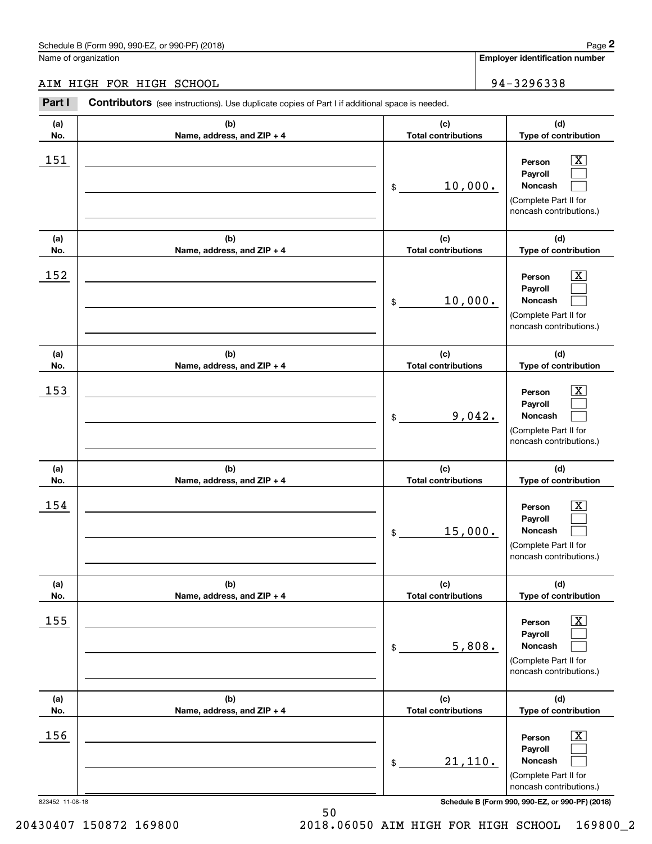# AIM HIGH FOR HIGH SCHOOL 94-3296338

|                 | Schedule B (Form 990, 990-EZ, or 990-PF) (2018)                                                |                                   |         | Page 2                                                                                                      |
|-----------------|------------------------------------------------------------------------------------------------|-----------------------------------|---------|-------------------------------------------------------------------------------------------------------------|
|                 | Name of organization                                                                           |                                   |         | <b>Employer identification number</b>                                                                       |
|                 | AIM HIGH FOR HIGH SCHOOL                                                                       |                                   |         | 94-3296338                                                                                                  |
| Part I          | Contributors (see instructions). Use duplicate copies of Part I if additional space is needed. |                                   |         |                                                                                                             |
| (a)<br>No.      | (b)<br>Name, address, and ZIP + 4                                                              | (c)<br><b>Total contributions</b> |         | (d)<br>Type of contribution                                                                                 |
| 151             |                                                                                                | \$                                | 10,000. | $\overline{\mathbf{X}}$<br>Person<br>Payroll<br>Noncash<br>(Complete Part II for<br>noncash contributions.) |
| (a)<br>No.      | (b)<br>Name, address, and ZIP + 4                                                              | (c)<br><b>Total contributions</b> |         | (d)<br>Type of contribution                                                                                 |
| 152             |                                                                                                | \$                                | 10,000. | $\overline{\mathbf{X}}$<br>Person<br>Payroll<br>Noncash<br>(Complete Part II for<br>noncash contributions.) |
| (a)<br>No.      | (b)<br>Name, address, and ZIP + 4                                                              | (c)<br><b>Total contributions</b> |         | (d)<br>Type of contribution                                                                                 |
| 153             |                                                                                                | \$                                | 9,042.  | $\overline{\mathbf{X}}$<br>Person<br>Payroll<br>Noncash<br>(Complete Part II for<br>noncash contributions.) |
| (a)<br>No.      | (b)<br>Name, address, and ZIP + 4                                                              | (c)<br><b>Total contributions</b> |         | (d)<br>Type of contribution                                                                                 |
| 154             |                                                                                                | \$                                | 15,000. | $\mathbf{X}$<br>Person<br>Payroll<br>Noncash<br>(Complete Part II for<br>noncash contributions.)            |
| (a)<br>No.      | (b)<br>Name, address, and ZIP + 4                                                              | (c)<br><b>Total contributions</b> |         | (d)<br>Type of contribution                                                                                 |
| 155             |                                                                                                | \$                                | 5,808.  | $\boxed{\text{X}}$<br>Person<br>Payroll<br>Noncash<br>(Complete Part II for<br>noncash contributions.)      |
| (a)<br>No.      | (b)<br>Name, address, and ZIP + 4                                                              | (c)<br><b>Total contributions</b> |         | (d)<br>Type of contribution                                                                                 |
| 156             |                                                                                                | \$                                | 21,110. | $\boxed{\text{X}}$<br>Person<br>Payroll<br>Noncash<br>(Complete Part II for<br>noncash contributions.)      |
| 823452 11-08-18 |                                                                                                |                                   |         | Schedule B (Form 990, 990-EZ, or 990-PF) (2018)                                                             |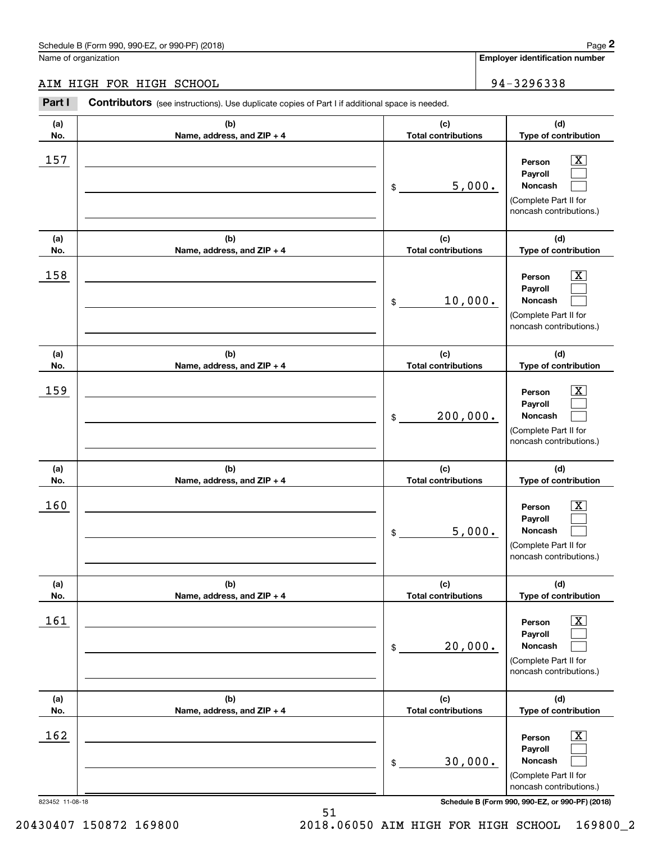# AIM HIGH FOR HIGH SCHOOL 94-3296338

|                 | Schedule B (Form 990, 990-EZ, or 990-PF) (2018)                                                |                                   |          | Page 2                                                                                                      |  |  |
|-----------------|------------------------------------------------------------------------------------------------|-----------------------------------|----------|-------------------------------------------------------------------------------------------------------------|--|--|
|                 | Name of organization                                                                           |                                   |          | Employer identification number                                                                              |  |  |
|                 | AIM HIGH FOR HIGH SCHOOL                                                                       |                                   |          | 94-3296338                                                                                                  |  |  |
| Part I          | Contributors (see instructions). Use duplicate copies of Part I if additional space is needed. |                                   |          |                                                                                                             |  |  |
| (a)<br>No.      | (b)<br>Name, address, and ZIP + 4                                                              | (c)<br><b>Total contributions</b> |          | (d)<br>Type of contribution                                                                                 |  |  |
| 157             |                                                                                                | \$                                | 5,000.   | $\overline{\text{X}}$<br>Person<br>Payroll<br>Noncash<br>(Complete Part II for<br>noncash contributions.)   |  |  |
| (a)<br>No.      | (b)<br>Name, address, and ZIP + 4                                                              | (c)<br><b>Total contributions</b> |          | (d)<br>Type of contribution                                                                                 |  |  |
| 158             |                                                                                                | \$                                | 10,000.  | $\overline{\text{X}}$<br>Person<br>Payroll<br>Noncash<br>(Complete Part II for<br>noncash contributions.)   |  |  |
| (a)<br>No.      | (b)<br>Name, address, and ZIP + 4                                                              | (c)<br><b>Total contributions</b> |          | (d)<br>Type of contribution                                                                                 |  |  |
| 159             |                                                                                                | \$                                | 200,000. | X<br>Person<br>Payroll<br>Noncash<br>(Complete Part II for<br>noncash contributions.)                       |  |  |
| (a)<br>No.      | (b)<br>Name, address, and ZIP + 4                                                              | (c)<br><b>Total contributions</b> |          | (d)<br>Type of contribution                                                                                 |  |  |
| 160             |                                                                                                | \$                                | 5,000.   | $\mathbf{X}$<br>Person<br>Payroll<br>Noncash<br>(Complete Part II for<br>noncash contributions.)            |  |  |
| (a)<br>No.      | (b)<br>Name, address, and ZIP + 4                                                              | (c)<br><b>Total contributions</b> |          | (d)<br>Type of contribution                                                                                 |  |  |
| 161             |                                                                                                | \$                                | 20,000.  | $\overline{\mathbf{X}}$<br>Person<br>Payroll<br>Noncash<br>(Complete Part II for<br>noncash contributions.) |  |  |
| (a)<br>No.      | (b)<br>Name, address, and ZIP + 4                                                              | (c)<br><b>Total contributions</b> |          | (d)<br>Type of contribution                                                                                 |  |  |
| 162             |                                                                                                | \$                                | 30,000.  | $\overline{\mathbf{X}}$<br>Person<br>Payroll<br>Noncash<br>(Complete Part II for<br>noncash contributions.) |  |  |
| 823452 11-08-18 |                                                                                                |                                   |          | Schedule B (Form 990, 990-EZ, or 990-PF) (2018)                                                             |  |  |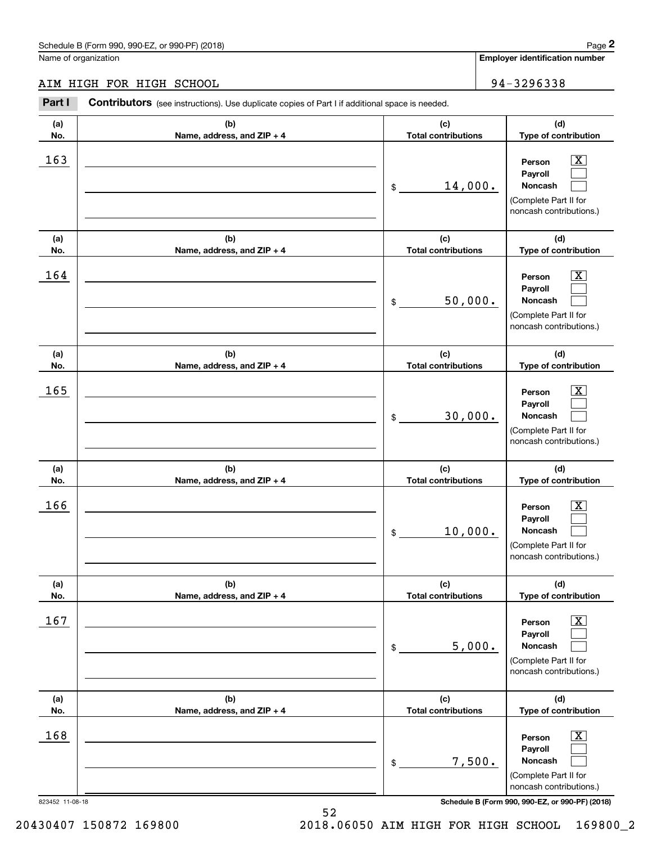# AIM HIGH FOR HIGH SCHOOL 94-3296338

|                 | Schedule B (Form 990, 990-EZ, or 990-PF) (2018)                                                |                                   | Page 2                                                                                                                |
|-----------------|------------------------------------------------------------------------------------------------|-----------------------------------|-----------------------------------------------------------------------------------------------------------------------|
|                 | Name of organization                                                                           |                                   | Employer identification number                                                                                        |
|                 | AIM HIGH FOR HIGH SCHOOL                                                                       |                                   | 94-3296338                                                                                                            |
| Part I          | Contributors (see instructions). Use duplicate copies of Part I if additional space is needed. |                                   |                                                                                                                       |
| (a)<br>No.      | (b)<br>Name, address, and ZIP + 4                                                              | (c)<br><b>Total contributions</b> | (d)<br>Type of contribution                                                                                           |
| 163             |                                                                                                | 14,000.<br>\$                     | $\overline{\text{X}}$<br>Person<br>Payroll<br>Noncash<br>(Complete Part II for<br>noncash contributions.)             |
| (a)<br>No.      | (b)<br>Name, address, and ZIP + 4                                                              | (c)<br><b>Total contributions</b> | (d)<br>Type of contribution                                                                                           |
| 164             |                                                                                                | 50,000.<br>\$                     | $\overline{\text{X}}$<br>Person<br>Payroll<br>Noncash<br>(Complete Part II for<br>noncash contributions.)             |
| (a)<br>No.      | (b)<br>Name, address, and ZIP + 4                                                              | (c)<br><b>Total contributions</b> | (d)<br>Type of contribution                                                                                           |
| 165             |                                                                                                | 30,000.<br>\$                     | X<br>Person<br>Payroll<br>Noncash<br>(Complete Part II for<br>noncash contributions.)                                 |
| (a)<br>No.      | (b)<br>Name, address, and ZIP + 4                                                              | (c)<br><b>Total contributions</b> | (d)<br>Type of contribution                                                                                           |
| 166             |                                                                                                | 10,000.<br>\$                     | $\mathbf{X}$<br>Person<br>Payroll<br>Noncash<br>(Complete Part II for<br>noncash contributions.)                      |
| (a)<br>No.      | (b)<br>Name, address, and ZIP + 4                                                              | (c)<br><b>Total contributions</b> | (d)<br>Type of contribution                                                                                           |
| 167             |                                                                                                | \$                                | $\overline{\mathbf{X}}$<br>Person<br>Payroll<br>5,000.<br>Noncash<br>(Complete Part II for<br>noncash contributions.) |
| (a)<br>No.      | (b)<br>Name, address, and ZIP + 4                                                              | (c)<br><b>Total contributions</b> | (d)<br>Type of contribution                                                                                           |
| 168             |                                                                                                | \$                                | $\overline{\mathbf{X}}$<br>Person<br>Payroll<br>7,500.<br>Noncash<br>(Complete Part II for<br>noncash contributions.) |
| 823452 11-08-18 |                                                                                                |                                   | Schedule B (Form 990, 990-EZ, or 990-PF) (2018)                                                                       |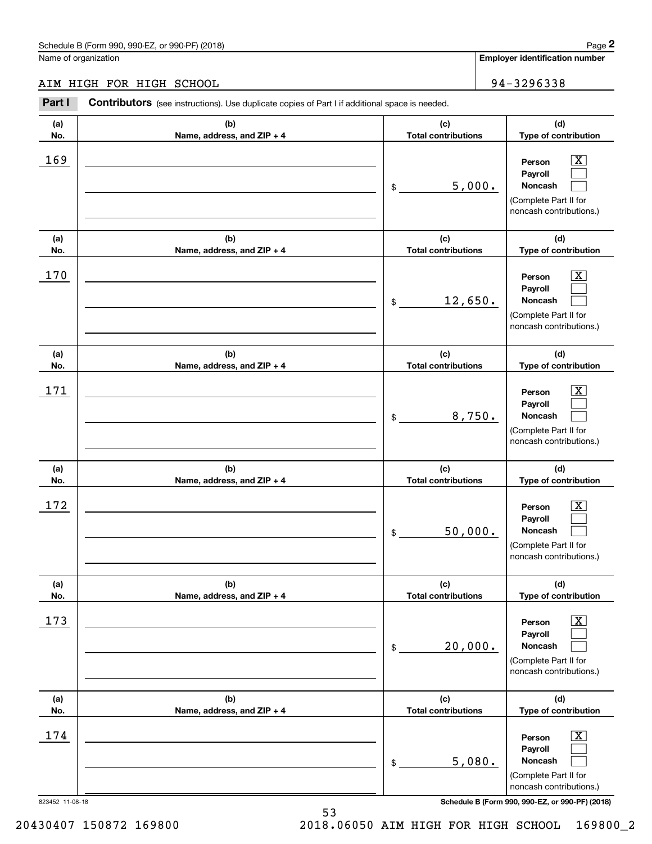# AIM HIGH FOR HIGH SCHOOL 94-3296338

|                 | Schedule B (Form 990, 990-EZ, or 990-PF) (2018)                                                |                                   |         | Page 2                                                                                                      |
|-----------------|------------------------------------------------------------------------------------------------|-----------------------------------|---------|-------------------------------------------------------------------------------------------------------------|
|                 | Name of organization                                                                           |                                   |         | Employer identification number                                                                              |
|                 | AIM HIGH FOR HIGH SCHOOL                                                                       |                                   |         | 94-3296338                                                                                                  |
| Part I          | Contributors (see instructions). Use duplicate copies of Part I if additional space is needed. |                                   |         |                                                                                                             |
| (a)<br>No.      | (b)<br>Name, address, and ZIP + 4                                                              | (c)<br><b>Total contributions</b> |         | (d)<br>Type of contribution                                                                                 |
| 169             |                                                                                                | \$                                | 5,000.  | $\overline{\text{X}}$<br>Person<br>Payroll<br>Noncash<br>(Complete Part II for<br>noncash contributions.)   |
| (a)<br>No.      | (b)<br>Name, address, and ZIP + 4                                                              | (c)<br><b>Total contributions</b> |         | (d)<br>Type of contribution                                                                                 |
| 170             |                                                                                                | \$                                | 12,650. | X<br>Person<br>Payroll<br>Noncash<br>(Complete Part II for<br>noncash contributions.)                       |
| (a)<br>No.      | (b)<br>Name, address, and ZIP + 4                                                              | (c)<br><b>Total contributions</b> |         | (d)<br>Type of contribution                                                                                 |
| 171             |                                                                                                | \$                                | 8,750.  | X<br>Person<br>Payroll<br>Noncash<br>(Complete Part II for<br>noncash contributions.)                       |
| (a)<br>No.      | (b)<br>Name, address, and ZIP + 4                                                              | (c)<br><b>Total contributions</b> |         | (d)<br>Type of contribution                                                                                 |
| 172             |                                                                                                | \$                                | 50,000. | $\mathbf{X}$<br>Person<br>Payroll<br>Noncash<br>(Complete Part II for<br>noncash contributions.)            |
| (a)<br>No.      | (b)<br>Name, address, and ZIP + 4                                                              | (c)<br><b>Total contributions</b> |         | (d)<br>Type of contribution                                                                                 |
| 173             |                                                                                                | \$                                | 20,000. | $\overline{\mathbf{X}}$<br>Person<br>Payroll<br>Noncash<br>(Complete Part II for<br>noncash contributions.) |
| (a)<br>No.      | (b)<br>Name, address, and ZIP + 4                                                              | (c)<br><b>Total contributions</b> |         | (d)<br>Type of contribution                                                                                 |
| 174             |                                                                                                | \$                                | 5,080.  | $\overline{\mathbf{X}}$<br>Person<br>Payroll<br>Noncash<br>(Complete Part II for<br>noncash contributions.) |
| 823452 11-08-18 |                                                                                                |                                   |         | Schedule B (Form 990, 990-EZ, or 990-PF) (2018)                                                             |

20430407 150872 169800 2018.06050 AIM HIGH FOR HIGH SCHOOL 169800\_2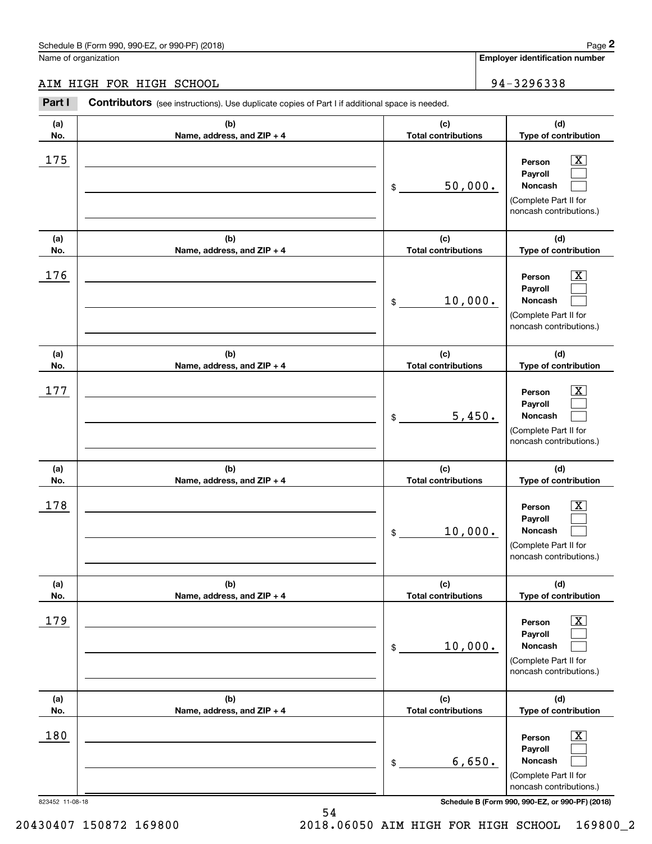# AIM HIGH FOR HIGH SCHOOL 94-3296338

|            | Schedule B (Form 990, 990-EZ, or 990-PF) (2018)                                                |                                   |        | Page 2                                                                                                        |  |  |
|------------|------------------------------------------------------------------------------------------------|-----------------------------------|--------|---------------------------------------------------------------------------------------------------------------|--|--|
|            | Name of organization                                                                           |                                   |        | <b>Employer identification number</b>                                                                         |  |  |
|            | AIM HIGH FOR HIGH SCHOOL                                                                       |                                   |        | 94-3296338                                                                                                    |  |  |
| Part I     | Contributors (see instructions). Use duplicate copies of Part I if additional space is needed. |                                   |        |                                                                                                               |  |  |
| (a)<br>No. | (b)<br>Name, address, and ZIP + 4                                                              | (c)<br><b>Total contributions</b> |        | (d)<br>Type of contribution                                                                                   |  |  |
| 175        |                                                                                                | 50,000.<br>\$                     |        | $\overline{\text{X}}$<br>Person<br>Payroll<br>Noncash<br>(Complete Part II for<br>noncash contributions.)     |  |  |
| (a)<br>No. | (b)<br>Name, address, and ZIP + 4                                                              | (c)<br><b>Total contributions</b> |        | (d)<br>Type of contribution                                                                                   |  |  |
| 176        |                                                                                                | 10,000.<br>\$                     |        | $\overline{\text{X}}$<br>Person<br>Payroll<br>Noncash<br>(Complete Part II for<br>noncash contributions.)     |  |  |
| (a)        | (b)                                                                                            | (c)                               |        | (d)                                                                                                           |  |  |
| No.<br>177 | Name, address, and ZIP + 4                                                                     | <b>Total contributions</b><br>\$  | 5,450. | Type of contribution<br>X<br>Person<br>Payroll<br>Noncash<br>(Complete Part II for<br>noncash contributions.) |  |  |
| (a)<br>No. | (b)<br>Name, address, and ZIP + 4                                                              | (c)<br><b>Total contributions</b> |        | (d)<br>Type of contribution                                                                                   |  |  |
| 178        |                                                                                                | 10,000.<br>\$                     |        | $\mathbf{X}$<br>Person<br>Payroll<br>Noncash<br>(Complete Part II for<br>noncash contributions.)              |  |  |
| (a)<br>No. | (b)<br>Name, address, and ZIP + 4                                                              | (c)<br><b>Total contributions</b> |        | (d)<br>Type of contribution                                                                                   |  |  |
| 179        |                                                                                                | 10,000.<br>\$                     |        | $\boxed{\text{X}}$<br>Person<br>Payroll<br>Noncash<br>(Complete Part II for<br>noncash contributions.)        |  |  |
| (a)<br>No. | (b)<br>Name, address, and ZIP + 4                                                              | (c)<br><b>Total contributions</b> |        | (d)<br>Type of contribution                                                                                   |  |  |
| 180        |                                                                                                | \$                                | 6,650. | $\overline{\mathbf{X}}$<br>Person<br>Payroll<br>Noncash<br>(Complete Part II for<br>noncash contributions.)   |  |  |

823452 11-08-18 **Schedule B (Form 990, 990-EZ, or 990-PF) (2018)**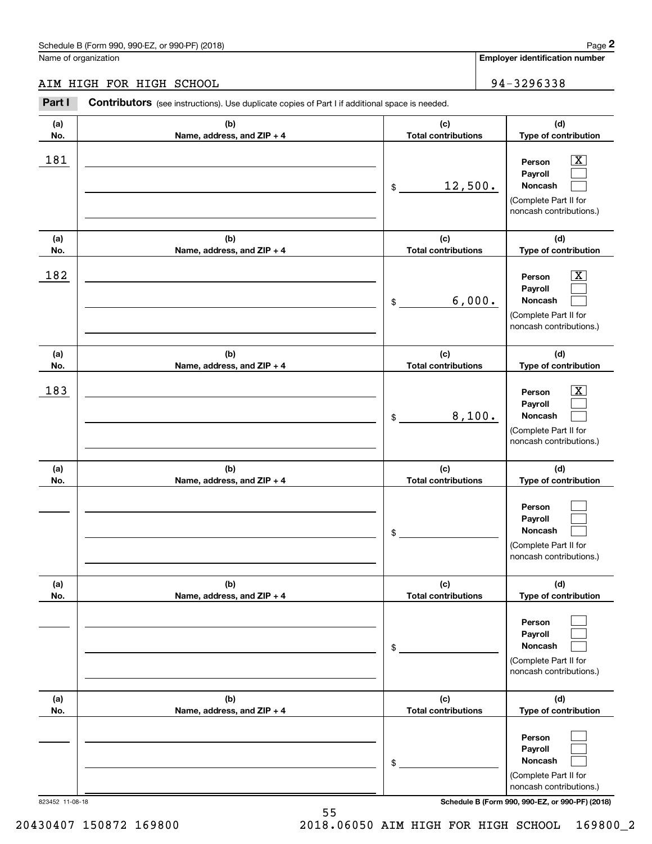#### AIM HIGH FOR HIGH SCHOOL 94-3296338 AIM HIGH FOR HIGH SCHOOL

|            | Schedule B (Form 990, 990-EZ, or 990-PF) (2018)                                                       |                                   | Page 2                                                                                                                              |
|------------|-------------------------------------------------------------------------------------------------------|-----------------------------------|-------------------------------------------------------------------------------------------------------------------------------------|
|            | Name of organization                                                                                  |                                   | Employer identification number                                                                                                      |
|            | AIM HIGH FOR HIGH SCHOOL                                                                              |                                   | 94-3296338                                                                                                                          |
| Part I     | <b>Contributors</b> (see instructions). Use duplicate copies of Part I if additional space is needed. |                                   |                                                                                                                                     |
| (a)<br>No. | (b)<br>Name, address, and ZIP + 4                                                                     | (c)<br><b>Total contributions</b> | (d)<br>Type of contribution                                                                                                         |
| 181        |                                                                                                       | 12,500.<br>\$                     | $\overline{\mathbf{X}}$<br>Person<br>Payroll<br>Noncash<br>(Complete Part II for<br>noncash contributions.)                         |
| (a)<br>No. | (b)<br>Name, address, and ZIP + 4                                                                     | (c)<br><b>Total contributions</b> | (d)<br>Type of contribution                                                                                                         |
| 182        |                                                                                                       | \$                                | $\overline{\mathbf{X}}$<br>Person<br>Payroll<br>6,000.<br>Noncash<br>(Complete Part II for<br>noncash contributions.)               |
| (a)<br>No. | (b)<br>Name, address, and ZIP + 4                                                                     | (c)<br><b>Total contributions</b> | (d)<br>Type of contribution                                                                                                         |
| 183        |                                                                                                       | \$                                | $\overline{\mathbf{X}}$<br>Person<br>Payroll<br>8,100.<br>Noncash<br>(Complete Part II for<br>noncash contributions.)               |
| (a)<br>No. | (b)<br>Name, address, and ZIP + 4                                                                     | (c)<br><b>Total contributions</b> | (d)<br>Type of contribution                                                                                                         |
|            |                                                                                                       | \$                                | Person<br>Payroll<br>Noncash<br>(Complete Part II for<br>noncash contributions.)                                                    |
| (a)<br>No. | (b)<br>Name, address, and ZIP + 4                                                                     | (c)<br><b>Total contributions</b> | (d)<br>Type of contribution                                                                                                         |
|            |                                                                                                       | \$                                | Person<br>Payroll<br>Noncash<br>(Complete Part II for<br>noncash contributions.)                                                    |
| (a)<br>No. | (b)<br>Name, address, and ZIP + 4                                                                     | (c)<br><b>Total contributions</b> | (d)<br>Type of contribution                                                                                                         |
|            | 823452 11-08-18                                                                                       | \$                                | Person<br>Payroll<br>Noncash<br>(Complete Part II for<br>noncash contributions.)<br>Schedule B (Form 990, 990-EZ, or 990-PF) (2018) |

823452 11-08-18 **Schedule B (Form 990, 990-EZ, or 990-PF) (2018)**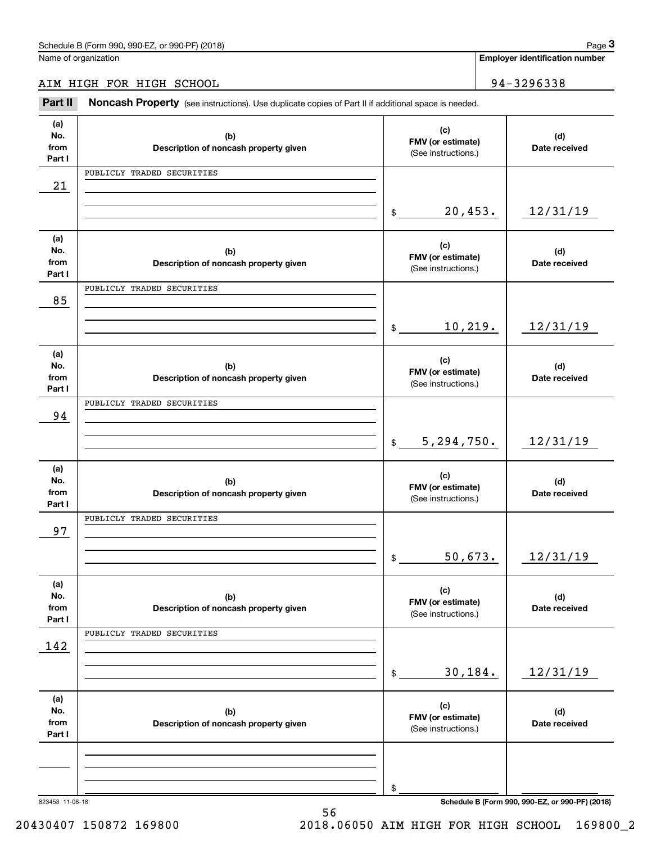Name of organization

Name of organization **number Employer identification number Employer identification number** 

AIM HIGH FOR HIGH SCHOOL 94-3296338

Employer identification Page 3<br>Iame of organization<br>IM HIGH FOR HIGH SCHOOL 94-3296338<br>Part II Noncash Property (see instructions). Use duplicate copies of Part II if additional space is needed.

| (a)            |                                              | (c)                                      |                      |
|----------------|----------------------------------------------|------------------------------------------|----------------------|
| No.<br>from    | (b)<br>Description of noncash property given | FMV (or estimate)                        | (d)<br>Date received |
| Part I         |                                              | (See instructions.)                      |                      |
|                | PUBLICLY TRADED SECURITIES                   |                                          |                      |
| 21             |                                              |                                          |                      |
|                |                                              |                                          |                      |
|                |                                              | 20,453.<br>$\frac{1}{2}$                 | 12/31/19             |
| (a)            |                                              |                                          |                      |
| No.            | (b)                                          | (c)<br>FMV (or estimate)                 | (d)                  |
| from<br>Part I | Description of noncash property given        | (See instructions.)                      | Date received        |
|                | PUBLICLY TRADED SECURITIES                   |                                          |                      |
| 85             |                                              |                                          |                      |
|                |                                              |                                          |                      |
|                |                                              | 10, 219.<br>\$                           | 12/31/19             |
|                |                                              |                                          |                      |
| (a)            |                                              | (c)                                      |                      |
| No.<br>from    | (b)<br>Description of noncash property given | FMV (or estimate)                        | (d)<br>Date received |
| Part I         |                                              | (See instructions.)                      |                      |
|                | PUBLICLY TRADED SECURITIES                   |                                          |                      |
| 94             |                                              |                                          |                      |
|                |                                              |                                          |                      |
|                |                                              | 5,294,750.<br>$$\tilde{\phantom{a}}$$    | 12/31/19             |
| (a)            |                                              |                                          |                      |
| No.            | (b)                                          | (c)                                      | (d)                  |
| from           | Description of noncash property given        | FMV (or estimate)<br>(See instructions.) | Date received        |
| Part I         |                                              |                                          |                      |
| 97             | PUBLICLY TRADED SECURITIES                   |                                          |                      |
|                |                                              |                                          |                      |
|                |                                              | 50,673.<br>\$                            | 12/31/19             |
|                |                                              |                                          |                      |
| (a)            |                                              | (c)                                      |                      |
| No.            | (b)                                          | FMV (or estimate)                        | (d)                  |
| from<br>Part I | Description of noncash property given        | (See instructions.)                      | Date received        |
|                | PUBLICLY TRADED SECURITIES                   |                                          |                      |
| 142            |                                              |                                          |                      |
|                |                                              |                                          |                      |
|                |                                              | 30,184.<br>\$                            | 12/31/19             |
|                |                                              |                                          |                      |
| (a)<br>No.     | (b)                                          | (c)                                      | (d)                  |
| from           | Description of noncash property given        | FMV (or estimate)                        | Date received        |
| Part I         |                                              | (See instructions.)                      |                      |
|                |                                              |                                          |                      |
|                |                                              |                                          |                      |
|                |                                              |                                          |                      |
|                |                                              | \$                                       |                      |

56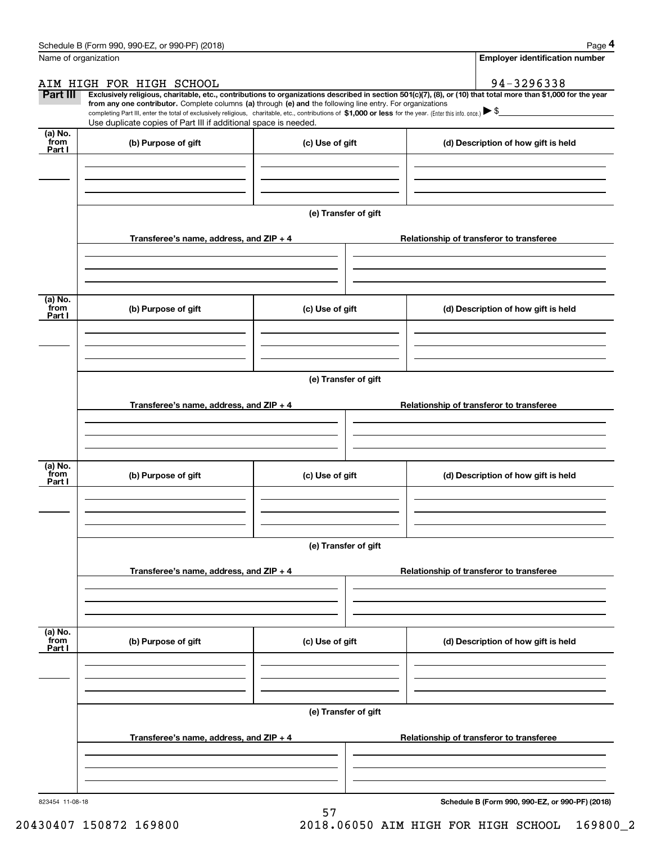|                 | Schedule B (Form 990, 990-EZ, or 990-PF) (2018)                                                                                                                                                                                 |                      | Page 4                                                                                                                                                         |
|-----------------|---------------------------------------------------------------------------------------------------------------------------------------------------------------------------------------------------------------------------------|----------------------|----------------------------------------------------------------------------------------------------------------------------------------------------------------|
|                 | Name of organization                                                                                                                                                                                                            |                      | <b>Employer identification number</b>                                                                                                                          |
|                 | AIM HIGH FOR HIGH SCHOOL                                                                                                                                                                                                        |                      | 94-3296338                                                                                                                                                     |
| Part III        | from any one contributor. Complete columns (a) through (e) and the following line entry. For organizations                                                                                                                      |                      | Exclusively religious, charitable, etc., contributions to organizations described in section 501(c)(7), (8), or (10) that total more than \$1,000 for the year |
|                 | completing Part III, enter the total of exclusively religious, charitable, etc., contributions of \$1,000 or less for the year. (Enter this info. once.) \\$<br>Use duplicate copies of Part III if additional space is needed. |                      |                                                                                                                                                                |
| (a) No.<br>from | (b) Purpose of gift                                                                                                                                                                                                             | (c) Use of gift      |                                                                                                                                                                |
| Part I          |                                                                                                                                                                                                                                 |                      | (d) Description of how gift is held                                                                                                                            |
|                 |                                                                                                                                                                                                                                 |                      |                                                                                                                                                                |
|                 |                                                                                                                                                                                                                                 |                      |                                                                                                                                                                |
|                 |                                                                                                                                                                                                                                 | (e) Transfer of gift |                                                                                                                                                                |
|                 |                                                                                                                                                                                                                                 |                      |                                                                                                                                                                |
|                 | Transferee's name, address, and $ZIP + 4$                                                                                                                                                                                       |                      | Relationship of transferor to transferee                                                                                                                       |
|                 |                                                                                                                                                                                                                                 |                      |                                                                                                                                                                |
|                 |                                                                                                                                                                                                                                 |                      |                                                                                                                                                                |
| (a) No.         |                                                                                                                                                                                                                                 |                      |                                                                                                                                                                |
| from<br>Part I  | (b) Purpose of gift                                                                                                                                                                                                             | (c) Use of gift      | (d) Description of how gift is held                                                                                                                            |
|                 |                                                                                                                                                                                                                                 |                      |                                                                                                                                                                |
|                 |                                                                                                                                                                                                                                 |                      |                                                                                                                                                                |
|                 |                                                                                                                                                                                                                                 |                      |                                                                                                                                                                |
|                 |                                                                                                                                                                                                                                 | (e) Transfer of gift |                                                                                                                                                                |
|                 | Transferee's name, address, and $ZIP + 4$                                                                                                                                                                                       |                      | Relationship of transferor to transferee                                                                                                                       |
|                 |                                                                                                                                                                                                                                 |                      |                                                                                                                                                                |
|                 |                                                                                                                                                                                                                                 |                      |                                                                                                                                                                |
| (a) No.         |                                                                                                                                                                                                                                 |                      |                                                                                                                                                                |
| from<br>Part I  | (b) Purpose of gift                                                                                                                                                                                                             | (c) Use of gift      | (d) Description of how gift is held                                                                                                                            |
|                 |                                                                                                                                                                                                                                 |                      |                                                                                                                                                                |
|                 |                                                                                                                                                                                                                                 |                      |                                                                                                                                                                |
|                 |                                                                                                                                                                                                                                 |                      |                                                                                                                                                                |
|                 |                                                                                                                                                                                                                                 | (e) Transfer of gift |                                                                                                                                                                |
|                 | Transferee's name, address, and $ZIP + 4$                                                                                                                                                                                       |                      | Relationship of transferor to transferee                                                                                                                       |
|                 |                                                                                                                                                                                                                                 |                      |                                                                                                                                                                |
|                 |                                                                                                                                                                                                                                 |                      |                                                                                                                                                                |
| (a) No.         |                                                                                                                                                                                                                                 |                      |                                                                                                                                                                |
| from<br>Part I  | (b) Purpose of gift                                                                                                                                                                                                             | (c) Use of gift      | (d) Description of how gift is held                                                                                                                            |
|                 |                                                                                                                                                                                                                                 |                      |                                                                                                                                                                |
|                 |                                                                                                                                                                                                                                 |                      |                                                                                                                                                                |
|                 |                                                                                                                                                                                                                                 |                      |                                                                                                                                                                |
|                 |                                                                                                                                                                                                                                 | (e) Transfer of gift |                                                                                                                                                                |
|                 | Transferee's name, address, and $ZIP + 4$                                                                                                                                                                                       |                      | Relationship of transferor to transferee                                                                                                                       |
|                 |                                                                                                                                                                                                                                 |                      |                                                                                                                                                                |
|                 |                                                                                                                                                                                                                                 |                      |                                                                                                                                                                |
|                 |                                                                                                                                                                                                                                 |                      |                                                                                                                                                                |

57 57

823454 11-08-18 **Schedule B (Form 990, 990-EZ, or 990-PF) (2018)**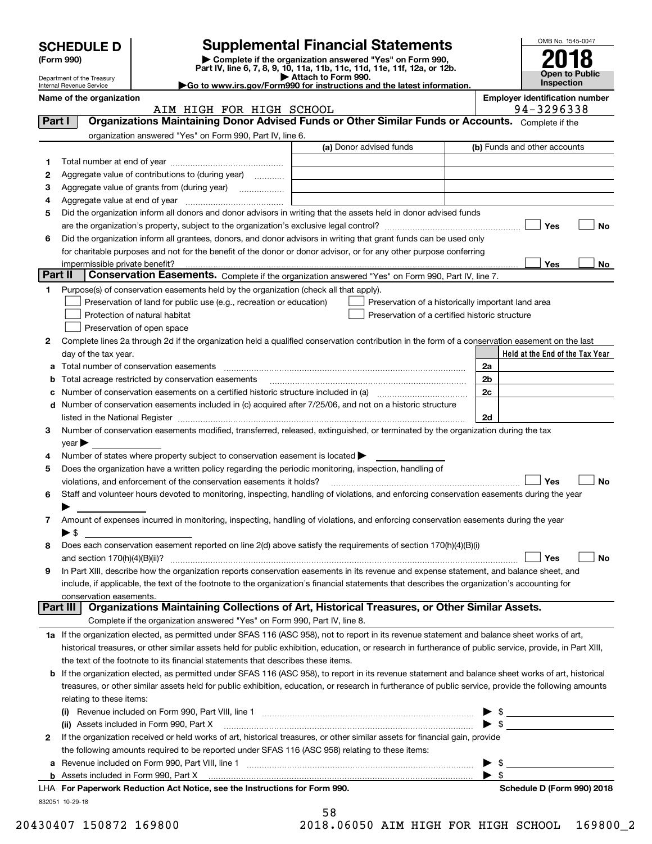| <b>SCHEDULE D</b>              |                                                                                                                                                                                                                                                                                                            | <b>Supplemental Financial Statements</b>                                                        |                | OMB No. 1545-0047                                   |
|--------------------------------|------------------------------------------------------------------------------------------------------------------------------------------------------------------------------------------------------------------------------------------------------------------------------------------------------------|-------------------------------------------------------------------------------------------------|----------------|-----------------------------------------------------|
| (Form 990)                     |                                                                                                                                                                                                                                                                                                            | Complete if the organization answered "Yes" on Form 990,                                        |                |                                                     |
| Department of the Treasury     |                                                                                                                                                                                                                                                                                                            | Part IV, line 6, 7, 8, 9, 10, 11a, 11b, 11c, 11d, 11e, 11f, 12a, or 12b.<br>Attach to Form 990. |                | Open to Public                                      |
| Internal Revenue Service       |                                                                                                                                                                                                                                                                                                            | Go to www.irs.gov/Form990 for instructions and the latest information.                          |                | Inspection                                          |
| Name of the organization       | AIM HIGH FOR HIGH SCHOOL                                                                                                                                                                                                                                                                                   |                                                                                                 |                | <b>Employer identification number</b><br>94-3296338 |
| Part I                         | Organizations Maintaining Donor Advised Funds or Other Similar Funds or Accounts. Complete if the                                                                                                                                                                                                          |                                                                                                 |                |                                                     |
|                                | organization answered "Yes" on Form 990, Part IV, line 6.                                                                                                                                                                                                                                                  |                                                                                                 |                |                                                     |
|                                |                                                                                                                                                                                                                                                                                                            | (a) Donor advised funds                                                                         |                | (b) Funds and other accounts                        |
| 1                              |                                                                                                                                                                                                                                                                                                            |                                                                                                 |                |                                                     |
| 2                              | Aggregate value of contributions to (during year)                                                                                                                                                                                                                                                          |                                                                                                 |                |                                                     |
| з<br>4                         |                                                                                                                                                                                                                                                                                                            |                                                                                                 |                |                                                     |
| 5                              | Did the organization inform all donors and donor advisors in writing that the assets held in donor advised funds                                                                                                                                                                                           |                                                                                                 |                |                                                     |
|                                |                                                                                                                                                                                                                                                                                                            |                                                                                                 |                | Yes<br>No                                           |
| 6                              | Did the organization inform all grantees, donors, and donor advisors in writing that grant funds can be used only                                                                                                                                                                                          |                                                                                                 |                |                                                     |
|                                | for charitable purposes and not for the benefit of the donor or donor advisor, or for any other purpose conferring                                                                                                                                                                                         |                                                                                                 |                |                                                     |
| impermissible private benefit? |                                                                                                                                                                                                                                                                                                            |                                                                                                 |                | Yes<br>No.                                          |
| Part II                        | Conservation Easements. Complete if the organization answered "Yes" on Form 990, Part IV, line 7.                                                                                                                                                                                                          |                                                                                                 |                |                                                     |
| 1.                             | Purpose(s) of conservation easements held by the organization (check all that apply).                                                                                                                                                                                                                      |                                                                                                 |                |                                                     |
|                                | Preservation of land for public use (e.g., recreation or education)                                                                                                                                                                                                                                        | Preservation of a historically important land area                                              |                |                                                     |
|                                | Protection of natural habitat                                                                                                                                                                                                                                                                              | Preservation of a certified historic structure                                                  |                |                                                     |
|                                |                                                                                                                                                                                                                                                                                                            |                                                                                                 |                |                                                     |
|                                | Preservation of open space                                                                                                                                                                                                                                                                                 |                                                                                                 |                |                                                     |
| 2                              | Complete lines 2a through 2d if the organization held a qualified conservation contribution in the form of a conservation easement on the last                                                                                                                                                             |                                                                                                 |                |                                                     |
| day of the tax year.<br>a      |                                                                                                                                                                                                                                                                                                            |                                                                                                 | 2a             | Held at the End of the Tax Year                     |
| b                              | Total acreage restricted by conservation easements                                                                                                                                                                                                                                                         |                                                                                                 | 2 <sub>b</sub> |                                                     |
| с                              |                                                                                                                                                                                                                                                                                                            |                                                                                                 | 2c             |                                                     |
|                                | Number of conservation easements included in (c) acquired after 7/25/06, and not on a historic structure                                                                                                                                                                                                   |                                                                                                 |                |                                                     |
|                                | listed in the National Register [11, 11] and the National Register [11] and the National Register [11] and the National Register [11] and the National Register [11] and the National Register [11] and the National Register                                                                              |                                                                                                 | 2d             |                                                     |
| з                              | Number of conservation easements modified, transferred, released, extinguished, or terminated by the organization during the tax                                                                                                                                                                           |                                                                                                 |                |                                                     |
| $year \triangleright$          |                                                                                                                                                                                                                                                                                                            |                                                                                                 |                |                                                     |
| 4                              | Number of states where property subject to conservation easement is located >                                                                                                                                                                                                                              |                                                                                                 |                |                                                     |
| 5                              | Does the organization have a written policy regarding the periodic monitoring, inspection, handling of                                                                                                                                                                                                     |                                                                                                 |                |                                                     |
|                                | violations, and enforcement of the conservation easements it holds?                                                                                                                                                                                                                                        |                                                                                                 |                | Yes<br>No                                           |
| 6                              | Staff and volunteer hours devoted to monitoring, inspecting, handling of violations, and enforcing conservation easements during the year                                                                                                                                                                  |                                                                                                 |                |                                                     |
|                                |                                                                                                                                                                                                                                                                                                            |                                                                                                 |                |                                                     |
| 7<br>$\blacktriangleright$ s   | Amount of expenses incurred in monitoring, inspecting, handling of violations, and enforcing conservation easements during the year                                                                                                                                                                        |                                                                                                 |                |                                                     |
| 8                              |                                                                                                                                                                                                                                                                                                            |                                                                                                 |                |                                                     |
|                                | Does each conservation easement reported on line 2(d) above satisfy the requirements of section 170(h)(4)(B)(i)                                                                                                                                                                                            |                                                                                                 |                | Yes                                                 |
|                                | In Part XIII, describe how the organization reports conservation easements in its revenue and expense statement, and balance sheet, and                                                                                                                                                                    |                                                                                                 |                | <b>No</b>                                           |
| 9                              | include, if applicable, the text of the footnote to the organization's financial statements that describes the organization's accounting for                                                                                                                                                               |                                                                                                 |                |                                                     |
| conservation easements.        |                                                                                                                                                                                                                                                                                                            |                                                                                                 |                |                                                     |
| Part III                       | Organizations Maintaining Collections of Art, Historical Treasures, or Other Similar Assets.                                                                                                                                                                                                               |                                                                                                 |                |                                                     |
|                                | Complete if the organization answered "Yes" on Form 990, Part IV, line 8.                                                                                                                                                                                                                                  |                                                                                                 |                |                                                     |
|                                | 1a If the organization elected, as permitted under SFAS 116 (ASC 958), not to report in its revenue statement and balance sheet works of art,                                                                                                                                                              |                                                                                                 |                |                                                     |
|                                | historical treasures, or other similar assets held for public exhibition, education, or research in furtherance of public service, provide, in Part XIII,                                                                                                                                                  |                                                                                                 |                |                                                     |
|                                | the text of the footnote to its financial statements that describes these items.                                                                                                                                                                                                                           |                                                                                                 |                |                                                     |
| b                              | If the organization elected, as permitted under SFAS 116 (ASC 958), to report in its revenue statement and balance sheet works of art, historical<br>treasures, or other similar assets held for public exhibition, education, or research in furtherance of public service, provide the following amounts |                                                                                                 |                |                                                     |

|   | LHA For Paperwork Reduction Act Notice, see the Instructions for Form 990.                                                   |  | Schedule D (Form 990) 2018 |  |  |  |
|---|------------------------------------------------------------------------------------------------------------------------------|--|----------------------------|--|--|--|
|   |                                                                                                                              |  |                            |  |  |  |
|   | a Revenue included on Form 990, Part VIII, line 1                                                                            |  |                            |  |  |  |
|   | the following amounts required to be reported under SFAS 116 (ASC 958) relating to these items:                              |  |                            |  |  |  |
| 2 | If the organization received or held works of art, historical treasures, or other similar assets for financial gain, provide |  |                            |  |  |  |
|   | (ii) Assets included in Form 990, Part X                                                                                     |  |                            |  |  |  |
|   | (i) Revenue included on Form 990, Part VIII, line 1                                                                          |  |                            |  |  |  |
|   | rolding to those items.                                                                                                      |  |                            |  |  |  |

832051 10-29-18

|  | 58          |  |  |                |  |
|--|-------------|--|--|----------------|--|
|  | $\sqrt{10}$ |  |  | 0 <i>6</i> 050 |  |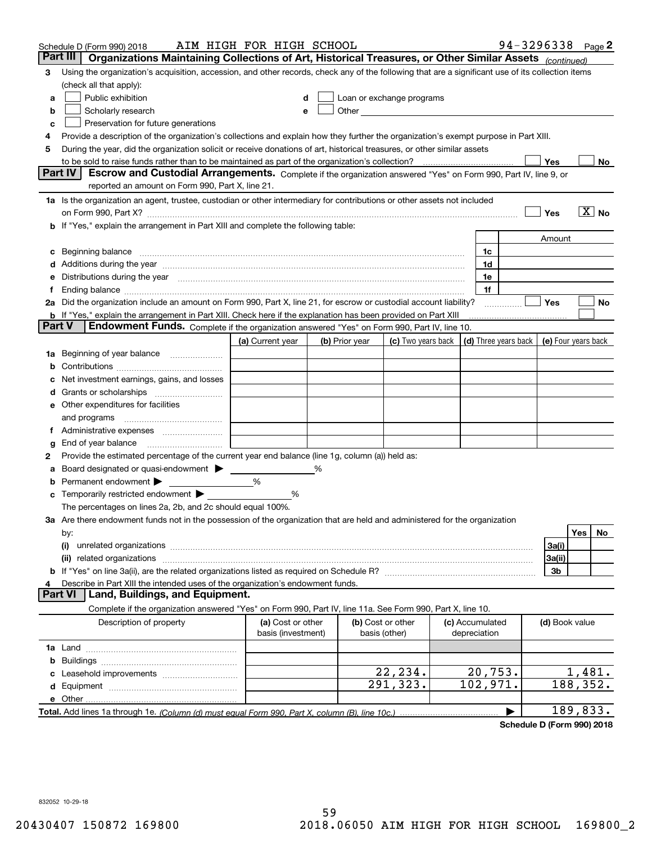|               | Schedule D (Form 990) 2018                                                                                                                                                                                                     | AIM HIGH FOR HIGH SCHOOL                |                |                                                                                                                                                                                                                                |                                 | 94-3296338 Page 2                          |                            |    |
|---------------|--------------------------------------------------------------------------------------------------------------------------------------------------------------------------------------------------------------------------------|-----------------------------------------|----------------|--------------------------------------------------------------------------------------------------------------------------------------------------------------------------------------------------------------------------------|---------------------------------|--------------------------------------------|----------------------------|----|
|               | Part III<br>Organizations Maintaining Collections of Art, Historical Treasures, or Other Similar Assets (continued)                                                                                                            |                                         |                |                                                                                                                                                                                                                                |                                 |                                            |                            |    |
| 3             | Using the organization's acquisition, accession, and other records, check any of the following that are a significant use of its collection items                                                                              |                                         |                |                                                                                                                                                                                                                                |                                 |                                            |                            |    |
|               | (check all that apply):                                                                                                                                                                                                        |                                         |                |                                                                                                                                                                                                                                |                                 |                                            |                            |    |
| a             | Public exhibition                                                                                                                                                                                                              | d                                       |                | Loan or exchange programs                                                                                                                                                                                                      |                                 |                                            |                            |    |
| b             | Scholarly research                                                                                                                                                                                                             | e                                       |                | Other the contract of the contract of the contract of the contract of the contract of the contract of the contract of the contract of the contract of the contract of the contract of the contract of the contract of the cont |                                 |                                            |                            |    |
| c             | Preservation for future generations                                                                                                                                                                                            |                                         |                |                                                                                                                                                                                                                                |                                 |                                            |                            |    |
| 4             | Provide a description of the organization's collections and explain how they further the organization's exempt purpose in Part XIII.                                                                                           |                                         |                |                                                                                                                                                                                                                                |                                 |                                            |                            |    |
| 5             | During the year, did the organization solicit or receive donations of art, historical treasures, or other similar assets                                                                                                       |                                         |                |                                                                                                                                                                                                                                |                                 |                                            |                            |    |
|               |                                                                                                                                                                                                                                |                                         |                |                                                                                                                                                                                                                                |                                 | Yes                                        |                            | No |
|               | Part IV<br>Escrow and Custodial Arrangements. Complete if the organization answered "Yes" on Form 990, Part IV, line 9, or                                                                                                     |                                         |                |                                                                                                                                                                                                                                |                                 |                                            |                            |    |
|               | reported an amount on Form 990, Part X, line 21.                                                                                                                                                                               |                                         |                |                                                                                                                                                                                                                                |                                 |                                            |                            |    |
|               | 1a Is the organization an agent, trustee, custodian or other intermediary for contributions or other assets not included                                                                                                       |                                         |                |                                                                                                                                                                                                                                |                                 |                                            |                            |    |
|               | on Form 990, Part X? [11] matter and the contract of the contract of the contract of the contract of the contract of the contract of the contract of the contract of the contract of the contract of the contract of the contr |                                         |                |                                                                                                                                                                                                                                |                                 | Yes                                        | $\overline{\mathbf{X}}$ No |    |
|               | If "Yes," explain the arrangement in Part XIII and complete the following table:                                                                                                                                               |                                         |                |                                                                                                                                                                                                                                |                                 |                                            |                            |    |
|               |                                                                                                                                                                                                                                |                                         |                |                                                                                                                                                                                                                                |                                 | Amount                                     |                            |    |
| c             | Beginning balance <b>contract to the contract of the contract of the contract of the contract of the contract of t</b>                                                                                                         |                                         |                |                                                                                                                                                                                                                                | 1c                              |                                            |                            |    |
|               |                                                                                                                                                                                                                                |                                         |                |                                                                                                                                                                                                                                | 1d                              |                                            |                            |    |
| е             | Distributions during the year manufactured and continuum and contact the year manufactured and contact the year                                                                                                                |                                         |                |                                                                                                                                                                                                                                | 1e                              |                                            |                            |    |
|               |                                                                                                                                                                                                                                |                                         |                |                                                                                                                                                                                                                                | 1f                              |                                            |                            |    |
|               | 2a Did the organization include an amount on Form 990, Part X, line 21, for escrow or custodial account liability?                                                                                                             |                                         |                |                                                                                                                                                                                                                                |                                 | <b>Yes</b>                                 |                            | No |
| <b>Part V</b> | b If "Yes," explain the arrangement in Part XIII. Check here if the explanation has been provided on Part XIII<br>Endowment Funds. Complete if the organization answered "Yes" on Form 990, Part IV, line 10.                  |                                         |                |                                                                                                                                                                                                                                |                                 |                                            |                            |    |
|               |                                                                                                                                                                                                                                | (a) Current year                        | (b) Prior year | (c) Two years back                                                                                                                                                                                                             |                                 | (d) Three years back   (e) Four years back |                            |    |
|               |                                                                                                                                                                                                                                |                                         |                |                                                                                                                                                                                                                                |                                 |                                            |                            |    |
| 1a            | Beginning of year balance                                                                                                                                                                                                      |                                         |                |                                                                                                                                                                                                                                |                                 |                                            |                            |    |
|               | Net investment earnings, gains, and losses                                                                                                                                                                                     |                                         |                |                                                                                                                                                                                                                                |                                 |                                            |                            |    |
|               |                                                                                                                                                                                                                                |                                         |                |                                                                                                                                                                                                                                |                                 |                                            |                            |    |
| a             | e Other expenditures for facilities                                                                                                                                                                                            |                                         |                |                                                                                                                                                                                                                                |                                 |                                            |                            |    |
|               | and programs                                                                                                                                                                                                                   |                                         |                |                                                                                                                                                                                                                                |                                 |                                            |                            |    |
| Ť.            |                                                                                                                                                                                                                                |                                         |                |                                                                                                                                                                                                                                |                                 |                                            |                            |    |
| g             | End of year balance                                                                                                                                                                                                            |                                         |                |                                                                                                                                                                                                                                |                                 |                                            |                            |    |
| 2             | Provide the estimated percentage of the current year end balance (line 1g, column (a)) held as:                                                                                                                                |                                         |                |                                                                                                                                                                                                                                |                                 |                                            |                            |    |
| а             | Board designated or quasi-endowment > _____                                                                                                                                                                                    |                                         |                |                                                                                                                                                                                                                                |                                 |                                            |                            |    |
| b             | Permanent endowment                                                                                                                                                                                                            | %                                       |                |                                                                                                                                                                                                                                |                                 |                                            |                            |    |
|               | c Temporarily restricted endowment > _________                                                                                                                                                                                 | %                                       |                |                                                                                                                                                                                                                                |                                 |                                            |                            |    |
|               | The percentages on lines 2a, 2b, and 2c should equal 100%.                                                                                                                                                                     |                                         |                |                                                                                                                                                                                                                                |                                 |                                            |                            |    |
|               | 3a Are there endowment funds not in the possession of the organization that are held and administered for the organization                                                                                                     |                                         |                |                                                                                                                                                                                                                                |                                 |                                            |                            |    |
|               | by:                                                                                                                                                                                                                            |                                         |                |                                                                                                                                                                                                                                |                                 |                                            | Yes                        | No |
|               | (i)                                                                                                                                                                                                                            |                                         |                |                                                                                                                                                                                                                                |                                 | 3a(i)                                      |                            |    |
|               | related organizations<br>(ii)                                                                                                                                                                                                  |                                         |                |                                                                                                                                                                                                                                |                                 | 3a(ii)                                     |                            |    |
|               |                                                                                                                                                                                                                                |                                         |                |                                                                                                                                                                                                                                |                                 | 3b                                         |                            |    |
| 4             | Describe in Part XIII the intended uses of the organization's endowment funds.                                                                                                                                                 |                                         |                |                                                                                                                                                                                                                                |                                 |                                            |                            |    |
|               | <b>Part VI</b><br>Land, Buildings, and Equipment.                                                                                                                                                                              |                                         |                |                                                                                                                                                                                                                                |                                 |                                            |                            |    |
|               | Complete if the organization answered "Yes" on Form 990, Part IV, line 11a. See Form 990, Part X, line 10.                                                                                                                     |                                         |                |                                                                                                                                                                                                                                |                                 |                                            |                            |    |
|               | Description of property                                                                                                                                                                                                        | (a) Cost or other<br>basis (investment) |                | (b) Cost or other<br>basis (other)                                                                                                                                                                                             | (c) Accumulated<br>depreciation | (d) Book value                             |                            |    |
|               |                                                                                                                                                                                                                                |                                         |                |                                                                                                                                                                                                                                |                                 |                                            |                            |    |
| b             |                                                                                                                                                                                                                                |                                         |                |                                                                                                                                                                                                                                |                                 |                                            |                            |    |
|               |                                                                                                                                                                                                                                |                                         |                | 22, 234.                                                                                                                                                                                                                       | 20, 753.                        |                                            | 1,481.                     |    |
|               |                                                                                                                                                                                                                                |                                         |                | 291,323.                                                                                                                                                                                                                       | 102,971.                        | 188,352.                                   |                            |    |
|               |                                                                                                                                                                                                                                |                                         |                |                                                                                                                                                                                                                                |                                 |                                            |                            |    |
|               |                                                                                                                                                                                                                                |                                         |                |                                                                                                                                                                                                                                |                                 | 189,833.                                   |                            |    |

**Schedule D (Form 990) 2018** Schedule D (Form 990) 2018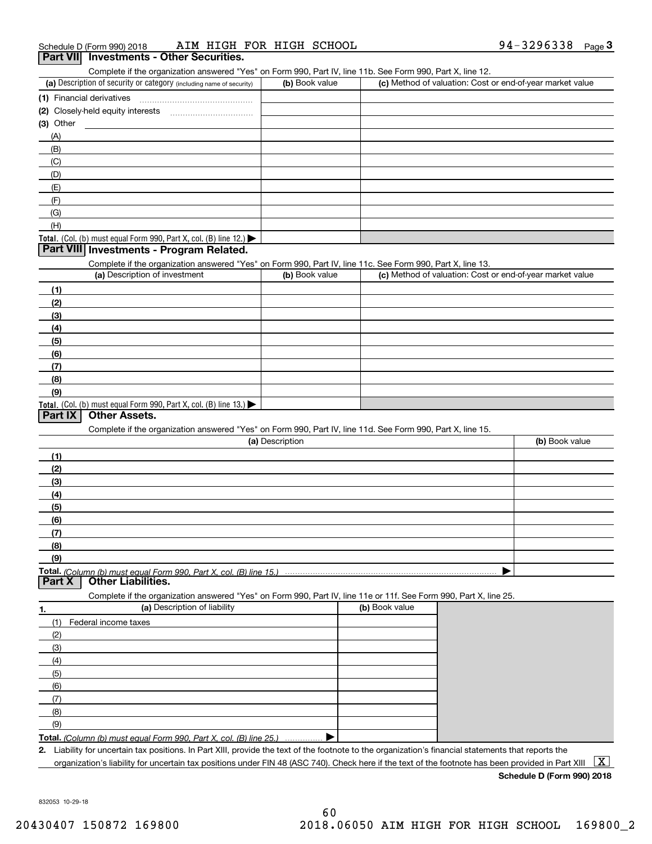| Schedule D (Form 990) 2018 |  |                                                 |  | AIM HIGH FOR HIGH SCHOOL |  | 94-3296338 $_{\text{Page}}$ 3 |  |
|----------------------------|--|-------------------------------------------------|--|--------------------------|--|-------------------------------|--|
|                            |  | <b>Part VII</b> Investments - Other Securities. |  |                          |  |                               |  |

Complete if the organization answered "Yes" on Form 990, Part IV, line 11b. See Form 990, Part X, line 12.

| (a) Description of security or category (including name of security)                          | (b) Book value | (c) Method of valuation: Cost or end-of-year market value |
|-----------------------------------------------------------------------------------------------|----------------|-----------------------------------------------------------|
| (1) Financial derivatives                                                                     |                |                                                           |
| (2) Closely-held equity interests                                                             |                |                                                           |
| $(3)$ Other                                                                                   |                |                                                           |
| (A)                                                                                           |                |                                                           |
| (B)                                                                                           |                |                                                           |
| (C)                                                                                           |                |                                                           |
| (D)                                                                                           |                |                                                           |
| (E)                                                                                           |                |                                                           |
| (F)                                                                                           |                |                                                           |
| (G)                                                                                           |                |                                                           |
| (H)                                                                                           |                |                                                           |
| <b>Total.</b> (Col. (b) must equal Form 990, Part X, col. (B) line 12.) $\blacktriangleright$ |                |                                                           |

#### **Part VIII** Investments - Program Related.

Complete if the organization answered "Yes" on Form 990, Part IV, line 11c. See Form 990, Part X, line 13.

| (a) Description of investment                                                                 | (b) Book value | (c) Method of valuation: Cost or end-of-year market value |
|-----------------------------------------------------------------------------------------------|----------------|-----------------------------------------------------------|
| (1)                                                                                           |                |                                                           |
| (2)                                                                                           |                |                                                           |
| (3)                                                                                           |                |                                                           |
| (4)                                                                                           |                |                                                           |
| (5)                                                                                           |                |                                                           |
| (6)                                                                                           |                |                                                           |
| (7)                                                                                           |                |                                                           |
| (8)                                                                                           |                |                                                           |
| (9)                                                                                           |                |                                                           |
| <b>Total.</b> (Col. (b) must equal Form 990, Part X, col. (B) line 13.) $\blacktriangleright$ |                |                                                           |

#### **Part IX Other Assets.**

Complete if the organization answered "Yes" on Form 990, Part IV, line 11d. See Form 990, Part X, line 15.

| (a) Description | (b) Book value |
|-----------------|----------------|
| (1)             |                |
| (2)             |                |
| $\frac{1}{2}$   |                |
| (4)             |                |
| $\frac{1}{2}$   |                |
| (6)             |                |
| (7)             |                |
| (8)             |                |
| (9)             |                |
|                 |                |

#### **Part X Other Liabilities.** Other Liabilities.

Complete if the organization answered "Yes" on Form 990, Part IV, line 11e or 11f. See Form 990, Part X, line 25.

| 1.  | (a) Description of liability                                            | (b) Book value |
|-----|-------------------------------------------------------------------------|----------------|
| (1) | Federal income taxes                                                    |                |
| (2) |                                                                         |                |
| (3) |                                                                         |                |
| (4) |                                                                         |                |
| (5) |                                                                         |                |
| (6) |                                                                         |                |
| (7) |                                                                         |                |
| (8) |                                                                         |                |
| (9) |                                                                         |                |
|     | Total. (Column (b) must equal Form 990, Part X, col. (B) line 25.)<br>. |                |

**2.**2. Liability for uncertain tax positions. In Part XIII, provide the text of the footnote to the organization's financial statements that reports the

organization's liability for uncertain tax positions under FIN 48 (ASC 740). Check here if the text of the footnote has been provided in Part XIII  $~\fbox{X}$ 

**Schedule D (Form 990) 2018** Schedule D (Form 990) 2018

832053 10-29-18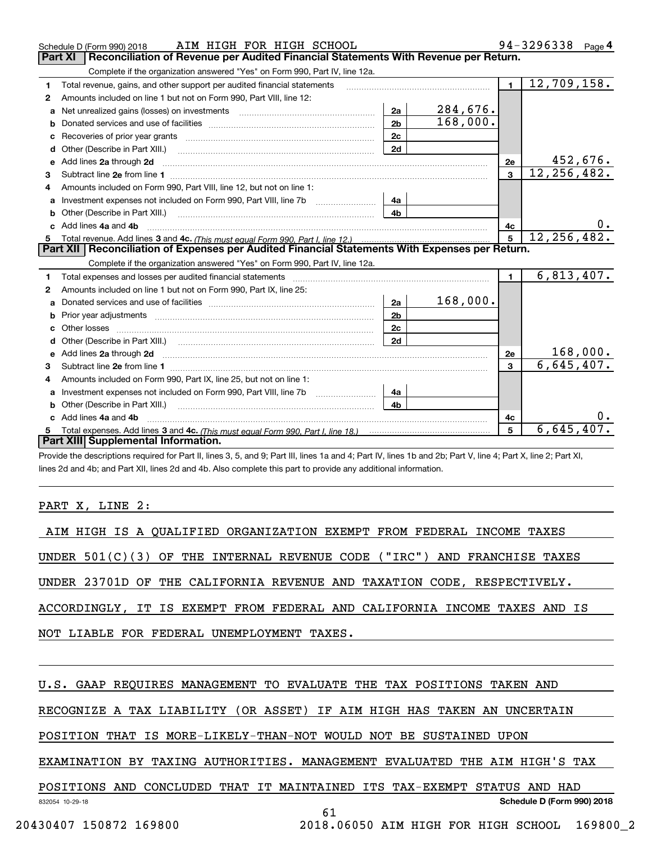|    | AIM HIGH FOR HIGH SCHOOL<br>Schedule D (Form 990) 2018                                                                                                                                                                         |                |          |                | 94-3296338 Page 4           |
|----|--------------------------------------------------------------------------------------------------------------------------------------------------------------------------------------------------------------------------------|----------------|----------|----------------|-----------------------------|
|    | Reconciliation of Revenue per Audited Financial Statements With Revenue per Return.<br><b>Part XI</b>                                                                                                                          |                |          |                |                             |
|    | Complete if the organization answered "Yes" on Form 990, Part IV, line 12a.                                                                                                                                                    |                |          |                |                             |
| 1  | Total revenue, gains, and other support per audited financial statements                                                                                                                                                       |                |          | $\mathbf{1}$   | $\overline{12,709,158}$ .   |
| 2  | Amounts included on line 1 but not on Form 990, Part VIII, line 12:                                                                                                                                                            |                |          |                |                             |
| a  |                                                                                                                                                                                                                                | 2a             | 284,676. |                |                             |
|    |                                                                                                                                                                                                                                | 2 <sub>b</sub> | 168,000. |                |                             |
| C  | Recoveries of prior year grants [11] matter contracts and prior year grants [11] matter contracts and prior year grants and prior year of the contracts and prior year of the contracts and prior year of the contracts and pr | 2c             |          |                |                             |
| d  | Other (Describe in Part XIII.)                                                                                                                                                                                                 | 2d             |          |                |                             |
| е  |                                                                                                                                                                                                                                |                |          | 2e             | 452,676.                    |
| 3  |                                                                                                                                                                                                                                |                |          | $\overline{3}$ | 12, 256, 482.               |
|    | Amounts included on Form 990, Part VIII, line 12, but not on line 1:                                                                                                                                                           |                |          |                |                             |
|    |                                                                                                                                                                                                                                | 4a             |          |                |                             |
| b  |                                                                                                                                                                                                                                | 4 <sub>b</sub> |          |                |                             |
|    | Add lines 4a and 4b                                                                                                                                                                                                            |                |          | 4c             | 0.                          |
|    |                                                                                                                                                                                                                                |                |          | 5              | $\overline{12, 256, 482}$ . |
|    |                                                                                                                                                                                                                                |                |          |                |                             |
|    | Part XII   Reconciliation of Expenses per Audited Financial Statements With Expenses per Return.                                                                                                                               |                |          |                |                             |
|    | Complete if the organization answered "Yes" on Form 990, Part IV, line 12a.                                                                                                                                                    |                |          |                |                             |
| 1  |                                                                                                                                                                                                                                |                |          | $\mathbf{1}$   | 6,813,407.                  |
| 2  | Amounts included on line 1 but not on Form 990, Part IX, line 25:                                                                                                                                                              |                |          |                |                             |
| a  |                                                                                                                                                                                                                                | 2a             | 168,000. |                |                             |
| b  | Prior year adjustments www.communication.com/www.communication.com/www.com/www.com/                                                                                                                                            | 2 <sub>b</sub> |          |                |                             |
| c  |                                                                                                                                                                                                                                | 2c             |          |                |                             |
|    |                                                                                                                                                                                                                                | 2d             |          |                |                             |
|    | Add lines 2a through 2d <b>must be a constructed as the constant of the constant of the constant of the construction</b>                                                                                                       |                |          | 2e             | 168,000.                    |
| 3  |                                                                                                                                                                                                                                |                |          | $\mathbf{3}$   | 6,645,407.                  |
| 4  | Amounts included on Form 990, Part IX, line 25, but not on line 1:                                                                                                                                                             |                |          |                |                             |
|    |                                                                                                                                                                                                                                | 4a             |          |                |                             |
| b  | Other (Describe in Part XIII.)                                                                                                                                                                                                 | 4h             |          |                |                             |
| C. | Add lines 4a and 4b                                                                                                                                                                                                            |                |          | 4c             |                             |
|    | Part XIII Supplemental Information.                                                                                                                                                                                            |                |          | 5              | 6,645,407.                  |

Provide the descriptions required for Part II, lines 3, 5, and 9; Part III, lines 1a and 4; Part IV, lines 1b and 2b; Part V, line 4; Part X, line 2; Part XI, lines 2d and 4b; and Part XII, lines 2d and 4b. Also complete this part to provide any additional information. lines 2d and 4b; and Part XII, lines 2d and 4b. Also complete this part to provide any additional information.

# PART X, LINE 2:

| AIM HIGH IS A QUALIFIED ORGANIZATION EXEMPT FROM FEDERAL INCOME TAXES      |
|----------------------------------------------------------------------------|
| UNDER $501(C)(3)$ OF THE INTERNAL REVENUE CODE ("IRC") AND FRANCHISE TAXES |
| UNDER 23701D OF THE CALIFORNIA REVENUE AND TAXATION CODE, RESPECTIVELY.    |
| ACCORDINGLY, IT IS EXEMPT FROM FEDERAL AND CALIFORNIA INCOME TAXES AND IS  |
| NOT LIABLE FOR FEDERAL UNEMPLOYMENT TAXES.                                 |
|                                                                            |
| U.S. GAAP REQUIRES MANAGEMENT TO EVALUATE THE TAX POSITIONS TAKEN AND      |
| RECOGNIZE A TAX LIABILITY (OR ASSET) IF AIM HIGH HAS TAKEN AN UNCERTAIN    |
| POSITION THAT IS MORE-LIKELY-THAN-NOT WOULD NOT BE SUSTAINED UPON          |

EXAMINATION BY TAXING AUTHORITIES. MANAGEMENT EVALUATED THE AIM HIGH'S TAX

832054 10-29-18 POSITIONS AND CONCLUDED THAT IT MAINTAINED ITS TAX-EXEMPT STATUS AND HAD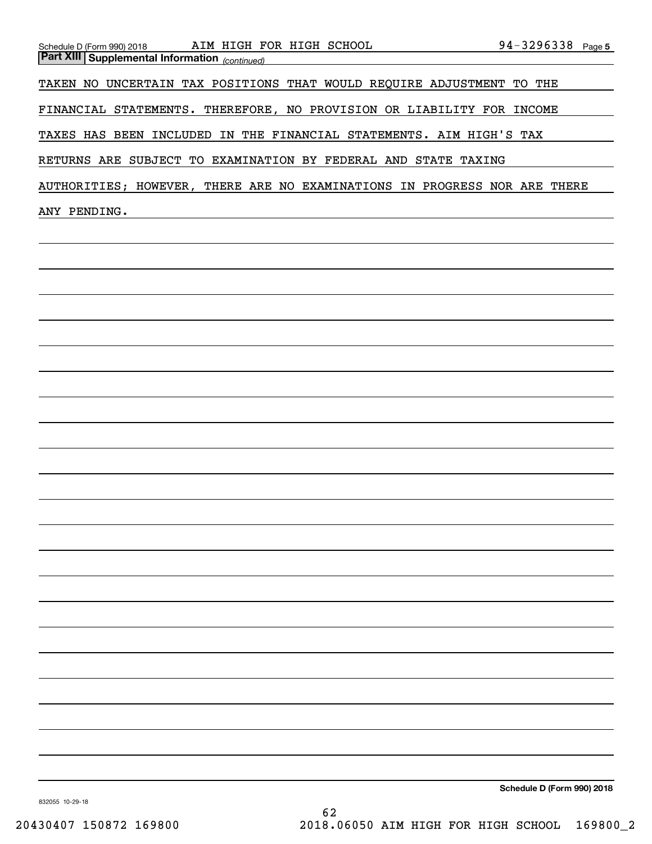| $94 - 3296338$ Page 5<br>AIM HIGH FOR HIGH SCHOOL NAIM HIGH FOR HIGH SCHOOL<br>Schedule D (Form 990) 2018<br><b>Part XIII Supplemental Information</b> (continued) |
|--------------------------------------------------------------------------------------------------------------------------------------------------------------------|
| TAKEN NO UNCERTAIN TAX POSITIONS THAT WOULD REQUIRE ADJUSTMENT TO THE                                                                                              |
| FINANCIAL STATEMENTS. THEREFORE, NO PROVISION OR LIABILITY FOR INCOME                                                                                              |
| TAXES HAS BEEN INCLUDED IN THE FINANCIAL STATEMENTS. AIM HIGH'S TAX                                                                                                |
| RETURNS ARE SUBJECT TO EXAMINATION BY FEDERAL AND STATE TAXING                                                                                                     |
| AUTHORITIES; HOWEVER, THERE ARE NO EXAMINATIONS IN PROGRESS NOR ARE THERE                                                                                          |
| ANY PENDING.                                                                                                                                                       |
|                                                                                                                                                                    |
|                                                                                                                                                                    |
|                                                                                                                                                                    |
|                                                                                                                                                                    |
|                                                                                                                                                                    |
|                                                                                                                                                                    |
|                                                                                                                                                                    |
|                                                                                                                                                                    |
|                                                                                                                                                                    |
|                                                                                                                                                                    |
|                                                                                                                                                                    |

832055 10-29-18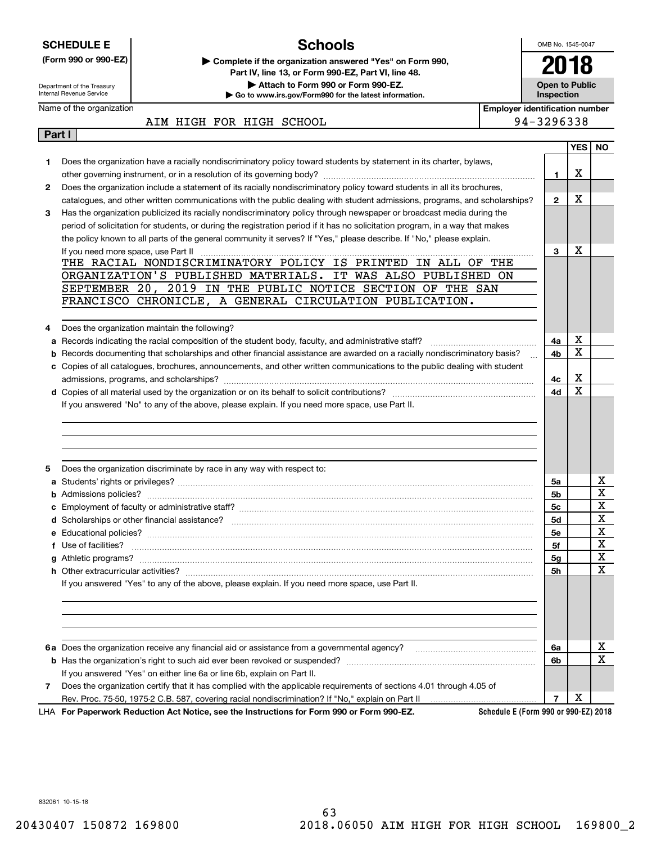| <b>SCHEDULE E</b>                                      |                                     | <b>Schools</b>                                                                                                                |                                       | OMB No. 1545-0047                   |            |             |
|--------------------------------------------------------|-------------------------------------|-------------------------------------------------------------------------------------------------------------------------------|---------------------------------------|-------------------------------------|------------|-------------|
|                                                        | (Form 990 or 990-EZ)                | Complete if the organization answered "Yes" on Form 990,                                                                      |                                       |                                     |            |             |
|                                                        |                                     | Part IV, line 13, or Form 990-EZ, Part VI, line 48.                                                                           |                                       |                                     |            |             |
| Department of the Treasury<br>Internal Revenue Service |                                     | Attach to Form 990 or Form 990-EZ.<br>Go to www.irs.gov/Form990 for the latest information.                                   |                                       | <b>Open to Public</b><br>Inspection |            |             |
|                                                        | Name of the organization            |                                                                                                                               | <b>Employer identification number</b> |                                     |            |             |
|                                                        |                                     | AIM HIGH FOR HIGH SCHOOL                                                                                                      |                                       | 94-3296338                          |            |             |
| Part I                                                 |                                     |                                                                                                                               |                                       |                                     |            |             |
|                                                        |                                     |                                                                                                                               |                                       |                                     | <b>YES</b> | NO.         |
| 1.                                                     |                                     | Does the organization have a racially nondiscriminatory policy toward students by statement in its charter, bylaws,           |                                       |                                     |            |             |
| $\mathbf{2}$                                           |                                     | Does the organization include a statement of its racially nondiscriminatory policy toward students in all its brochures,      |                                       | 1                                   | X          |             |
|                                                        |                                     | catalogues, and other written communications with the public dealing with student admissions, programs, and scholarships?     |                                       | $\mathbf{2}$                        | X          |             |
| 3                                                      |                                     | Has the organization publicized its racially nondiscriminatory policy through newspaper or broadcast media during the         |                                       |                                     |            |             |
|                                                        |                                     | period of solicitation for students, or during the registration period if it has no solicitation program, in a way that makes |                                       |                                     |            |             |
|                                                        |                                     | the policy known to all parts of the general community it serves? If "Yes," please describe. If "No," please explain.         |                                       |                                     |            |             |
|                                                        | If you need more space, use Part II |                                                                                                                               |                                       | 3                                   | х          |             |
|                                                        |                                     | THE RACIAL NONDISCRIMINATORY POLICY IS PRINTED IN ALL OF THE                                                                  |                                       |                                     |            |             |
|                                                        |                                     | ORGANIZATION'S PUBLISHED MATERIALS. IT WAS ALSO PUBLISHED ON                                                                  |                                       |                                     |            |             |
|                                                        |                                     | SEPTEMBER 20, 2019 IN THE PUBLIC NOTICE SECTION OF THE SAN<br>FRANCISCO CHRONICLE, A GENERAL CIRCULATION PUBLICATION.         |                                       |                                     |            |             |
|                                                        |                                     |                                                                                                                               |                                       |                                     |            |             |
| 4                                                      |                                     | Does the organization maintain the following?                                                                                 |                                       |                                     |            |             |
| а                                                      |                                     |                                                                                                                               |                                       | 4a                                  | х          |             |
| b                                                      |                                     | Records documenting that scholarships and other financial assistance are awarded on a racially nondiscriminatory basis?       |                                       | 4b                                  | X          |             |
|                                                        |                                     | c Copies of all catalogues, brochures, announcements, and other written communications to the public dealing with student     |                                       |                                     |            |             |
|                                                        |                                     |                                                                                                                               |                                       | 4с                                  | X          |             |
|                                                        |                                     |                                                                                                                               |                                       | 4d                                  | X          |             |
|                                                        |                                     | If you answered "No" to any of the above, please explain. If you need more space, use Part II.                                |                                       |                                     |            |             |
|                                                        |                                     |                                                                                                                               |                                       |                                     |            |             |
|                                                        |                                     |                                                                                                                               |                                       |                                     |            |             |
|                                                        |                                     |                                                                                                                               |                                       |                                     |            |             |
| 5                                                      |                                     | Does the organization discriminate by race in any way with respect to:                                                        |                                       |                                     |            |             |
|                                                        |                                     |                                                                                                                               |                                       | 5a                                  |            | x           |
| b                                                      |                                     |                                                                                                                               |                                       | 5b                                  |            | X           |
|                                                        |                                     | <b>c</b> Employment of faculty or administrative staff?                                                                       |                                       | 5c                                  |            | $\mathbf X$ |
|                                                        |                                     |                                                                                                                               |                                       | 5d                                  |            | х           |
|                                                        |                                     |                                                                                                                               |                                       | 5е                                  |            | X           |
|                                                        | f Use of facilities?                |                                                                                                                               |                                       | 5f                                  |            | X           |
|                                                        |                                     |                                                                                                                               |                                       | 5g                                  |            | X           |
|                                                        |                                     |                                                                                                                               |                                       | 5h                                  |            | Χ           |
|                                                        |                                     | If you answered "Yes" to any of the above, please explain. If you need more space, use Part II.                               |                                       |                                     |            |             |
|                                                        |                                     |                                                                                                                               |                                       |                                     |            |             |
|                                                        |                                     |                                                                                                                               |                                       |                                     |            |             |
|                                                        |                                     |                                                                                                                               |                                       |                                     |            |             |
|                                                        |                                     |                                                                                                                               |                                       | 6a                                  |            | x           |
|                                                        |                                     |                                                                                                                               |                                       | 6b                                  |            | $\mathbf x$ |
|                                                        |                                     | If you answered "Yes" on either line 6a or line 6b, explain on Part II.                                                       |                                       |                                     |            |             |
| 7                                                      |                                     | Does the organization certify that it has complied with the applicable requirements of sections 4.01 through 4.05 of          |                                       |                                     |            |             |
|                                                        |                                     |                                                                                                                               |                                       | 7                                   | X          |             |
|                                                        |                                     | LHA For Paperwork Reduction Act Notice, see the Instructions for Form 990 or Form 990-EZ.                                     | Schedule E (Form 990 or 990-EZ) 2018  |                                     |            |             |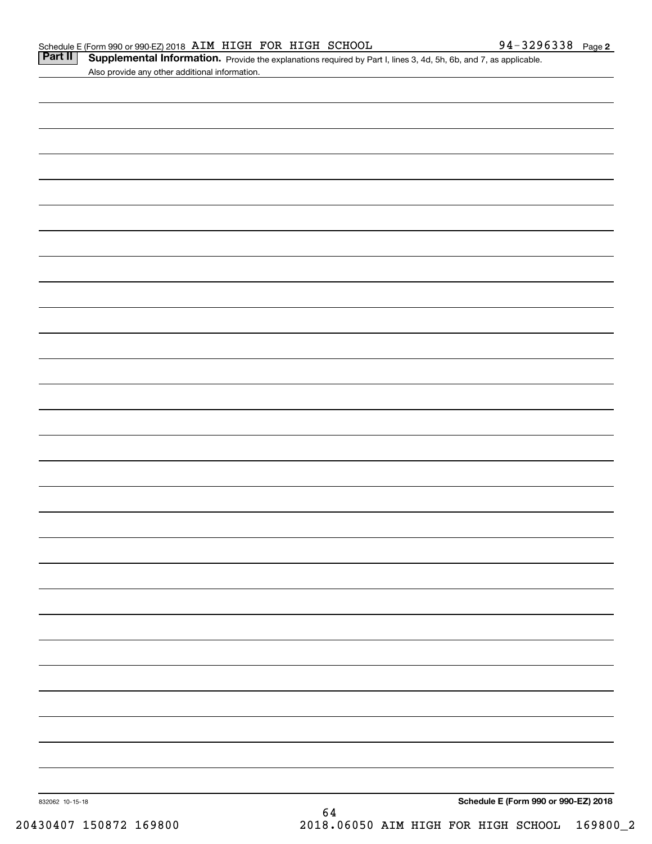|  | Schedule E (Form 990 or 990-EZ) 2018 AIM HIGH FOR HIGH SCHOOL |  |  |  | 94-3296338 | Page 2 |
|--|---------------------------------------------------------------|--|--|--|------------|--------|
|--|---------------------------------------------------------------|--|--|--|------------|--------|

|                                                | <b>Part II</b> Supplemental Information. Provide the explanations required by Part I, lines 3, 4d, 5h, 6b, and 7, as applicable |  |
|------------------------------------------------|---------------------------------------------------------------------------------------------------------------------------------|--|
| Also provide any other additional information. |                                                                                                                                 |  |

| 832062 10-15-18 | 64 | Schedule E (Form 990 or 990-EZ) 2018 |  |
|-----------------|----|--------------------------------------|--|
|                 |    |                                      |  |
|                 |    |                                      |  |
|                 |    |                                      |  |
|                 |    |                                      |  |
|                 |    |                                      |  |
|                 |    |                                      |  |
|                 |    |                                      |  |
|                 |    |                                      |  |
|                 |    |                                      |  |
|                 |    |                                      |  |
|                 |    |                                      |  |
|                 |    |                                      |  |
|                 |    |                                      |  |
|                 |    |                                      |  |
|                 |    |                                      |  |
|                 |    |                                      |  |
|                 |    |                                      |  |
|                 |    |                                      |  |
|                 |    |                                      |  |
|                 |    |                                      |  |
|                 |    |                                      |  |
|                 |    |                                      |  |
|                 |    |                                      |  |
|                 |    |                                      |  |
|                 |    |                                      |  |
|                 |    |                                      |  |
|                 |    |                                      |  |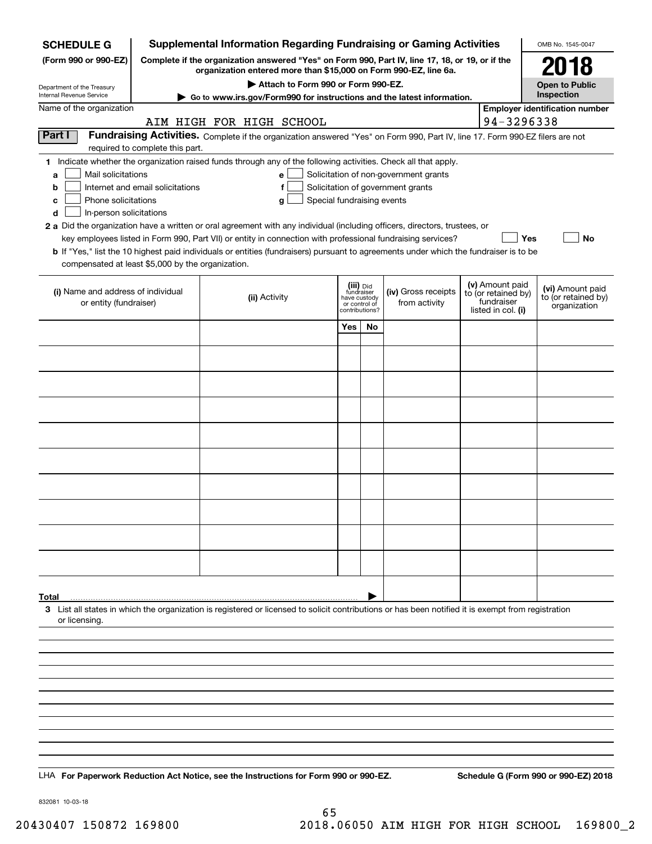| <b>SCHEDULE G</b>                                 | Supplemental Information Regarding Fundraising or Gaming Activities                                                                                                 | OMB No. 1545-0047                                                                                                                                  |                               |  |                                       |  |                                        |                                       |
|---------------------------------------------------|---------------------------------------------------------------------------------------------------------------------------------------------------------------------|----------------------------------------------------------------------------------------------------------------------------------------------------|-------------------------------|--|---------------------------------------|--|----------------------------------------|---------------------------------------|
| (Form 990 or 990-EZ)                              | Complete if the organization answered "Yes" on Form 990, Part IV, line 17, 18, or 19, or if the<br>organization entered more than \$15,000 on Form 990-EZ, line 6a. |                                                                                                                                                    | 2018                          |  |                                       |  |                                        |                                       |
| Department of the Treasury                        |                                                                                                                                                                     |                                                                                                                                                    | <b>Open to Public</b>         |  |                                       |  |                                        |                                       |
| Internal Revenue Service                          | ► Go to www.irs.gov/Form990 for instructions and the latest information.                                                                                            |                                                                                                                                                    | Inspection                    |  |                                       |  |                                        |                                       |
| Name of the organization                          |                                                                                                                                                                     | AIM HIGH FOR HIGH SCHOOL                                                                                                                           |                               |  |                                       |  | 94-3296338                             | <b>Employer identification number</b> |
| Part I                                            |                                                                                                                                                                     | Fundraising Activities. Complete if the organization answered "Yes" on Form 990, Part IV, line 17. Form 990-EZ filers are not                      |                               |  |                                       |  |                                        |                                       |
|                                                   | required to complete this part.                                                                                                                                     | 1 Indicate whether the organization raised funds through any of the following activities. Check all that apply.                                    |                               |  |                                       |  |                                        |                                       |
| Mail solicitations<br>a                           |                                                                                                                                                                     | e                                                                                                                                                  |                               |  | Solicitation of non-government grants |  |                                        |                                       |
| b                                                 | Internet and email solicitations                                                                                                                                    | f                                                                                                                                                  |                               |  | Solicitation of government grants     |  |                                        |                                       |
| Phone solicitations<br>с                          |                                                                                                                                                                     | Special fundraising events<br>g                                                                                                                    |                               |  |                                       |  |                                        |                                       |
| In-person solicitations<br>d                      |                                                                                                                                                                     | 2 a Did the organization have a written or oral agreement with any individual (including officers, directors, trustees, or                         |                               |  |                                       |  |                                        |                                       |
|                                                   |                                                                                                                                                                     | key employees listed in Form 990, Part VII) or entity in connection with professional fundraising services?                                        |                               |  |                                       |  | Yes                                    | No                                    |
|                                                   |                                                                                                                                                                     | b If "Yes," list the 10 highest paid individuals or entities (fundraisers) pursuant to agreements under which the fundraiser is to be              |                               |  |                                       |  |                                        |                                       |
| compensated at least \$5,000 by the organization. |                                                                                                                                                                     |                                                                                                                                                    |                               |  |                                       |  |                                        |                                       |
| (i) Name and address of individual                |                                                                                                                                                                     |                                                                                                                                                    | (iii) Did<br>fundraiser       |  | (iv) Gross receipts                   |  | (v) Amount paid<br>to (or retained by) | (vi) Amount paid                      |
| or entity (fundraiser)                            |                                                                                                                                                                     | (ii) Activity                                                                                                                                      | have custody<br>or control of |  | from activity                         |  | fundraiser<br>listed in col. (i)       | to (or retained by)<br>organization   |
|                                                   |                                                                                                                                                                     |                                                                                                                                                    | contributions?<br>Yes<br>No   |  |                                       |  |                                        |                                       |
|                                                   |                                                                                                                                                                     |                                                                                                                                                    |                               |  |                                       |  |                                        |                                       |
|                                                   |                                                                                                                                                                     |                                                                                                                                                    |                               |  |                                       |  |                                        |                                       |
|                                                   |                                                                                                                                                                     |                                                                                                                                                    |                               |  |                                       |  |                                        |                                       |
|                                                   |                                                                                                                                                                     |                                                                                                                                                    |                               |  |                                       |  |                                        |                                       |
|                                                   |                                                                                                                                                                     |                                                                                                                                                    |                               |  |                                       |  |                                        |                                       |
|                                                   |                                                                                                                                                                     |                                                                                                                                                    |                               |  |                                       |  |                                        |                                       |
|                                                   |                                                                                                                                                                     |                                                                                                                                                    |                               |  |                                       |  |                                        |                                       |
|                                                   |                                                                                                                                                                     |                                                                                                                                                    |                               |  |                                       |  |                                        |                                       |
|                                                   |                                                                                                                                                                     |                                                                                                                                                    |                               |  |                                       |  |                                        |                                       |
|                                                   |                                                                                                                                                                     |                                                                                                                                                    |                               |  |                                       |  |                                        |                                       |
|                                                   |                                                                                                                                                                     |                                                                                                                                                    |                               |  |                                       |  |                                        |                                       |
|                                                   |                                                                                                                                                                     |                                                                                                                                                    |                               |  |                                       |  |                                        |                                       |
|                                                   |                                                                                                                                                                     |                                                                                                                                                    |                               |  |                                       |  |                                        |                                       |
| Total                                             |                                                                                                                                                                     | 3 List all states in which the organization is registered or licensed to solicit contributions or has been notified it is exempt from registration |                               |  |                                       |  |                                        |                                       |
| or licensing.                                     |                                                                                                                                                                     |                                                                                                                                                    |                               |  |                                       |  |                                        |                                       |
|                                                   |                                                                                                                                                                     |                                                                                                                                                    |                               |  |                                       |  |                                        |                                       |
|                                                   |                                                                                                                                                                     |                                                                                                                                                    |                               |  |                                       |  |                                        |                                       |
|                                                   |                                                                                                                                                                     |                                                                                                                                                    |                               |  |                                       |  |                                        |                                       |
|                                                   |                                                                                                                                                                     |                                                                                                                                                    |                               |  |                                       |  |                                        |                                       |
|                                                   |                                                                                                                                                                     |                                                                                                                                                    |                               |  |                                       |  |                                        |                                       |
|                                                   |                                                                                                                                                                     |                                                                                                                                                    |                               |  |                                       |  |                                        |                                       |
|                                                   |                                                                                                                                                                     |                                                                                                                                                    |                               |  |                                       |  |                                        |                                       |
|                                                   |                                                                                                                                                                     |                                                                                                                                                    |                               |  |                                       |  |                                        |                                       |
|                                                   |                                                                                                                                                                     | LHA For Paperwork Reduction Act Notice, see the Instructions for Form 990 or 990-EZ.                                                               |                               |  |                                       |  |                                        | Schedule G (Form 990 or 990-EZ) 2018  |

832081 10-03-18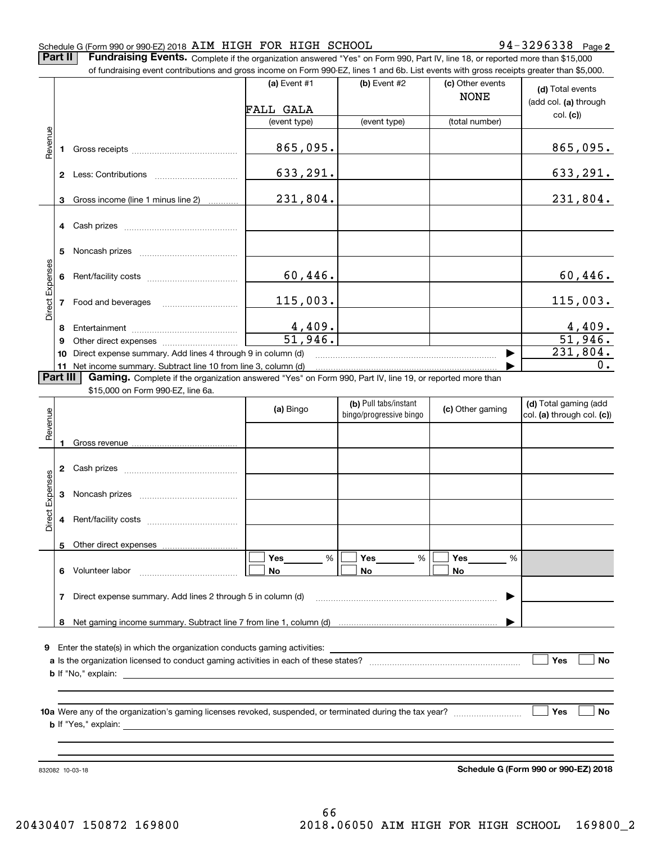#### Schedule G (Form 990 or 990-EZ) 2018 AIM HIGH FOR HIGH SCHOOL 94-3296338 Page

**2** 7 3 2 9 6 3 3 8 Paqe 2

Part II | Fundraising Events. Complete if the organization answered "Yes" on Form 990, Part IV, line 18, or reported more than \$15,000

|                 |          | of fundraising event contributions and gross income on Form 990-EZ, lines 1 and 6b. List events with gross receipts greater than \$5,000. |                          |                                                  |                                 |                                                     |
|-----------------|----------|-------------------------------------------------------------------------------------------------------------------------------------------|--------------------------|--------------------------------------------------|---------------------------------|-----------------------------------------------------|
|                 |          |                                                                                                                                           | (a) Event $#1$           | (b) Event #2                                     | (c) Other events<br><b>NONE</b> | (d) Total events                                    |
|                 |          |                                                                                                                                           | FALL GALA                |                                                  |                                 | (add col. (a) through                               |
|                 |          |                                                                                                                                           | (event type)             | (event type)                                     | (total number)                  | col. (c)                                            |
| Revenue         |          |                                                                                                                                           | 865,095.                 |                                                  |                                 | 865,095.                                            |
|                 |          |                                                                                                                                           | 633,291.                 |                                                  |                                 | <u>633,291.</u>                                     |
|                 |          | 3 Gross income (line 1 minus line 2)                                                                                                      | 231,804.                 |                                                  |                                 | 231,804.                                            |
|                 |          |                                                                                                                                           |                          |                                                  |                                 |                                                     |
|                 | 5        |                                                                                                                                           |                          |                                                  |                                 |                                                     |
|                 |          |                                                                                                                                           | 60,446.                  |                                                  |                                 | 60,446.                                             |
| Direct Expenses |          | 7 Food and beverages                                                                                                                      | 115,003.                 |                                                  |                                 | 115,003.                                            |
|                 | 8        |                                                                                                                                           |                          |                                                  |                                 |                                                     |
|                 | 9        |                                                                                                                                           | $\frac{4,409.}{51,946.}$ |                                                  |                                 | $\frac{4,409.}{51,946.}$                            |
|                 | 10       | Direct expense summary. Add lines 4 through 9 in column (d)                                                                               |                          |                                                  |                                 | $\overline{231,804}$ .                              |
|                 |          | 11 Net income summary. Subtract line 10 from line 3, column (d)                                                                           |                          |                                                  |                                 | 0.                                                  |
|                 | Part III | Gaming. Complete if the organization answered "Yes" on Form 990, Part IV, line 19, or reported more than                                  |                          |                                                  |                                 |                                                     |
|                 |          | \$15,000 on Form 990-EZ, line 6a.                                                                                                         |                          |                                                  |                                 |                                                     |
|                 |          |                                                                                                                                           | (a) Bingo                | (b) Pull tabs/instant<br>bingo/progressive bingo | (c) Other gaming                | (d) Total gaming (add<br>col. (a) through col. (c)) |
| Revenue         |          |                                                                                                                                           |                          |                                                  |                                 |                                                     |
|                 |          |                                                                                                                                           |                          |                                                  |                                 |                                                     |
|                 | 3        |                                                                                                                                           |                          |                                                  |                                 |                                                     |
| Direct Expenses |          |                                                                                                                                           |                          |                                                  |                                 |                                                     |
|                 |          | 5 Other direct expenses                                                                                                                   |                          |                                                  |                                 |                                                     |
|                 |          | 6 Volunteer labor                                                                                                                         | %<br>Yes<br>No           | Yes<br>%<br>No                                   | Yes<br>%<br>No                  |                                                     |
|                 |          | 7 Direct expense summary. Add lines 2 through 5 in column (d)                                                                             |                          |                                                  | ▶                               |                                                     |
|                 |          |                                                                                                                                           |                          |                                                  |                                 |                                                     |
|                 |          |                                                                                                                                           |                          |                                                  |                                 |                                                     |
| 9               |          | Enter the state(s) in which the organization conducts gaming activities:                                                                  |                          |                                                  |                                 |                                                     |
|                 |          | <b>b</b> If "No," explain: $\qquad \qquad$                                                                                                |                          |                                                  |                                 | Yes<br>No                                           |
|                 |          |                                                                                                                                           |                          |                                                  |                                 | Yes<br><b>No</b>                                    |
|                 |          |                                                                                                                                           |                          |                                                  |                                 |                                                     |
|                 |          |                                                                                                                                           |                          |                                                  |                                 |                                                     |
|                 |          |                                                                                                                                           |                          |                                                  |                                 |                                                     |

**Schedule G (Form 990 or 990-EZ) 2018** <sup>332032</sup>10703713 Schedule G (Form 990 or 990-EZ) 2018

832082 10-03-18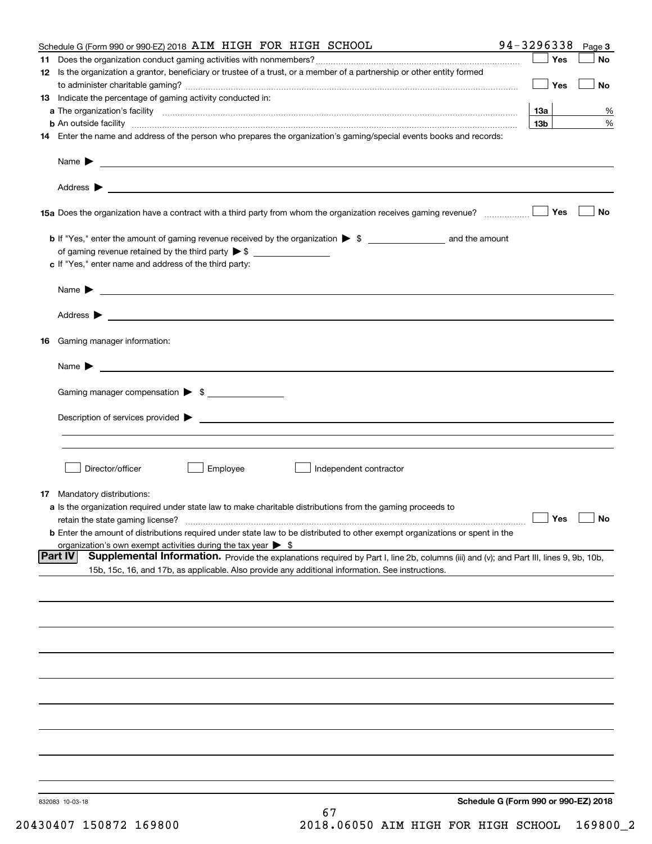|     | Schedule G (Form 990 or 990-EZ) 2018 AIM HIGH FOR HIGH SCHOOL                                                                                                                                                       | 94-3296338      |            | Page 3    |
|-----|---------------------------------------------------------------------------------------------------------------------------------------------------------------------------------------------------------------------|-----------------|------------|-----------|
| 11. |                                                                                                                                                                                                                     |                 | Yes        | No        |
|     | 12 Is the organization a grantor, beneficiary or trustee of a trust, or a member of a partnership or other entity formed                                                                                            |                 |            |           |
|     |                                                                                                                                                                                                                     |                 | Yes        | No        |
|     | 13 Indicate the percentage of gaming activity conducted in:                                                                                                                                                         |                 |            |           |
|     |                                                                                                                                                                                                                     | <b>13a</b>      |            | %         |
|     | <b>b</b> An outside facility <i>www.communicality www.communicality.communicality www.communicality www.communicality.com</i>                                                                                       | 13 <sub>b</sub> |            | %         |
|     | 14 Enter the name and address of the person who prepares the organization's gaming/special events books and records:                                                                                                |                 |            |           |
|     |                                                                                                                                                                                                                     |                 |            |           |
|     |                                                                                                                                                                                                                     |                 |            |           |
|     |                                                                                                                                                                                                                     |                 |            |           |
|     |                                                                                                                                                                                                                     |                 | Yes        | No        |
|     |                                                                                                                                                                                                                     |                 |            |           |
|     |                                                                                                                                                                                                                     |                 |            |           |
|     |                                                                                                                                                                                                                     |                 |            |           |
|     | c If "Yes," enter name and address of the third party:                                                                                                                                                              |                 |            |           |
|     | Name $\blacktriangleright$ $\lrcorner$                                                                                                                                                                              |                 |            |           |
|     |                                                                                                                                                                                                                     |                 |            |           |
|     |                                                                                                                                                                                                                     |                 |            |           |
|     | 16 Gaming manager information:                                                                                                                                                                                      |                 |            |           |
|     |                                                                                                                                                                                                                     |                 |            |           |
|     | Name $\blacktriangleright$ $\lrcorner$                                                                                                                                                                              |                 |            |           |
|     | Gaming manager compensation > \$                                                                                                                                                                                    |                 |            |           |
|     |                                                                                                                                                                                                                     |                 |            |           |
|     | $Description of services provided$ $\triangleright$                                                                                                                                                                 |                 |            |           |
|     |                                                                                                                                                                                                                     |                 |            |           |
|     |                                                                                                                                                                                                                     |                 |            |           |
|     | Director/officer<br>Employee<br>Independent contractor                                                                                                                                                              |                 |            |           |
|     |                                                                                                                                                                                                                     |                 |            |           |
|     | <b>17</b> Mandatory distributions:                                                                                                                                                                                  |                 |            |           |
|     | a Is the organization required under state law to make charitable distributions from the gaming proceeds to                                                                                                         |                 |            |           |
|     | retain the state gaming license?                                                                                                                                                                                    |                 | $\Box$ Yes | $\Box$ No |
|     | <b>b</b> Enter the amount of distributions required under state law to be distributed to other exempt organizations or spent in the<br>organization's own exempt activities during the tax year $\triangleright$ \$ |                 |            |           |
|     | Supplemental Information. Provide the explanations required by Part I, line 2b, columns (iii) and (v); and Part III, lines 9, 9b, 10b,<br> Part IV                                                                  |                 |            |           |
|     | 15b, 15c, 16, and 17b, as applicable. Also provide any additional information. See instructions.                                                                                                                    |                 |            |           |
|     |                                                                                                                                                                                                                     |                 |            |           |
|     |                                                                                                                                                                                                                     |                 |            |           |
|     |                                                                                                                                                                                                                     |                 |            |           |
|     |                                                                                                                                                                                                                     |                 |            |           |
|     |                                                                                                                                                                                                                     |                 |            |           |
|     |                                                                                                                                                                                                                     |                 |            |           |
|     |                                                                                                                                                                                                                     |                 |            |           |
|     |                                                                                                                                                                                                                     |                 |            |           |
|     |                                                                                                                                                                                                                     |                 |            |           |
|     |                                                                                                                                                                                                                     |                 |            |           |
|     |                                                                                                                                                                                                                     |                 |            |           |
|     |                                                                                                                                                                                                                     |                 |            |           |
|     | Schedule G (Form 990 or 990-EZ) 2018<br>832083 10-03-18                                                                                                                                                             |                 |            |           |
|     | 67                                                                                                                                                                                                                  |                 |            |           |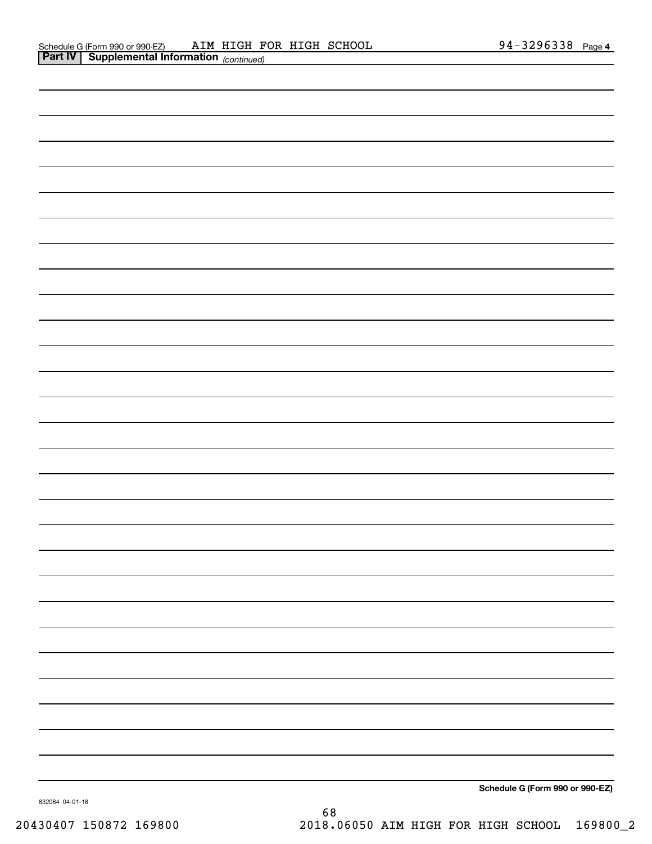| Schedule G (Form 990 or 990-EZ) |
|---------------------------------|

832084 04-01-18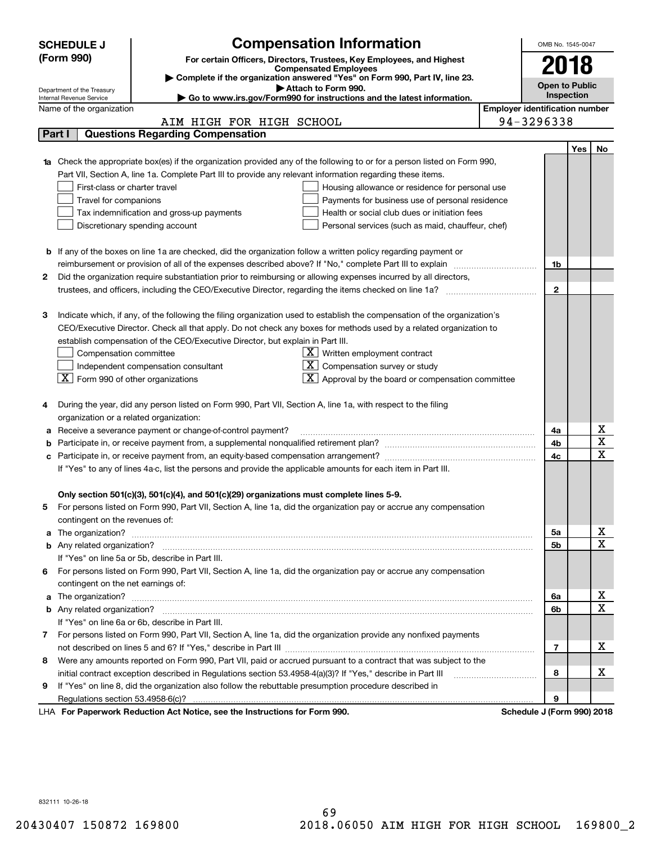|    | <b>SCHEDULE J</b>                                      |                                                                                                                           | <b>Compensation Information</b>                                        |                                       | OMB No. 1545-0047          |     |             |  |  |
|----|--------------------------------------------------------|---------------------------------------------------------------------------------------------------------------------------|------------------------------------------------------------------------|---------------------------------------|----------------------------|-----|-------------|--|--|
|    | (Form 990)                                             |                                                                                                                           | For certain Officers, Directors, Trustees, Key Employees, and Highest  |                                       |                            |     |             |  |  |
|    |                                                        |                                                                                                                           | <b>Compensated Employees</b>                                           |                                       | 2018                       |     |             |  |  |
|    |                                                        | Complete if the organization answered "Yes" on Form 990, Part IV, line 23.<br>Attach to Form 990.                         |                                                                        |                                       | <b>Open to Public</b>      |     |             |  |  |
|    | Department of the Treasury<br>Internal Revenue Service |                                                                                                                           | Go to www.irs.gov/Form990 for instructions and the latest information. |                                       | Inspection                 |     |             |  |  |
|    | Name of the organization                               |                                                                                                                           |                                                                        | <b>Employer identification number</b> |                            |     |             |  |  |
|    |                                                        | AIM HIGH FOR HIGH SCHOOL                                                                                                  |                                                                        | 94-3296338                            |                            |     |             |  |  |
|    | Part I                                                 | <b>Questions Regarding Compensation</b>                                                                                   |                                                                        |                                       |                            |     |             |  |  |
|    |                                                        |                                                                                                                           |                                                                        |                                       |                            | Yes | No          |  |  |
|    |                                                        | Check the appropriate box(es) if the organization provided any of the following to or for a person listed on Form 990,    |                                                                        |                                       |                            |     |             |  |  |
|    |                                                        | Part VII, Section A, line 1a. Complete Part III to provide any relevant information regarding these items.                |                                                                        |                                       |                            |     |             |  |  |
|    | First-class or charter travel                          |                                                                                                                           | Housing allowance or residence for personal use                        |                                       |                            |     |             |  |  |
|    | Travel for companions                                  |                                                                                                                           | Payments for business use of personal residence                        |                                       |                            |     |             |  |  |
|    |                                                        | Tax indemnification and gross-up payments                                                                                 | Health or social club dues or initiation fees                          |                                       |                            |     |             |  |  |
|    |                                                        | Discretionary spending account                                                                                            | Personal services (such as maid, chauffeur, chef)                      |                                       |                            |     |             |  |  |
|    |                                                        |                                                                                                                           |                                                                        |                                       |                            |     |             |  |  |
|    |                                                        | <b>b</b> If any of the boxes on line 1a are checked, did the organization follow a written policy regarding payment or    |                                                                        |                                       |                            |     |             |  |  |
|    |                                                        | reimbursement or provision of all of the expenses described above? If "No," complete Part III to explain                  |                                                                        |                                       | 1b                         |     |             |  |  |
| 2  |                                                        | Did the organization require substantiation prior to reimbursing or allowing expenses incurred by all directors,          |                                                                        |                                       |                            |     |             |  |  |
|    |                                                        |                                                                                                                           |                                                                        |                                       | $\mathbf{2}$               |     |             |  |  |
|    |                                                        |                                                                                                                           |                                                                        |                                       |                            |     |             |  |  |
| з  |                                                        | Indicate which, if any, of the following the filing organization used to establish the compensation of the organization's |                                                                        |                                       |                            |     |             |  |  |
|    |                                                        | CEO/Executive Director. Check all that apply. Do not check any boxes for methods used by a related organization to        |                                                                        |                                       |                            |     |             |  |  |
|    |                                                        | establish compensation of the CEO/Executive Director, but explain in Part III.                                            |                                                                        |                                       |                            |     |             |  |  |
|    | Compensation committee                                 |                                                                                                                           | $\underline{\mathbf{X}}$ Written employment contract                   |                                       |                            |     |             |  |  |
|    |                                                        | Independent compensation consultant                                                                                       | $X$ Compensation survey or study                                       |                                       |                            |     |             |  |  |
|    | $\boxed{\textbf{X}}$ Form 990 of other organizations   |                                                                                                                           | $\boxed{\textbf{X}}$ Approval by the board or compensation committee   |                                       |                            |     |             |  |  |
|    |                                                        |                                                                                                                           |                                                                        |                                       |                            |     |             |  |  |
|    |                                                        | During the year, did any person listed on Form 990, Part VII, Section A, line 1a, with respect to the filing              |                                                                        |                                       |                            |     |             |  |  |
|    | organization or a related organization:                |                                                                                                                           |                                                                        |                                       |                            |     |             |  |  |
| а  |                                                        | Receive a severance payment or change-of-control payment?                                                                 |                                                                        |                                       | 4a                         |     | х           |  |  |
| b  |                                                        |                                                                                                                           |                                                                        |                                       | 4b                         |     | X           |  |  |
| c  |                                                        | Participate in, or receive payment from, an equity-based compensation arrangement?                                        |                                                                        |                                       | 4c                         |     | X           |  |  |
|    |                                                        | If "Yes" to any of lines 4a-c, list the persons and provide the applicable amounts for each item in Part III.             |                                                                        |                                       |                            |     |             |  |  |
|    |                                                        |                                                                                                                           |                                                                        |                                       |                            |     |             |  |  |
|    |                                                        | Only section 501(c)(3), 501(c)(4), and 501(c)(29) organizations must complete lines 5-9.                                  |                                                                        |                                       |                            |     |             |  |  |
|    |                                                        | For persons listed on Form 990, Part VII, Section A, line 1a, did the organization pay or accrue any compensation         |                                                                        |                                       |                            |     |             |  |  |
|    | contingent on the revenues of:                         |                                                                                                                           |                                                                        |                                       |                            |     |             |  |  |
| a  |                                                        |                                                                                                                           |                                                                        |                                       | 5a                         |     | x           |  |  |
|    |                                                        |                                                                                                                           |                                                                        |                                       | 5b                         |     | $\mathbf X$ |  |  |
|    |                                                        | If "Yes" on line 5a or 5b, describe in Part III.                                                                          |                                                                        |                                       |                            |     |             |  |  |
| 6. |                                                        | For persons listed on Form 990, Part VII, Section A, line 1a, did the organization pay or accrue any compensation         |                                                                        |                                       |                            |     |             |  |  |
|    | contingent on the net earnings of:                     |                                                                                                                           |                                                                        |                                       |                            |     |             |  |  |
| a  |                                                        |                                                                                                                           |                                                                        |                                       | 6a                         |     | x           |  |  |
|    |                                                        |                                                                                                                           |                                                                        |                                       | 6b                         |     | $\mathbf X$ |  |  |
|    |                                                        | If "Yes" on line 6a or 6b, describe in Part III.                                                                          |                                                                        |                                       |                            |     |             |  |  |
|    |                                                        | 7 For persons listed on Form 990, Part VII, Section A, line 1a, did the organization provide any nonfixed payments        |                                                                        |                                       |                            |     |             |  |  |
|    |                                                        |                                                                                                                           |                                                                        |                                       | 7                          |     | х           |  |  |
| 8  |                                                        | Were any amounts reported on Form 990, Part VII, paid or accrued pursuant to a contract that was subject to the           |                                                                        |                                       |                            |     |             |  |  |
|    |                                                        | initial contract exception described in Regulations section 53.4958-4(a)(3)? If "Yes," describe in Part III               |                                                                        |                                       | 8                          |     | х           |  |  |
| 9  |                                                        | If "Yes" on line 8, did the organization also follow the rebuttable presumption procedure described in                    |                                                                        |                                       |                            |     |             |  |  |
|    | Regulations section 53.4958-6(c)?                      |                                                                                                                           |                                                                        |                                       | 9                          |     |             |  |  |
|    |                                                        | LHA For Paperwork Reduction Act Notice, see the Instructions for Form 990.                                                |                                                                        |                                       | Schedule J (Form 990) 2018 |     |             |  |  |

832111 10-26-18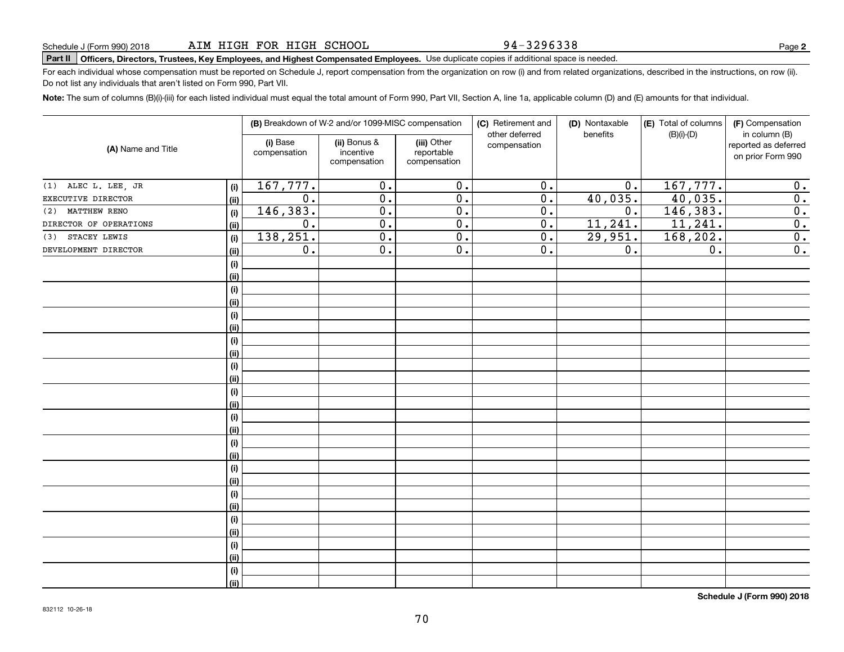94-3296338

# **Part II Officers, Directors, Trustees, Key Employees, and Highest Compensated Employees.**  Schedule J (Form 990) 2018 Page Use duplicate copies if additional space is needed. <sup>I</sup>Part II <sup>I</sup>Officers, Directors, Trustees, Key Employees, and Highest Compensated Employees. Use duplicate copies if additional space is needed.

For each individual whose compensation must be reported on Schedule J, report compensation from the organization on row (i) and from related organizations, described in the instructions, on row (ii). Do not list any individuals that aren't listed on Form 990, Part VII. Do not list any individuals that aren't listed on Form 990, Part VII.

Note: The sum of columns (B)(i)-(iii) for each listed individual must equal the total amount of Form 990, Part VII, Section A, line 1a, applicable column (D) and (E) amounts for that individual.

|                        |      |                          | (B) Breakdown of W-2 and/or 1099-MISC compensation |                                           | (C) Retirement and<br>other deferred | (D) Nontaxable<br>benefits | (E) Total of columns<br>$(B)(i)-(D)$ | (F) Compensation<br>in column (B)         |  |  |
|------------------------|------|--------------------------|----------------------------------------------------|-------------------------------------------|--------------------------------------|----------------------------|--------------------------------------|-------------------------------------------|--|--|
| (A) Name and Title     |      | (i) Base<br>compensation | (ii) Bonus &<br>incentive<br>compensation          | (iii) Other<br>reportable<br>compensation | compensation                         |                            |                                      | reported as deferred<br>on prior Form 990 |  |  |
| (1) ALEC L. LEE, JR    | (i)  | 167, 777.                | $\overline{0}$ .                                   | $\overline{0}$ .                          | $\overline{0}$ .                     | 0.                         | 167, 777.                            | 0.                                        |  |  |
| EXECUTIVE DIRECTOR     | (ii) | $\overline{0}$ .         | $\overline{0}$ .                                   | $\overline{0}$ .                          | $\overline{0}$ .                     | 40,035.                    | 40,035.                              | $\overline{0}$ .                          |  |  |
| MATTHEW RENO<br>(2)    | (i)  | 146,383.                 | $\overline{0}$ .                                   | $\overline{0}$ .                          | $\overline{0}$ .                     | 0.                         | 146, 383.                            | $\overline{0}$ .                          |  |  |
| DIRECTOR OF OPERATIONS | (ii) | $\overline{0}$ .         | $\overline{0}$ .                                   | $\overline{0}$ .                          | $\overline{0}$ .                     | 11, 241.                   | 11,241.                              | 0.                                        |  |  |
| STACEY LEWIS<br>(3)    | (i)  | 138,251.                 | $\overline{0}$ .                                   | $\overline{0}$ .                          | 0.                                   | 29,951.                    | 168,202.                             | 0.                                        |  |  |
| DEVELOPMENT DIRECTOR   | (ii) | 0.                       | $\overline{0}$ .                                   | $\overline{0}$ .                          | 0.                                   | 0.                         | $\overline{0}$ .                     | $\overline{0}$ .                          |  |  |
|                        | (i)  |                          |                                                    |                                           |                                      |                            |                                      |                                           |  |  |
|                        | (ii) |                          |                                                    |                                           |                                      |                            |                                      |                                           |  |  |
|                        | (i)  |                          |                                                    |                                           |                                      |                            |                                      |                                           |  |  |
|                        | (ii) |                          |                                                    |                                           |                                      |                            |                                      |                                           |  |  |
|                        | (i)  |                          |                                                    |                                           |                                      |                            |                                      |                                           |  |  |
|                        | (ii) |                          |                                                    |                                           |                                      |                            |                                      |                                           |  |  |
|                        | (i)  |                          |                                                    |                                           |                                      |                            |                                      |                                           |  |  |
|                        | (ii) |                          |                                                    |                                           |                                      |                            |                                      |                                           |  |  |
|                        | (i)  |                          |                                                    |                                           |                                      |                            |                                      |                                           |  |  |
|                        | (ii) |                          |                                                    |                                           |                                      |                            |                                      |                                           |  |  |
|                        | (i)  |                          |                                                    |                                           |                                      |                            |                                      |                                           |  |  |
|                        | (ii) |                          |                                                    |                                           |                                      |                            |                                      |                                           |  |  |
|                        | (i)  |                          |                                                    |                                           |                                      |                            |                                      |                                           |  |  |
|                        | (ii) |                          |                                                    |                                           |                                      |                            |                                      |                                           |  |  |
|                        | (i)  |                          |                                                    |                                           |                                      |                            |                                      |                                           |  |  |
|                        | (ii) |                          |                                                    |                                           |                                      |                            |                                      |                                           |  |  |
|                        | (i)  |                          |                                                    |                                           |                                      |                            |                                      |                                           |  |  |
|                        | (ii) |                          |                                                    |                                           |                                      |                            |                                      |                                           |  |  |
|                        | (i)  |                          |                                                    |                                           |                                      |                            |                                      |                                           |  |  |
|                        | (ii) |                          |                                                    |                                           |                                      |                            |                                      |                                           |  |  |
|                        | (i)  |                          |                                                    |                                           |                                      |                            |                                      |                                           |  |  |
|                        | (ii) |                          |                                                    |                                           |                                      |                            |                                      |                                           |  |  |
|                        | (i)  |                          |                                                    |                                           |                                      |                            |                                      |                                           |  |  |
|                        | (ii) |                          |                                                    |                                           |                                      |                            |                                      |                                           |  |  |
|                        | (i)  |                          |                                                    |                                           |                                      |                            |                                      |                                           |  |  |
|                        | (ii) |                          |                                                    |                                           |                                      |                            |                                      |                                           |  |  |

**Schedule J (Form 990) 2018** Schedule J (Form 990) 2018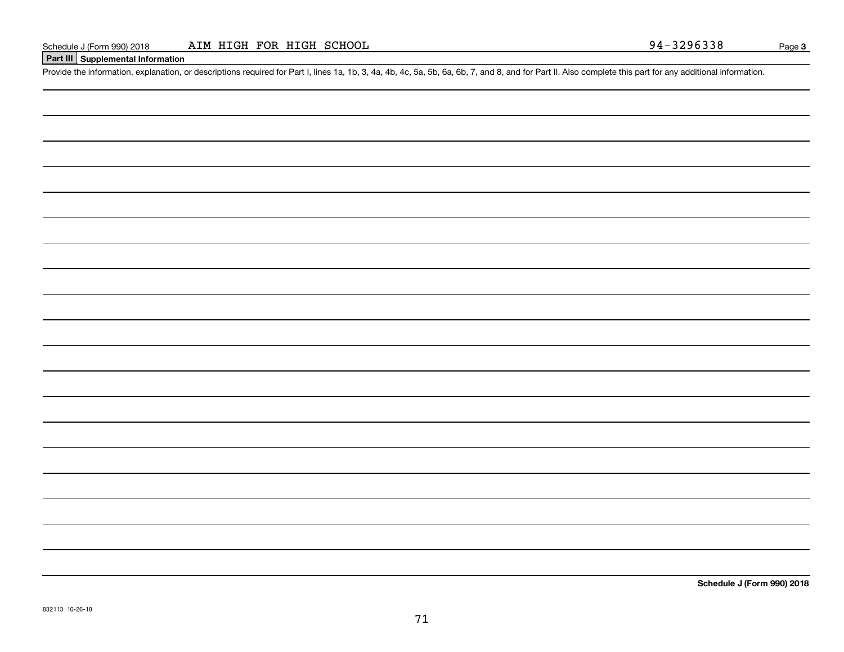#### **Part III | Supplemental Information**

Schedule J (Form 990) 2018 ALM HIGH FOR HIGH SCHOOL<br>| Part III | Supplemental Information<br>Provide the information, explanation, or descriptions required for Part I, lines 1a, 1b, 3, 4a, 4b, 4c, 5a, 5b, 6a, 6b, 7, and 8, an

**Schedule J (Form 990) 2018** Schedule J (Form 990) 2018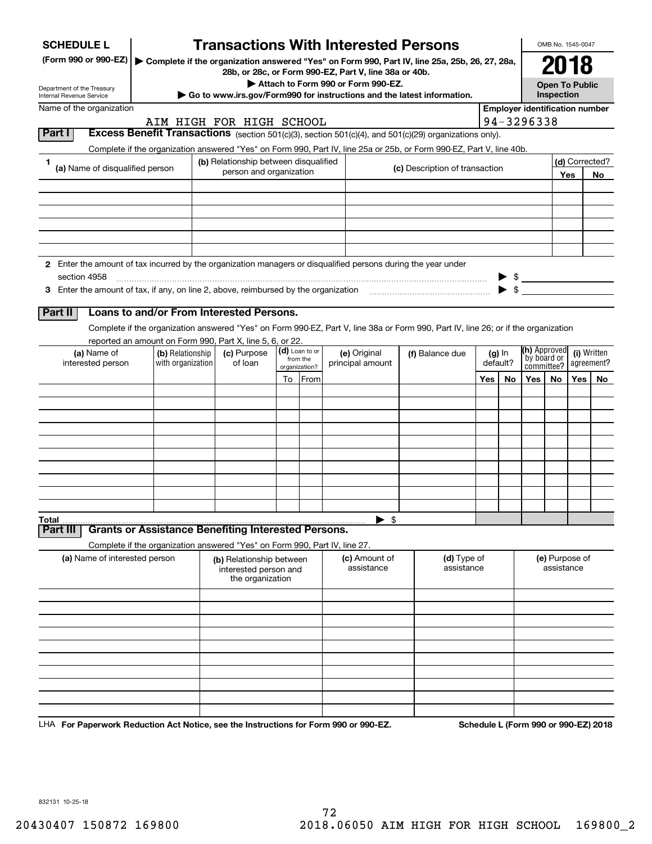| (Form 990 or 990-EZ)                                                                                          |                                                                                                                                       |  |                                                                       |                                             |         | <b>Transactions With Interested Persons</b>                                                 |                                                                                                                                    |                       |     |                                                     | OMB No. 1545-0047            |     |                           |
|---------------------------------------------------------------------------------------------------------------|---------------------------------------------------------------------------------------------------------------------------------------|--|-----------------------------------------------------------------------|---------------------------------------------|---------|---------------------------------------------------------------------------------------------|------------------------------------------------------------------------------------------------------------------------------------|-----------------------|-----|-----------------------------------------------------|------------------------------|-----|---------------------------|
|                                                                                                               |                                                                                                                                       |  |                                                                       |                                             |         |                                                                                             | Complete if the organization answered "Yes" on Form 990, Part IV, line 25a, 25b, 26, 27, 28a,                                      |                       |     |                                                     | 2018                         |     |                           |
| Department of the Treasury                                                                                    |                                                                                                                                       |  |                                                                       |                                             |         | 28b, or 28c, or Form 990-EZ, Part V, line 38a or 40b.<br>Attach to Form 990 or Form 990-EZ. |                                                                                                                                    |                       |     |                                                     | <b>Open To Public</b>        |     |                           |
| <b>Internal Revenue Service</b>                                                                               |                                                                                                                                       |  |                                                                       |                                             |         | Go to www.irs.gov/Form990 for instructions and the latest information.                      |                                                                                                                                    |                       |     |                                                     | Inspection                   |     |                           |
| Name of the organization                                                                                      |                                                                                                                                       |  | AIM HIGH FOR HIGH SCHOOL                                              |                                             |         |                                                                                             |                                                                                                                                    |                       |     | <b>Employer identification number</b><br>94-3296338 |                              |     |                           |
| Part I                                                                                                        |                                                                                                                                       |  |                                                                       |                                             |         |                                                                                             | Excess Benefit Transactions (section 501(c)(3), section 501(c)(4), and 501(c)(29) organizations only).                             |                       |     |                                                     |                              |     |                           |
|                                                                                                               |                                                                                                                                       |  |                                                                       |                                             |         |                                                                                             | Complete if the organization answered "Yes" on Form 990, Part IV, line 25a or 25b, or Form 990-EZ, Part V, line 40b.               |                       |     |                                                     |                              |     |                           |
| 1.                                                                                                            | (b) Relationship between disqualified<br>(a) Name of disqualified person<br>(c) Description of transaction<br>person and organization |  |                                                                       |                                             |         |                                                                                             |                                                                                                                                    | (d) Corrected?<br>Yes |     |                                                     |                              |     |                           |
|                                                                                                               |                                                                                                                                       |  |                                                                       |                                             |         |                                                                                             |                                                                                                                                    |                       |     |                                                     |                              |     | No.                       |
|                                                                                                               |                                                                                                                                       |  |                                                                       |                                             |         |                                                                                             |                                                                                                                                    |                       |     |                                                     |                              |     |                           |
|                                                                                                               |                                                                                                                                       |  |                                                                       |                                             |         |                                                                                             |                                                                                                                                    |                       |     |                                                     |                              |     |                           |
|                                                                                                               |                                                                                                                                       |  |                                                                       |                                             |         |                                                                                             |                                                                                                                                    |                       |     |                                                     |                              |     |                           |
|                                                                                                               |                                                                                                                                       |  |                                                                       |                                             |         |                                                                                             |                                                                                                                                    |                       |     |                                                     |                              |     |                           |
| 2 Enter the amount of tax incurred by the organization managers or disqualified persons during the year under |                                                                                                                                       |  |                                                                       |                                             |         |                                                                                             |                                                                                                                                    |                       |     |                                                     |                              |     |                           |
| section 4958                                                                                                  |                                                                                                                                       |  |                                                                       |                                             |         |                                                                                             |                                                                                                                                    |                       |     | $\triangleright$ \$                                 |                              |     |                           |
|                                                                                                               |                                                                                                                                       |  |                                                                       |                                             |         |                                                                                             |                                                                                                                                    |                       |     | $\blacktriangleright$ \$                            |                              |     |                           |
| Part II                                                                                                       | Loans to and/or From Interested Persons.                                                                                              |  |                                                                       |                                             |         |                                                                                             |                                                                                                                                    |                       |     |                                                     |                              |     |                           |
|                                                                                                               |                                                                                                                                       |  |                                                                       |                                             |         |                                                                                             | Complete if the organization answered "Yes" on Form 990-EZ, Part V, line 38a or Form 990, Part IV, line 26; or if the organization |                       |     |                                                     |                              |     |                           |
|                                                                                                               | reported an amount on Form 990, Part X, line 5, 6, or 22.                                                                             |  |                                                                       |                                             |         |                                                                                             |                                                                                                                                    |                       |     | (h) Approved                                        |                              |     |                           |
| (a) Name of<br>interested person                                                                              | (b) Relationship<br>with organization                                                                                                 |  | (c) Purpose<br>of loan                                                | (d) Loan to or<br>from the<br>organization? |         | (e) Original<br>principal amount                                                            | (f) Balance due                                                                                                                    | $(g)$ In<br>default?  |     | by board or<br>committee?                           |                              |     | (i) Written<br>agreement? |
|                                                                                                               |                                                                                                                                       |  |                                                                       |                                             | To From |                                                                                             |                                                                                                                                    | Yes                   | No. | Yes                                                 | No.                          | Yes | No.                       |
|                                                                                                               |                                                                                                                                       |  |                                                                       |                                             |         |                                                                                             |                                                                                                                                    |                       |     |                                                     |                              |     |                           |
|                                                                                                               |                                                                                                                                       |  |                                                                       |                                             |         |                                                                                             |                                                                                                                                    |                       |     |                                                     |                              |     |                           |
|                                                                                                               |                                                                                                                                       |  |                                                                       |                                             |         |                                                                                             |                                                                                                                                    |                       |     |                                                     |                              |     |                           |
|                                                                                                               |                                                                                                                                       |  |                                                                       |                                             |         |                                                                                             |                                                                                                                                    |                       |     |                                                     |                              |     |                           |
|                                                                                                               |                                                                                                                                       |  |                                                                       |                                             |         |                                                                                             |                                                                                                                                    |                       |     |                                                     |                              |     |                           |
|                                                                                                               |                                                                                                                                       |  |                                                                       |                                             |         |                                                                                             |                                                                                                                                    |                       |     |                                                     |                              |     |                           |
|                                                                                                               |                                                                                                                                       |  |                                                                       |                                             |         |                                                                                             |                                                                                                                                    |                       |     |                                                     |                              |     |                           |
|                                                                                                               |                                                                                                                                       |  |                                                                       |                                             |         |                                                                                             |                                                                                                                                    |                       |     |                                                     |                              |     |                           |
|                                                                                                               |                                                                                                                                       |  |                                                                       |                                             |         |                                                                                             |                                                                                                                                    |                       |     |                                                     |                              |     |                           |
| Total                                                                                                         |                                                                                                                                       |  |                                                                       |                                             |         | $\blacktriangleright$ \$                                                                    |                                                                                                                                    |                       |     |                                                     |                              |     |                           |
| Part III                                                                                                      | <b>Grants or Assistance Benefiting Interested Persons.</b>                                                                            |  |                                                                       |                                             |         |                                                                                             |                                                                                                                                    |                       |     |                                                     |                              |     |                           |
|                                                                                                               | Complete if the organization answered "Yes" on Form 990, Part IV, line 27.                                                            |  |                                                                       |                                             |         |                                                                                             |                                                                                                                                    |                       |     |                                                     |                              |     |                           |
| (a) Name of interested person                                                                                 |                                                                                                                                       |  | (b) Relationship between<br>interested person and<br>the organization |                                             |         | (c) Amount of<br>assistance                                                                 | (d) Type of<br>assistance                                                                                                          |                       |     |                                                     | (e) Purpose of<br>assistance |     |                           |
|                                                                                                               |                                                                                                                                       |  |                                                                       |                                             |         |                                                                                             |                                                                                                                                    |                       |     |                                                     |                              |     |                           |
|                                                                                                               |                                                                                                                                       |  |                                                                       |                                             |         |                                                                                             |                                                                                                                                    |                       |     |                                                     |                              |     |                           |
|                                                                                                               |                                                                                                                                       |  |                                                                       |                                             |         |                                                                                             |                                                                                                                                    |                       |     |                                                     |                              |     |                           |
|                                                                                                               |                                                                                                                                       |  |                                                                       |                                             |         |                                                                                             |                                                                                                                                    |                       |     |                                                     |                              |     |                           |
|                                                                                                               |                                                                                                                                       |  |                                                                       |                                             |         |                                                                                             |                                                                                                                                    |                       |     |                                                     |                              |     |                           |
|                                                                                                               |                                                                                                                                       |  |                                                                       |                                             |         |                                                                                             |                                                                                                                                    |                       |     |                                                     |                              |     |                           |
|                                                                                                               |                                                                                                                                       |  |                                                                       |                                             |         |                                                                                             |                                                                                                                                    |                       |     |                                                     |                              |     |                           |

LHA For Paperwork Reduction Act Notice, see the Instructions for Form 990 or 990-EZ. Schedule L (Form 990 or 990-EZ) 2018

832131 10-25-18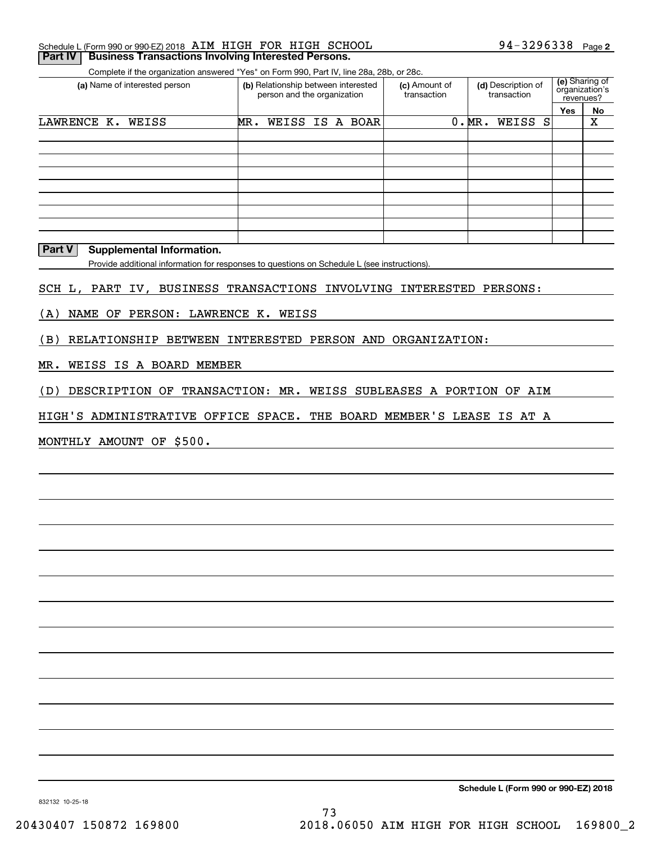| Schedule L (Form 990 or 990-EZ) 2018 AIM HIGH FOR HIGH SCHOOL        |  |  | 94-3296338 $_{Page 2}$ |  |
|----------------------------------------------------------------------|--|--|------------------------|--|
| <b>Part IV   Business Transactions Involving Interested Persons.</b> |  |  |                        |  |

Complete if the organization answered "Yes" on Form 990, Part IV, line 28a, 28b, or 28c.

| (a) Name of interested person | (b) Relationship between interested<br>person and the organization | (c) Amount of<br>transaction | (d) Description of<br>transaction | (e) Sharing of<br>organization's<br>revenues? |    |
|-------------------------------|--------------------------------------------------------------------|------------------------------|-----------------------------------|-----------------------------------------------|----|
|                               |                                                                    |                              |                                   | Yes                                           | No |
| LAWRENCE K. WEISS             | WEISS IS A BOAR<br>MR.                                             |                              | 0.MR.<br>WEISS S                  |                                               | х  |
|                               |                                                                    |                              |                                   |                                               |    |
|                               |                                                                    |                              |                                   |                                               |    |
|                               |                                                                    |                              |                                   |                                               |    |
|                               |                                                                    |                              |                                   |                                               |    |
|                               |                                                                    |                              |                                   |                                               |    |
|                               |                                                                    |                              |                                   |                                               |    |
|                               |                                                                    |                              |                                   |                                               |    |
|                               |                                                                    |                              |                                   |                                               |    |
|                               |                                                                    |                              |                                   |                                               |    |

**Part V** Supplemental Information.

Provide additional information for responses to questions on Schedule L (see instructions). Provide additional information for responses to questions on Schedule L (see instructions).

SCH L, PART IV, BUSINESS TRANSACTIONS INVOLVING INTERESTED PERSONS: SCH L, PART IV, BUSINESS TRANSACTIONS INVOLVING INTERESTED PERSONS:

(A) NAME OF PERSON: LAWRENCE K. WEISS (A) NAME OF PERSON: LAWRENCE K. WEISS

(B) RELATIONSHIP BETWEEN INTERESTED PERSON AND ORGANIZATION: (B) RELATIONSHIP BETWEEN INTERESTED PERSON AND ORGANIZATION:

MR. WEISS IS A BOARD MEMBER MR. WEISS IS A BOARD MEMBER

(D) DESCRIPTION OF TRANSACTION: MR. WEISS SUBLEASES A PORTION OF AIM (D) DESCRIPTION OF TRANSACTION: MR. WEISS SUBLEASES A PORTION OF AIM

HIGH'S ADMINISTRATIVE OFFICE SPACE. THE BOARD MEMBER'S LEASE IS AT A HIGH'S ADMINISTRATIVE OFFICE SPACE. THE BOARD MEMBER'S LEASE IS AT A

MONTHLY AMOUNT OF \$500. MONTHLY AMOUNT OF \$500.

**Schedule L (Form 990 or 990-EZ) 2018** Schedule L (Form 990 or 990-EZ) 2018

832132 10-25-18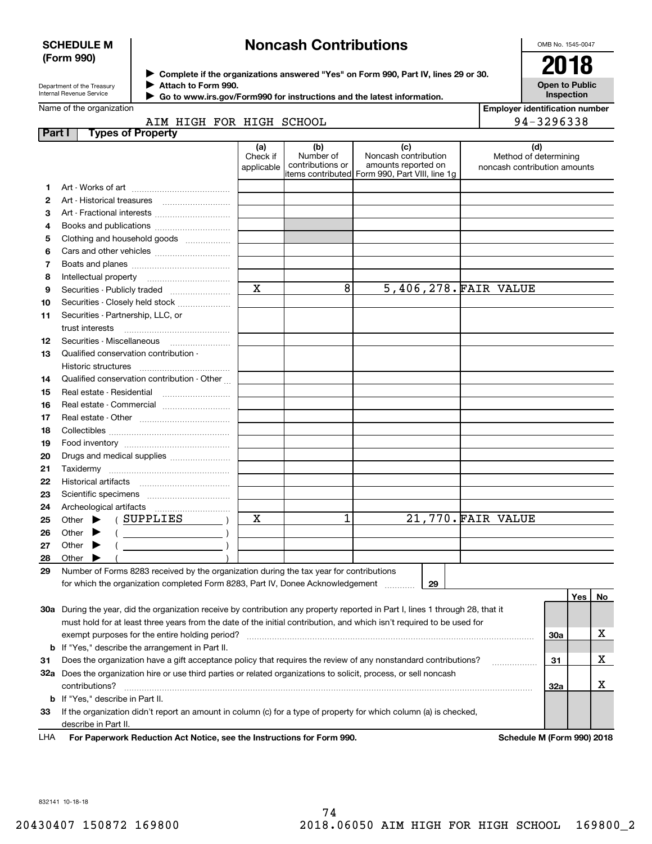## **SCHEDULE M (Form 990)** (Form 990)

## **SCHEDULE M**  $\begin{matrix} \parallel \parallel \end{matrix}$  Noncash Contributions

OMB No. 1545-0047 2018

|                            | <b>COMPLETE II THE OFFIC</b> |
|----------------------------|------------------------------|
| Department of the Treasury | Attach to Form 990.          |
| Internal Revenue Service   | Co to uning iso any E        |

◆ Complete if the organizations answered "Yes" on Form 990, Part IV, lines 29 or 30. **2018** 

**Open to Public** Open to Public **Inspection**

|  | Name of the organization |
|--|--------------------------|
|  |                          |
|  |                          |
|  |                          |

Department of the frequency of the frequency of the states of the states of the states of the statest information.

|               | Name of the organization                                                                                                            |                               |                                      |                                                                                                      | <b>Employer identification number</b>                        |     |    |
|---------------|-------------------------------------------------------------------------------------------------------------------------------------|-------------------------------|--------------------------------------|------------------------------------------------------------------------------------------------------|--------------------------------------------------------------|-----|----|
| <b>Part I</b> | AIM HIGH FOR HIGH SCHOOL<br><b>Types of Property</b>                                                                                |                               |                                      |                                                                                                      | 94-3296338                                                   |     |    |
|               |                                                                                                                                     | (a)<br>Check if<br>applicable | (b)<br>Number of<br>contributions or | (c)<br>Noncash contribution<br>amounts reported on<br>items contributed Form 990, Part VIII, line 1g | (d)<br>Method of determining<br>noncash contribution amounts |     |    |
| 1             |                                                                                                                                     |                               |                                      |                                                                                                      |                                                              |     |    |
| 2             |                                                                                                                                     |                               |                                      |                                                                                                      |                                                              |     |    |
| З             | Art - Fractional interests                                                                                                          |                               |                                      |                                                                                                      |                                                              |     |    |
| 4             |                                                                                                                                     |                               |                                      |                                                                                                      |                                                              |     |    |
| 5             | Clothing and household goods                                                                                                        |                               |                                      |                                                                                                      |                                                              |     |    |
| 6             |                                                                                                                                     |                               |                                      |                                                                                                      |                                                              |     |    |
| 7             |                                                                                                                                     |                               |                                      |                                                                                                      |                                                              |     |    |
| 8             | Intellectual property                                                                                                               |                               |                                      |                                                                                                      |                                                              |     |    |
| 9             | Securities - Publicly traded                                                                                                        | $\mathbf X$                   | 8                                    | 5,406,278.FAIR VALUE                                                                                 |                                                              |     |    |
| 10            | Securities - Closely held stock                                                                                                     |                               |                                      |                                                                                                      |                                                              |     |    |
| 11            | Securities - Partnership, LLC, or                                                                                                   |                               |                                      |                                                                                                      |                                                              |     |    |
|               | trust interests                                                                                                                     |                               |                                      |                                                                                                      |                                                              |     |    |
| 12            | Securities - Miscellaneous                                                                                                          |                               |                                      |                                                                                                      |                                                              |     |    |
| 13            | Qualified conservation contribution -                                                                                               |                               |                                      |                                                                                                      |                                                              |     |    |
|               | Historic structures                                                                                                                 |                               |                                      |                                                                                                      |                                                              |     |    |
| 14            | Qualified conservation contribution - Other                                                                                         |                               |                                      |                                                                                                      |                                                              |     |    |
| 15            | Real estate - Residential                                                                                                           |                               |                                      |                                                                                                      |                                                              |     |    |
| 16            | Real estate - Commercial                                                                                                            |                               |                                      |                                                                                                      |                                                              |     |    |
| 17            |                                                                                                                                     |                               |                                      |                                                                                                      |                                                              |     |    |
| 18            |                                                                                                                                     |                               |                                      |                                                                                                      |                                                              |     |    |
| 19            |                                                                                                                                     |                               |                                      |                                                                                                      |                                                              |     |    |
| 20            | Drugs and medical supplies                                                                                                          |                               |                                      |                                                                                                      |                                                              |     |    |
| 21            |                                                                                                                                     |                               |                                      |                                                                                                      |                                                              |     |    |
| 22            |                                                                                                                                     |                               |                                      |                                                                                                      |                                                              |     |    |
| 23            |                                                                                                                                     |                               |                                      |                                                                                                      |                                                              |     |    |
| 24            |                                                                                                                                     |                               |                                      |                                                                                                      |                                                              |     |    |
| 25            | Other $\blacktriangleright$ (SUPPLIES                                                                                               | х                             | 1                                    | 21,770. FAIR VALUE                                                                                   |                                                              |     |    |
| 26            | $($ $)$<br>Other $\blacktriangleright$                                                                                              |                               |                                      |                                                                                                      |                                                              |     |    |
| 27            | Other $\blacktriangleright$                                                                                                         |                               |                                      |                                                                                                      |                                                              |     |    |
| 28            | Other                                                                                                                               |                               |                                      |                                                                                                      |                                                              |     |    |
| 29            | Number of Forms 8283 received by the organization during the tax year for contributions                                             |                               |                                      |                                                                                                      |                                                              |     |    |
|               | for which the organization completed Form 8283, Part IV, Donee Acknowledgement  29                                                  |                               |                                      |                                                                                                      |                                                              |     |    |
|               |                                                                                                                                     |                               |                                      |                                                                                                      |                                                              | Yes | No |
|               | 30a During the year, did the organization receive by contribution any property reported in Part I, lines 1 through 28, that it      |                               |                                      |                                                                                                      |                                                              |     |    |
|               | must hold for at least three years from the date of the initial contribution, and which isn't required to be used for               |                               |                                      |                                                                                                      |                                                              |     |    |
|               | exempt purposes for the entire holding period?                                                                                      |                               |                                      |                                                                                                      | <b>30a</b>                                                   |     | х  |
|               | <b>b</b> If "Yes," describe the arrangement in Part II.                                                                             |                               |                                      |                                                                                                      |                                                              |     |    |
| 31            | Does the organization have a gift acceptance policy that requires the review of any nonstandard contributions?                      |                               |                                      |                                                                                                      | 31                                                           |     | х  |
|               | 32a Does the organization hire or use third parties or related organizations to solicit, process, or sell noncash<br>contributions? |                               |                                      |                                                                                                      | 32a                                                          |     | х  |
|               | <b>b</b> If "Yes," describe in Part II.                                                                                             |                               |                                      |                                                                                                      |                                                              |     |    |
| 33            | If the organization didn't report an amount in column (c) for a type of property for which column (a) is checked,                   |                               |                                      |                                                                                                      |                                                              |     |    |
|               | describe in Part II.                                                                                                                |                               |                                      |                                                                                                      |                                                              |     |    |
| LHA           | For Paperwork Reduction Act Notice, see the Instructions for Form 990.                                                              |                               |                                      |                                                                                                      | Schedule M (Form 990) 2018                                   |     |    |

832141 10-18-18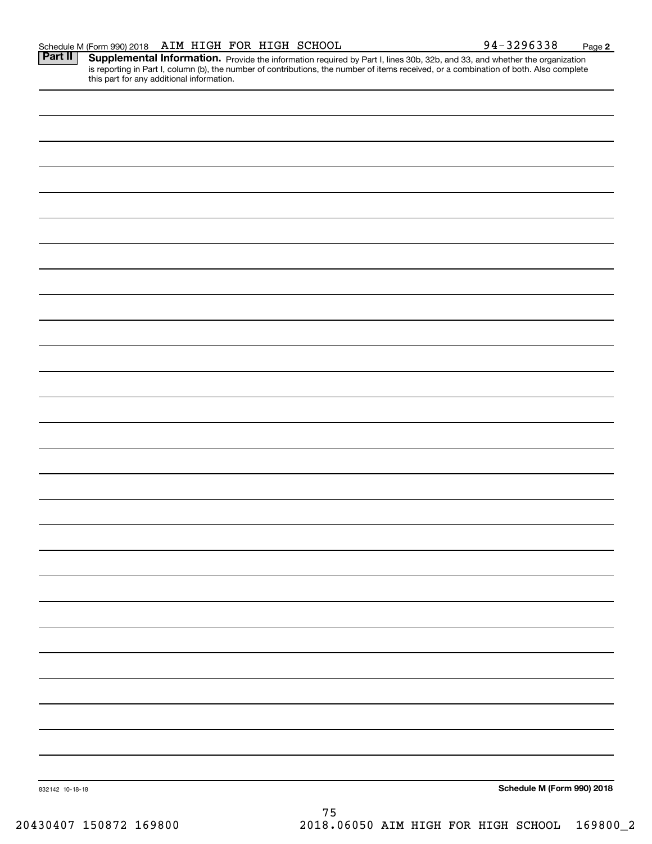**Part II** Supplemental Information. Provide the information required by Part I, lines 30b, 32b, and 33, and whether the organization is reporting in Part I, column (b), the number of contributions, the number of items received, or a combination of both. Also complete this part for any additional information. this part for any additional information.

832142 10-18-18 **Schedule M (Form 990) 2018** 75 75

20430407 150872 169800 2018.06050 AIM HIGH FOR HIGH SCHOOL 169800\_2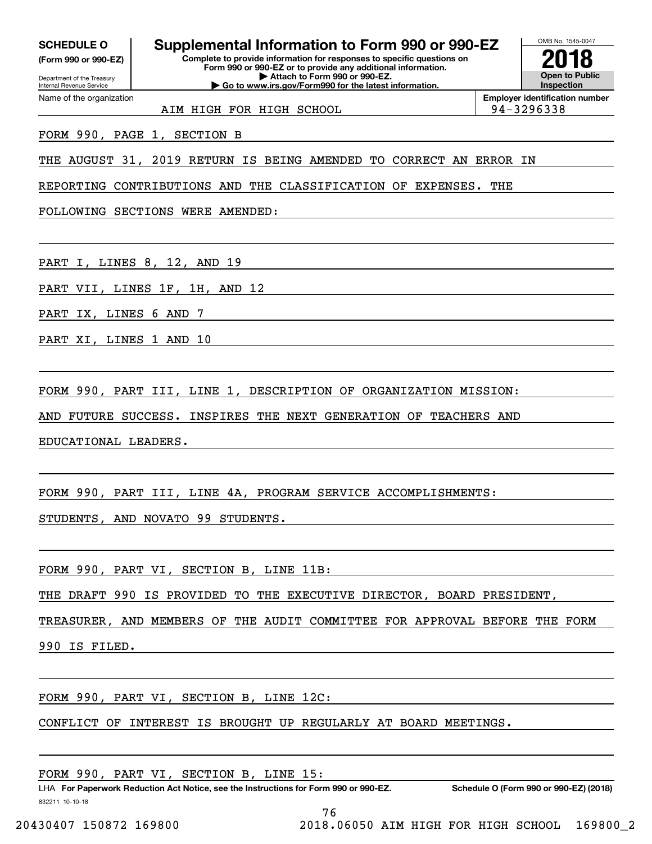SCHEDULE O

Internal Revenue Service

Department of the Treasury **(Form 990 or 990-EZ)** (Form 990 or 990.52)

Name of the organization

## SCHEDULE O | Supplemental Information to Form 990 or 990-EZ  $\overline{\hspace{0.1cm}|\hspace{0.1cm}]}$

Complete to provide information for responses to specific questions on<br>Form 990 or 990-EZ or to provide any additional information. **Form 990 or 990-EZ or to provide any additional information.** Department of the Treasury **Department of the Treasury Department of the Treasury Department of the Treasury D Attach to Form 990 or 990-EZ. Open to Public** Internal Revenue Service **Number 2001 Co to www.irs.gov/Form990 for the latest information.** Inspection



Name of the organization **and the organization in the original energy of the original energy of the original energy of the original energy of**  $\blacksquare$ 

AIM HIGH FOR HIGH SCHOOL 2014-3296338

FORM 990, PAGE 1, SECTION B FORM 990, PAGE 1, SECTION B

THE AUGUST 31, 2019 RETURN IS BEING AMENDED TO CORRECT AN ERROR IN THE AUGUST 31, 2019 RETURN IS BEING AMENDED TO CORRECT AN ERROR IN

REPORTING CONTRIBUTIONS AND THE CLASSIFICATION OF EXPENSES. THE REPORTING CONTRIBUTIONS AND THE CLASSIFICATION OF EXPENSES. THE

FOLLOWING SECTIONS WERE AMENDED: FOLLOWING SECTIONS WERE AMENDED:

PART I, LINES 8, 12, AND 19 PART I, LINES 8, 12, AND <sup>19</sup>

PART VII, LINES 1F, 1H, AND 12 PART VII, LINES 1F, 1H, AND <sup>12</sup>

PART IX, LINES 6 AND 7 PART IX, LINES 6 AND <sup>7</sup>

PART XI, LINES 1 AND 10 PART XI, LINES 1 AND 10

FORM 990, PART III, LINE 1, DESCRIPTION OF ORGANIZATION MISSION: FORM 990, PART III, LINE 1, DESCRIPTION OF ORGANIZATION MISSION:

AND FUTURE SUCCESS. INSPIRES THE NEXT GENERATION OF TEACHERS AND AND FUTURE SUCCESS. INSPIRES THE NEXT GENERATION OF TEACHERS AND

EDUCATIONAL LEADERS. EDUCATIONAL LEADERS.

FORM 990, PART III, LINE 4A, PROGRAM SERVICE ACCOMPLISHMENTS: FORM 990, PART III, LINE 4A, PROGRAM SERVICE ACCOMPLISHMENTS:

STUDENTS, AND NOVATO 99 STUDENTS. STUDENTS, AND NOVATO 99 STUDENTS.

FORM 990, PART VI, SECTION B, LINE 11B: FORM 990, PART VI, SECTION B, LINE llB:

THE DRAFT 990 IS PROVIDED TO THE EXECUTIVE DIRECTOR, BOARD PRESIDENT, THE DRAFT 990 IS PROVIDED TO THE EXECUTIVE DIRECTOR, BOARD PRESIDENT,

TREASURER, AND MEMBERS OF THE AUDIT COMMITTEE FOR APPROVAL BEFORE THE FORM TREASURER, AND MEMBERS OF THE AUDIT COMMITTEE FOR APPROVAL BEFORE THE FORM

990 IS FILED. 990 IS FILED.

FORM 990, PART VI, SECTION B, LINE 12C: FORM 990, PART VI, SECTION B, LINE 12C:

CONFLICT OF INTEREST IS BROUGHT UP REGULARLY AT BOARD MEETINGS. CONFLICT OF INTEREST IS BROUGHT UP REGULARLY AT BOARD MEETINGS.

FORM 990, PART VI, SECTION B, LINE 15: FORM 990 , PART VI , SECTION B , LINE 15:

832211 10-10-18 LHA For Paperwork Reduction Act Notice, see the Instructions for Form 990 or 990-EZ. Schedule O (Form 990 or 990-EZ) (2018)

76 76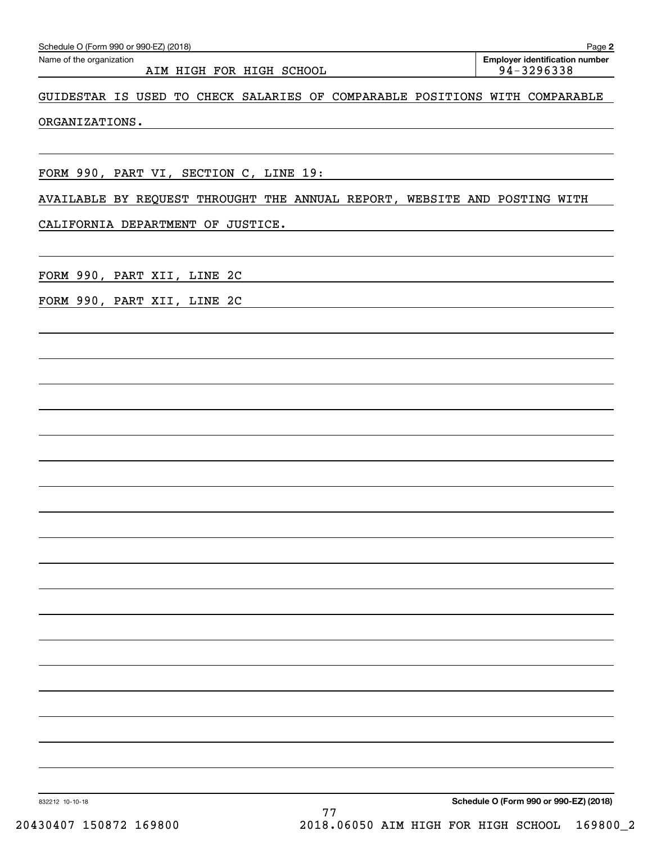| Name of the organization<br>AIM HIGH FOR HIGH SCHOOL                        | <b>Employer identification number</b><br>94-3296338 |
|-----------------------------------------------------------------------------|-----------------------------------------------------|
| GUIDESTAR IS USED TO CHECK SALARIES OF COMPARABLE POSITIONS WITH COMPARABLE |                                                     |
| ORGANIZATIONS.                                                              |                                                     |
| FORM 990, PART VI, SECTION C, LINE 19:                                      |                                                     |
| AVAILABLE BY REQUEST THROUGHT THE ANNUAL REPORT, WEBSITE AND POSTING WITH   |                                                     |
| CALIFORNIA DEPARTMENT OF JUSTICE.                                           |                                                     |
| FORM 990, PART XII, LINE 2C                                                 |                                                     |
| FORM 990, PART XII, LINE 2C                                                 |                                                     |
|                                                                             |                                                     |
|                                                                             |                                                     |
|                                                                             |                                                     |
|                                                                             |                                                     |
|                                                                             |                                                     |
|                                                                             |                                                     |
|                                                                             |                                                     |
|                                                                             |                                                     |
|                                                                             |                                                     |
|                                                                             |                                                     |
|                                                                             |                                                     |
|                                                                             |                                                     |
|                                                                             |                                                     |
| 832212 10-10-18                                                             | Schedule O (Form 990 or 990-EZ) (2018)              |